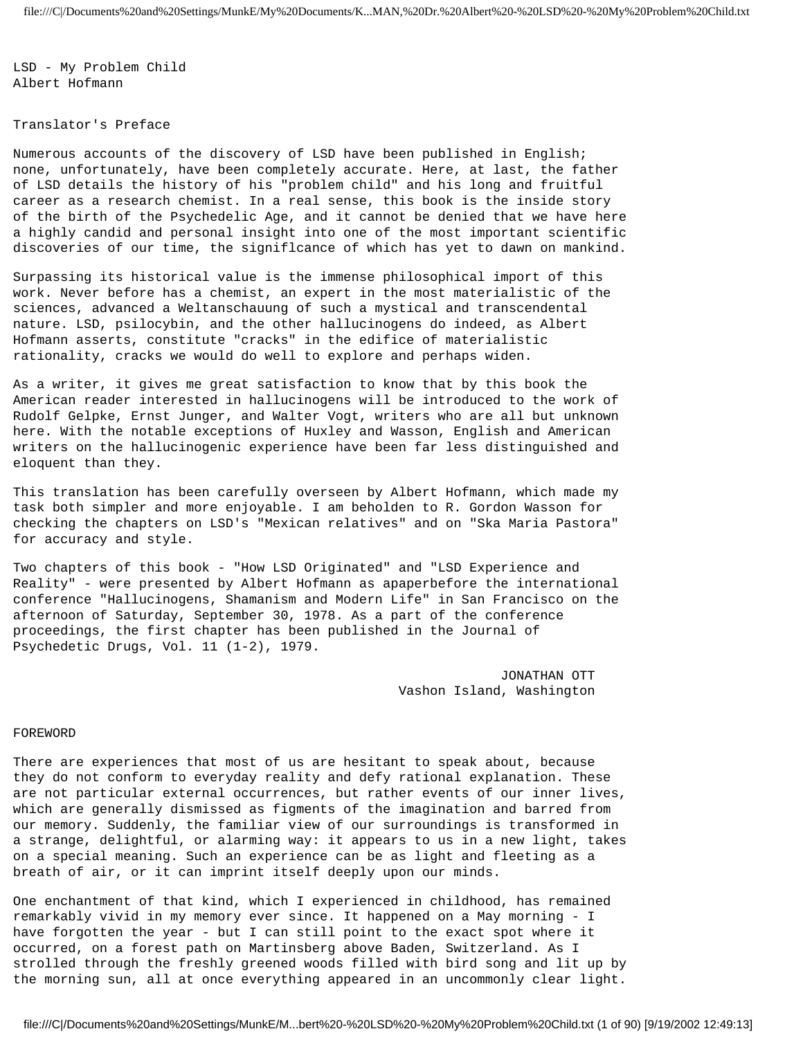LSD - My Problem Child Albert Hofmann

### Translator's Preface

Numerous accounts of the discovery of LSD have been published in English; none, unfortunately, have been completely accurate. Here, at last, the father of LSD details the history of his "problem child" and his long and fruitful career as a research chemist. In a real sense, this book is the inside story of the birth of the Psychedelic Age, and it cannot be denied that we have here a highly candid and personal insight into one of the most important scientific discoveries of our time, the signiflcance of which has yet to dawn on mankind.

Surpassing its historical value is the immense philosophical import of this work. Never before has a chemist, an expert in the most materialistic of the sciences, advanced a Weltanschauung of such a mystical and transcendental nature. LSD, psilocybin, and the other hallucinogens do indeed, as Albert Hofmann asserts, constitute "cracks" in the edifice of materialistic rationality, cracks we would do well to explore and perhaps widen.

As a writer, it gives me great satisfaction to know that by this book the American reader interested in hallucinogens will be introduced to the work of Rudolf Gelpke, Ernst Junger, and Walter Vogt, writers who are all but unknown here. With the notable exceptions of Huxley and Wasson, English and American writers on the hallucinogenic experience have been far less distinguished and eloquent than they.

This translation has been carefully overseen by Albert Hofmann, which made my task both simpler and more enjoyable. I am beholden to R. Gordon Wasson for checking the chapters on LSD's "Mexican relatives" and on "Ska Maria Pastora" for accuracy and style.

Two chapters of this book - "How LSD Originated" and "LSD Experience and Reality" - were presented by Albert Hofmann as apaperbefore the international conference "Hallucinogens, Shamanism and Modern Life" in San Francisco on the afternoon of Saturday, September 30, 1978. As a part of the conference proceedings, the first chapter has been published in the Journal of Psychedetic Drugs, Vol. 11 (1-2), 1979.

> JONATHAN OTT Vashon Island, Washington

### FOREWORD

There are experiences that most of us are hesitant to speak about, because they do not conform to everyday reality and defy rational explanation. These are not particular external occurrences, but rather events of our inner lives, which are generally dismissed as figments of the imagination and barred from our memory. Suddenly, the familiar view of our surroundings is transformed in a strange, delightful, or alarming way: it appears to us in a new light, takes on a special meaning. Such an experience can be as light and fleeting as a breath of air, or it can imprint itself deeply upon our minds.

One enchantment of that kind, which I experienced in childhood, has remained remarkably vivid in my memory ever since. It happened on a May morning - I have forgotten the year - but I can still point to the exact spot where it occurred, on a forest path on Martinsberg above Baden, Switzerland. As I strolled through the freshly greened woods filled with bird song and lit up by the morning sun, all at once everything appeared in an uncommonly clear light.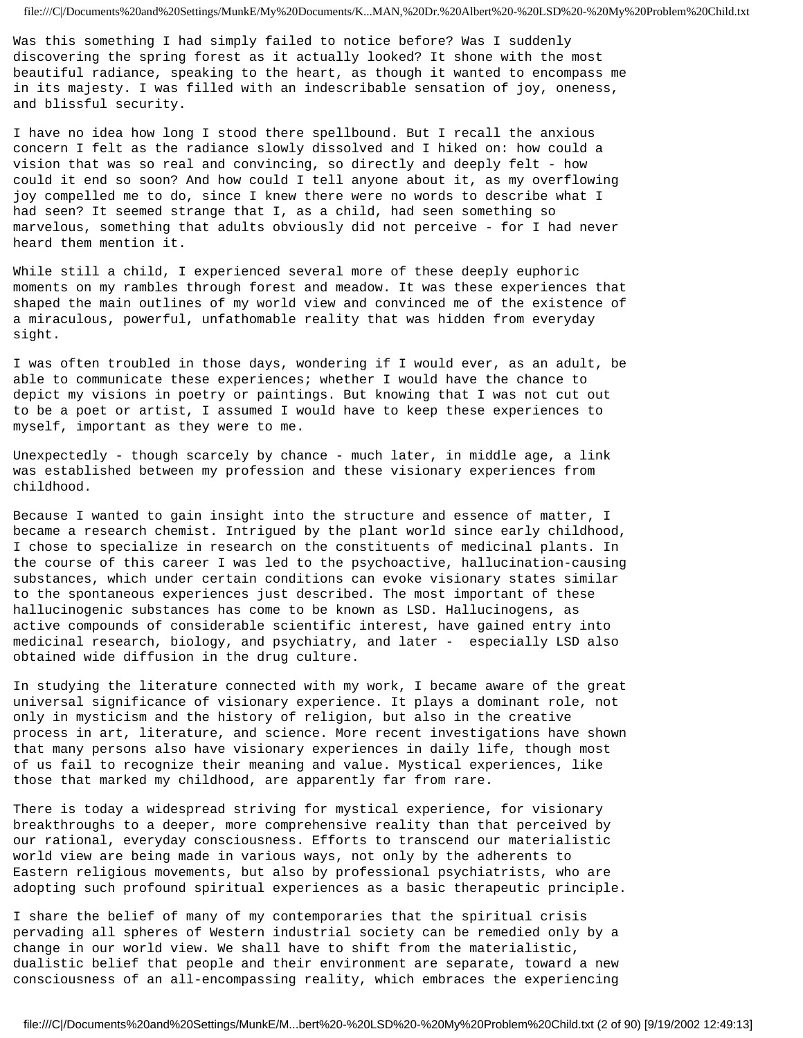Was this something I had simply failed to notice before? Was I suddenly discovering the spring forest as it actually looked? It shone with the most beautiful radiance, speaking to the heart, as though it wanted to encompass me in its majesty. I was filled with an indescribable sensation of joy, oneness, and blissful security.

I have no idea how long I stood there spellbound. But I recall the anxious concern I felt as the radiance slowly dissolved and I hiked on: how could a vision that was so real and convincing, so directly and deeply felt - how could it end so soon? And how could I tell anyone about it, as my overflowing joy compelled me to do, since I knew there were no words to describe what I had seen? It seemed strange that I, as a child, had seen something so marvelous, something that adults obviously did not perceive - for I had never heard them mention it.

While still a child, I experienced several more of these deeply euphoric moments on my rambles through forest and meadow. It was these experiences that shaped the main outlines of my world view and convinced me of the existence of a miraculous, powerful, unfathomable reality that was hidden from everyday sight.

I was often troubled in those days, wondering if I would ever, as an adult, be able to communicate these experiences; whether I would have the chance to depict my visions in poetry or paintings. But knowing that I was not cut out to be a poet or artist, I assumed I would have to keep these experiences to myself, important as they were to me.

Unexpectedly - though scarcely by chance - much later, in middle age, a link was established between my profession and these visionary experiences from childhood.

Because I wanted to gain insight into the structure and essence of matter, I became a research chemist. Intrigued by the plant world since early childhood, I chose to specialize in research on the constituents of medicinal plants. In the course of this career I was led to the psychoactive, hallucination-causing substances, which under certain conditions can evoke visionary states similar to the spontaneous experiences just described. The most important of these hallucinogenic substances has come to be known as LSD. Hallucinogens, as active compounds of considerable scientific interest, have gained entry into medicinal research, biology, and psychiatry, and later - especially LSD also obtained wide diffusion in the drug culture.

In studying the literature connected with my work, I became aware of the great universal significance of visionary experience. It plays a dominant role, not only in mysticism and the history of religion, but also in the creative process in art, literature, and science. More recent investigations have shown that many persons also have visionary experiences in daily life, though most of us fail to recognize their meaning and value. Mystical experiences, like those that marked my childhood, are apparently far from rare.

There is today a widespread striving for mystical experience, for visionary breakthroughs to a deeper, more comprehensive reality than that perceived by our rational, everyday consciousness. Efforts to transcend our materialistic world view are being made in various ways, not only by the adherents to Eastern religious movements, but also by professional psychiatrists, who are adopting such profound spiritual experiences as a basic therapeutic principle.

I share the belief of many of my contemporaries that the spiritual crisis pervading all spheres of Western industrial society can be remedied only by a change in our world view. We shall have to shift from the materialistic, dualistic belief that people and their environment are separate, toward a new consciousness of an all-encompassing reality, which embraces the experiencing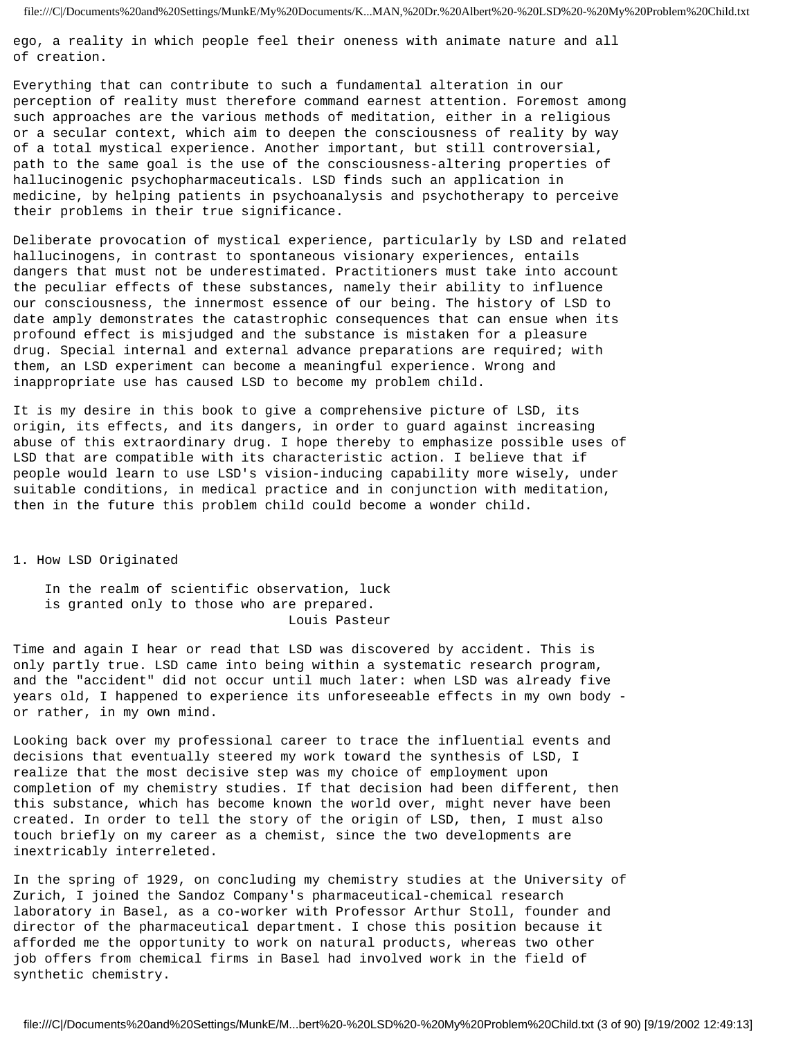ego, a reality in which people feel their oneness with animate nature and all of creation.

Everything that can contribute to such a fundamental alteration in our perception of reality must therefore command earnest attention. Foremost among such approaches are the various methods of meditation, either in a religious or a secular context, which aim to deepen the consciousness of reality by way of a total mystical experience. Another important, but still controversial, path to the same goal is the use of the consciousness-altering properties of hallucinogenic psychopharmaceuticals. LSD finds such an application in medicine, by helping patients in psychoanalysis and psychotherapy to perceive their problems in their true significance.

Deliberate provocation of mystical experience, particularly by LSD and related hallucinogens, in contrast to spontaneous visionary experiences, entails dangers that must not be underestimated. Practitioners must take into account the peculiar effects of these substances, namely their ability to influence our consciousness, the innermost essence of our being. The history of LSD to date amply demonstrates the catastrophic consequences that can ensue when its profound effect is misjudged and the substance is mistaken for a pleasure drug. Special internal and external advance preparations are required; with them, an LSD experiment can become a meaningful experience. Wrong and inappropriate use has caused LSD to become my problem child.

It is my desire in this book to give a comprehensive picture of LSD, its origin, its effects, and its dangers, in order to guard against increasing abuse of this extraordinary drug. I hope thereby to emphasize possible uses of LSD that are compatible with its characteristic action. I believe that if people would learn to use LSD's vision-inducing capability more wisely, under suitable conditions, in medical practice and in conjunction with meditation, then in the future this problem child could become a wonder child.

1. How LSD Originated

 In the realm of scientific observation, luck is granted only to those who are prepared. Louis Pasteur

Time and again I hear or read that LSD was discovered by accident. This is only partly true. LSD came into being within a systematic research program, and the "accident" did not occur until much later: when LSD was already five years old, I happened to experience its unforeseeable effects in my own body or rather, in my own mind.

Looking back over my professional career to trace the influential events and decisions that eventually steered my work toward the synthesis of LSD, I realize that the most decisive step was my choice of employment upon completion of my chemistry studies. If that decision had been different, then this substance, which has become known the world over, might never have been created. In order to tell the story of the origin of LSD, then, I must also touch briefly on my career as a chemist, since the two developments are inextricably interreleted.

In the spring of 1929, on concluding my chemistry studies at the University of Zurich, I joined the Sandoz Company's pharmaceutical-chemical research laboratory in Basel, as a co-worker with Professor Arthur Stoll, founder and director of the pharmaceutical department. I chose this position because it afforded me the opportunity to work on natural products, whereas two other job offers from chemical firms in Basel had involved work in the field of synthetic chemistry.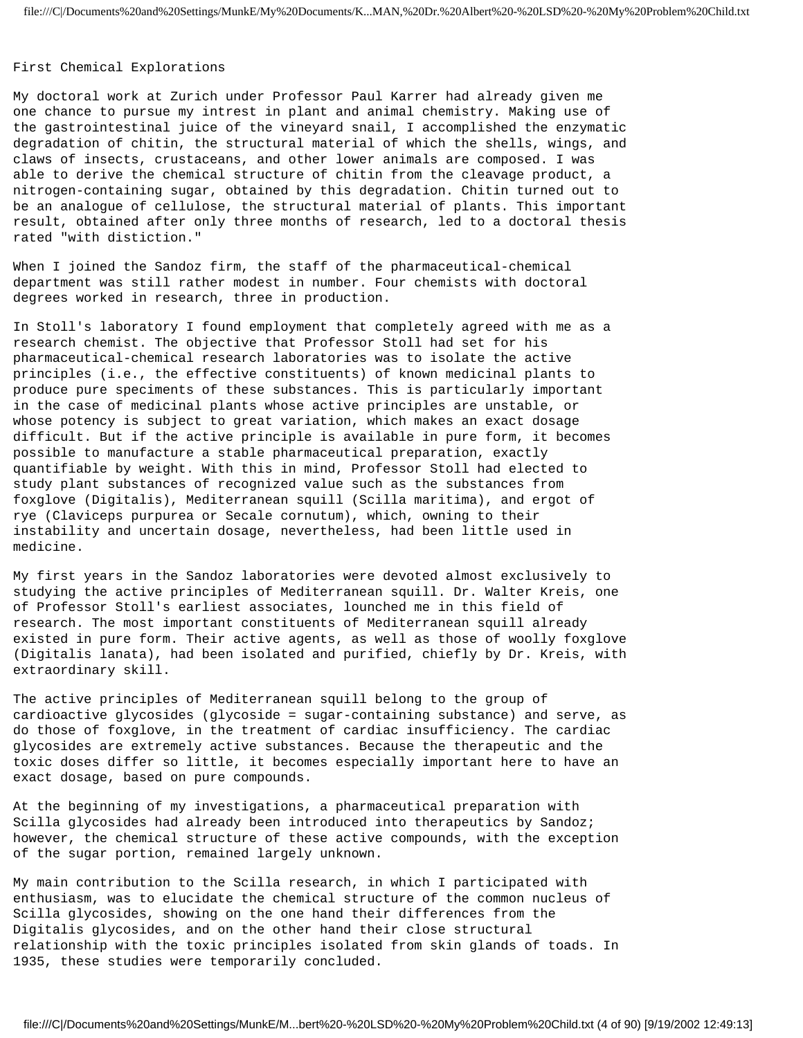## First Chemical Explorations

My doctoral work at Zurich under Professor Paul Karrer had already given me one chance to pursue my intrest in plant and animal chemistry. Making use of the gastrointestinal juice of the vineyard snail, I accomplished the enzymatic degradation of chitin, the structural material of which the shells, wings, and claws of insects, crustaceans, and other lower animals are composed. I was able to derive the chemical structure of chitin from the cleavage product, a nitrogen-containing sugar, obtained by this degradation. Chitin turned out to be an analogue of cellulose, the structural material of plants. This important result, obtained after only three months of research, led to a doctoral thesis rated "with distiction."

When I joined the Sandoz firm, the staff of the pharmaceutical-chemical department was still rather modest in number. Four chemists with doctoral degrees worked in research, three in production.

In Stoll's laboratory I found employment that completely agreed with me as a research chemist. The objective that Professor Stoll had set for his pharmaceutical-chemical research laboratories was to isolate the active principles (i.e., the effective constituents) of known medicinal plants to produce pure speciments of these substances. This is particularly important in the case of medicinal plants whose active principles are unstable, or whose potency is subject to great variation, which makes an exact dosage difficult. But if the active principle is available in pure form, it becomes possible to manufacture a stable pharmaceutical preparation, exactly quantifiable by weight. With this in mind, Professor Stoll had elected to study plant substances of recognized value such as the substances from foxglove (Digitalis), Mediterranean squill (Scilla maritima), and ergot of rye (Claviceps purpurea or Secale cornutum), which, owning to their instability and uncertain dosage, nevertheless, had been little used in medicine.

My first years in the Sandoz laboratories were devoted almost exclusively to studying the active principles of Mediterranean squill. Dr. Walter Kreis, one of Professor Stoll's earliest associates, lounched me in this field of research. The most important constituents of Mediterranean squill already existed in pure form. Their active agents, as well as those of woolly foxglove (Digitalis lanata), had been isolated and purified, chiefly by Dr. Kreis, with extraordinary skill.

The active principles of Mediterranean squill belong to the group of cardioactive glycosides (glycoside = sugar-containing substance) and serve, as do those of foxglove, in the treatment of cardiac insufficiency. The cardiac glycosides are extremely active substances. Because the therapeutic and the toxic doses differ so little, it becomes especially important here to have an exact dosage, based on pure compounds.

At the beginning of my investigations, a pharmaceutical preparation with Scilla glycosides had already been introduced into therapeutics by Sandoz; however, the chemical structure of these active compounds, with the exception of the sugar portion, remained largely unknown.

My main contribution to the Scilla research, in which I participated with enthusiasm, was to elucidate the chemical structure of the common nucleus of Scilla glycosides, showing on the one hand their differences from the Digitalis glycosides, and on the other hand their close structural relationship with the toxic principles isolated from skin glands of toads. In 1935, these studies were temporarily concluded.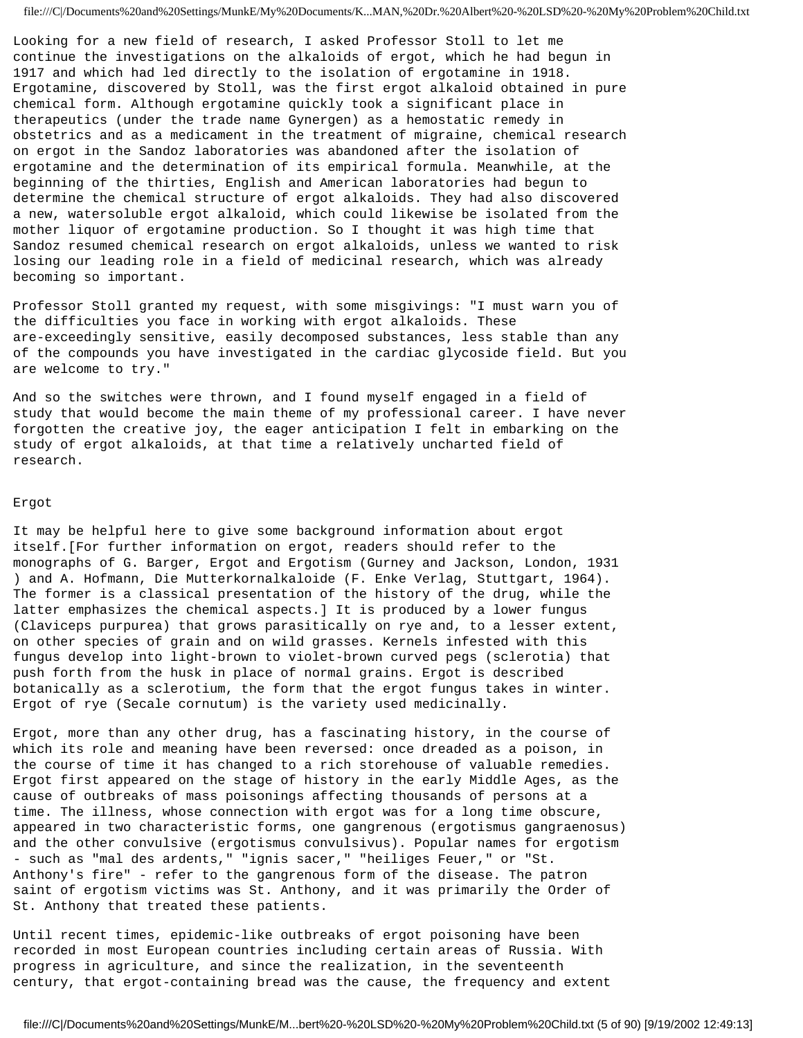Looking for a new field of research, I asked Professor Stoll to let me continue the investigations on the alkaloids of ergot, which he had begun in 1917 and which had led directly to the isolation of ergotamine in 1918. Ergotamine, discovered by Stoll, was the first ergot alkaloid obtained in pure chemical form. Although ergotamine quickly took a significant place in therapeutics (under the trade name Gynergen) as a hemostatic remedy in obstetrics and as a medicament in the treatment of migraine, chemical research on ergot in the Sandoz laboratories was abandoned after the isolation of ergotamine and the determination of its empirical formula. Meanwhile, at the beginning of the thirties, English and American laboratories had begun to determine the chemical structure of ergot alkaloids. They had also discovered a new, watersoluble ergot alkaloid, which could likewise be isolated from the mother liquor of ergotamine production. So I thought it was high time that Sandoz resumed chemical research on ergot alkaloids, unless we wanted to risk losing our leading role in a field of medicinal research, which was already becoming so important.

Professor Stoll granted my request, with some misgivings: "I must warn you of the difficulties you face in working with ergot alkaloids. These are-exceedingly sensitive, easily decomposed substances, less stable than any of the compounds you have investigated in the cardiac glycoside field. But you are welcome to try."

And so the switches were thrown, and I found myself engaged in a field of study that would become the main theme of my professional career. I have never forgotten the creative joy, the eager anticipation I felt in embarking on the study of ergot alkaloids, at that time a relatively uncharted field of research.

## Ergot

It may be helpful here to give some background information about ergot itself.[For further information on ergot, readers should refer to the monographs of G. Barger, Ergot and Ergotism (Gurney and Jackson, London, 1931 ) and A. Hofmann, Die Mutterkornalkaloide (F. Enke Verlag, Stuttgart, 1964). The former is a classical presentation of the history of the drug, while the latter emphasizes the chemical aspects.] It is produced by a lower fungus (Claviceps purpurea) that grows parasitically on rye and, to a lesser extent, on other species of grain and on wild grasses. Kernels infested with this fungus develop into light-brown to violet-brown curved pegs (sclerotia) that push forth from the husk in place of normal grains. Ergot is described botanically as a sclerotium, the form that the ergot fungus takes in winter. Ergot of rye (Secale cornutum) is the variety used medicinally.

Ergot, more than any other drug, has a fascinating history, in the course of which its role and meaning have been reversed: once dreaded as a poison, in the course of time it has changed to a rich storehouse of valuable remedies. Ergot first appeared on the stage of history in the early Middle Ages, as the cause of outbreaks of mass poisonings affecting thousands of persons at a time. The illness, whose connection with ergot was for a long time obscure, appeared in two characteristic forms, one gangrenous (ergotismus gangraenosus) and the other convulsive (ergotismus convulsivus). Popular names for ergotism - such as "mal des ardents," "ignis sacer," "heiliges Feuer," or "St. Anthony's fire" - refer to the gangrenous form of the disease. The patron saint of ergotism victims was St. Anthony, and it was primarily the Order of St. Anthony that treated these patients.

Until recent times, epidemic-like outbreaks of ergot poisoning have been recorded in most European countries including certain areas of Russia. With progress in agriculture, and since the realization, in the seventeenth century, that ergot-containing bread was the cause, the frequency and extent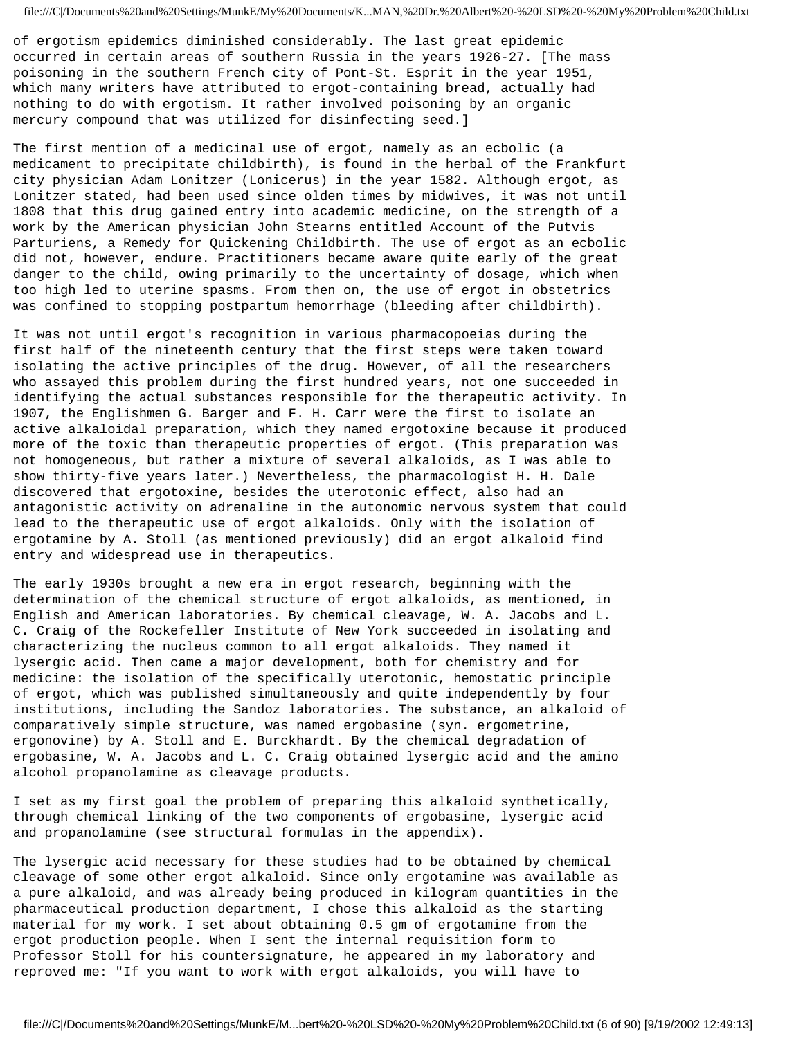of ergotism epidemics diminished considerably. The last great epidemic occurred in certain areas of southern Russia in the years 1926-27. [The mass poisoning in the southern French city of Pont-St. Esprit in the year 1951, which many writers have attributed to ergot-containing bread, actually had nothing to do with ergotism. It rather involved poisoning by an organic mercury compound that was utilized for disinfecting seed.]

The first mention of a medicinal use of ergot, namely as an ecbolic (a medicament to precipitate childbirth), is found in the herbal of the Frankfurt city physician Adam Lonitzer (Lonicerus) in the year 1582. Although ergot, as Lonitzer stated, had been used since olden times by midwives, it was not until 1808 that this drug gained entry into academic medicine, on the strength of a work by the American physician John Stearns entitled Account of the Putvis Parturiens, a Remedy for Quickening Childbirth. The use of ergot as an ecbolic did not, however, endure. Practitioners became aware quite early of the great danger to the child, owing primarily to the uncertainty of dosage, which when too high led to uterine spasms. From then on, the use of ergot in obstetrics was confined to stopping postpartum hemorrhage (bleeding after childbirth).

It was not until ergot's recognition in various pharmacopoeias during the first half of the nineteenth century that the first steps were taken toward isolating the active principles of the drug. However, of all the researchers who assayed this problem during the first hundred years, not one succeeded in identifying the actual substances responsible for the therapeutic activity. In 1907, the Englishmen G. Barger and F. H. Carr were the first to isolate an active alkaloidal preparation, which they named ergotoxine because it produced more of the toxic than therapeutic properties of ergot. (This preparation was not homogeneous, but rather a mixture of several alkaloids, as I was able to show thirty-five years later.) Nevertheless, the pharmacologist H. H. Dale discovered that ergotoxine, besides the uterotonic effect, also had an antagonistic activity on adrenaline in the autonomic nervous system that could lead to the therapeutic use of ergot alkaloids. Only with the isolation of ergotamine by A. Stoll (as mentioned previously) did an ergot alkaloid find entry and widespread use in therapeutics.

The early 1930s brought a new era in ergot research, beginning with the determination of the chemical structure of ergot alkaloids, as mentioned, in English and American laboratories. By chemical cleavage, W. A. Jacobs and L. C. Craig of the Rockefeller Institute of New York succeeded in isolating and characterizing the nucleus common to all ergot alkaloids. They named it lysergic acid. Then came a major development, both for chemistry and for medicine: the isolation of the specifically uterotonic, hemostatic principle of ergot, which was published simultaneously and quite independently by four institutions, including the Sandoz laboratories. The substance, an alkaloid of comparatively simple structure, was named ergobasine (syn. ergometrine, ergonovine) by A. Stoll and E. Burckhardt. By the chemical degradation of ergobasine, W. A. Jacobs and L. C. Craig obtained lysergic acid and the amino alcohol propanolamine as cleavage products.

I set as my first goal the problem of preparing this alkaloid synthetically, through chemical linking of the two components of ergobasine, lysergic acid and propanolamine (see structural formulas in the appendix).

The lysergic acid necessary for these studies had to be obtained by chemical cleavage of some other ergot alkaloid. Since only ergotamine was available as a pure alkaloid, and was already being produced in kilogram quantities in the pharmaceutical production department, I chose this alkaloid as the starting material for my work. I set about obtaining 0.5 gm of ergotamine from the ergot production people. When I sent the internal requisition form to Professor Stoll for his countersignature, he appeared in my laboratory and reproved me: "If you want to work with ergot alkaloids, you will have to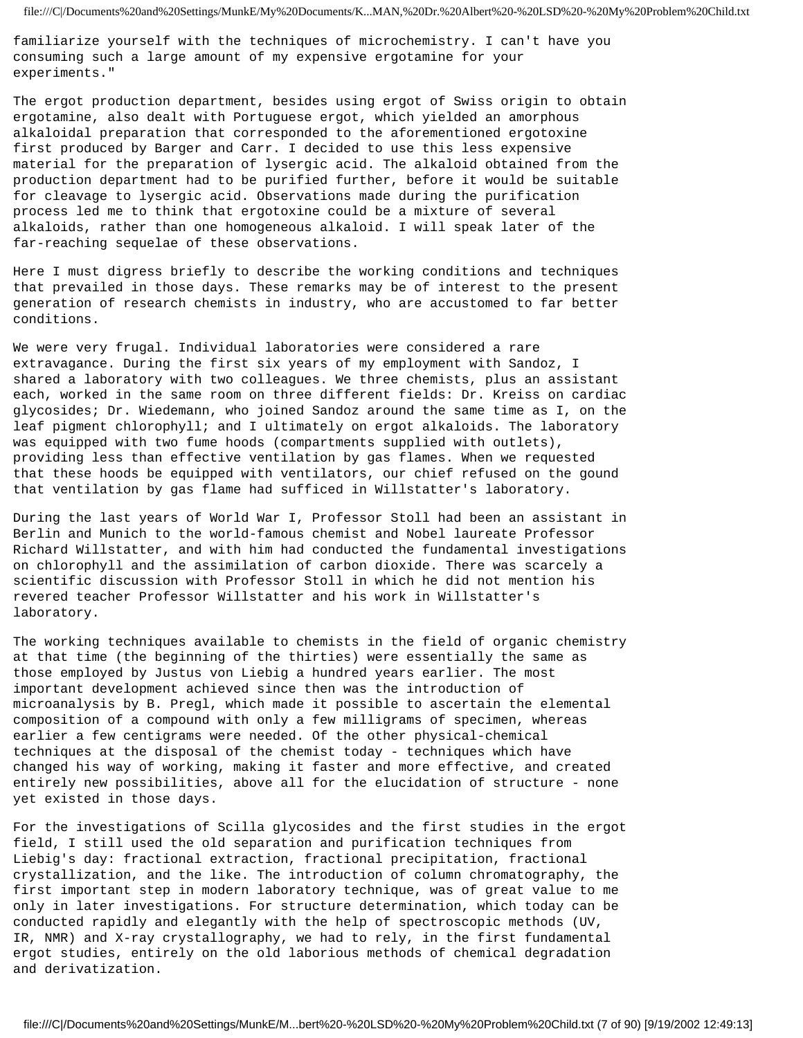familiarize yourself with the techniques of microchemistry. I can't have you consuming such a large amount of my expensive ergotamine for your experiments."

The ergot production department, besides using ergot of Swiss origin to obtain ergotamine, also dealt with Portuguese ergot, which yielded an amorphous alkaloidal preparation that corresponded to the aforementioned ergotoxine first produced by Barger and Carr. I decided to use this less expensive material for the preparation of lysergic acid. The alkaloid obtained from the production department had to be purified further, before it would be suitable for cleavage to lysergic acid. Observations made during the purification process led me to think that ergotoxine could be a mixture of several alkaloids, rather than one homogeneous alkaloid. I will speak later of the far-reaching sequelae of these observations.

Here I must digress briefly to describe the working conditions and techniques that prevailed in those days. These remarks may be of interest to the present generation of research chemists in industry, who are accustomed to far better conditions.

We were very frugal. Individual laboratories were considered a rare extravagance. During the first six years of my employment with Sandoz, I shared a laboratory with two colleagues. We three chemists, plus an assistant each, worked in the same room on three different fields: Dr. Kreiss on cardiac glycosides; Dr. Wiedemann, who joined Sandoz around the same time as I, on the leaf pigment chlorophyll; and I ultimately on ergot alkaloids. The laboratory was equipped with two fume hoods (compartments supplied with outlets), providing less than effective ventilation by gas flames. When we requested that these hoods be equipped with ventilators, our chief refused on the gound that ventilation by gas flame had sufficed in Willstatter's laboratory.

During the last years of World War I, Professor Stoll had been an assistant in Berlin and Munich to the world-famous chemist and Nobel laureate Professor Richard Willstatter, and with him had conducted the fundamental investigations on chlorophyll and the assimilation of carbon dioxide. There was scarcely a scientific discussion with Professor Stoll in which he did not mention his revered teacher Professor Willstatter and his work in Willstatter's laboratory.

The working techniques available to chemists in the field of organic chemistry at that time (the beginning of the thirties) were essentially the same as those employed by Justus von Liebig a hundred years earlier. The most important development achieved since then was the introduction of microanalysis by B. Pregl, which made it possible to ascertain the elemental composition of a compound with only a few milligrams of specimen, whereas earlier a few centigrams were needed. Of the other physical-chemical techniques at the disposal of the chemist today - techniques which have changed his way of working, making it faster and more effective, and created entirely new possibilities, above all for the elucidation of structure - none yet existed in those days.

For the investigations of Scilla glycosides and the first studies in the ergot field, I still used the old separation and purification techniques from Liebig's day: fractional extraction, fractional precipitation, fractional crystallization, and the like. The introduction of column chromatography, the first important step in modern laboratory technique, was of great value to me only in later investigations. For structure determination, which today can be conducted rapidly and elegantly with the help of spectroscopic methods (UV, IR, NMR) and X-ray crystallography, we had to rely, in the first fundamental ergot studies, entirely on the old laborious methods of chemical degradation and derivatization.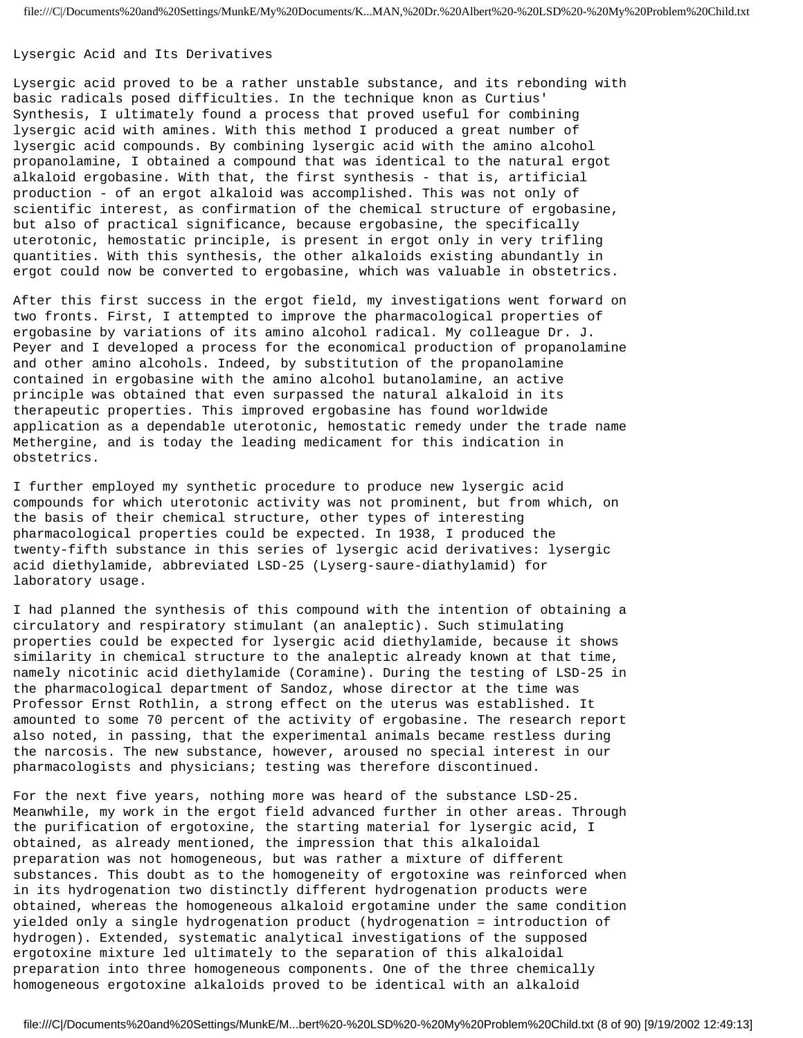#### Lysergic Acid and Its Derivatives

Lysergic acid proved to be a rather unstable substance, and its rebonding with basic radicals posed difficulties. In the technique knon as Curtius' Synthesis, I ultimately found a process that proved useful for combining lysergic acid with amines. With this method I produced a great number of lysergic acid compounds. By combining lysergic acid with the amino alcohol propanolamine, I obtained a compound that was identical to the natural ergot alkaloid ergobasine. With that, the first synthesis - that is, artificial production - of an ergot alkaloid was accomplished. This was not only of scientific interest, as confirmation of the chemical structure of ergobasine, but also of practical significance, because ergobasine, the specifically uterotonic, hemostatic principle, is present in ergot only in very trifling quantities. With this synthesis, the other alkaloids existing abundantly in ergot could now be converted to ergobasine, which was valuable in obstetrics.

After this first success in the ergot field, my investigations went forward on two fronts. First, I attempted to improve the pharmacological properties of ergobasine by variations of its amino alcohol radical. My colleague Dr. J. Peyer and I developed a process for the economical production of propanolamine and other amino alcohols. Indeed, by substitution of the propanolamine contained in ergobasine with the amino alcohol butanolamine, an active principle was obtained that even surpassed the natural alkaloid in its therapeutic properties. This improved ergobasine has found worldwide application as a dependable uterotonic, hemostatic remedy under the trade name Methergine, and is today the leading medicament for this indication in obstetrics.

I further employed my synthetic procedure to produce new lysergic acid compounds for which uterotonic activity was not prominent, but from which, on the basis of their chemical structure, other types of interesting pharmacological properties could be expected. In 1938, I produced the twenty-fifth substance in this series of lysergic acid derivatives: lysergic acid diethylamide, abbreviated LSD-25 (Lyserg-saure-diathylamid) for laboratory usage.

I had planned the synthesis of this compound with the intention of obtaining a circulatory and respiratory stimulant (an analeptic). Such stimulating properties could be expected for lysergic acid diethylamide, because it shows similarity in chemical structure to the analeptic already known at that time, namely nicotinic acid diethylamide (Coramine). During the testing of LSD-25 in the pharmacological department of Sandoz, whose director at the time was Professor Ernst Rothlin, a strong effect on the uterus was established. It amounted to some 70 percent of the activity of ergobasine. The research report also noted, in passing, that the experimental animals became restless during the narcosis. The new substance, however, aroused no special interest in our pharmacologists and physicians; testing was therefore discontinued.

For the next five years, nothing more was heard of the substance LSD-25. Meanwhile, my work in the ergot field advanced further in other areas. Through the purification of ergotoxine, the starting material for lysergic acid, I obtained, as already mentioned, the impression that this alkaloidal preparation was not homogeneous, but was rather a mixture of different substances. This doubt as to the homogeneity of ergotoxine was reinforced when in its hydrogenation two distinctly different hydrogenation products were obtained, whereas the homogeneous alkaloid ergotamine under the same condition yielded only a single hydrogenation product (hydrogenation = introduction of hydrogen). Extended, systematic analytical investigations of the supposed ergotoxine mixture led ultimately to the separation of this alkaloidal preparation into three homogeneous components. One of the three chemically homogeneous ergotoxine alkaloids proved to be identical with an alkaloid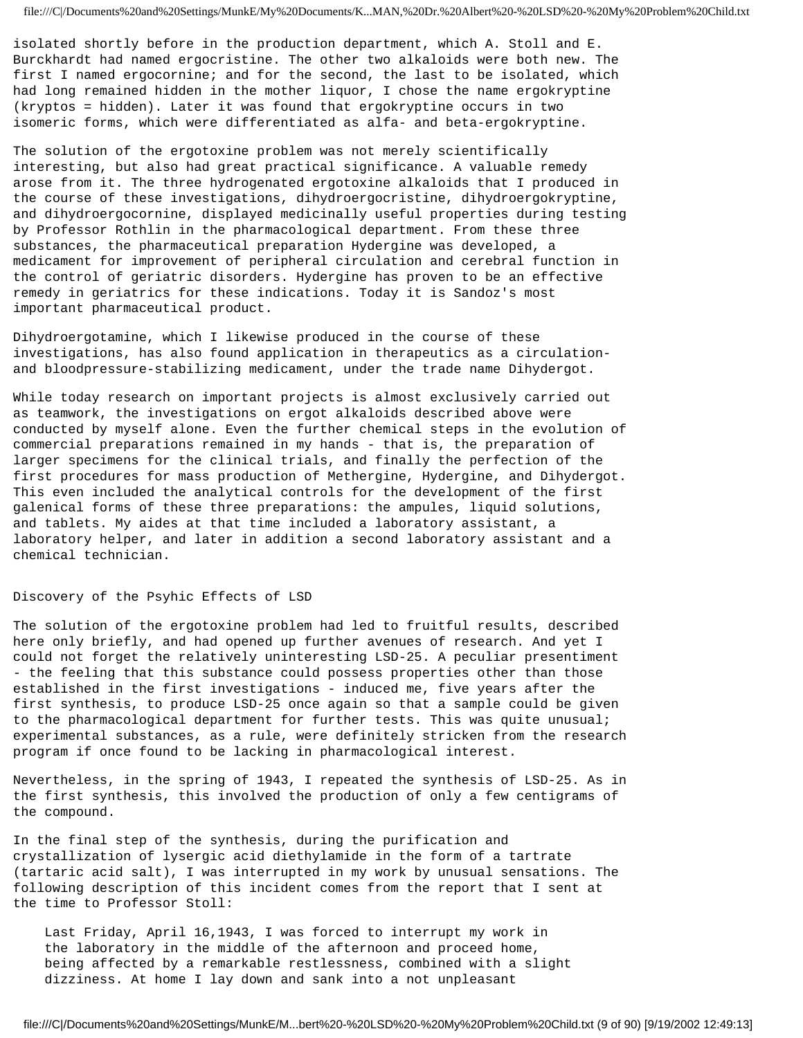isolated shortly before in the production department, which A. Stoll and E. Burckhardt had named ergocristine. The other two alkaloids were both new. The first I named ergocornine; and for the second, the last to be isolated, which had long remained hidden in the mother liquor, I chose the name ergokryptine (kryptos = hidden). Later it was found that ergokryptine occurs in two isomeric forms, which were differentiated as alfa- and beta-ergokryptine.

The solution of the ergotoxine problem was not merely scientifically interesting, but also had great practical significance. A valuable remedy arose from it. The three hydrogenated ergotoxine alkaloids that I produced in the course of these investigations, dihydroergocristine, dihydroergokryptine, and dihydroergocornine, displayed medicinally useful properties during testing by Professor Rothlin in the pharmacological department. From these three substances, the pharmaceutical preparation Hydergine was developed, a medicament for improvement of peripheral circulation and cerebral function in the control of geriatric disorders. Hydergine has proven to be an effective remedy in geriatrics for these indications. Today it is Sandoz's most important pharmaceutical product.

Dihydroergotamine, which I likewise produced in the course of these investigations, has also found application in therapeutics as a circulationand bloodpressure-stabilizing medicament, under the trade name Dihydergot.

While today research on important projects is almost exclusively carried out as teamwork, the investigations on ergot alkaloids described above were conducted by myself alone. Even the further chemical steps in the evolution of commercial preparations remained in my hands - that is, the preparation of larger specimens for the clinical trials, and finally the perfection of the first procedures for mass production of Methergine, Hydergine, and Dihydergot. This even included the analytical controls for the development of the first galenical forms of these three preparations: the ampules, liquid solutions, and tablets. My aides at that time included a laboratory assistant, a laboratory helper, and later in addition a second laboratory assistant and a chemical technician.

# Discovery of the Psyhic Effects of LSD

The solution of the ergotoxine problem had led to fruitful results, described here only briefly, and had opened up further avenues of research. And yet I could not forget the relatively uninteresting LSD-25. A peculiar presentiment - the feeling that this substance could possess properties other than those established in the first investigations - induced me, five years after the first synthesis, to produce LSD-25 once again so that a sample could be given to the pharmacological department for further tests. This was quite unusual; experimental substances, as a rule, were definitely stricken from the research program if once found to be lacking in pharmacological interest.

Nevertheless, in the spring of 1943, I repeated the synthesis of LSD-25. As in the first synthesis, this involved the production of only a few centigrams of the compound.

In the final step of the synthesis, during the purification and crystallization of lysergic acid diethylamide in the form of a tartrate (tartaric acid salt), I was interrupted in my work by unusual sensations. The following description of this incident comes from the report that I sent at the time to Professor Stoll:

 Last Friday, April 16,1943, I was forced to interrupt my work in the laboratory in the middle of the afternoon and proceed home, being affected by a remarkable restlessness, combined with a slight dizziness. At home I lay down and sank into a not unpleasant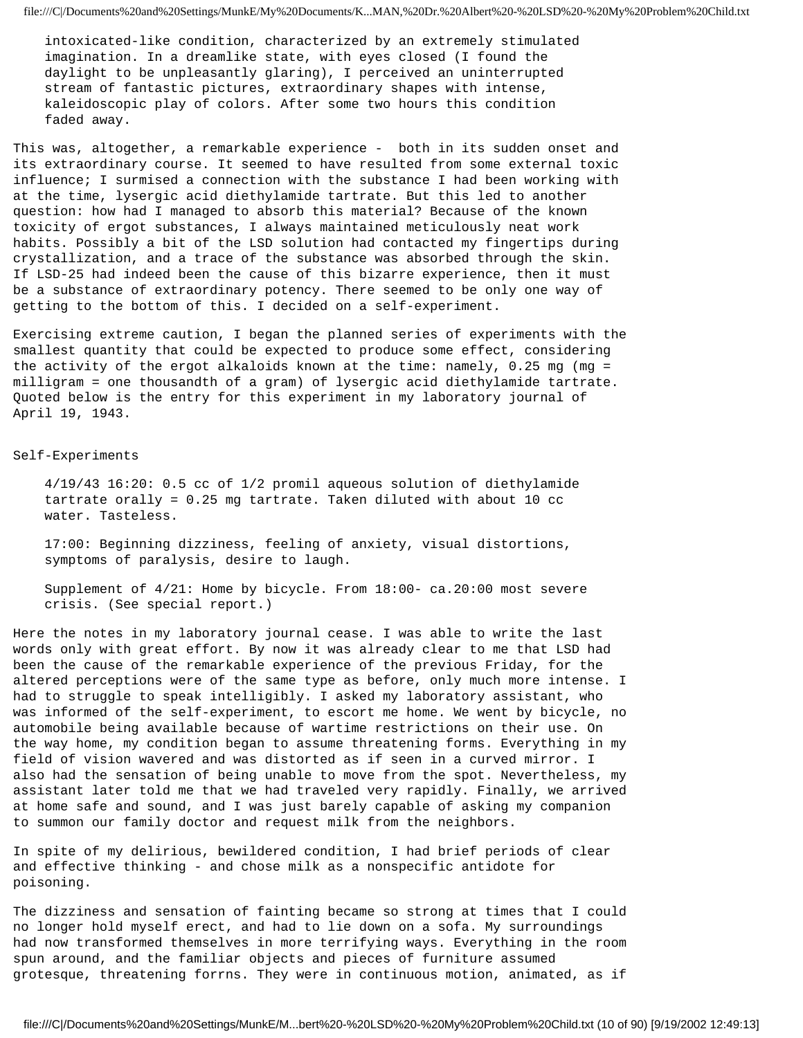intoxicated-like condition, characterized by an extremely stimulated imagination. In a dreamlike state, with eyes closed (I found the daylight to be unpleasantly glaring), I perceived an uninterrupted stream of fantastic pictures, extraordinary shapes with intense, kaleidoscopic play of colors. After some two hours this condition faded away.

This was, altogether, a remarkable experience - both in its sudden onset and its extraordinary course. It seemed to have resulted from some external toxic influence; I surmised a connection with the substance I had been working with at the time, lysergic acid diethylamide tartrate. But this led to another question: how had I managed to absorb this material? Because of the known toxicity of ergot substances, I always maintained meticulously neat work habits. Possibly a bit of the LSD solution had contacted my fingertips during crystallization, and a trace of the substance was absorbed through the skin. If LSD-25 had indeed been the cause of this bizarre experience, then it must be a substance of extraordinary potency. There seemed to be only one way of getting to the bottom of this. I decided on a self-experiment.

Exercising extreme caution, I began the planned series of experiments with the smallest quantity that could be expected to produce some effect, considering the activity of the ergot alkaloids known at the time: namely, 0.25 mg (mg = milligram = one thousandth of a gram) of lysergic acid diethylamide tartrate. Quoted below is the entry for this experiment in my laboratory journal of April 19, 1943.

Self-Experiments

 4/19/43 16:20: 0.5 cc of 1/2 promil aqueous solution of diethylamide tartrate orally = 0.25 mg tartrate. Taken diluted with about 10 cc water. Tasteless.

 17:00: Beginning dizziness, feeling of anxiety, visual distortions, symptoms of paralysis, desire to laugh.

 Supplement of 4/21: Home by bicycle. From 18:00- ca.20:00 most severe crisis. (See special report.)

Here the notes in my laboratory journal cease. I was able to write the last words only with great effort. By now it was already clear to me that LSD had been the cause of the remarkable experience of the previous Friday, for the altered perceptions were of the same type as before, only much more intense. I had to struggle to speak intelligibly. I asked my laboratory assistant, who was informed of the self-experiment, to escort me home. We went by bicycle, no automobile being available because of wartime restrictions on their use. On the way home, my condition began to assume threatening forms. Everything in my field of vision wavered and was distorted as if seen in a curved mirror. I also had the sensation of being unable to move from the spot. Nevertheless, my assistant later told me that we had traveled very rapidly. Finally, we arrived at home safe and sound, and I was just barely capable of asking my companion to summon our family doctor and request milk from the neighbors.

In spite of my delirious, bewildered condition, I had brief periods of clear and effective thinking - and chose milk as a nonspecific antidote for poisoning.

The dizziness and sensation of fainting became so strong at times that I could no longer hold myself erect, and had to lie down on a sofa. My surroundings had now transformed themselves in more terrifying ways. Everything in the room spun around, and the familiar objects and pieces of furniture assumed grotesque, threatening forrns. They were in continuous motion, animated, as if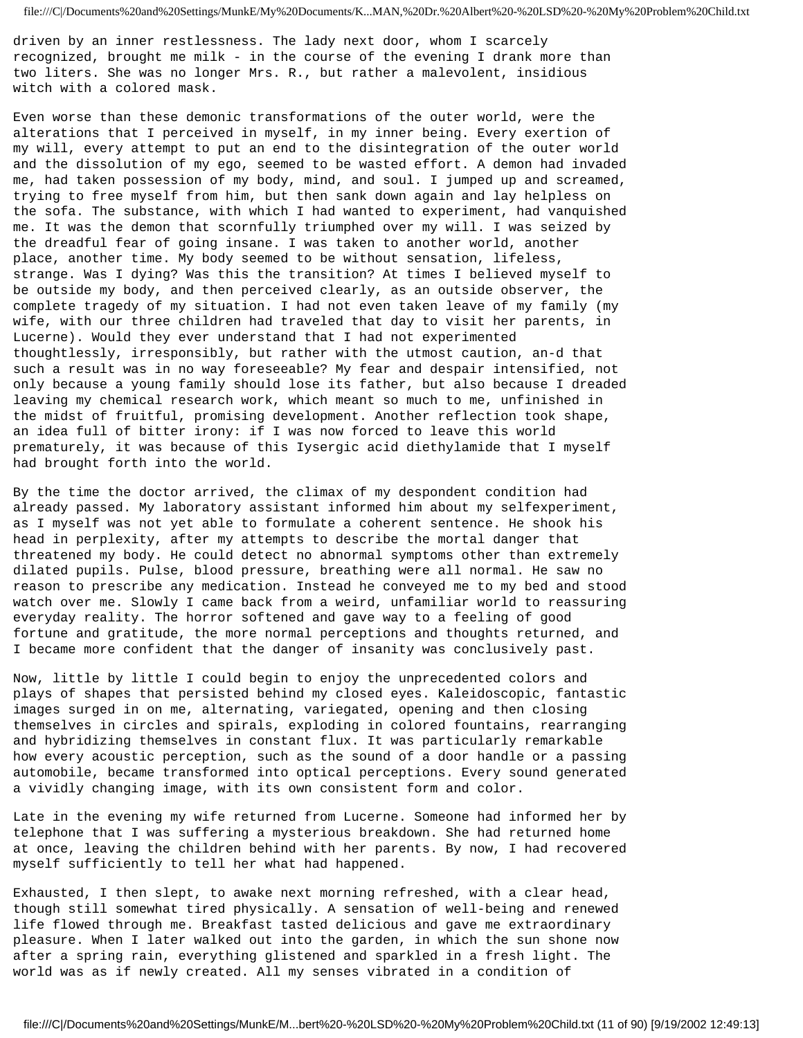driven by an inner restlessness. The lady next door, whom I scarcely recognized, brought me milk - in the course of the evening I drank more than two liters. She was no longer Mrs. R., but rather a malevolent, insidious witch with a colored mask.

Even worse than these demonic transformations of the outer world, were the alterations that I perceived in myself, in my inner being. Every exertion of my will, every attempt to put an end to the disintegration of the outer world and the dissolution of my ego, seemed to be wasted effort. A demon had invaded me, had taken possession of my body, mind, and soul. I jumped up and screamed, trying to free myself from him, but then sank down again and lay helpless on the sofa. The substance, with which I had wanted to experiment, had vanquished me. It was the demon that scornfully triumphed over my will. I was seized by the dreadful fear of going insane. I was taken to another world, another place, another time. My body seemed to be without sensation, lifeless, strange. Was I dying? Was this the transition? At times I believed myself to be outside my body, and then perceived clearly, as an outside observer, the complete tragedy of my situation. I had not even taken leave of my family (my wife, with our three children had traveled that day to visit her parents, in Lucerne). Would they ever understand that I had not experimented thoughtlessly, irresponsibly, but rather with the utmost caution, an-d that such a result was in no way foreseeable? My fear and despair intensified, not only because a young family should lose its father, but also because I dreaded leaving my chemical research work, which meant so much to me, unfinished in the midst of fruitful, promising development. Another reflection took shape, an idea full of bitter irony: if I was now forced to leave this world prematurely, it was because of this Iysergic acid diethylamide that I myself had brought forth into the world.

By the time the doctor arrived, the climax of my despondent condition had already passed. My laboratory assistant informed him about my selfexperiment, as I myself was not yet able to formulate a coherent sentence. He shook his head in perplexity, after my attempts to describe the mortal danger that threatened my body. He could detect no abnormal symptoms other than extremely dilated pupils. Pulse, blood pressure, breathing were all normal. He saw no reason to prescribe any medication. Instead he conveyed me to my bed and stood watch over me. Slowly I came back from a weird, unfamiliar world to reassuring everyday reality. The horror softened and gave way to a feeling of good fortune and gratitude, the more normal perceptions and thoughts returned, and I became more confident that the danger of insanity was conclusively past.

Now, little by little I could begin to enjoy the unprecedented colors and plays of shapes that persisted behind my closed eyes. Kaleidoscopic, fantastic images surged in on me, alternating, variegated, opening and then closing themselves in circles and spirals, exploding in colored fountains, rearranging and hybridizing themselves in constant flux. It was particularly remarkable how every acoustic perception, such as the sound of a door handle or a passing automobile, became transformed into optical perceptions. Every sound generated a vividly changing image, with its own consistent form and color.

Late in the evening my wife returned from Lucerne. Someone had informed her by telephone that I was suffering a mysterious breakdown. She had returned home at once, leaving the children behind with her parents. By now, I had recovered myself sufficiently to tell her what had happened.

Exhausted, I then slept, to awake next morning refreshed, with a clear head, though still somewhat tired physically. A sensation of well-being and renewed life flowed through me. Breakfast tasted delicious and gave me extraordinary pleasure. When I later walked out into the garden, in which the sun shone now after a spring rain, everything glistened and sparkled in a fresh light. The world was as if newly created. All my senses vibrated in a condition of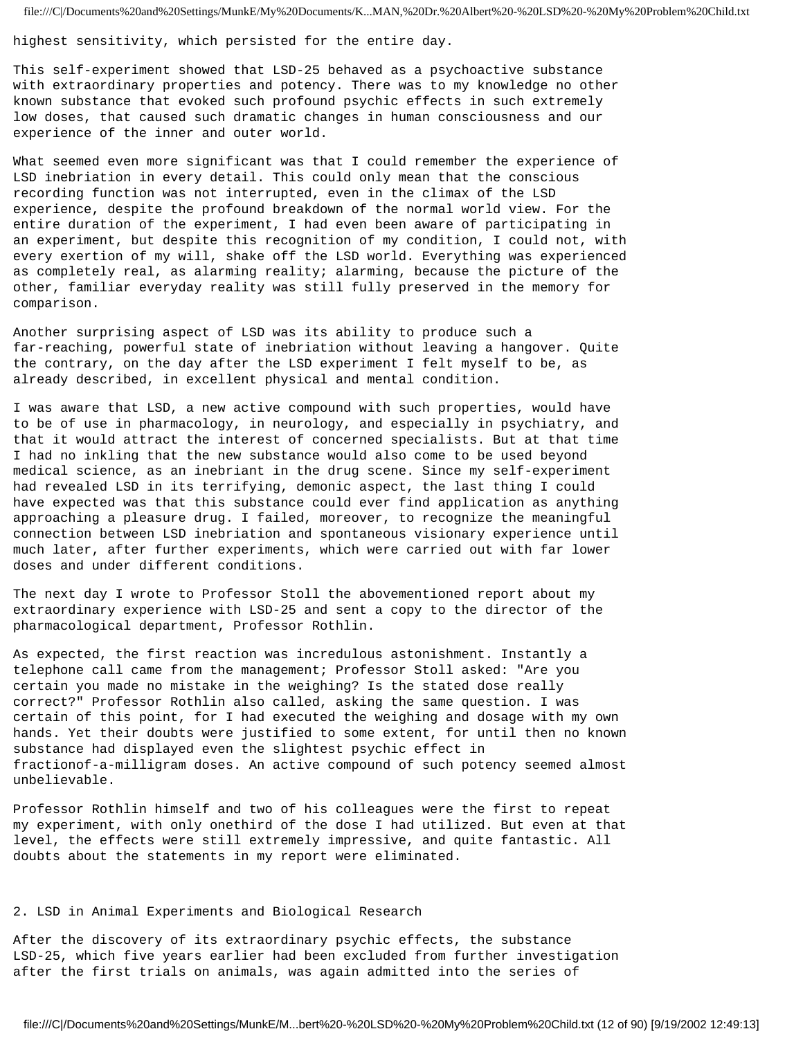highest sensitivity, which persisted for the entire day.

This self-experiment showed that LSD-25 behaved as a psychoactive substance with extraordinary properties and potency. There was to my knowledge no other known substance that evoked such profound psychic effects in such extremely low doses, that caused such dramatic changes in human consciousness and our experience of the inner and outer world.

What seemed even more significant was that I could remember the experience of LSD inebriation in every detail. This could only mean that the conscious recording function was not interrupted, even in the climax of the LSD experience, despite the profound breakdown of the normal world view. For the entire duration of the experiment, I had even been aware of participating in an experiment, but despite this recognition of my condition, I could not, with every exertion of my will, shake off the LSD world. Everything was experienced as completely real, as alarming reality; alarming, because the picture of the other, familiar everyday reality was still fully preserved in the memory for comparison.

Another surprising aspect of LSD was its ability to produce such a far-reaching, powerful state of inebriation without leaving a hangover. Quite the contrary, on the day after the LSD experiment I felt myself to be, as already described, in excellent physical and mental condition.

I was aware that LSD, a new active compound with such properties, would have to be of use in pharmacology, in neurology, and especially in psychiatry, and that it would attract the interest of concerned specialists. But at that time I had no inkling that the new substance would also come to be used beyond medical science, as an inebriant in the drug scene. Since my self-experiment had revealed LSD in its terrifying, demonic aspect, the last thing I could have expected was that this substance could ever find application as anything approaching a pleasure drug. I failed, moreover, to recognize the meaningful connection between LSD inebriation and spontaneous visionary experience until much later, after further experiments, which were carried out with far lower doses and under different conditions.

The next day I wrote to Professor Stoll the abovementioned report about my extraordinary experience with LSD-25 and sent a copy to the director of the pharmacological department, Professor Rothlin.

As expected, the first reaction was incredulous astonishment. Instantly a telephone call came from the management; Professor Stoll asked: "Are you certain you made no mistake in the weighing? Is the stated dose really correct?" Professor Rothlin also called, asking the same question. I was certain of this point, for I had executed the weighing and dosage with my own hands. Yet their doubts were justified to some extent, for until then no known substance had displayed even the slightest psychic effect in fractionof-a-milligram doses. An active compound of such potency seemed almost unbelievable.

Professor Rothlin himself and two of his colleagues were the first to repeat my experiment, with only onethird of the dose I had utilized. But even at that level, the effects were still extremely impressive, and quite fantastic. All doubts about the statements in my report were eliminated.

## 2. LSD in Animal Experiments and Biological Research

After the discovery of its extraordinary psychic effects, the substance LSD-25, which five years earlier had been excluded from further investigation after the first trials on animals, was again admitted into the series of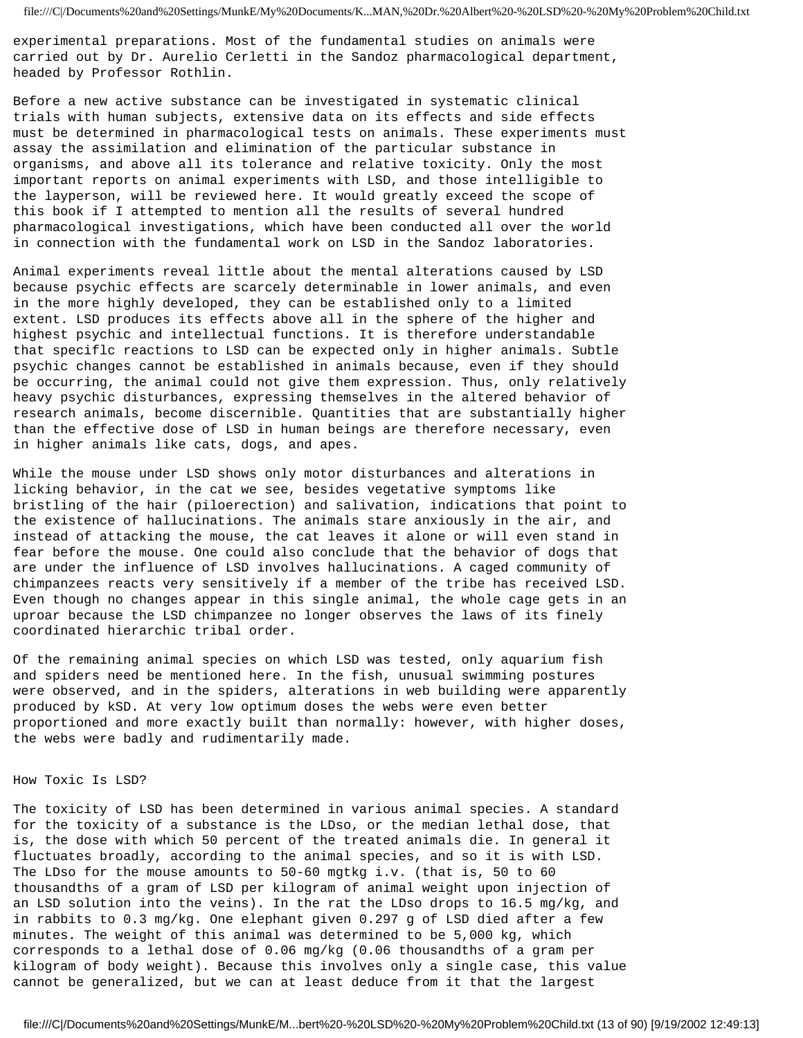experimental preparations. Most of the fundamental studies on animals were carried out by Dr. Aurelio Cerletti in the Sandoz pharmacological department, headed by Professor Rothlin.

Before a new active substance can be investigated in systematic clinical trials with human subjects, extensive data on its effects and side effects must be determined in pharmacological tests on animals. These experiments must assay the assimilation and elimination of the particular substance in organisms, and above all its tolerance and relative toxicity. Only the most important reports on animal experiments with LSD, and those intelligible to the layperson, will be reviewed here. It would greatly exceed the scope of this book if I attempted to mention all the results of several hundred pharmacological investigations, which have been conducted all over the world in connection with the fundamental work on LSD in the Sandoz laboratories.

Animal experiments reveal little about the mental alterations caused by LSD because psychic effects are scarcely determinable in lower animals, and even in the more highly developed, they can be established only to a limited extent. LSD produces its effects above all in the sphere of the higher and highest psychic and intellectual functions. It is therefore understandable that speciflc reactions to LSD can be expected only in higher animals. Subtle psychic changes cannot be established in animals because, even if they should be occurring, the animal could not give them expression. Thus, only relatively heavy psychic disturbances, expressing themselves in the altered behavior of research animals, become discernible. Quantities that are substantially higher than the effective dose of LSD in human beings are therefore necessary, even in higher animals like cats, dogs, and apes.

While the mouse under LSD shows only motor disturbances and alterations in licking behavior, in the cat we see, besides vegetative symptoms like bristling of the hair (piloerection) and salivation, indications that point to the existence of hallucinations. The animals stare anxiously in the air, and instead of attacking the mouse, the cat leaves it alone or will even stand in fear before the mouse. One could also conclude that the behavior of dogs that are under the influence of LSD involves hallucinations. A caged community of chimpanzees reacts very sensitively if a member of the tribe has received LSD. Even though no changes appear in this single animal, the whole cage gets in an uproar because the LSD chimpanzee no longer observes the laws of its finely coordinated hierarchic tribal order.

Of the remaining animal species on which LSD was tested, only aquarium fish and spiders need be mentioned here. In the fish, unusual swimming postures were observed, and in the spiders, alterations in web building were apparently produced by kSD. At very low optimum doses the webs were even better proportioned and more exactly built than normally: however, with higher doses, the webs were badly and rudimentarily made.

### How Toxic Is LSD?

The toxicity of LSD has been determined in various animal species. A standard for the toxicity of a substance is the LDso, or the median lethal dose, that is, the dose with which 50 percent of the treated animals die. In general it fluctuates broadly, according to the animal species, and so it is with LSD. The LDso for the mouse amounts to  $50-60$  mgtkg i.v. (that is, 50 to 60 thousandths of a gram of LSD per kilogram of animal weight upon injection of an LSD solution into the veins). In the rat the LDso drops to 16.5 mg/kg, and in rabbits to 0.3 mg/kg. One elephant given 0.297 g of LSD died after a few minutes. The weight of this animal was determined to be 5,000 kg, which corresponds to a lethal dose of 0.06 mg/kg (0.06 thousandths of a gram per kilogram of body weight). Because this involves only a single case, this value cannot be generalized, but we can at least deduce from it that the largest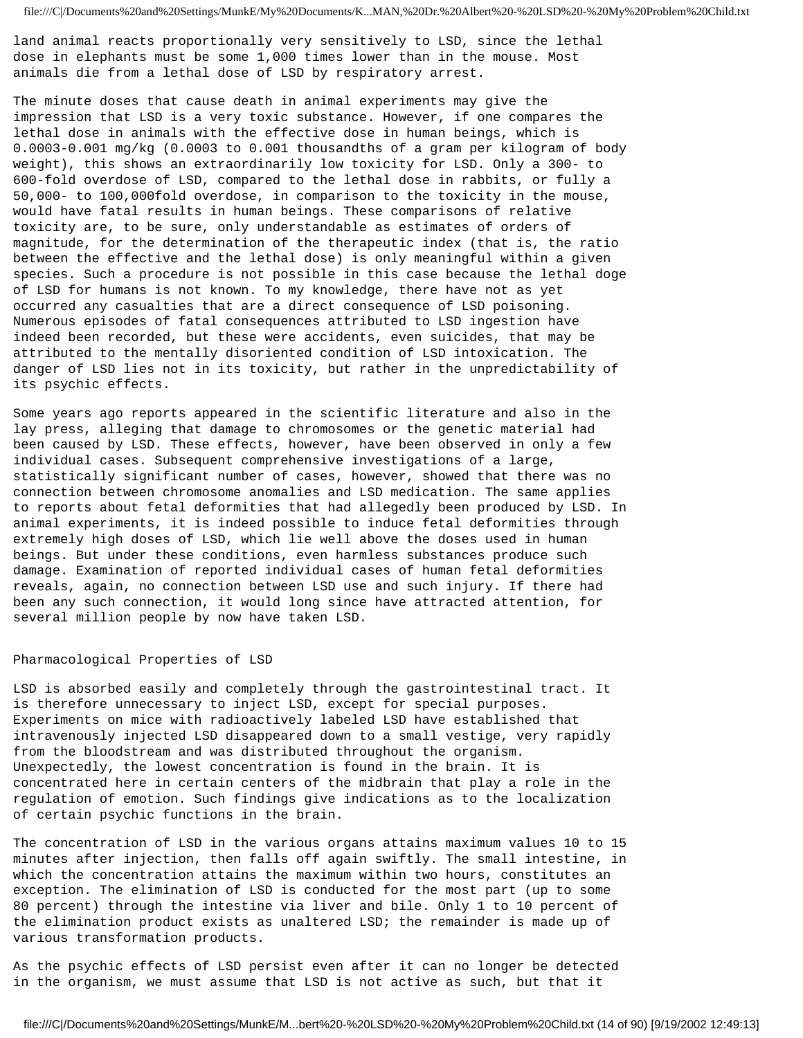land animal reacts proportionally very sensitively to LSD, since the lethal dose in elephants must be some 1,000 times lower than in the mouse. Most animals die from a lethal dose of LSD by respiratory arrest.

The minute doses that cause death in animal experiments may give the impression that LSD is a very toxic substance. However, if one compares the lethal dose in animals with the effective dose in human beings, which is 0.0003-0.001 mg/kg (0.0003 to 0.001 thousandths of a gram per kilogram of body weight), this shows an extraordinarily low toxicity for LSD. Only a 300- to 600-fold overdose of LSD, compared to the lethal dose in rabbits, or fully a 50,000- to 100,000fold overdose, in comparison to the toxicity in the mouse, would have fatal results in human beings. These comparisons of relative toxicity are, to be sure, only understandable as estimates of orders of magnitude, for the determination of the therapeutic index (that is, the ratio between the effective and the lethal dose) is only meaningful within a given species. Such a procedure is not possible in this case because the lethal doge of LSD for humans is not known. To my knowledge, there have not as yet occurred any casualties that are a direct consequence of LSD poisoning. Numerous episodes of fatal consequences attributed to LSD ingestion have indeed been recorded, but these were accidents, even suicides, that may be attributed to the mentally disoriented condition of LSD intoxication. The danger of LSD lies not in its toxicity, but rather in the unpredictability of its psychic effects.

Some years ago reports appeared in the scientific literature and also in the lay press, alleging that damage to chromosomes or the genetic material had been caused by LSD. These effects, however, have been observed in only a few individual cases. Subsequent comprehensive investigations of a large, statistically significant number of cases, however, showed that there was no connection between chromosome anomalies and LSD medication. The same applies to reports about fetal deformities that had allegedly been produced by LSD. In animal experiments, it is indeed possible to induce fetal deformities through extremely high doses of LSD, which lie well above the doses used in human beings. But under these conditions, even harmless substances produce such damage. Examination of reported individual cases of human fetal deformities reveals, again, no connection between LSD use and such injury. If there had been any such connection, it would long since have attracted attention, for several million people by now have taken LSD.

#### Pharmacological Properties of LSD

LSD is absorbed easily and completely through the gastrointestinal tract. It is therefore unnecessary to inject LSD, except for special purposes. Experiments on mice with radioactively labeled LSD have established that intravenously injected LSD disappeared down to a small vestige, very rapidly from the bloodstream and was distributed throughout the organism. Unexpectedly, the lowest concentration is found in the brain. It is concentrated here in certain centers of the midbrain that play a role in the regulation of emotion. Such findings give indications as to the localization of certain psychic functions in the brain.

The concentration of LSD in the various organs attains maximum values 10 to 15 minutes after injection, then falls off again swiftly. The small intestine, in which the concentration attains the maximum within two hours, constitutes an exception. The elimination of LSD is conducted for the most part (up to some 80 percent) through the intestine via liver and bile. Only 1 to 10 percent of the elimination product exists as unaltered LSD; the remainder is made up of various transformation products.

As the psychic effects of LSD persist even after it can no longer be detected in the organism, we must assume that LSD is not active as such, but that it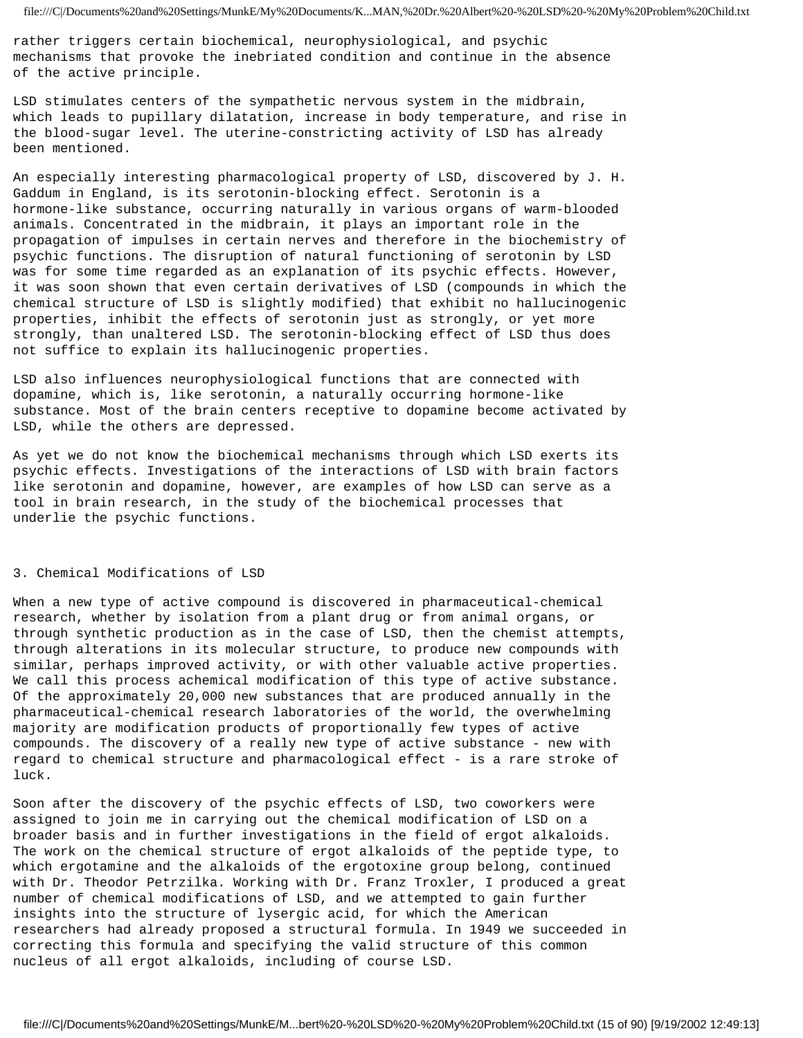rather triggers certain biochemical, neurophysiological, and psychic mechanisms that provoke the inebriated condition and continue in the absence of the active principle.

LSD stimulates centers of the sympathetic nervous system in the midbrain, which leads to pupillary dilatation, increase in body temperature, and rise in the blood-sugar level. The uterine-constricting activity of LSD has already been mentioned.

An especially interesting pharmacological property of LSD, discovered by J. H. Gaddum in England, is its serotonin-blocking effect. Serotonin is a hormone-like substance, occurring naturally in various organs of warm-blooded animals. Concentrated in the midbrain, it plays an important role in the propagation of impulses in certain nerves and therefore in the biochemistry of psychic functions. The disruption of natural functioning of serotonin by LSD was for some time regarded as an explanation of its psychic effects. However, it was soon shown that even certain derivatives of LSD (compounds in which the chemical structure of LSD is slightly modified) that exhibit no hallucinogenic properties, inhibit the effects of serotonin just as strongly, or yet more strongly, than unaltered LSD. The serotonin-blocking effect of LSD thus does not suffice to explain its hallucinogenic properties.

LSD also influences neurophysiological functions that are connected with dopamine, which is, like serotonin, a naturally occurring hormone-like substance. Most of the brain centers receptive to dopamine become activated by LSD, while the others are depressed.

As yet we do not know the biochemical mechanisms through which LSD exerts its psychic effects. Investigations of the interactions of LSD with brain factors like serotonin and dopamine, however, are examples of how LSD can serve as a tool in brain research, in the study of the biochemical processes that underlie the psychic functions.

### 3. Chemical Modifications of LSD

When a new type of active compound is discovered in pharmaceutical-chemical research, whether by isolation from a plant drug or from animal organs, or through synthetic production as in the case of LSD, then the chemist attempts, through alterations in its molecular structure, to produce new compounds with similar, perhaps improved activity, or with other valuable active properties. We call this process achemical modification of this type of active substance. Of the approximately 20,000 new substances that are produced annually in the pharmaceutical-chemical research laboratories of the world, the overwhelming majority are modification products of proportionally few types of active compounds. The discovery of a really new type of active substance - new with regard to chemical structure and pharmacological effect - is a rare stroke of luck.

Soon after the discovery of the psychic effects of LSD, two coworkers were assigned to join me in carrying out the chemical modification of LSD on a broader basis and in further investigations in the field of ergot alkaloids. The work on the chemical structure of ergot alkaloids of the peptide type, to which ergotamine and the alkaloids of the ergotoxine group belong, continued with Dr. Theodor Petrzilka. Working with Dr. Franz Troxler, I produced a great number of chemical modifications of LSD, and we attempted to gain further insights into the structure of lysergic acid, for which the American researchers had already proposed a structural formula. In 1949 we succeeded in correcting this formula and specifying the valid structure of this common nucleus of all ergot alkaloids, including of course LSD.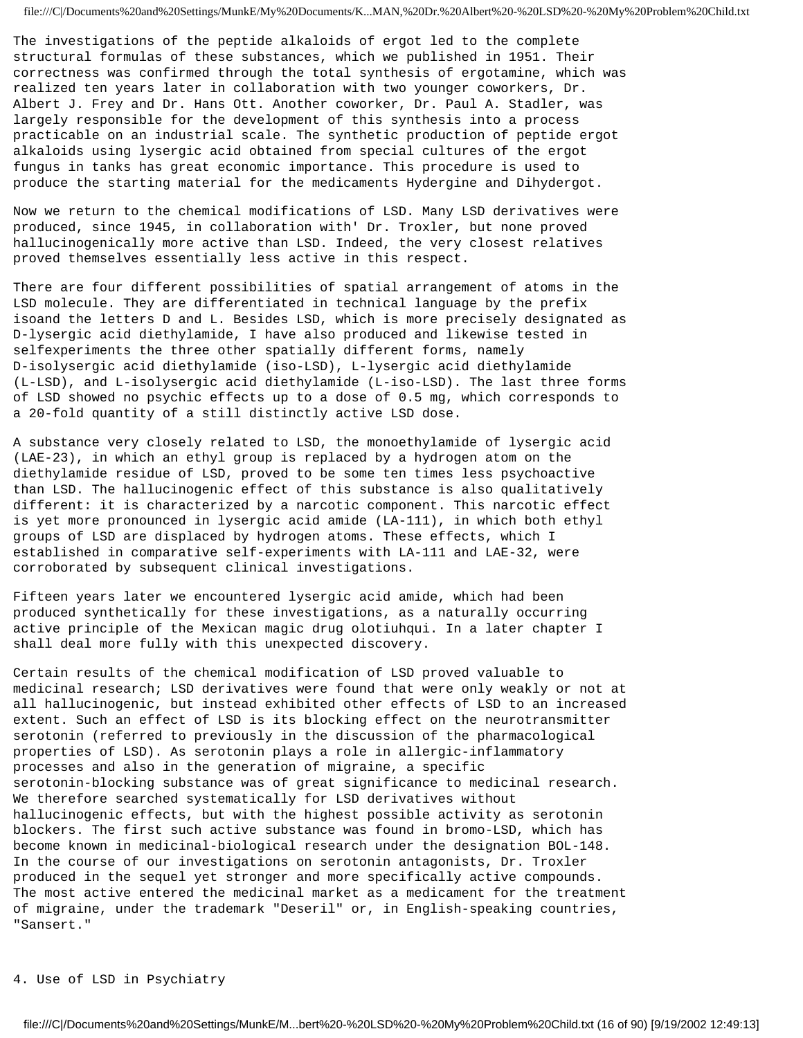The investigations of the peptide alkaloids of ergot led to the complete structural formulas of these substances, which we published in 1951. Their correctness was confirmed through the total synthesis of ergotamine, which was realized ten years later in collaboration with two younger coworkers, Dr. Albert J. Frey and Dr. Hans Ott. Another coworker, Dr. Paul A. Stadler, was largely responsible for the development of this synthesis into a process practicable on an industrial scale. The synthetic production of peptide ergot alkaloids using lysergic acid obtained from special cultures of the ergot fungus in tanks has great economic importance. This procedure is used to produce the starting material for the medicaments Hydergine and Dihydergot.

Now we return to the chemical modifications of LSD. Many LSD derivatives were produced, since 1945, in collaboration with' Dr. Troxler, but none proved hallucinogenically more active than LSD. Indeed, the very closest relatives proved themselves essentially less active in this respect.

There are four different possibilities of spatial arrangement of atoms in the LSD molecule. They are differentiated in technical language by the prefix isoand the letters D and L. Besides LSD, which is more precisely designated as D-lysergic acid diethylamide, I have also produced and likewise tested in selfexperiments the three other spatially different forms, namely D-isolysergic acid diethylamide (iso-LSD), L-lysergic acid diethylamide (L-LSD), and L-isolysergic acid diethylamide (L-iso-LSD). The last three forms of LSD showed no psychic effects up to a dose of 0.5 mg, which corresponds to a 20-fold quantity of a still distinctly active LSD dose.

A substance very closely related to LSD, the monoethylamide of lysergic acid (LAE-23), in which an ethyl group is replaced by a hydrogen atom on the diethylamide residue of LSD, proved to be some ten times less psychoactive than LSD. The hallucinogenic effect of this substance is also qualitatively different: it is characterized by a narcotic component. This narcotic effect is yet more pronounced in lysergic acid amide (LA-111), in which both ethyl groups of LSD are displaced by hydrogen atoms. These effects, which I established in comparative self-experiments with LA-111 and LAE-32, were corroborated by subsequent clinical investigations.

Fifteen years later we encountered lysergic acid amide, which had been produced synthetically for these investigations, as a naturally occurring active principle of the Mexican magic drug olotiuhqui. In a later chapter I shall deal more fully with this unexpected discovery.

Certain results of the chemical modification of LSD proved valuable to medicinal research; LSD derivatives were found that were only weakly or not at all hallucinogenic, but instead exhibited other effects of LSD to an increased extent. Such an effect of LSD is its blocking effect on the neurotransmitter serotonin (referred to previously in the discussion of the pharmacological properties of LSD). As serotonin plays a role in allergic-inflammatory processes and also in the generation of migraine, a specific serotonin-blocking substance was of great significance to medicinal research. We therefore searched systematically for LSD derivatives without hallucinogenic effects, but with the highest possible activity as serotonin blockers. The first such active substance was found in bromo-LSD, which has become known in medicinal-biological research under the designation BOL-148. In the course of our investigations on serotonin antagonists, Dr. Troxler produced in the sequel yet stronger and more specifically active compounds. The most active entered the medicinal market as a medicament for the treatment of migraine, under the trademark "Deseril" or, in English-speaking countries, "Sansert."

# 4. Use of LSD in Psychiatry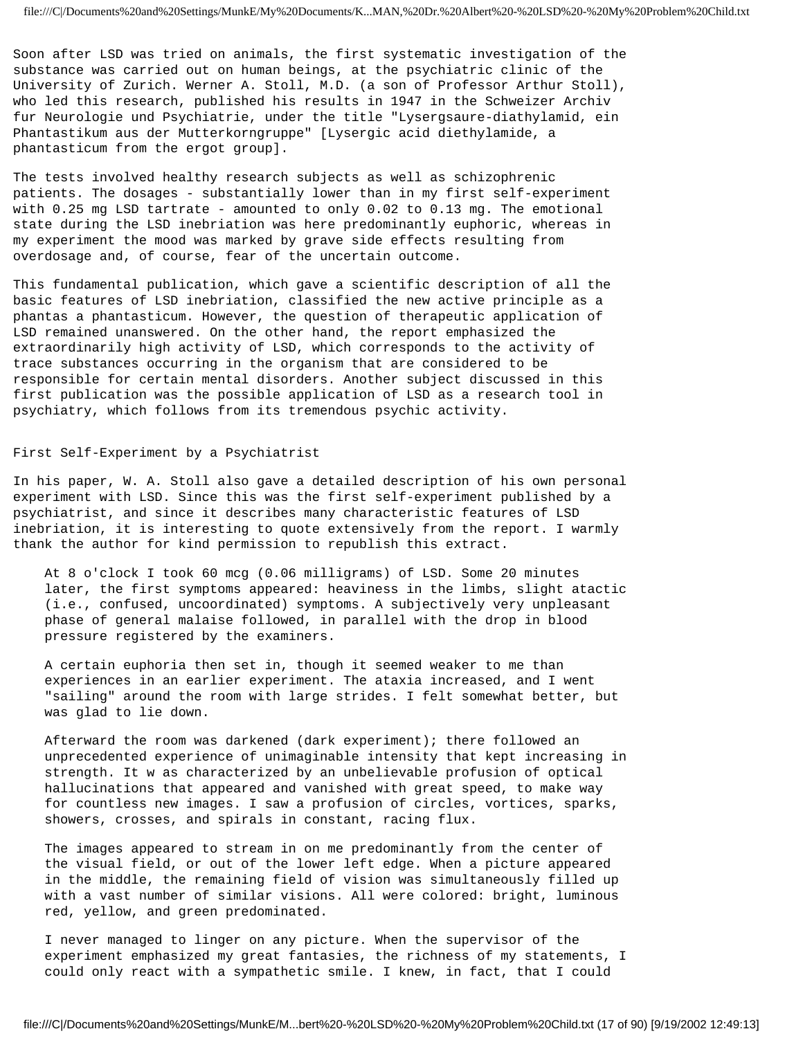Soon after LSD was tried on animals, the first systematic investigation of the substance was carried out on human beings, at the psychiatric clinic of the University of Zurich. Werner A. Stoll, M.D. (a son of Professor Arthur Stoll), who led this research, published his results in 1947 in the Schweizer Archiv fur Neurologie und Psychiatrie, under the title "Lysergsaure-diathylamid, ein Phantastikum aus der Mutterkorngruppe" [Lysergic acid diethylamide, a phantasticum from the ergot group].

The tests involved healthy research subjects as well as schizophrenic patients. The dosages - substantially lower than in my first self-experiment with 0.25 mg LSD tartrate - amounted to only 0.02 to 0.13 mg. The emotional state during the LSD inebriation was here predominantly euphoric, whereas in my experiment the mood was marked by grave side effects resulting from overdosage and, of course, fear of the uncertain outcome.

This fundamental publication, which gave a scientific description of all the basic features of LSD inebriation, classified the new active principle as a phantas a phantasticum. However, the question of therapeutic application of LSD remained unanswered. On the other hand, the report emphasized the extraordinarily high activity of LSD, which corresponds to the activity of trace substances occurring in the organism that are considered to be responsible for certain mental disorders. Another subject discussed in this first publication was the possible application of LSD as a research tool in psychiatry, which follows from its tremendous psychic activity.

### First Self-Experiment by a Psychiatrist

In his paper, W. A. Stoll also gave a detailed description of his own personal experiment with LSD. Since this was the first self-experiment published by a psychiatrist, and since it describes many characteristic features of LSD inebriation, it is interesting to quote extensively from the report. I warmly thank the author for kind permission to republish this extract.

 At 8 o'clock I took 60 mcg (0.06 milligrams) of LSD. Some 20 minutes later, the first symptoms appeared: heaviness in the limbs, slight atactic (i.e., confused, uncoordinated) symptoms. A subjectively very unpleasant phase of general malaise followed, in parallel with the drop in blood pressure registered by the examiners.

 A certain euphoria then set in, though it seemed weaker to me than experiences in an earlier experiment. The ataxia increased, and I went "sailing" around the room with large strides. I felt somewhat better, but was glad to lie down.

 Afterward the room was darkened (dark experiment); there followed an unprecedented experience of unimaginable intensity that kept increasing in strength. It w as characterized by an unbelievable profusion of optical hallucinations that appeared and vanished with great speed, to make way for countless new images. I saw a profusion of circles, vortices, sparks, showers, crosses, and spirals in constant, racing flux.

 The images appeared to stream in on me predominantly from the center of the visual field, or out of the lower left edge. When a picture appeared in the middle, the remaining field of vision was simultaneously filled up with a vast number of similar visions. All were colored: bright, luminous red, yellow, and green predominated.

 I never managed to linger on any picture. When the supervisor of the experiment emphasized my great fantasies, the richness of my statements, I could only react with a sympathetic smile. I knew, in fact, that I could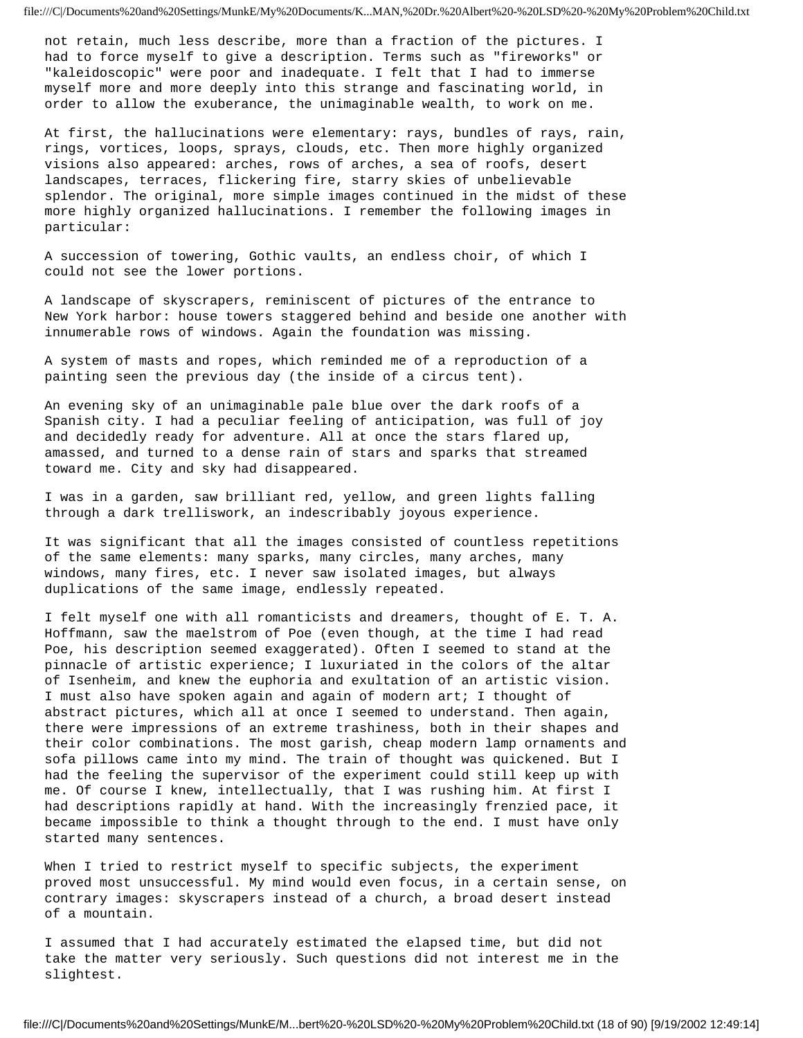not retain, much less describe, more than a fraction of the pictures. I had to force myself to give a description. Terms such as "fireworks" or "kaleidoscopic" were poor and inadequate. I felt that I had to immerse myself more and more deeply into this strange and fascinating world, in order to allow the exuberance, the unimaginable wealth, to work on me.

 At first, the hallucinations were elementary: rays, bundles of rays, rain, rings, vortices, loops, sprays, clouds, etc. Then more highly organized visions also appeared: arches, rows of arches, a sea of roofs, desert landscapes, terraces, flickering fire, starry skies of unbelievable splendor. The original, more simple images continued in the midst of these more highly organized hallucinations. I remember the following images in particular:

 A succession of towering, Gothic vaults, an endless choir, of which I could not see the lower portions.

 A landscape of skyscrapers, reminiscent of pictures of the entrance to New York harbor: house towers staggered behind and beside one another with innumerable rows of windows. Again the foundation was missing.

 A system of masts and ropes, which reminded me of a reproduction of a painting seen the previous day (the inside of a circus tent).

 An evening sky of an unimaginable pale blue over the dark roofs of a Spanish city. I had a peculiar feeling of anticipation, was full of joy and decidedly ready for adventure. All at once the stars flared up, amassed, and turned to a dense rain of stars and sparks that streamed toward me. City and sky had disappeared.

 I was in a garden, saw brilliant red, yellow, and green lights falling through a dark trelliswork, an indescribably joyous experience.

 It was significant that all the images consisted of countless repetitions of the same elements: many sparks, many circles, many arches, many windows, many fires, etc. I never saw isolated images, but always duplications of the same image, endlessly repeated.

 I felt myself one with all romanticists and dreamers, thought of E. T. A. Hoffmann, saw the maelstrom of Poe (even though, at the time I had read Poe, his description seemed exaggerated). Often I seemed to stand at the pinnacle of artistic experience; I luxuriated in the colors of the altar of Isenheim, and knew the euphoria and exultation of an artistic vision. I must also have spoken again and again of modern art; I thought of abstract pictures, which all at once I seemed to understand. Then again, there were impressions of an extreme trashiness, both in their shapes and their color combinations. The most garish, cheap modern lamp ornaments and sofa pillows came into my mind. The train of thought was quickened. But I had the feeling the supervisor of the experiment could still keep up with me. Of course I knew, intellectually, that I was rushing him. At first I had descriptions rapidly at hand. With the increasingly frenzied pace, it became impossible to think a thought through to the end. I must have only started many sentences.

When I tried to restrict myself to specific subjects, the experiment proved most unsuccessful. My mind would even focus, in a certain sense, on contrary images: skyscrapers instead of a church, a broad desert instead of a mountain.

 I assumed that I had accurately estimated the elapsed time, but did not take the matter very seriously. Such questions did not interest me in the slightest.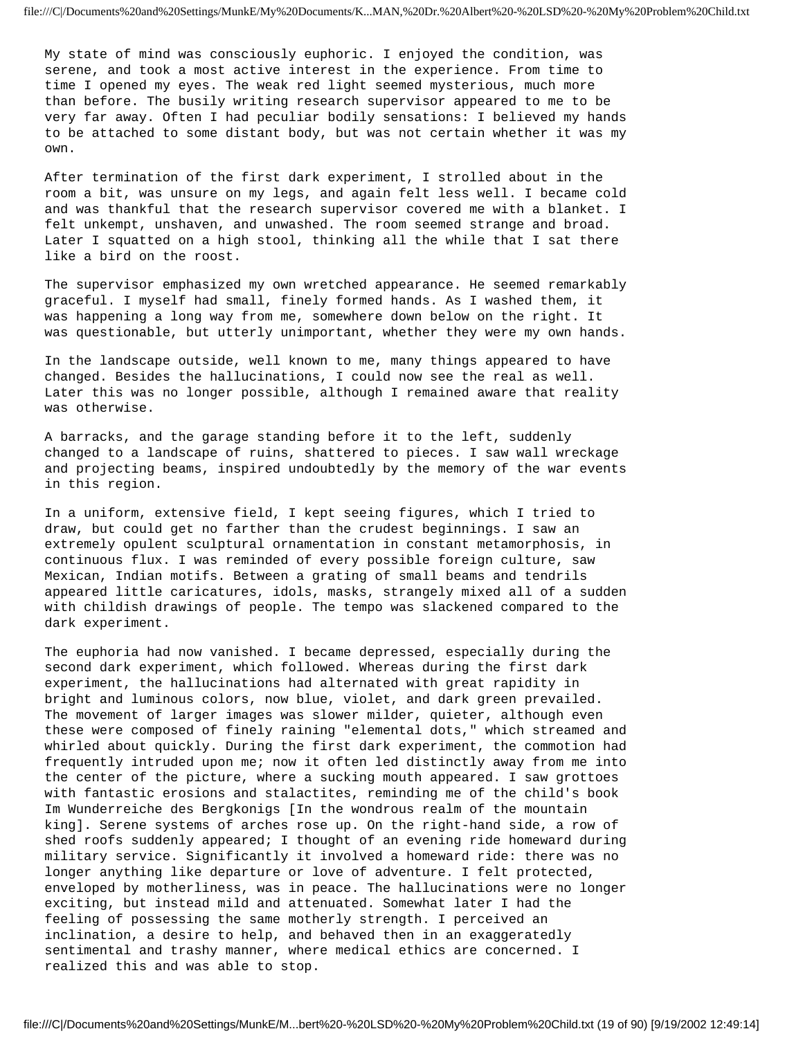My state of mind was consciously euphoric. I enjoyed the condition, was serene, and took a most active interest in the experience. From time to time I opened my eyes. The weak red light seemed mysterious, much more than before. The busily writing research supervisor appeared to me to be very far away. Often I had peculiar bodily sensations: I believed my hands to be attached to some distant body, but was not certain whether it was my own.

 After termination of the first dark experiment, I strolled about in the room a bit, was unsure on my legs, and again felt less well. I became cold and was thankful that the research supervisor covered me with a blanket. I felt unkempt, unshaven, and unwashed. The room seemed strange and broad. Later I squatted on a high stool, thinking all the while that I sat there like a bird on the roost.

 The supervisor emphasized my own wretched appearance. He seemed remarkably graceful. I myself had small, finely formed hands. As I washed them, it was happening a long way from me, somewhere down below on the right. It was questionable, but utterly unimportant, whether they were my own hands.

 In the landscape outside, well known to me, many things appeared to have changed. Besides the hallucinations, I could now see the real as well. Later this was no longer possible, although I remained aware that reality was otherwise.

 A barracks, and the garage standing before it to the left, suddenly changed to a landscape of ruins, shattered to pieces. I saw wall wreckage and projecting beams, inspired undoubtedly by the memory of the war events in this region.

 In a uniform, extensive field, I kept seeing figures, which I tried to draw, but could get no farther than the crudest beginnings. I saw an extremely opulent sculptural ornamentation in constant metamorphosis, in continuous flux. I was reminded of every possible foreign culture, saw Mexican, Indian motifs. Between a grating of small beams and tendrils appeared little caricatures, idols, masks, strangely mixed all of a sudden with childish drawings of people. The tempo was slackened compared to the dark experiment.

 The euphoria had now vanished. I became depressed, especially during the second dark experiment, which followed. Whereas during the first dark experiment, the hallucinations had alternated with great rapidity in bright and luminous colors, now blue, violet, and dark green prevailed. The movement of larger images was slower milder, quieter, although even these were composed of finely raining "elemental dots," which streamed and whirled about quickly. During the first dark experiment, the commotion had frequently intruded upon me; now it often led distinctly away from me into the center of the picture, where a sucking mouth appeared. I saw grottoes with fantastic erosions and stalactites, reminding me of the child's book Im Wunderreiche des Bergkonigs [In the wondrous realm of the mountain king]. Serene systems of arches rose up. On the right-hand side, a row of shed roofs suddenly appeared; I thought of an evening ride homeward during military service. Significantly it involved a homeward ride: there was no longer anything like departure or love of adventure. I felt protected, enveloped by motherliness, was in peace. The hallucinations were no longer exciting, but instead mild and attenuated. Somewhat later I had the feeling of possessing the same motherly strength. I perceived an inclination, a desire to help, and behaved then in an exaggeratedly sentimental and trashy manner, where medical ethics are concerned. I realized this and was able to stop.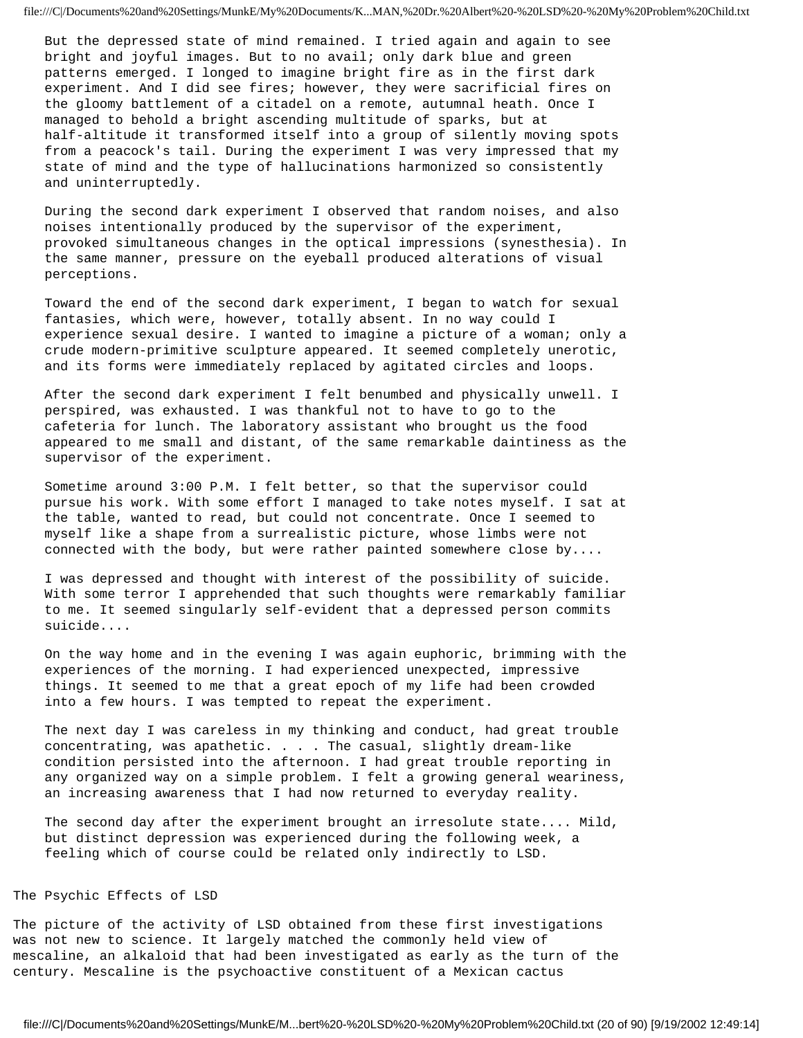But the depressed state of mind remained. I tried again and again to see bright and joyful images. But to no avail; only dark blue and green patterns emerged. I longed to imagine bright fire as in the first dark experiment. And I did see fires; however, they were sacrificial fires on the gloomy battlement of a citadel on a remote, autumnal heath. Once I managed to behold a bright ascending multitude of sparks, but at half-altitude it transformed itself into a group of silently moving spots from a peacock's tail. During the experiment I was very impressed that my state of mind and the type of hallucinations harmonized so consistently and uninterruptedly.

 During the second dark experiment I observed that random noises, and also noises intentionally produced by the supervisor of the experiment, provoked simultaneous changes in the optical impressions (synesthesia). In the same manner, pressure on the eyeball produced alterations of visual perceptions.

 Toward the end of the second dark experiment, I began to watch for sexual fantasies, which were, however, totally absent. In no way could I experience sexual desire. I wanted to imagine a picture of a woman; only a crude modern-primitive sculpture appeared. It seemed completely unerotic, and its forms were immediately replaced by agitated circles and loops.

 After the second dark experiment I felt benumbed and physically unwell. I perspired, was exhausted. I was thankful not to have to go to the cafeteria for lunch. The laboratory assistant who brought us the food appeared to me small and distant, of the same remarkable daintiness as the supervisor of the experiment.

 Sometime around 3:00 P.M. I felt better, so that the supervisor could pursue his work. With some effort I managed to take notes myself. I sat at the table, wanted to read, but could not concentrate. Once I seemed to myself like a shape from a surrealistic picture, whose limbs were not connected with the body, but were rather painted somewhere close by....

 I was depressed and thought with interest of the possibility of suicide. With some terror I apprehended that such thoughts were remarkably familiar to me. It seemed singularly self-evident that a depressed person commits suicide....

 On the way home and in the evening I was again euphoric, brimming with the experiences of the morning. I had experienced unexpected, impressive things. It seemed to me that a great epoch of my life had been crowded into a few hours. I was tempted to repeat the experiment.

 The next day I was careless in my thinking and conduct, had great trouble concentrating, was apathetic. . . . The casual, slightly dream-like condition persisted into the afternoon. I had great trouble reporting in any organized way on a simple problem. I felt a growing general weariness, an increasing awareness that I had now returned to everyday reality.

 The second day after the experiment brought an irresolute state.... Mild, but distinct depression was experienced during the following week, a feeling which of course could be related only indirectly to LSD.

# The Psychic Effects of LSD

The picture of the activity of LSD obtained from these first investigations was not new to science. It largely matched the commonly held view of mescaline, an alkaloid that had been investigated as early as the turn of the century. Mescaline is the psychoactive constituent of a Mexican cactus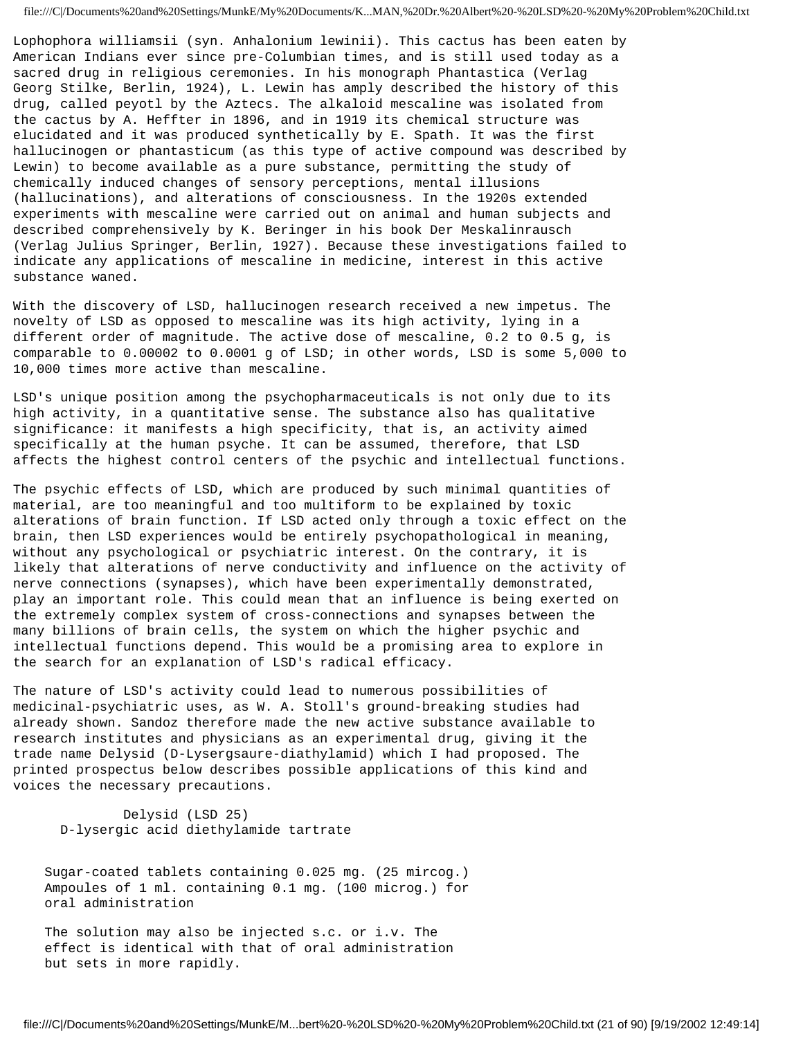Lophophora williamsii (syn. Anhalonium lewinii). This cactus has been eaten by American Indians ever since pre-Columbian times, and is still used today as a sacred drug in religious ceremonies. In his monograph Phantastica (Verlag Georg Stilke, Berlin, 1924), L. Lewin has amply described the history of this drug, called peyotl by the Aztecs. The alkaloid mescaline was isolated from the cactus by A. Heffter in 1896, and in 1919 its chemical structure was elucidated and it was produced synthetically by E. Spath. It was the first hallucinogen or phantasticum (as this type of active compound was described by Lewin) to become available as a pure substance, permitting the study of chemically induced changes of sensory perceptions, mental illusions (hallucinations), and alterations of consciousness. In the 1920s extended experiments with mescaline were carried out on animal and human subjects and described comprehensively by K. Beringer in his book Der Meskalinrausch (Verlag Julius Springer, Berlin, 1927). Because these investigations failed to indicate any applications of mescaline in medicine, interest in this active substance waned.

With the discovery of LSD, hallucinogen research received a new impetus. The novelty of LSD as opposed to mescaline was its high activity, lying in a different order of magnitude. The active dose of mescaline, 0.2 to 0.5 g, is comparable to 0.00002 to 0.0001 g of LSD; in other words, LSD is some 5,000 to 10,000 times more active than mescaline.

LSD's unique position among the psychopharmaceuticals is not only due to its high activity, in a quantitative sense. The substance also has qualitative significance: it manifests a high specificity, that is, an activity aimed specifically at the human psyche. It can be assumed, therefore, that LSD affects the highest control centers of the psychic and intellectual functions.

The psychic effects of LSD, which are produced by such minimal quantities of material, are too meaningful and too multiform to be explained by toxic alterations of brain function. If LSD acted only through a toxic effect on the brain, then LSD experiences would be entirely psychopathological in meaning, without any psychological or psychiatric interest. On the contrary, it is likely that alterations of nerve conductivity and influence on the activity of nerve connections (synapses), which have been experimentally demonstrated, play an important role. This could mean that an influence is being exerted on the extremely complex system of cross-connections and synapses between the many billions of brain cells, the system on which the higher psychic and intellectual functions depend. This would be a promising area to explore in the search for an explanation of LSD's radical efficacy.

The nature of LSD's activity could lead to numerous possibilities of medicinal-psychiatric uses, as W. A. Stoll's ground-breaking studies had already shown. Sandoz therefore made the new active substance available to research institutes and physicians as an experimental drug, giving it the trade name Delysid (D-Lysergsaure-diathylamid) which I had proposed. The printed prospectus below describes possible applications of this kind and voices the necessary precautions.

 Delysid (LSD 25) D-lysergic acid diethylamide tartrate

 Sugar-coated tablets containing 0.025 mg. (25 mircog.) Ampoules of 1 ml. containing 0.1 mg. (100 microg.) for oral administration

 The solution may also be injected s.c. or i.v. The effect is identical with that of oral administration but sets in more rapidly.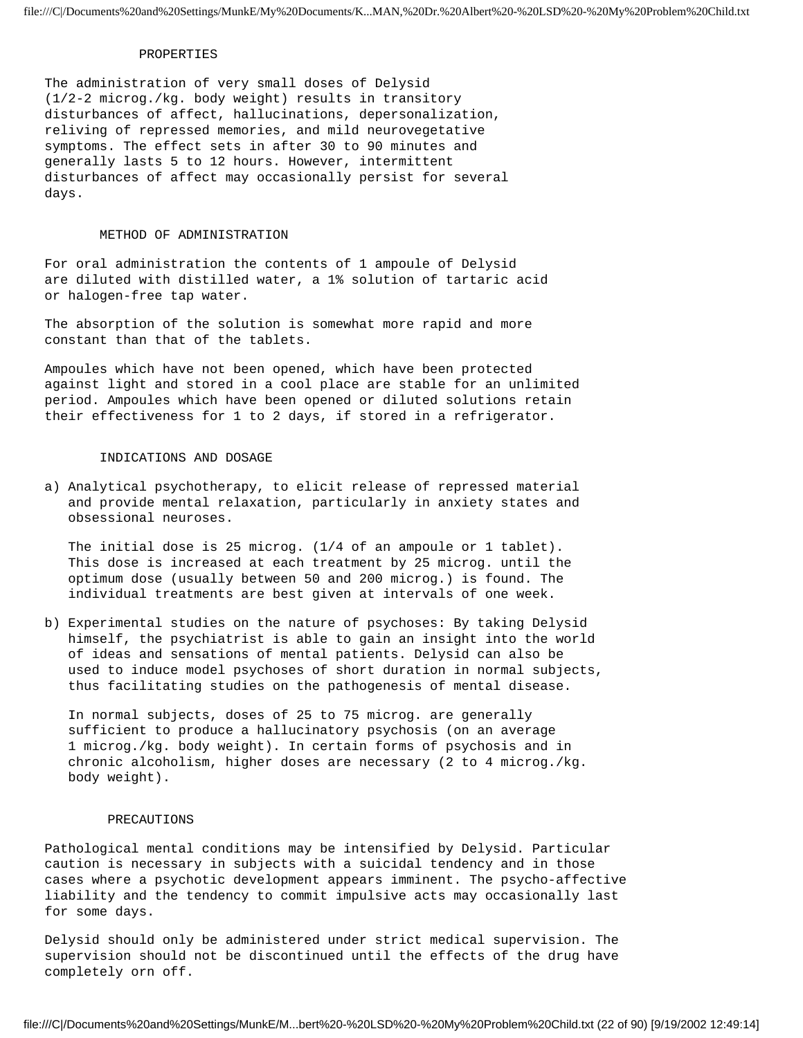#### PROPERTIES

 The administration of very small doses of Delysid (1/2-2 microg./kg. body weight) results in transitory disturbances of affect, hallucinations, depersonalization, reliving of repressed memories, and mild neurovegetative symptoms. The effect sets in after 30 to 90 minutes and generally lasts 5 to 12 hours. However, intermittent disturbances of affect may occasionally persist for several days.

### METHOD OF ADMINISTRATION

 For oral administration the contents of 1 ampoule of Delysid are diluted with distilled water, a 1% solution of tartaric acid or halogen-free tap water.

 The absorption of the solution is somewhat more rapid and more constant than that of the tablets.

 Ampoules which have not been opened, which have been protected against light and stored in a cool place are stable for an unlimited period. Ampoules which have been opened or diluted solutions retain their effectiveness for 1 to 2 days, if stored in a refrigerator.

#### INDICATIONS AND DOSAGE

 a) Analytical psychotherapy, to elicit release of repressed material and provide mental relaxation, particularly in anxiety states and obsessional neuroses.

 The initial dose is 25 microg. (1/4 of an ampoule or 1 tablet). This dose is increased at each treatment by 25 microg. until the optimum dose (usually between 50 and 200 microg.) is found. The individual treatments are best given at intervals of one week.

 b) Experimental studies on the nature of psychoses: By taking Delysid himself, the psychiatrist is able to gain an insight into the world of ideas and sensations of mental patients. Delysid can also be used to induce model psychoses of short duration in normal subjects, thus facilitating studies on the pathogenesis of mental disease.

 In normal subjects, doses of 25 to 75 microg. are generally sufficient to produce a hallucinatory psychosis (on an average 1 microg./kg. body weight). In certain forms of psychosis and in chronic alcoholism, higher doses are necessary (2 to 4 microg./kg. body weight).

### PRECAUTIONS

 Pathological mental conditions may be intensified by Delysid. Particular caution is necessary in subjects with a suicidal tendency and in those cases where a psychotic development appears imminent. The psycho-affective liability and the tendency to commit impulsive acts may occasionally last for some days.

 Delysid should only be administered under strict medical supervision. The supervision should not be discontinued until the effects of the drug have completely orn off.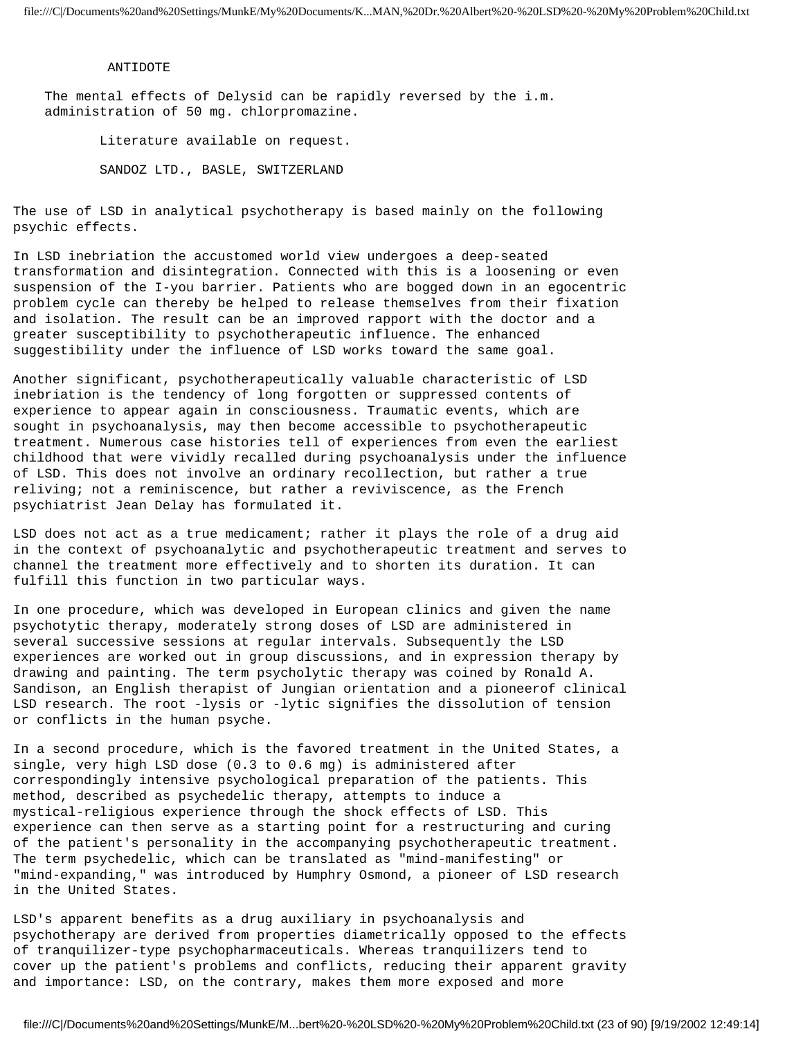#### ANTIDOTE

 The mental effects of Delysid can be rapidly reversed by the i.m. administration of 50 mg. chlorpromazine.

Literature available on request.

SANDOZ LTD., BASLE, SWITZERLAND

The use of LSD in analytical psychotherapy is based mainly on the following psychic effects.

In LSD inebriation the accustomed world view undergoes a deep-seated transformation and disintegration. Connected with this is a loosening or even suspension of the I-you barrier. Patients who are bogged down in an egocentric problem cycle can thereby be helped to release themselves from their fixation and isolation. The result can be an improved rapport with the doctor and a greater susceptibility to psychotherapeutic influence. The enhanced suggestibility under the influence of LSD works toward the same goal.

Another significant, psychotherapeutically valuable characteristic of LSD inebriation is the tendency of long forgotten or suppressed contents of experience to appear again in consciousness. Traumatic events, which are sought in psychoanalysis, may then become accessible to psychotherapeutic treatment. Numerous case histories tell of experiences from even the earliest childhood that were vividly recalled during psychoanalysis under the influence of LSD. This does not involve an ordinary recollection, but rather a true reliving; not a reminiscence, but rather a reviviscence, as the French psychiatrist Jean Delay has formulated it.

LSD does not act as a true medicament; rather it plays the role of a drug aid in the context of psychoanalytic and psychotherapeutic treatment and serves to channel the treatment more effectively and to shorten its duration. It can fulfill this function in two particular ways.

In one procedure, which was developed in European clinics and given the name psychotytic therapy, moderately strong doses of LSD are administered in several successive sessions at regular intervals. Subsequently the LSD experiences are worked out in group discussions, and in expression therapy by drawing and painting. The term psycholytic therapy was coined by Ronald A. Sandison, an English therapist of Jungian orientation and a pioneerof clinical LSD research. The root -lysis or -lytic signifies the dissolution of tension or conflicts in the human psyche.

In a second procedure, which is the favored treatment in the United States, a single, very high LSD dose (0.3 to 0.6 mg) is administered after correspondingly intensive psychological preparation of the patients. This method, described as psychedelic therapy, attempts to induce a mystical-religious experience through the shock effects of LSD. This experience can then serve as a starting point for a restructuring and curing of the patient's personality in the accompanying psychotherapeutic treatment. The term psychedelic, which can be translated as "mind-manifesting" or "mind-expanding," was introduced by Humphry Osmond, a pioneer of LSD research in the United States.

LSD's apparent benefits as a drug auxiliary in psychoanalysis and psychotherapy are derived from properties diametrically opposed to the effects of tranquilizer-type psychopharmaceuticals. Whereas tranquilizers tend to cover up the patient's problems and conflicts, reducing their apparent gravity and importance: LSD, on the contrary, makes them more exposed and more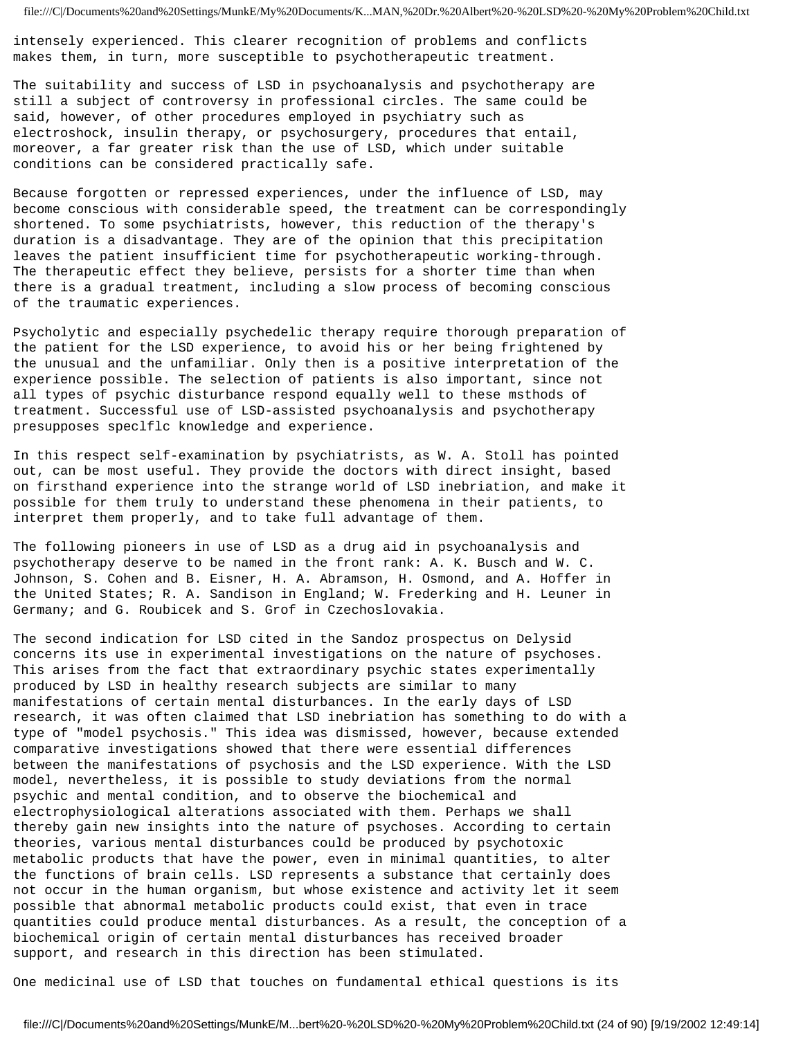intensely experienced. This clearer recognition of problems and conflicts makes them, in turn, more susceptible to psychotherapeutic treatment.

The suitability and success of LSD in psychoanalysis and psychotherapy are still a subject of controversy in professional circles. The same could be said, however, of other procedures employed in psychiatry such as electroshock, insulin therapy, or psychosurgery, procedures that entail, moreover, a far greater risk than the use of LSD, which under suitable conditions can be considered practically safe.

Because forgotten or repressed experiences, under the influence of LSD, may become conscious with considerable speed, the treatment can be correspondingly shortened. To some psychiatrists, however, this reduction of the therapy's duration is a disadvantage. They are of the opinion that this precipitation leaves the patient insufficient time for psychotherapeutic working-through. The therapeutic effect they believe, persists for a shorter time than when there is a gradual treatment, including a slow process of becoming conscious of the traumatic experiences.

Psycholytic and especially psychedelic therapy require thorough preparation of the patient for the LSD experience, to avoid his or her being frightened by the unusual and the unfamiliar. Only then is a positive interpretation of the experience possible. The selection of patients is also important, since not all types of psychic disturbance respond equally well to these msthods of treatment. Successful use of LSD-assisted psychoanalysis and psychotherapy presupposes speclflc knowledge and experience.

In this respect self-examination by psychiatrists, as W. A. Stoll has pointed out, can be most useful. They provide the doctors with direct insight, based on firsthand experience into the strange world of LSD inebriation, and make it possible for them truly to understand these phenomena in their patients, to interpret them properly, and to take full advantage of them.

The following pioneers in use of LSD as a drug aid in psychoanalysis and psychotherapy deserve to be named in the front rank: A. K. Busch and W. C. Johnson, S. Cohen and B. Eisner, H. A. Abramson, H. Osmond, and A. Hoffer in the United States; R. A. Sandison in England; W. Frederking and H. Leuner in Germany; and G. Roubicek and S. Grof in Czechoslovakia.

The second indication for LSD cited in the Sandoz prospectus on Delysid concerns its use in experimental investigations on the nature of psychoses. This arises from the fact that extraordinary psychic states experimentally produced by LSD in healthy research subjects are similar to many manifestations of certain mental disturbances. In the early days of LSD research, it was often claimed that LSD inebriation has something to do with a type of "model psychosis." This idea was dismissed, however, because extended comparative investigations showed that there were essential differences between the manifestations of psychosis and the LSD experience. With the LSD model, nevertheless, it is possible to study deviations from the normal psychic and mental condition, and to observe the biochemical and electrophysiological alterations associated with them. Perhaps we shall thereby gain new insights into the nature of psychoses. According to certain theories, various mental disturbances could be produced by psychotoxic metabolic products that have the power, even in minimal quantities, to alter the functions of brain cells. LSD represents a substance that certainly does not occur in the human organism, but whose existence and activity let it seem possible that abnormal metabolic products could exist, that even in trace quantities could produce mental disturbances. As a result, the conception of a biochemical origin of certain mental disturbances has received broader support, and research in this direction has been stimulated.

One medicinal use of LSD that touches on fundamental ethical questions is its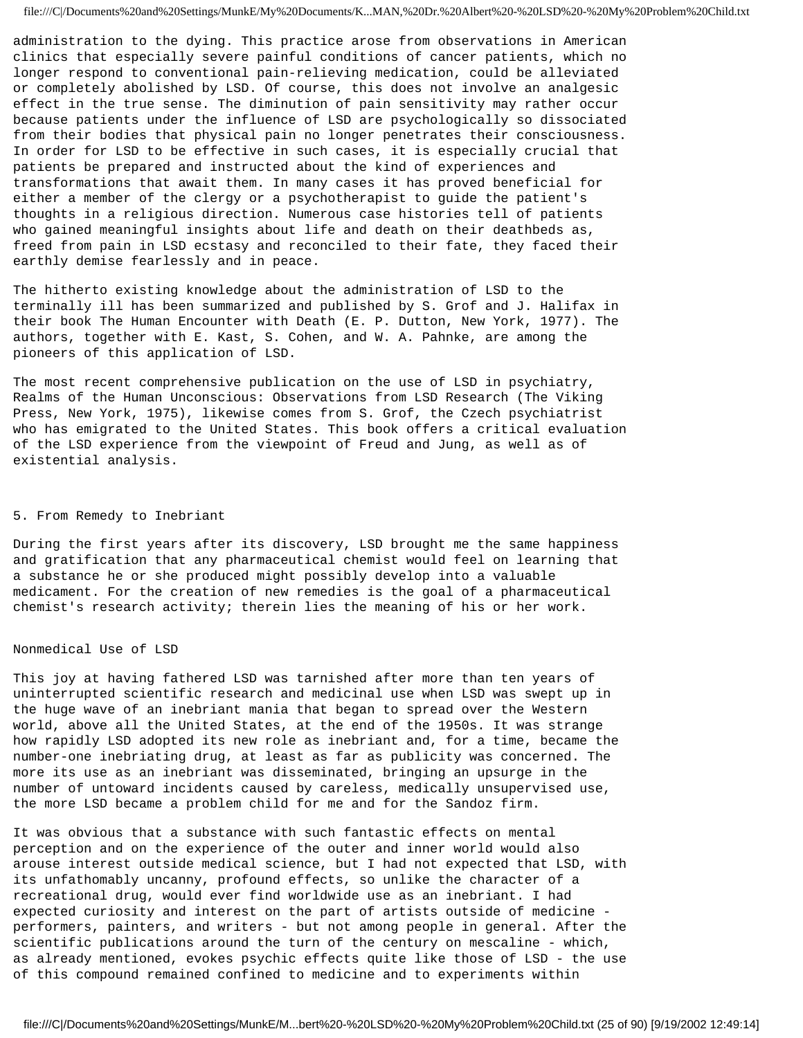administration to the dying. This practice arose from observations in American clinics that especially severe painful conditions of cancer patients, which no longer respond to conventional pain-relieving medication, could be alleviated or completely abolished by LSD. Of course, this does not involve an analgesic effect in the true sense. The diminution of pain sensitivity may rather occur because patients under the influence of LSD are psychologically so dissociated from their bodies that physical pain no longer penetrates their consciousness. In order for LSD to be effective in such cases, it is especially crucial that patients be prepared and instructed about the kind of experiences and transformations that await them. In many cases it has proved beneficial for either a member of the clergy or a psychotherapist to guide the patient's thoughts in a religious direction. Numerous case histories tell of patients who gained meaningful insights about life and death on their deathbeds as, freed from pain in LSD ecstasy and reconciled to their fate, they faced their earthly demise fearlessly and in peace.

The hitherto existing knowledge about the administration of LSD to the terminally ill has been summarized and published by S. Grof and J. Halifax in their book The Human Encounter with Death (E. P. Dutton, New York, 1977). The authors, together with E. Kast, S. Cohen, and W. A. Pahnke, are among the pioneers of this application of LSD.

The most recent comprehensive publication on the use of LSD in psychiatry, Realms of the Human Unconscious: Observations from LSD Research (The Viking Press, New York, 1975), likewise comes from S. Grof, the Czech psychiatrist who has emigrated to the United States. This book offers a critical evaluation of the LSD experience from the viewpoint of Freud and Jung, as well as of existential analysis.

#### 5. From Remedy to Inebriant

During the first years after its discovery, LSD brought me the same happiness and gratification that any pharmaceutical chemist would feel on learning that a substance he or she produced might possibly develop into a valuable medicament. For the creation of new remedies is the goal of a pharmaceutical chemist's research activity; therein lies the meaning of his or her work.

# Nonmedical Use of LSD

This joy at having fathered LSD was tarnished after more than ten years of uninterrupted scientific research and medicinal use when LSD was swept up in the huge wave of an inebriant mania that began to spread over the Western world, above all the United States, at the end of the 1950s. It was strange how rapidly LSD adopted its new role as inebriant and, for a time, became the number-one inebriating drug, at least as far as publicity was concerned. The more its use as an inebriant was disseminated, bringing an upsurge in the number of untoward incidents caused by careless, medically unsupervised use, the more LSD became a problem child for me and for the Sandoz firm.

It was obvious that a substance with such fantastic effects on mental perception and on the experience of the outer and inner world would also arouse interest outside medical science, but I had not expected that LSD, with its unfathomably uncanny, profound effects, so unlike the character of a recreational drug, would ever find worldwide use as an inebriant. I had expected curiosity and interest on the part of artists outside of medicine performers, painters, and writers - but not among people in general. After the scientific publications around the turn of the century on mescaline - which, as already mentioned, evokes psychic effects quite like those of LSD - the use of this compound remained confined to medicine and to experiments within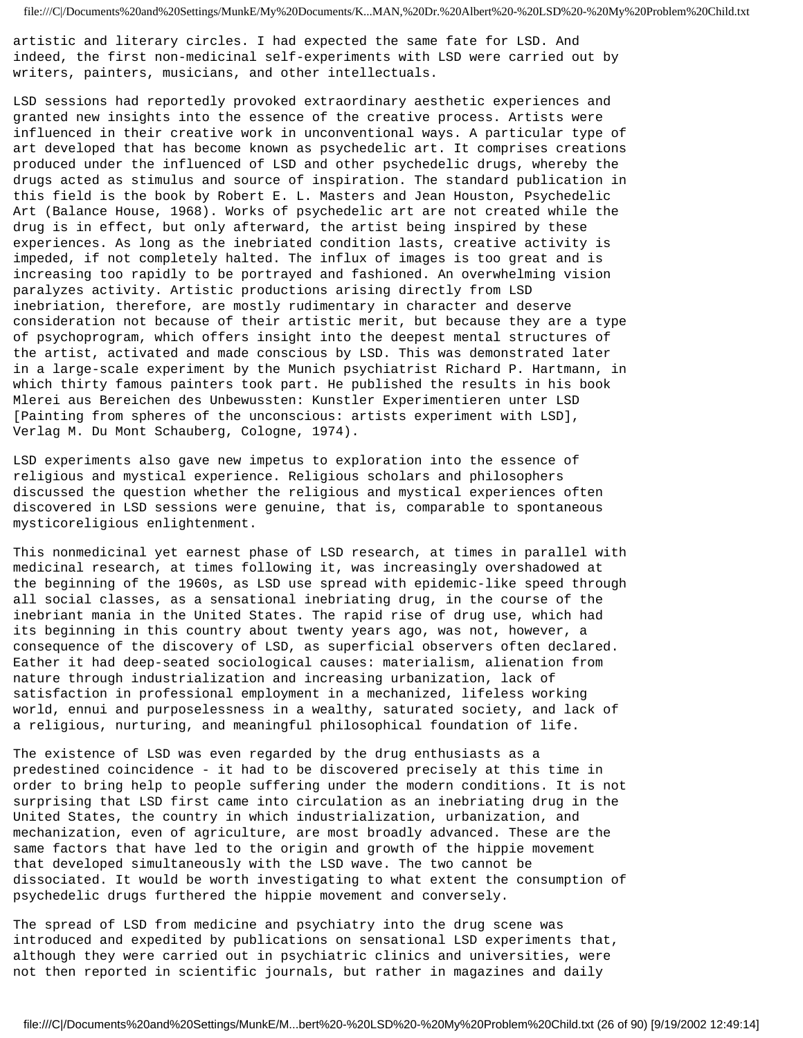artistic and literary circles. I had expected the same fate for LSD. And indeed, the first non-medicinal self-experiments with LSD were carried out by writers, painters, musicians, and other intellectuals.

LSD sessions had reportedly provoked extraordinary aesthetic experiences and granted new insights into the essence of the creative process. Artists were influenced in their creative work in unconventional ways. A particular type of art developed that has become known as psychedelic art. It comprises creations produced under the influenced of LSD and other psychedelic drugs, whereby the drugs acted as stimulus and source of inspiration. The standard publication in this field is the book by Robert E. L. Masters and Jean Houston, Psychedelic Art (Balance House, 1968). Works of psychedelic art are not created while the drug is in effect, but only afterward, the artist being inspired by these experiences. As long as the inebriated condition lasts, creative activity is impeded, if not completely halted. The influx of images is too great and is increasing too rapidly to be portrayed and fashioned. An overwhelming vision paralyzes activity. Artistic productions arising directly from LSD inebriation, therefore, are mostly rudimentary in character and deserve consideration not because of their artistic merit, but because they are a type of psychoprogram, which offers insight into the deepest mental structures of the artist, activated and made conscious by LSD. This was demonstrated later in a large-scale experiment by the Munich psychiatrist Richard P. Hartmann, in which thirty famous painters took part. He published the results in his book Mlerei aus Bereichen des Unbewussten: Kunstler Experimentieren unter LSD [Painting from spheres of the unconscious: artists experiment with LSD], Verlag M. Du Mont Schauberg, Cologne, 1974).

LSD experiments also gave new impetus to exploration into the essence of religious and mystical experience. Religious scholars and philosophers discussed the question whether the religious and mystical experiences often discovered in LSD sessions were genuine, that is, comparable to spontaneous mysticoreligious enlightenment.

This nonmedicinal yet earnest phase of LSD research, at times in parallel with medicinal research, at times following it, was increasingly overshadowed at the beginning of the 1960s, as LSD use spread with epidemic-like speed through all social classes, as a sensational inebriating drug, in the course of the inebriant mania in the United States. The rapid rise of drug use, which had its beginning in this country about twenty years ago, was not, however, a consequence of the discovery of LSD, as superficial observers often declared. Eather it had deep-seated sociological causes: materialism, alienation from nature through industrialization and increasing urbanization, lack of satisfaction in professional employment in a mechanized, lifeless working world, ennui and purposelessness in a wealthy, saturated society, and lack of a religious, nurturing, and meaningful philosophical foundation of life.

The existence of LSD was even regarded by the drug enthusiasts as a predestined coincidence - it had to be discovered precisely at this time in order to bring help to people suffering under the modern conditions. It is not surprising that LSD first came into circulation as an inebriating drug in the United States, the country in which industrialization, urbanization, and mechanization, even of agriculture, are most broadly advanced. These are the same factors that have led to the origin and growth of the hippie movement that developed simultaneously with the LSD wave. The two cannot be dissociated. It would be worth investigating to what extent the consumption of psychedelic drugs furthered the hippie movement and conversely.

The spread of LSD from medicine and psychiatry into the drug scene was introduced and expedited by publications on sensational LSD experiments that, although they were carried out in psychiatric clinics and universities, were not then reported in scientific journals, but rather in magazines and daily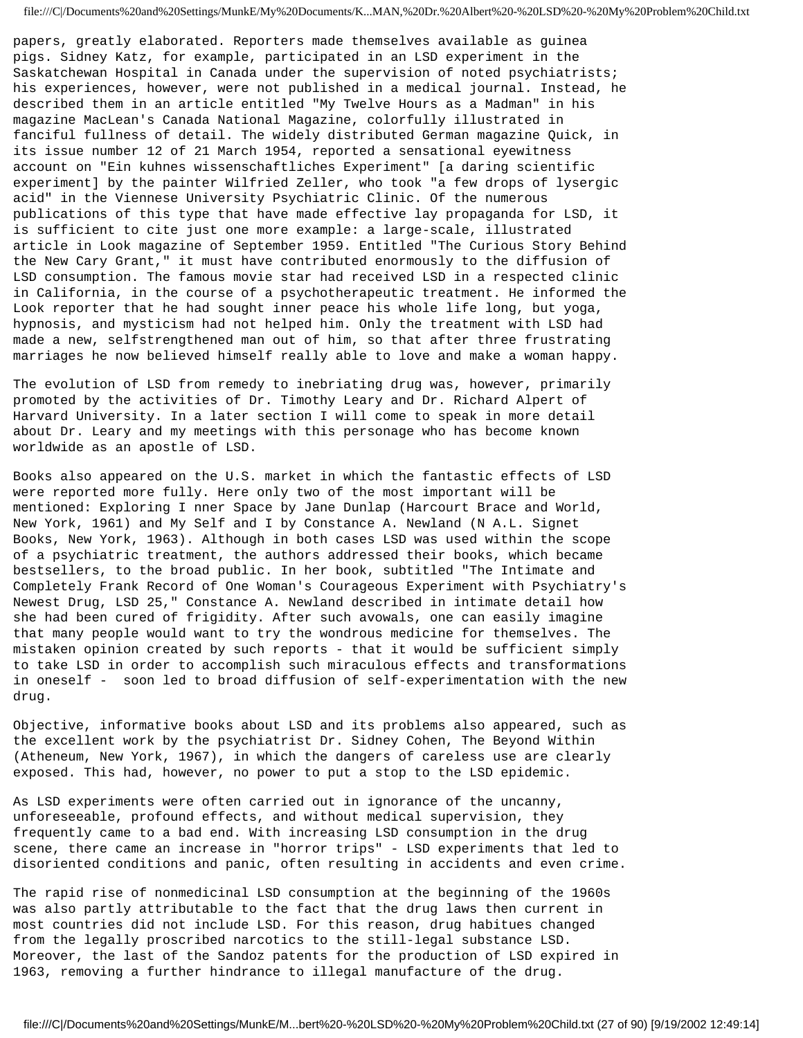papers, greatly elaborated. Reporters made themselves available as guinea pigs. Sidney Katz, for example, participated in an LSD experiment in the Saskatchewan Hospital in Canada under the supervision of noted psychiatrists; his experiences, however, were not published in a medical journal. Instead, he described them in an article entitled "My Twelve Hours as a Madman" in his magazine MacLean's Canada National Magazine, colorfully illustrated in fanciful fullness of detail. The widely distributed German magazine Quick, in its issue number 12 of 21 March 1954, reported a sensational eyewitness account on "Ein kuhnes wissenschaftliches Experiment" [a daring scientific experiment] by the painter Wilfried Zeller, who took "a few drops of lysergic acid" in the Viennese University Psychiatric Clinic. Of the numerous publications of this type that have made effective lay propaganda for LSD, it is sufficient to cite just one more example: a large-scale, illustrated article in Look magazine of September 1959. Entitled "The Curious Story Behind the New Cary Grant," it must have contributed enormously to the diffusion of LSD consumption. The famous movie star had received LSD in a respected clinic in California, in the course of a psychotherapeutic treatment. He informed the Look reporter that he had sought inner peace his whole life long, but yoga, hypnosis, and mysticism had not helped him. Only the treatment with LSD had made a new, selfstrengthened man out of him, so that after three frustrating marriages he now believed himself really able to love and make a woman happy.

The evolution of LSD from remedy to inebriating drug was, however, primarily promoted by the activities of Dr. Timothy Leary and Dr. Richard Alpert of Harvard University. In a later section I will come to speak in more detail about Dr. Leary and my meetings with this personage who has become known worldwide as an apostle of LSD.

Books also appeared on the U.S. market in which the fantastic effects of LSD were reported more fully. Here only two of the most important will be mentioned: Exploring I nner Space by Jane Dunlap (Harcourt Brace and World, New York, 1961) and My Self and I by Constance A. Newland (N A.L. Signet Books, New York, 1963). Although in both cases LSD was used within the scope of a psychiatric treatment, the authors addressed their books, which became bestsellers, to the broad public. In her book, subtitled "The Intimate and Completely Frank Record of One Woman's Courageous Experiment with Psychiatry's Newest Drug, LSD 25," Constance A. Newland described in intimate detail how she had been cured of frigidity. After such avowals, one can easily imagine that many people would want to try the wondrous medicine for themselves. The mistaken opinion created by such reports - that it would be sufficient simply to take LSD in order to accomplish such miraculous effects and transformations in oneself - soon led to broad diffusion of self-experimentation with the new drug.

Objective, informative books about LSD and its problems also appeared, such as the excellent work by the psychiatrist Dr. Sidney Cohen, The Beyond Within (Atheneum, New York, 1967), in which the dangers of careless use are clearly exposed. This had, however, no power to put a stop to the LSD epidemic.

As LSD experiments were often carried out in ignorance of the uncanny, unforeseeable, profound effects, and without medical supervision, they frequently came to a bad end. With increasing LSD consumption in the drug scene, there came an increase in "horror trips" - LSD experiments that led to disoriented conditions and panic, often resulting in accidents and even crime.

The rapid rise of nonmedicinal LSD consumption at the beginning of the 1960s was also partly attributable to the fact that the drug laws then current in most countries did not include LSD. For this reason, drug habitues changed from the legally proscribed narcotics to the still-legal substance LSD. Moreover, the last of the Sandoz patents for the production of LSD expired in 1963, removing a further hindrance to illegal manufacture of the drug.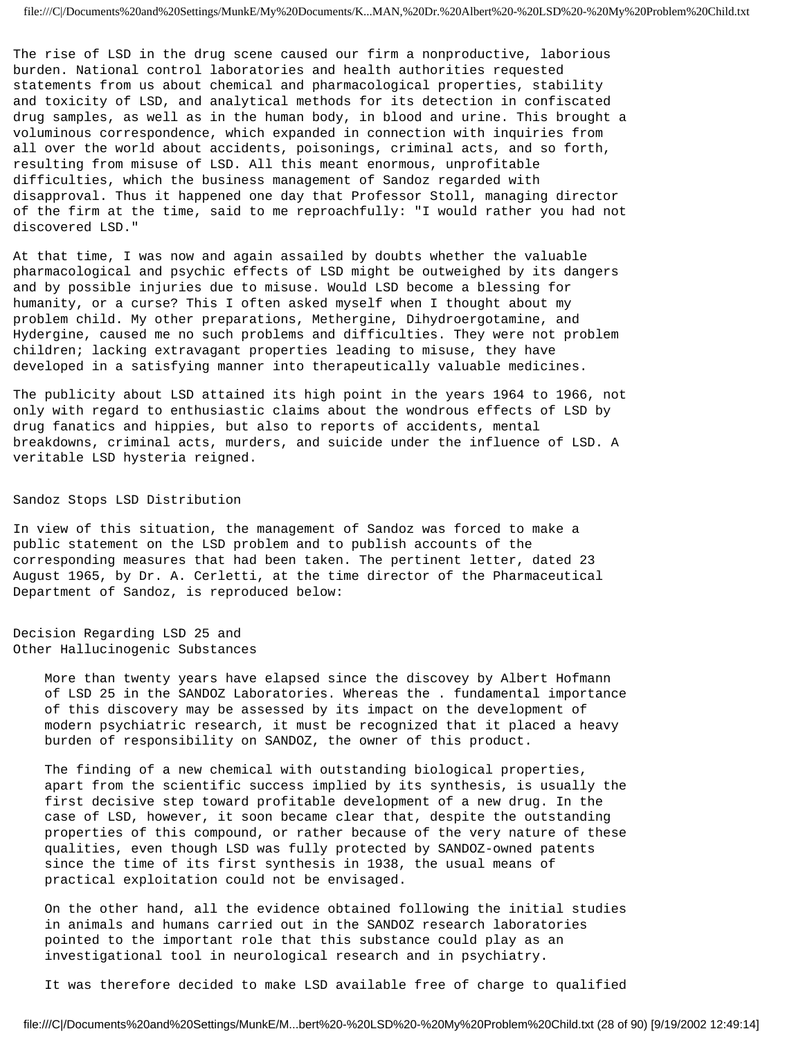The rise of LSD in the drug scene caused our firm a nonproductive, laborious burden. National control laboratories and health authorities requested statements from us about chemical and pharmacological properties, stability and toxicity of LSD, and analytical methods for its detection in confiscated drug samples, as well as in the human body, in blood and urine. This brought a voluminous correspondence, which expanded in connection with inquiries from all over the world about accidents, poisonings, criminal acts, and so forth, resulting from misuse of LSD. All this meant enormous, unprofitable difficulties, which the business management of Sandoz regarded with disapproval. Thus it happened one day that Professor Stoll, managing director of the firm at the time, said to me reproachfully: "I would rather you had not discovered LSD."

At that time, I was now and again assailed by doubts whether the valuable pharmacological and psychic effects of LSD might be outweighed by its dangers and by possible injuries due to misuse. Would LSD become a blessing for humanity, or a curse? This I often asked myself when I thought about my problem child. My other preparations, Methergine, Dihydroergotamine, and Hydergine, caused me no such problems and difficulties. They were not problem children; lacking extravagant properties leading to misuse, they have developed in a satisfying manner into therapeutically valuable medicines.

The publicity about LSD attained its high point in the years 1964 to 1966, not only with regard to enthusiastic claims about the wondrous effects of LSD by drug fanatics and hippies, but also to reports of accidents, mental breakdowns, criminal acts, murders, and suicide under the influence of LSD. A veritable LSD hysteria reigned.

#### Sandoz Stops LSD Distribution

In view of this situation, the management of Sandoz was forced to make a public statement on the LSD problem and to publish accounts of the corresponding measures that had been taken. The pertinent letter, dated 23 August 1965, by Dr. A. Cerletti, at the time director of the Pharmaceutical Department of Sandoz, is reproduced below:

Decision Regarding LSD 25 and Other Hallucinogenic Substances

> More than twenty years have elapsed since the discovey by Albert Hofmann of LSD 25 in the SANDOZ Laboratories. Whereas the . fundamental importance of this discovery may be assessed by its impact on the development of modern psychiatric research, it must be recognized that it placed a heavy burden of responsibility on SANDOZ, the owner of this product.

> The finding of a new chemical with outstanding biological properties, apart from the scientific success implied by its synthesis, is usually the first decisive step toward profitable development of a new drug. In the case of LSD, however, it soon became clear that, despite the outstanding properties of this compound, or rather because of the very nature of these qualities, even though LSD was fully protected by SANDOZ-owned patents since the time of its first synthesis in 1938, the usual means of practical exploitation could not be envisaged.

> On the other hand, all the evidence obtained following the initial studies in animals and humans carried out in the SANDOZ research laboratories pointed to the important role that this substance could play as an investigational tool in neurological research and in psychiatry.

> It was therefore decided to make LSD available free of charge to qualified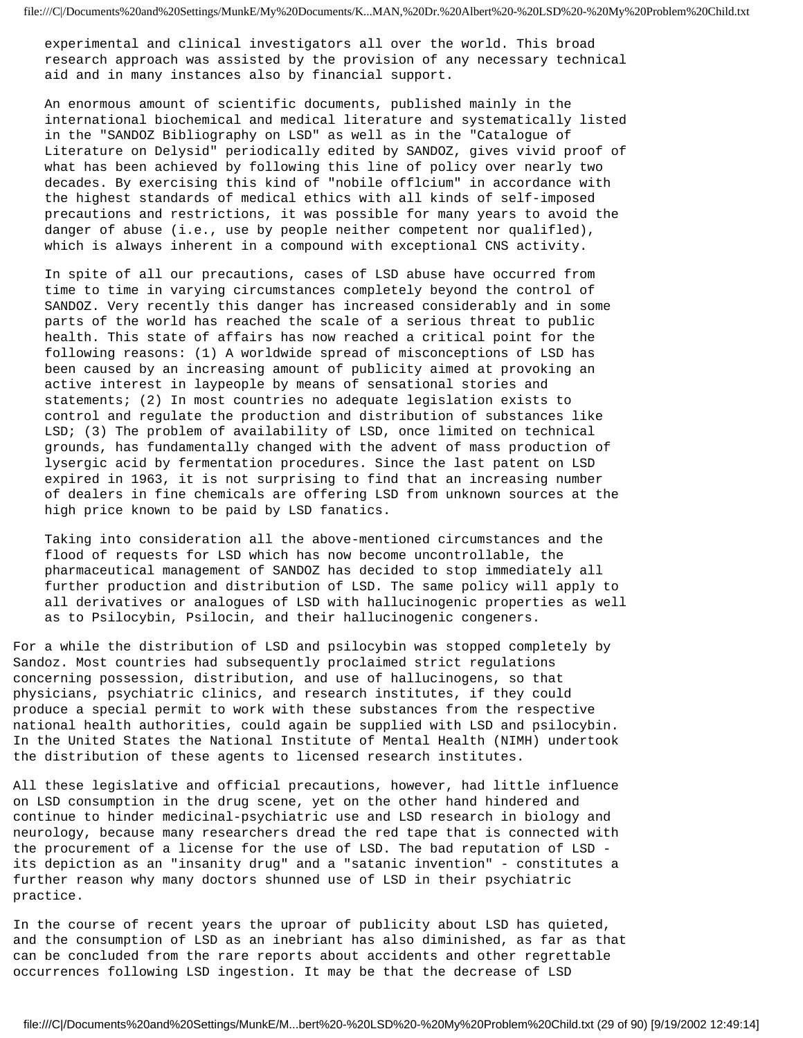experimental and clinical investigators all over the world. This broad research approach was assisted by the provision of any necessary technical aid and in many instances also by financial support.

 An enormous amount of scientific documents, published mainly in the international biochemical and medical literature and systematically listed in the "SANDOZ Bibliography on LSD" as well as in the "Catalogue of Literature on Delysid" periodically edited by SANDOZ, gives vivid proof of what has been achieved by following this line of policy over nearly two decades. By exercising this kind of "nobile offlcium" in accordance with the highest standards of medical ethics with all kinds of self-imposed precautions and restrictions, it was possible for many years to avoid the danger of abuse (i.e., use by people neither competent nor qualifled), which is always inherent in a compound with exceptional CNS activity.

 In spite of all our precautions, cases of LSD abuse have occurred from time to time in varying circumstances completely beyond the control of SANDOZ. Very recently this danger has increased considerably and in some parts of the world has reached the scale of a serious threat to public health. This state of affairs has now reached a critical point for the following reasons: (1) A worldwide spread of misconceptions of LSD has been caused by an increasing amount of publicity aimed at provoking an active interest in laypeople by means of sensational stories and statements; (2) In most countries no adequate legislation exists to control and regulate the production and distribution of substances like LSD; (3) The problem of availability of LSD, once limited on technical grounds, has fundamentally changed with the advent of mass production of lysergic acid by fermentation procedures. Since the last patent on LSD expired in 1963, it is not surprising to find that an increasing number of dealers in fine chemicals are offering LSD from unknown sources at the high price known to be paid by LSD fanatics.

 Taking into consideration all the above-mentioned circumstances and the flood of requests for LSD which has now become uncontrollable, the pharmaceutical management of SANDOZ has decided to stop immediately all further production and distribution of LSD. The same policy will apply to all derivatives or analogues of LSD with hallucinogenic properties as well as to Psilocybin, Psilocin, and their hallucinogenic congeners.

For a while the distribution of LSD and psilocybin was stopped completely by Sandoz. Most countries had subsequently proclaimed strict regulations concerning possession, distribution, and use of hallucinogens, so that physicians, psychiatric clinics, and research institutes, if they could produce a special permit to work with these substances from the respective national health authorities, could again be supplied with LSD and psilocybin. In the United States the National Institute of Mental Health (NIMH) undertook the distribution of these agents to licensed research institutes.

All these legislative and official precautions, however, had little influence on LSD consumption in the drug scene, yet on the other hand hindered and continue to hinder medicinal-psychiatric use and LSD research in biology and neurology, because many researchers dread the red tape that is connected with the procurement of a license for the use of LSD. The bad reputation of LSD its depiction as an "insanity drug" and a "satanic invention" - constitutes a further reason why many doctors shunned use of LSD in their psychiatric practice.

In the course of recent years the uproar of publicity about LSD has quieted, and the consumption of LSD as an inebriant has also diminished, as far as that can be concluded from the rare reports about accidents and other regrettable occurrences following LSD ingestion. It may be that the decrease of LSD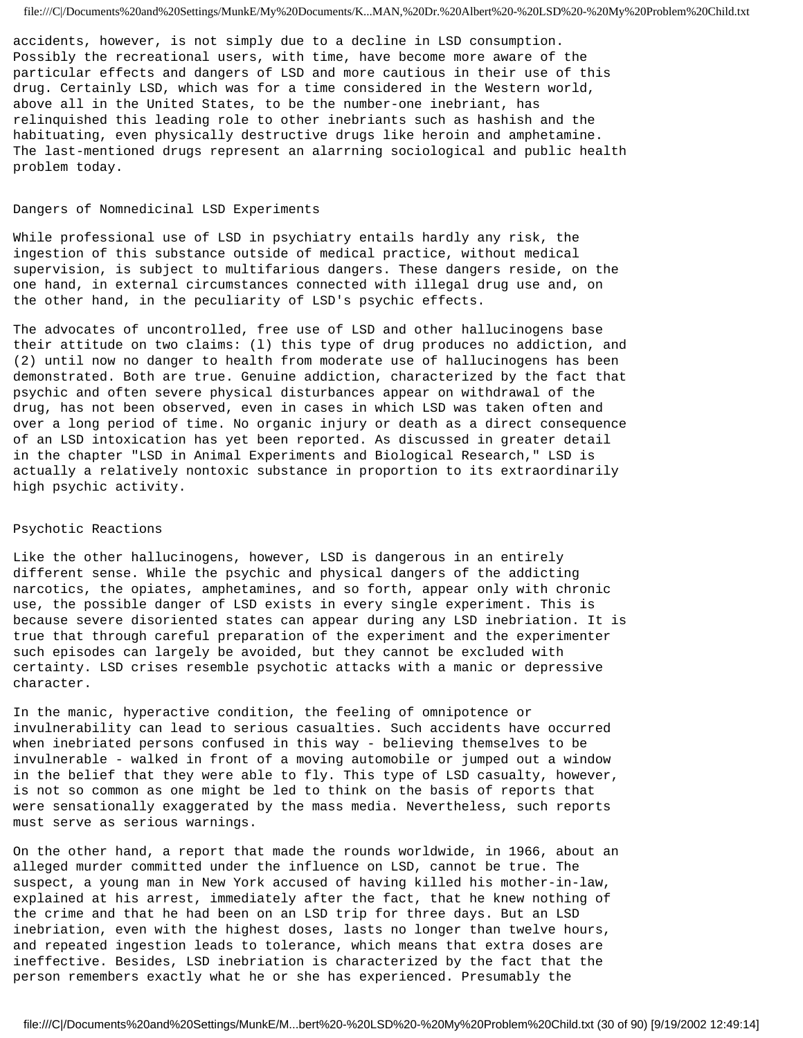accidents, however, is not simply due to a decline in LSD consumption. Possibly the recreational users, with time, have become more aware of the particular effects and dangers of LSD and more cautious in their use of this drug. Certainly LSD, which was for a time considered in the Western world, above all in the United States, to be the number-one inebriant, has relinquished this leading role to other inebriants such as hashish and the habituating, even physically destructive drugs like heroin and amphetamine. The last-mentioned drugs represent an alarrning sociological and public health problem today.

# Dangers of Nomnedicinal LSD Experiments

While professional use of LSD in psychiatry entails hardly any risk, the ingestion of this substance outside of medical practice, without medical supervision, is subject to multifarious dangers. These dangers reside, on the one hand, in external circumstances connected with illegal drug use and, on the other hand, in the peculiarity of LSD's psychic effects.

The advocates of uncontrolled, free use of LSD and other hallucinogens base their attitude on two claims: (l) this type of drug produces no addiction, and (2) until now no danger to health from moderate use of hallucinogens has been demonstrated. Both are true. Genuine addiction, characterized by the fact that psychic and often severe physical disturbances appear on withdrawal of the drug, has not been observed, even in cases in which LSD was taken often and over a long period of time. No organic injury or death as a direct consequence of an LSD intoxication has yet been reported. As discussed in greater detail in the chapter "LSD in Animal Experiments and Biological Research," LSD is actually a relatively nontoxic substance in proportion to its extraordinarily high psychic activity.

#### Psychotic Reactions

Like the other hallucinogens, however, LSD is dangerous in an entirely different sense. While the psychic and physical dangers of the addicting narcotics, the opiates, amphetamines, and so forth, appear only with chronic use, the possible danger of LSD exists in every single experiment. This is because severe disoriented states can appear during any LSD inebriation. It is true that through careful preparation of the experiment and the experimenter such episodes can largely be avoided, but they cannot be excluded with certainty. LSD crises resemble psychotic attacks with a manic or depressive character.

In the manic, hyperactive condition, the feeling of omnipotence or invulnerability can lead to serious casualties. Such accidents have occurred when inebriated persons confused in this way - believing themselves to be invulnerable - walked in front of a moving automobile or jumped out a window in the belief that they were able to fly. This type of LSD casualty, however, is not so common as one might be led to think on the basis of reports that were sensationally exaggerated by the mass media. Nevertheless, such reports must serve as serious warnings.

On the other hand, a report that made the rounds worldwide, in 1966, about an alleged murder committed under the influence on LSD, cannot be true. The suspect, a young man in New York accused of having killed his mother-in-law, explained at his arrest, immediately after the fact, that he knew nothing of the crime and that he had been on an LSD trip for three days. But an LSD inebriation, even with the highest doses, lasts no longer than twelve hours, and repeated ingestion leads to tolerance, which means that extra doses are ineffective. Besides, LSD inebriation is characterized by the fact that the person remembers exactly what he or she has experienced. Presumably the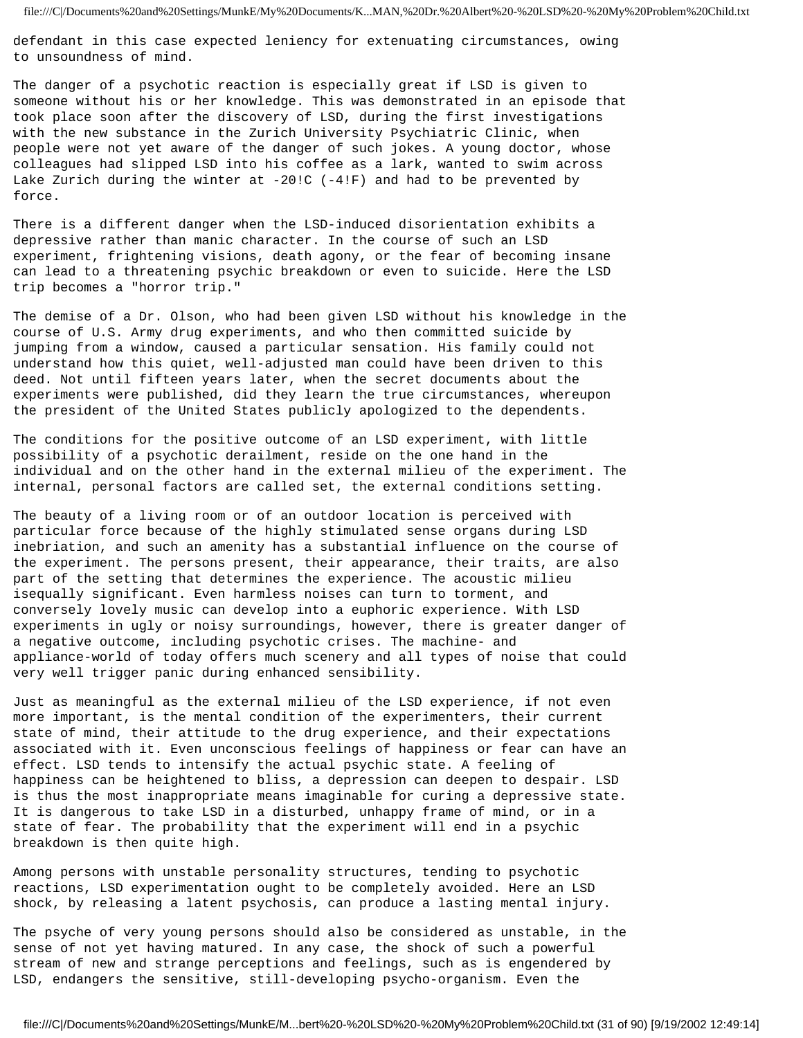defendant in this case expected leniency for extenuating circumstances, owing to unsoundness of mind.

The danger of a psychotic reaction is especially great if LSD is given to someone without his or her knowledge. This was demonstrated in an episode that took place soon after the discovery of LSD, during the first investigations with the new substance in the Zurich University Psychiatric Clinic, when people were not yet aware of the danger of such jokes. A young doctor, whose colleagues had slipped LSD into his coffee as a lark, wanted to swim across Lake Zurich during the winter at  $-20\,$ !C ( $-4\,$ !F) and had to be prevented by force.

There is a different danger when the LSD-induced disorientation exhibits a depressive rather than manic character. In the course of such an LSD experiment, frightening visions, death agony, or the fear of becoming insane can lead to a threatening psychic breakdown or even to suicide. Here the LSD trip becomes a "horror trip."

The demise of a Dr. Olson, who had been given LSD without his knowledge in the course of U.S. Army drug experiments, and who then committed suicide by jumping from a window, caused a particular sensation. His family could not understand how this quiet, well-adjusted man could have been driven to this deed. Not until fifteen years later, when the secret documents about the experiments were published, did they learn the true circumstances, whereupon the president of the United States publicly apologized to the dependents.

The conditions for the positive outcome of an LSD experiment, with little possibility of a psychotic derailment, reside on the one hand in the individual and on the other hand in the external milieu of the experiment. The internal, personal factors are called set, the external conditions setting.

The beauty of a living room or of an outdoor location is perceived with particular force because of the highly stimulated sense organs during LSD inebriation, and such an amenity has a substantial influence on the course of the experiment. The persons present, their appearance, their traits, are also part of the setting that determines the experience. The acoustic milieu isequally significant. Even harmless noises can turn to torment, and conversely lovely music can develop into a euphoric experience. With LSD experiments in ugly or noisy surroundings, however, there is greater danger of a negative outcome, including psychotic crises. The machine- and appliance-world of today offers much scenery and all types of noise that could very well trigger panic during enhanced sensibility.

Just as meaningful as the external milieu of the LSD experience, if not even more important, is the mental condition of the experimenters, their current state of mind, their attitude to the drug experience, and their expectations associated with it. Even unconscious feelings of happiness or fear can have an effect. LSD tends to intensify the actual psychic state. A feeling of happiness can be heightened to bliss, a depression can deepen to despair. LSD is thus the most inappropriate means imaginable for curing a depressive state. It is dangerous to take LSD in a disturbed, unhappy frame of mind, or in a state of fear. The probability that the experiment will end in a psychic breakdown is then quite high.

Among persons with unstable personality structures, tending to psychotic reactions, LSD experimentation ought to be completely avoided. Here an LSD shock, by releasing a latent psychosis, can produce a lasting mental injury.

The psyche of very young persons should also be considered as unstable, in the sense of not yet having matured. In any case, the shock of such a powerful stream of new and strange perceptions and feelings, such as is engendered by LSD, endangers the sensitive, still-developing psycho-organism. Even the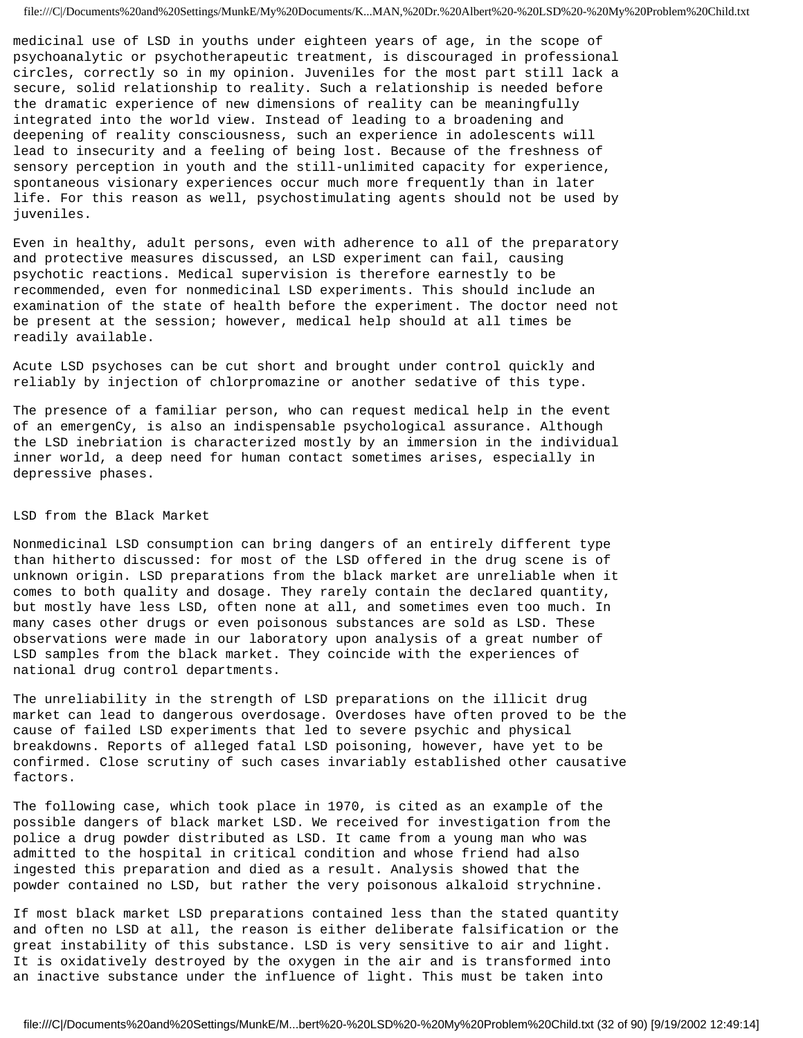medicinal use of LSD in youths under eighteen years of age, in the scope of psychoanalytic or psychotherapeutic treatment, is discouraged in professional circles, correctly so in my opinion. Juveniles for the most part still lack a secure, solid relationship to reality. Such a relationship is needed before the dramatic experience of new dimensions of reality can be meaningfully integrated into the world view. Instead of leading to a broadening and deepening of reality consciousness, such an experience in adolescents will lead to insecurity and a feeling of being lost. Because of the freshness of sensory perception in youth and the still-unlimited capacity for experience, spontaneous visionary experiences occur much more frequently than in later life. For this reason as well, psychostimulating agents should not be used by juveniles.

Even in healthy, adult persons, even with adherence to all of the preparatory and protective measures discussed, an LSD experiment can fail, causing psychotic reactions. Medical supervision is therefore earnestly to be recommended, even for nonmedicinal LSD experiments. This should include an examination of the state of health before the experiment. The doctor need not be present at the session; however, medical help should at all times be readily available.

Acute LSD psychoses can be cut short and brought under control quickly and reliably by injection of chlorpromazine or another sedative of this type.

The presence of a familiar person, who can request medical help in the event of an emergenCy, is also an indispensable psychological assurance. Although the LSD inebriation is characterized mostly by an immersion in the individual inner world, a deep need for human contact sometimes arises, especially in depressive phases.

#### LSD from the Black Market

Nonmedicinal LSD consumption can bring dangers of an entirely different type than hitherto discussed: for most of the LSD offered in the drug scene is of unknown origin. LSD preparations from the black market are unreliable when it comes to both quality and dosage. They rarely contain the declared quantity, but mostly have less LSD, often none at all, and sometimes even too much. In many cases other drugs or even poisonous substances are sold as LSD. These observations were made in our laboratory upon analysis of a great number of LSD samples from the black market. They coincide with the experiences of national drug control departments.

The unreliability in the strength of LSD preparations on the illicit drug market can lead to dangerous overdosage. Overdoses have often proved to be the cause of failed LSD experiments that led to severe psychic and physical breakdowns. Reports of alleged fatal LSD poisoning, however, have yet to be confirmed. Close scrutiny of such cases invariably established other causative factors.

The following case, which took place in 1970, is cited as an example of the possible dangers of black market LSD. We received for investigation from the police a drug powder distributed as LSD. It came from a young man who was admitted to the hospital in critical condition and whose friend had also ingested this preparation and died as a result. Analysis showed that the powder contained no LSD, but rather the very poisonous alkaloid strychnine.

If most black market LSD preparations contained less than the stated quantity and often no LSD at all, the reason is either deliberate falsification or the great instability of this substance. LSD is very sensitive to air and light. It is oxidatively destroyed by the oxygen in the air and is transformed into an inactive substance under the influence of light. This must be taken into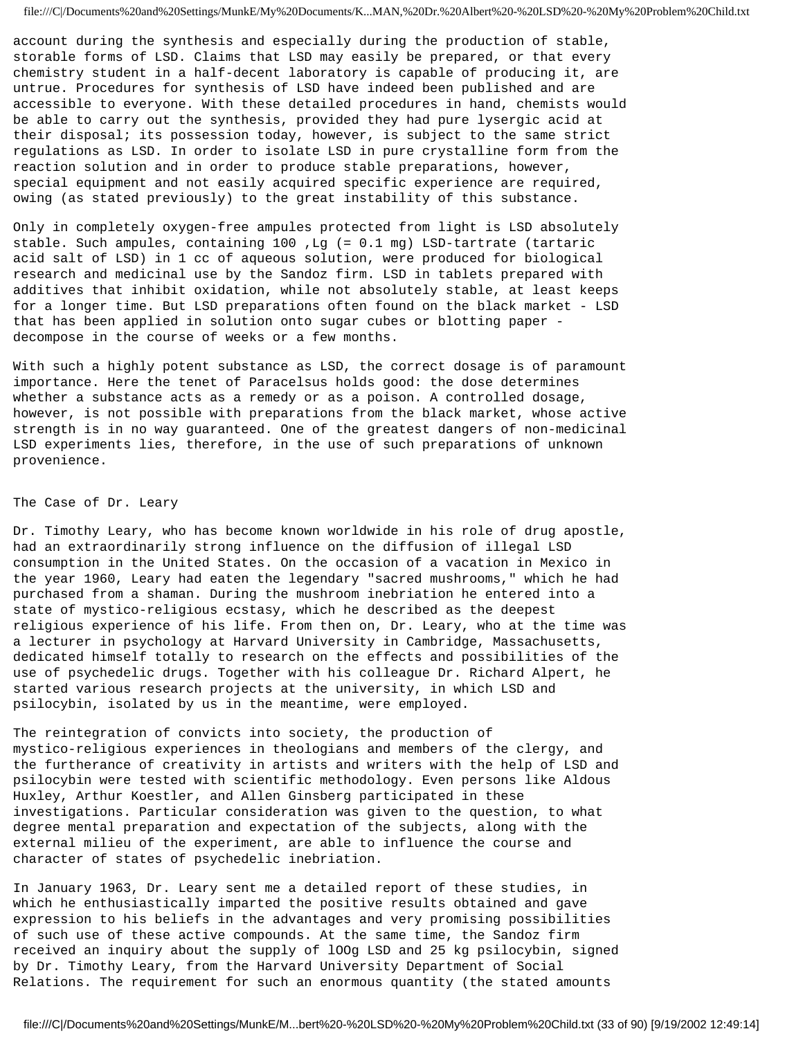account during the synthesis and especially during the production of stable, storable forms of LSD. Claims that LSD may easily be prepared, or that every chemistry student in a half-decent laboratory is capable of producing it, are untrue. Procedures for synthesis of LSD have indeed been published and are accessible to everyone. With these detailed procedures in hand, chemists would be able to carry out the synthesis, provided they had pure lysergic acid at their disposal; its possession today, however, is subject to the same strict regulations as LSD. In order to isolate LSD in pure crystalline form from the reaction solution and in order to produce stable preparations, however, special equipment and not easily acquired specific experience are required, owing (as stated previously) to the great instability of this substance.

Only in completely oxygen-free ampules protected from light is LSD absolutely stable. Such ampules, containing 100 ,Lg (= 0.1 mg) LSD-tartrate (tartaric acid salt of LSD) in 1 cc of aqueous solution, were produced for biological research and medicinal use by the Sandoz firm. LSD in tablets prepared with additives that inhibit oxidation, while not absolutely stable, at least keeps for a longer time. But LSD preparations often found on the black market - LSD that has been applied in solution onto sugar cubes or blotting paper decompose in the course of weeks or a few months.

With such a highly potent substance as LSD, the correct dosage is of paramount importance. Here the tenet of Paracelsus holds good: the dose determines whether a substance acts as a remedy or as a poison. A controlled dosage, however, is not possible with preparations from the black market, whose active strength is in no way guaranteed. One of the greatest dangers of non-medicinal LSD experiments lies, therefore, in the use of such preparations of unknown provenience.

## The Case of Dr. Leary

Dr. Timothy Leary, who has become known worldwide in his role of drug apostle, had an extraordinarily strong influence on the diffusion of illegal LSD consumption in the United States. On the occasion of a vacation in Mexico in the year 1960, Leary had eaten the legendary "sacred mushrooms," which he had purchased from a shaman. During the mushroom inebriation he entered into a state of mystico-religious ecstasy, which he described as the deepest religious experience of his life. From then on, Dr. Leary, who at the time was a lecturer in psychology at Harvard University in Cambridge, Massachusetts, dedicated himself totally to research on the effects and possibilities of the use of psychedelic drugs. Together with his colleague Dr. Richard Alpert, he started various research projects at the university, in which LSD and psilocybin, isolated by us in the meantime, were employed.

The reintegration of convicts into society, the production of mystico-religious experiences in theologians and members of the clergy, and the furtherance of creativity in artists and writers with the help of LSD and psilocybin were tested with scientific methodology. Even persons like Aldous Huxley, Arthur Koestler, and Allen Ginsberg participated in these investigations. Particular consideration was given to the question, to what degree mental preparation and expectation of the subjects, along with the external milieu of the experiment, are able to influence the course and character of states of psychedelic inebriation.

In January 1963, Dr. Leary sent me a detailed report of these studies, in which he enthusiastically imparted the positive results obtained and gave expression to his beliefs in the advantages and very promising possibilities of such use of these active compounds. At the same time, the Sandoz firm received an inquiry about the supply of lOOg LSD and 25 kg psilocybin, signed by Dr. Timothy Leary, from the Harvard University Department of Social Relations. The requirement for such an enormous quantity (the stated amounts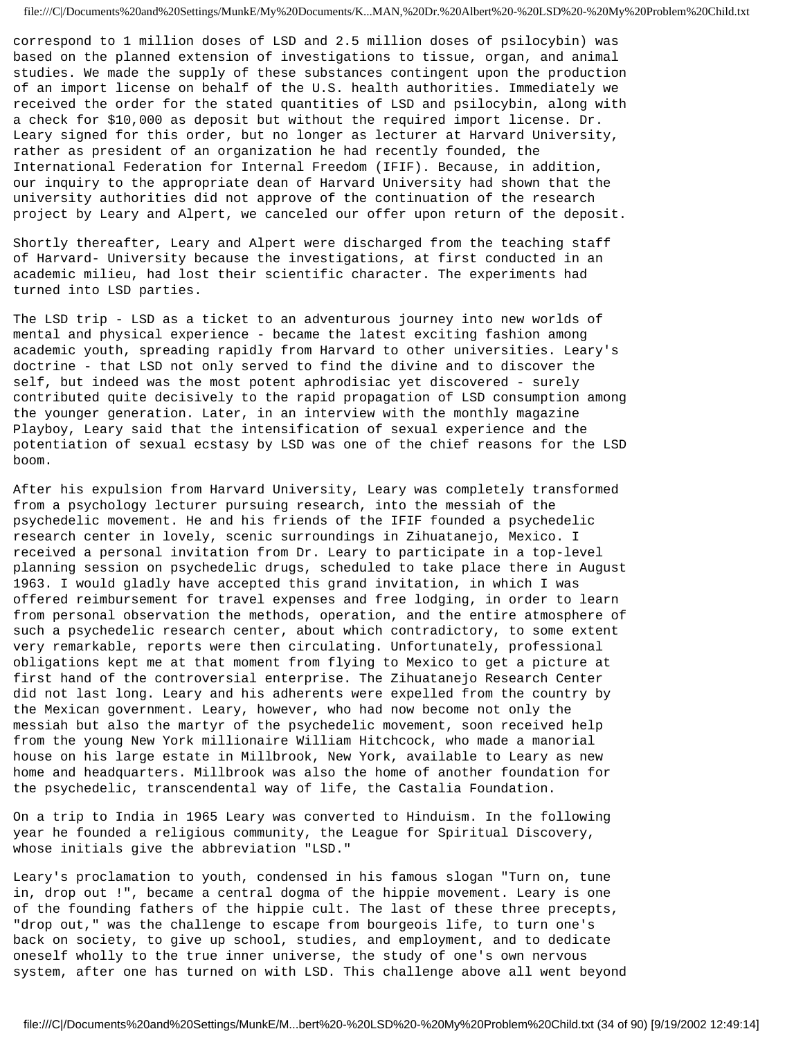correspond to 1 million doses of LSD and 2.5 million doses of psilocybin) was based on the planned extension of investigations to tissue, organ, and animal studies. We made the supply of these substances contingent upon the production of an import license on behalf of the U.S. health authorities. Immediately we received the order for the stated quantities of LSD and psilocybin, along with a check for \$10,000 as deposit but without the required import license. Dr. Leary signed for this order, but no longer as lecturer at Harvard University, rather as president of an organization he had recently founded, the International Federation for Internal Freedom (IFIF). Because, in addition, our inquiry to the appropriate dean of Harvard University had shown that the university authorities did not approve of the continuation of the research project by Leary and Alpert, we canceled our offer upon return of the deposit.

Shortly thereafter, Leary and Alpert were discharged from the teaching staff of Harvard- University because the investigations, at first conducted in an academic milieu, had lost their scientific character. The experiments had turned into LSD parties.

The LSD trip - LSD as a ticket to an adventurous journey into new worlds of mental and physical experience - became the latest exciting fashion among academic youth, spreading rapidly from Harvard to other universities. Leary's doctrine - that LSD not only served to find the divine and to discover the self, but indeed was the most potent aphrodisiac yet discovered - surely contributed quite decisively to the rapid propagation of LSD consumption among the younger generation. Later, in an interview with the monthly magazine Playboy, Leary said that the intensification of sexual experience and the potentiation of sexual ecstasy by LSD was one of the chief reasons for the LSD boom.

After his expulsion from Harvard University, Leary was completely transformed from a psychology lecturer pursuing research, into the messiah of the psychedelic movement. He and his friends of the IFIF founded a psychedelic research center in lovely, scenic surroundings in Zihuatanejo, Mexico. I received a personal invitation from Dr. Leary to participate in a top-level planning session on psychedelic drugs, scheduled to take place there in August 1963. I would gladly have accepted this grand invitation, in which I was offered reimbursement for travel expenses and free lodging, in order to learn from personal observation the methods, operation, and the entire atmosphere of such a psychedelic research center, about which contradictory, to some extent very remarkable, reports were then circulating. Unfortunately, professional obligations kept me at that moment from flying to Mexico to get a picture at first hand of the controversial enterprise. The Zihuatanejo Research Center did not last long. Leary and his adherents were expelled from the country by the Mexican government. Leary, however, who had now become not only the messiah but also the martyr of the psychedelic movement, soon received help from the young New York millionaire William Hitchcock, who made a manorial house on his large estate in Millbrook, New York, available to Leary as new home and headquarters. Millbrook was also the home of another foundation for the psychedelic, transcendental way of life, the Castalia Foundation.

On a trip to India in 1965 Leary was converted to Hinduism. In the following year he founded a religious community, the League for Spiritual Discovery, whose initials give the abbreviation "LSD."

Leary's proclamation to youth, condensed in his famous slogan "Turn on, tune in, drop out !", became a central dogma of the hippie movement. Leary is one of the founding fathers of the hippie cult. The last of these three precepts, "drop out," was the challenge to escape from bourgeois life, to turn one's back on society, to give up school, studies, and employment, and to dedicate oneself wholly to the true inner universe, the study of one's own nervous system, after one has turned on with LSD. This challenge above all went beyond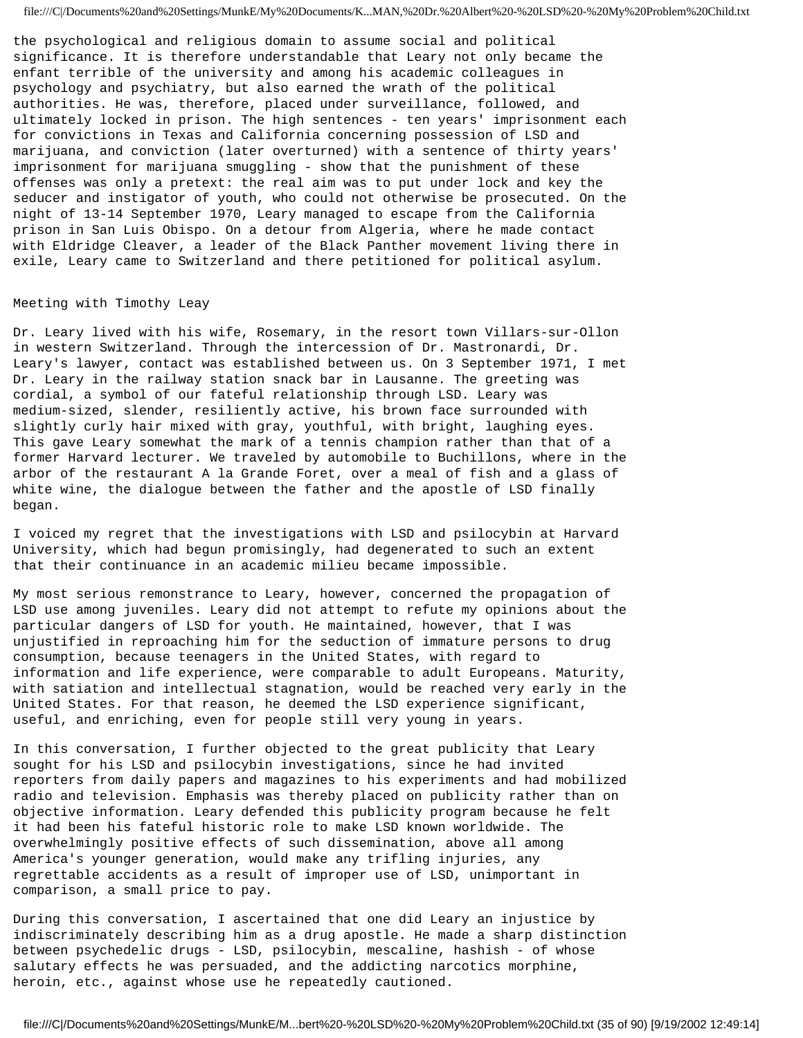the psychological and religious domain to assume social and political significance. It is therefore understandable that Leary not only became the enfant terrible of the university and among his academic colleagues in psychology and psychiatry, but also earned the wrath of the political authorities. He was, therefore, placed under surveillance, followed, and ultimately locked in prison. The high sentences - ten years' imprisonment each for convictions in Texas and California concerning possession of LSD and marijuana, and conviction (later overturned) with a sentence of thirty years' imprisonment for marijuana smuggling - show that the punishment of these offenses was only a pretext: the real aim was to put under lock and key the seducer and instigator of youth, who could not otherwise be prosecuted. On the night of 13-14 September 1970, Leary managed to escape from the California prison in San Luis Obispo. On a detour from Algeria, where he made contact with Eldridge Cleaver, a leader of the Black Panther movement living there in exile, Leary came to Switzerland and there petitioned for political asylum.

#### Meeting with Timothy Leay

Dr. Leary lived with his wife, Rosemary, in the resort town Villars-sur-Ollon in western Switzerland. Through the intercession of Dr. Mastronardi, Dr. Leary's lawyer, contact was established between us. On 3 September 1971, I met Dr. Leary in the railway station snack bar in Lausanne. The greeting was cordial, a symbol of our fateful relationship through LSD. Leary was medium-sized, slender, resiliently active, his brown face surrounded with slightly curly hair mixed with gray, youthful, with bright, laughing eyes. This gave Leary somewhat the mark of a tennis champion rather than that of a former Harvard lecturer. We traveled by automobile to Buchillons, where in the arbor of the restaurant A la Grande Foret, over a meal of fish and a glass of white wine, the dialogue between the father and the apostle of LSD finally began.

I voiced my regret that the investigations with LSD and psilocybin at Harvard University, which had begun promisingly, had degenerated to such an extent that their continuance in an academic milieu became impossible.

My most serious remonstrance to Leary, however, concerned the propagation of LSD use among juveniles. Leary did not attempt to refute my opinions about the particular dangers of LSD for youth. He maintained, however, that I was unjustified in reproaching him for the seduction of immature persons to drug consumption, because teenagers in the United States, with regard to information and life experience, were comparable to adult Europeans. Maturity, with satiation and intellectual stagnation, would be reached very early in the United States. For that reason, he deemed the LSD experience significant, useful, and enriching, even for people still very young in years.

In this conversation, I further objected to the great publicity that Leary sought for his LSD and psilocybin investigations, since he had invited reporters from daily papers and magazines to his experiments and had mobilized radio and television. Emphasis was thereby placed on publicity rather than on objective information. Leary defended this publicity program because he felt it had been his fateful historic role to make LSD known worldwide. The overwhelmingly positive effects of such dissemination, above all among America's younger generation, would make any trifling injuries, any regrettable accidents as a result of improper use of LSD, unimportant in comparison, a small price to pay.

During this conversation, I ascertained that one did Leary an injustice by indiscriminately describing him as a drug apostle. He made a sharp distinction between psychedelic drugs - LSD, psilocybin, mescaline, hashish - of whose salutary effects he was persuaded, and the addicting narcotics morphine, heroin, etc., against whose use he repeatedly cautioned.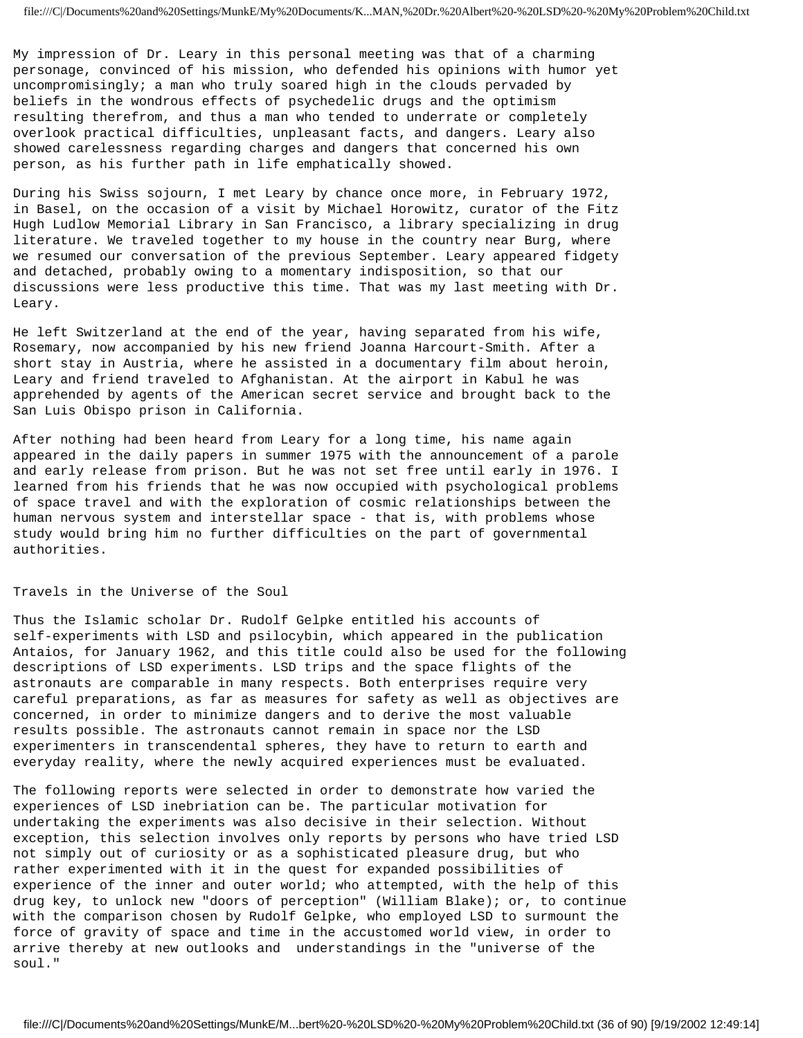My impression of Dr. Leary in this personal meeting was that of a charming personage, convinced of his mission, who defended his opinions with humor yet uncompromisingly; a man who truly soared high in the clouds pervaded by beliefs in the wondrous effects of psychedelic drugs and the optimism resulting therefrom, and thus a man who tended to underrate or completely overlook practical difficulties, unpleasant facts, and dangers. Leary also showed carelessness regarding charges and dangers that concerned his own person, as his further path in life emphatically showed.

During his Swiss sojourn, I met Leary by chance once more, in February 1972, in Basel, on the occasion of a visit by Michael Horowitz, curator of the Fitz Hugh Ludlow Memorial Library in San Francisco, a library specializing in drug literature. We traveled together to my house in the country near Burg, where we resumed our conversation of the previous September. Leary appeared fidgety and detached, probably owing to a momentary indisposition, so that our discussions were less productive this time. That was my last meeting with Dr. Leary.

He left Switzerland at the end of the year, having separated from his wife, Rosemary, now accompanied by his new friend Joanna Harcourt-Smith. After a short stay in Austria, where he assisted in a documentary film about heroin, Leary and friend traveled to Afghanistan. At the airport in Kabul he was apprehended by agents of the American secret service and brought back to the San Luis Obispo prison in California.

After nothing had been heard from Leary for a long time, his name again appeared in the daily papers in summer 1975 with the announcement of a parole and early release from prison. But he was not set free until early in 1976. I learned from his friends that he was now occupied with psychological problems of space travel and with the exploration of cosmic relationships between the human nervous system and interstellar space - that is, with problems whose study would bring him no further difficulties on the part of governmental authorities.

## Travels in the Universe of the Soul

Thus the Islamic scholar Dr. Rudolf Gelpke entitled his accounts of self-experiments with LSD and psilocybin, which appeared in the publication Antaios, for January 1962, and this title could also be used for the following descriptions of LSD experiments. LSD trips and the space flights of the astronauts are comparable in many respects. Both enterprises require very careful preparations, as far as measures for safety as well as objectives are concerned, in order to minimize dangers and to derive the most valuable results possible. The astronauts cannot remain in space nor the LSD experimenters in transcendental spheres, they have to return to earth and everyday reality, where the newly acquired experiences must be evaluated.

The following reports were selected in order to demonstrate how varied the experiences of LSD inebriation can be. The particular motivation for undertaking the experiments was also decisive in their selection. Without exception, this selection involves only reports by persons who have tried LSD not simply out of curiosity or as a sophisticated pleasure drug, but who rather experimented with it in the quest for expanded possibilities of experience of the inner and outer world; who attempted, with the help of this drug key, to unlock new "doors of perception" (William Blake); or, to continue with the comparison chosen by Rudolf Gelpke, who employed LSD to surmount the force of gravity of space and time in the accustomed world view, in order to arrive thereby at new outlooks and understandings in the "universe of the soul."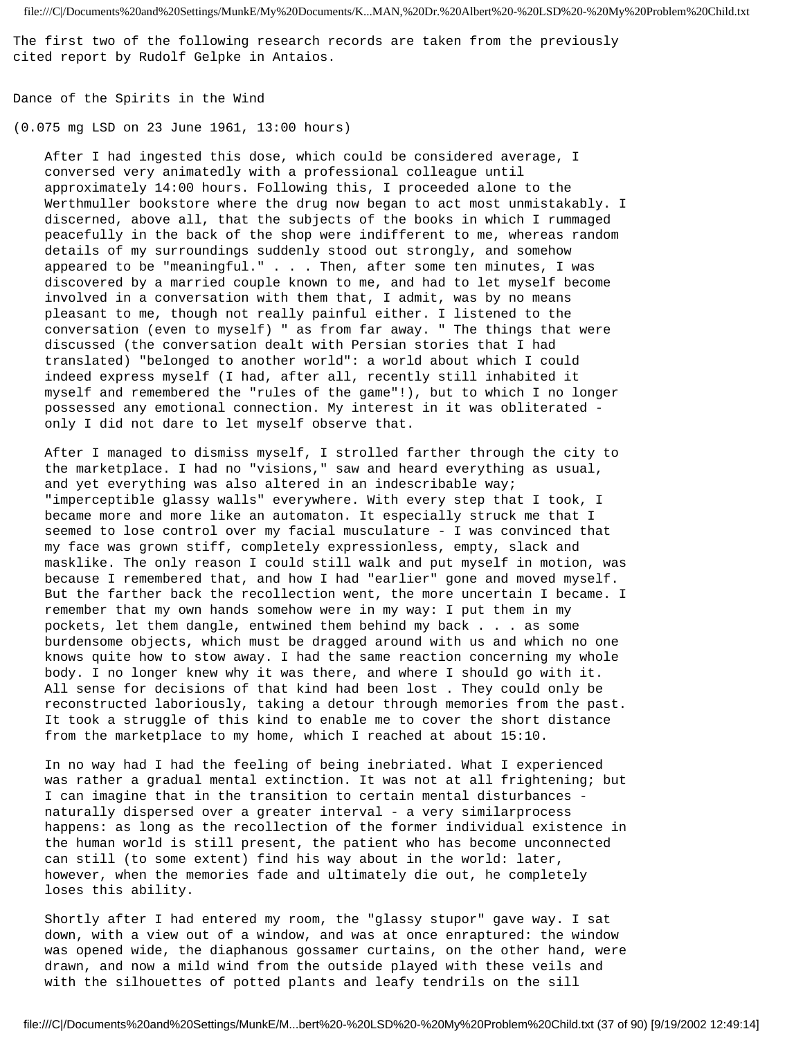The first two of the following research records are taken from the previously cited report by Rudolf Gelpke in Antaios.

Dance of the Spirits in the Wind

(0.075 mg LSD on 23 June 1961, 13:00 hours)

 After I had ingested this dose, which could be considered average, I conversed very animatedly with a professional colleague until approximately 14:00 hours. Following this, I proceeded alone to the Werthmuller bookstore where the drug now began to act most unmistakably. I discerned, above all, that the subjects of the books in which I rummaged peacefully in the back of the shop were indifferent to me, whereas random details of my surroundings suddenly stood out strongly, and somehow appeared to be "meaningful." . . . Then, after some ten minutes, I was discovered by a married couple known to me, and had to let myself become involved in a conversation with them that, I admit, was by no means pleasant to me, though not really painful either. I listened to the conversation (even to myself) " as from far away. " The things that were discussed (the conversation dealt with Persian stories that I had translated) "belonged to another world": a world about which I could indeed express myself (I had, after all, recently still inhabited it myself and remembered the "rules of the game"!), but to which I no longer possessed any emotional connection. My interest in it was obliterated only I did not dare to let myself observe that.

 After I managed to dismiss myself, I strolled farther through the city to the marketplace. I had no "visions," saw and heard everything as usual, and yet everything was also altered in an indescribable way; "imperceptible glassy walls" everywhere. With every step that I took, I became more and more like an automaton. It especially struck me that I seemed to lose control over my facial musculature - I was convinced that my face was grown stiff, completely expressionless, empty, slack and masklike. The only reason I could still walk and put myself in motion, was because I remembered that, and how I had "earlier" gone and moved myself. But the farther back the recollection went, the more uncertain I became. I remember that my own hands somehow were in my way: I put them in my pockets, let them dangle, entwined them behind my back . . . as some burdensome objects, which must be dragged around with us and which no one knows quite how to stow away. I had the same reaction concerning my whole body. I no longer knew why it was there, and where I should go with it. All sense for decisions of that kind had been lost . They could only be reconstructed laboriously, taking a detour through memories from the past. It took a struggle of this kind to enable me to cover the short distance from the marketplace to my home, which I reached at about 15:10.

 In no way had I had the feeling of being inebriated. What I experienced was rather a gradual mental extinction. It was not at all frightening; but I can imagine that in the transition to certain mental disturbances naturally dispersed over a greater interval - a very similarprocess happens: as long as the recollection of the former individual existence in the human world is still present, the patient who has become unconnected can still (to some extent) find his way about in the world: later, however, when the memories fade and ultimately die out, he completely loses this ability.

 Shortly after I had entered my room, the "glassy stupor" gave way. I sat down, with a view out of a window, and was at once enraptured: the window was opened wide, the diaphanous gossamer curtains, on the other hand, were drawn, and now a mild wind from the outside played with these veils and with the silhouettes of potted plants and leafy tendrils on the sill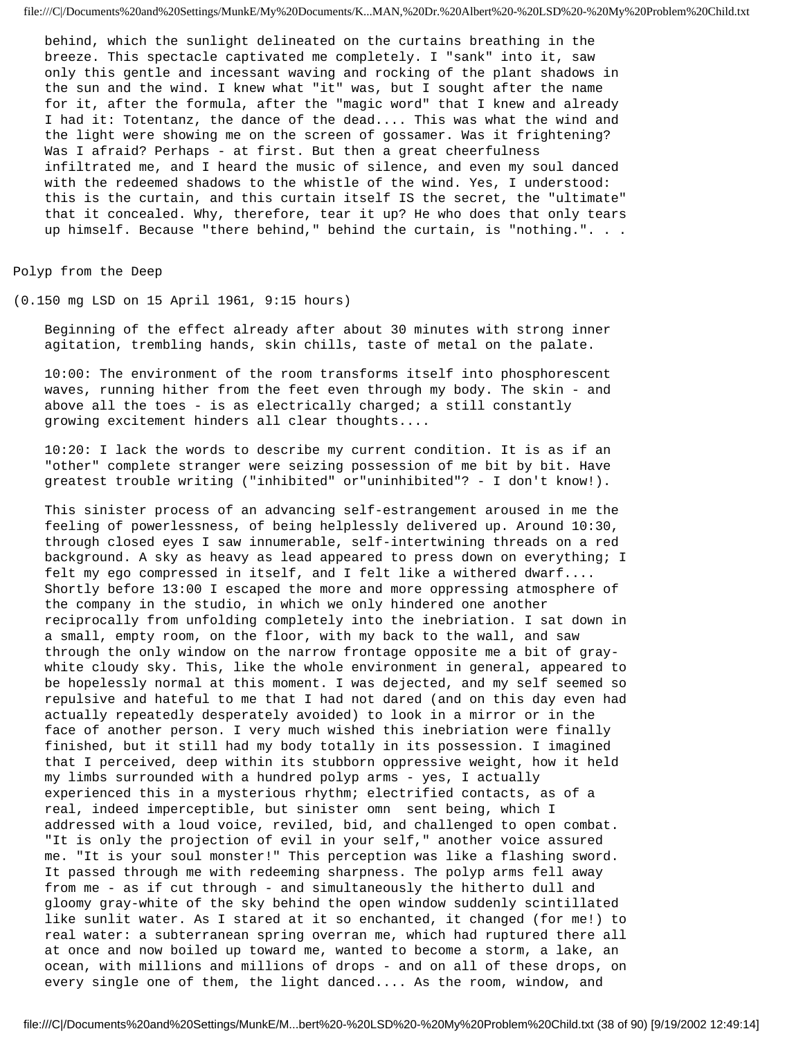behind, which the sunlight delineated on the curtains breathing in the breeze. This spectacle captivated me completely. I "sank" into it, saw only this gentle and incessant waving and rocking of the plant shadows in the sun and the wind. I knew what "it" was, but I sought after the name for it, after the formula, after the "magic word" that I knew and already I had it: Totentanz, the dance of the dead.... This was what the wind and the light were showing me on the screen of gossamer. Was it frightening? Was I afraid? Perhaps - at first. But then a great cheerfulness infiltrated me, and I heard the music of silence, and even my soul danced with the redeemed shadows to the whistle of the wind. Yes, I understood: this is the curtain, and this curtain itself IS the secret, the "ultimate" that it concealed. Why, therefore, tear it up? He who does that only tears up himself. Because "there behind," behind the curtain, is "nothing.". . .

Polyp from the Deep

(0.150 mg LSD on 15 April 1961, 9:15 hours)

 Beginning of the effect already after about 30 minutes with strong inner agitation, trembling hands, skin chills, taste of metal on the palate.

 10:00: The environment of the room transforms itself into phosphorescent waves, running hither from the feet even through my body. The skin - and above all the toes - is as electrically charged; a still constantly growing excitement hinders all clear thoughts....

 10:20: I lack the words to describe my current condition. It is as if an "other" complete stranger were seizing possession of me bit by bit. Have greatest trouble writing ("inhibited" or"uninhibited"? - I don't know!).

 This sinister process of an advancing self-estrangement aroused in me the feeling of powerlessness, of being helplessly delivered up. Around 10:30, through closed eyes I saw innumerable, self-intertwining threads on a red background. A sky as heavy as lead appeared to press down on everything; I felt my ego compressed in itself, and I felt like a withered dwarf.... Shortly before 13:00 I escaped the more and more oppressing atmosphere of the company in the studio, in which we only hindered one another reciprocally from unfolding completely into the inebriation. I sat down in a small, empty room, on the floor, with my back to the wall, and saw through the only window on the narrow frontage opposite me a bit of gray white cloudy sky. This, like the whole environment in general, appeared to be hopelessly normal at this moment. I was dejected, and my self seemed so repulsive and hateful to me that I had not dared (and on this day even had actually repeatedly desperately avoided) to look in a mirror or in the face of another person. I very much wished this inebriation were finally finished, but it still had my body totally in its possession. I imagined that I perceived, deep within its stubborn oppressive weight, how it held my limbs surrounded with a hundred polyp arms - yes, I actually experienced this in a mysterious rhythm; electrified contacts, as of a real, indeed imperceptible, but sinister omn sent being, which I addressed with a loud voice, reviled, bid, and challenged to open combat. "It is only the projection of evil in your self," another voice assured me. "It is your soul monster!" This perception was like a flashing sword. It passed through me with redeeming sharpness. The polyp arms fell away from me - as if cut through - and simultaneously the hitherto dull and gloomy gray-white of the sky behind the open window suddenly scintillated like sunlit water. As I stared at it so enchanted, it changed (for me!) to real water: a subterranean spring overran me, which had ruptured there all at once and now boiled up toward me, wanted to become a storm, a lake, an ocean, with millions and millions of drops - and on all of these drops, on every single one of them, the light danced.... As the room, window, and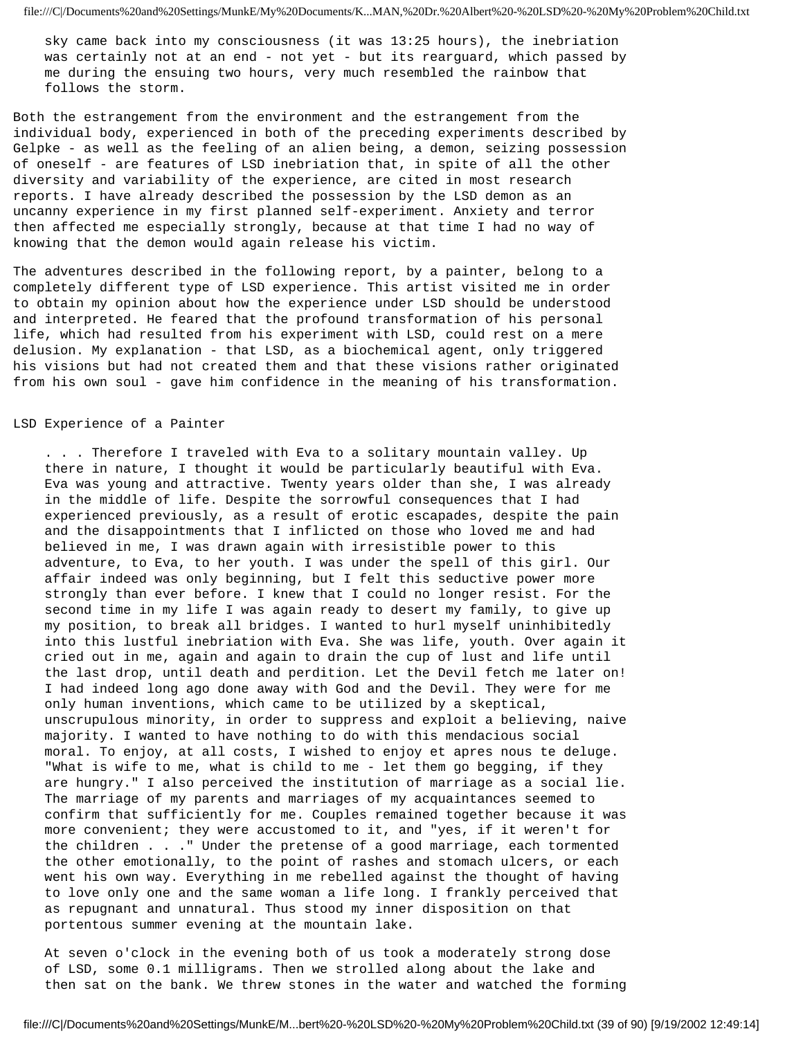sky came back into my consciousness (it was 13:25 hours), the inebriation was certainly not at an end - not yet - but its rearguard, which passed by me during the ensuing two hours, very much resembled the rainbow that follows the storm.

Both the estrangement from the environment and the estrangement from the individual body, experienced in both of the preceding experiments described by Gelpke - as well as the feeling of an alien being, a demon, seizing possession of oneself - are features of LSD inebriation that, in spite of all the other diversity and variability of the experience, are cited in most research reports. I have already described the possession by the LSD demon as an uncanny experience in my first planned self-experiment. Anxiety and terror then affected me especially strongly, because at that time I had no way of knowing that the demon would again release his victim.

The adventures described in the following report, by a painter, belong to a completely different type of LSD experience. This artist visited me in order to obtain my opinion about how the experience under LSD should be understood and interpreted. He feared that the profound transformation of his personal life, which had resulted from his experiment with LSD, could rest on a mere delusion. My explanation - that LSD, as a biochemical agent, only triggered his visions but had not created them and that these visions rather originated from his own soul - gave him confidence in the meaning of his transformation.

#### LSD Experience of a Painter

 . . . Therefore I traveled with Eva to a solitary mountain valley. Up there in nature, I thought it would be particularly beautiful with Eva. Eva was young and attractive. Twenty years older than she, I was already in the middle of life. Despite the sorrowful consequences that I had experienced previously, as a result of erotic escapades, despite the pain and the disappointments that I inflicted on those who loved me and had believed in me, I was drawn again with irresistible power to this adventure, to Eva, to her youth. I was under the spell of this girl. Our affair indeed was only beginning, but I felt this seductive power more strongly than ever before. I knew that I could no longer resist. For the second time in my life I was again ready to desert my family, to give up my position, to break all bridges. I wanted to hurl myself uninhibitedly into this lustful inebriation with Eva. She was life, youth. Over again it cried out in me, again and again to drain the cup of lust and life until the last drop, until death and perdition. Let the Devil fetch me later on! I had indeed long ago done away with God and the Devil. They were for me only human inventions, which came to be utilized by a skeptical, unscrupulous minority, in order to suppress and exploit a believing, naive majority. I wanted to have nothing to do with this mendacious social moral. To enjoy, at all costs, I wished to enjoy et apres nous te deluge. "What is wife to me, what is child to me - let them go begging, if they are hungry." I also perceived the institution of marriage as a social lie. The marriage of my parents and marriages of my acquaintances seemed to confirm that sufficiently for me. Couples remained together because it was more convenient; they were accustomed to it, and "yes, if it weren't for the children . . ." Under the pretense of a good marriage, each tormented the other emotionally, to the point of rashes and stomach ulcers, or each went his own way. Everything in me rebelled against the thought of having to love only one and the same woman a life long. I frankly perceived that as repugnant and unnatural. Thus stood my inner disposition on that portentous summer evening at the mountain lake.

 At seven o'clock in the evening both of us took a moderately strong dose of LSD, some 0.1 milligrams. Then we strolled along about the lake and then sat on the bank. We threw stones in the water and watched the forming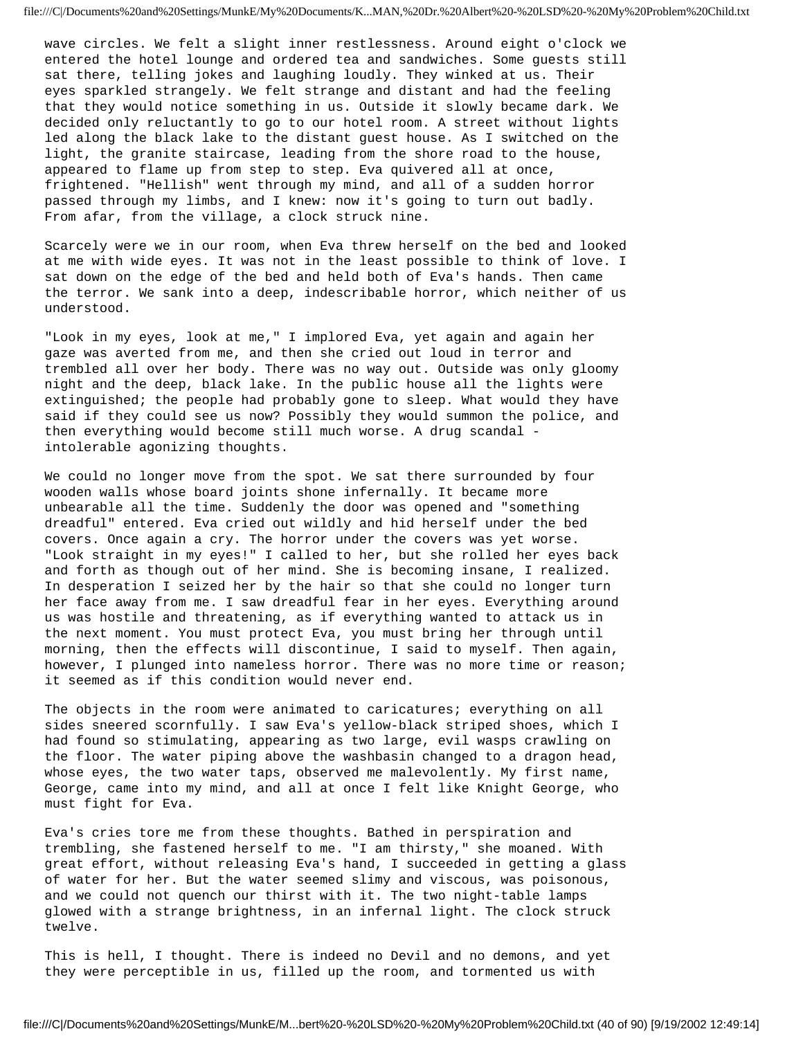wave circles. We felt a slight inner restlessness. Around eight o'clock we entered the hotel lounge and ordered tea and sandwiches. Some guests still sat there, telling jokes and laughing loudly. They winked at us. Their eyes sparkled strangely. We felt strange and distant and had the feeling that they would notice something in us. Outside it slowly became dark. We decided only reluctantly to go to our hotel room. A street without lights led along the black lake to the distant guest house. As I switched on the light, the granite staircase, leading from the shore road to the house, appeared to flame up from step to step. Eva quivered all at once, frightened. "Hellish" went through my mind, and all of a sudden horror passed through my limbs, and I knew: now it's going to turn out badly. From afar, from the village, a clock struck nine.

 Scarcely were we in our room, when Eva threw herself on the bed and looked at me with wide eyes. It was not in the least possible to think of love. I sat down on the edge of the bed and held both of Eva's hands. Then came the terror. We sank into a deep, indescribable horror, which neither of us understood.

 "Look in my eyes, look at me," I implored Eva, yet again and again her gaze was averted from me, and then she cried out loud in terror and trembled all over her body. There was no way out. Outside was only gloomy night and the deep, black lake. In the public house all the lights were extinguished; the people had probably gone to sleep. What would they have said if they could see us now? Possibly they would summon the police, and then everything would become still much worse. A drug scandal intolerable agonizing thoughts.

 We could no longer move from the spot. We sat there surrounded by four wooden walls whose board joints shone infernally. It became more unbearable all the time. Suddenly the door was opened and "something dreadful" entered. Eva cried out wildly and hid herself under the bed covers. Once again a cry. The horror under the covers was yet worse. "Look straight in my eyes!" I called to her, but she rolled her eyes back and forth as though out of her mind. She is becoming insane, I realized. In desperation I seized her by the hair so that she could no longer turn her face away from me. I saw dreadful fear in her eyes. Everything around us was hostile and threatening, as if everything wanted to attack us in the next moment. You must protect Eva, you must bring her through until morning, then the effects will discontinue, I said to myself. Then again, however, I plunged into nameless horror. There was no more time or reason; it seemed as if this condition would never end.

 The objects in the room were animated to caricatures; everything on all sides sneered scornfully. I saw Eva's yellow-black striped shoes, which I had found so stimulating, appearing as two large, evil wasps crawling on the floor. The water piping above the washbasin changed to a dragon head, whose eyes, the two water taps, observed me malevolently. My first name, George, came into my mind, and all at once I felt like Knight George, who must fight for Eva.

 Eva's cries tore me from these thoughts. Bathed in perspiration and trembling, she fastened herself to me. "I am thirsty," she moaned. With great effort, without releasing Eva's hand, I succeeded in getting a glass of water for her. But the water seemed slimy and viscous, was poisonous, and we could not quench our thirst with it. The two night-table lamps glowed with a strange brightness, in an infernal light. The clock struck twelve.

 This is hell, I thought. There is indeed no Devil and no demons, and yet they were perceptible in us, filled up the room, and tormented us with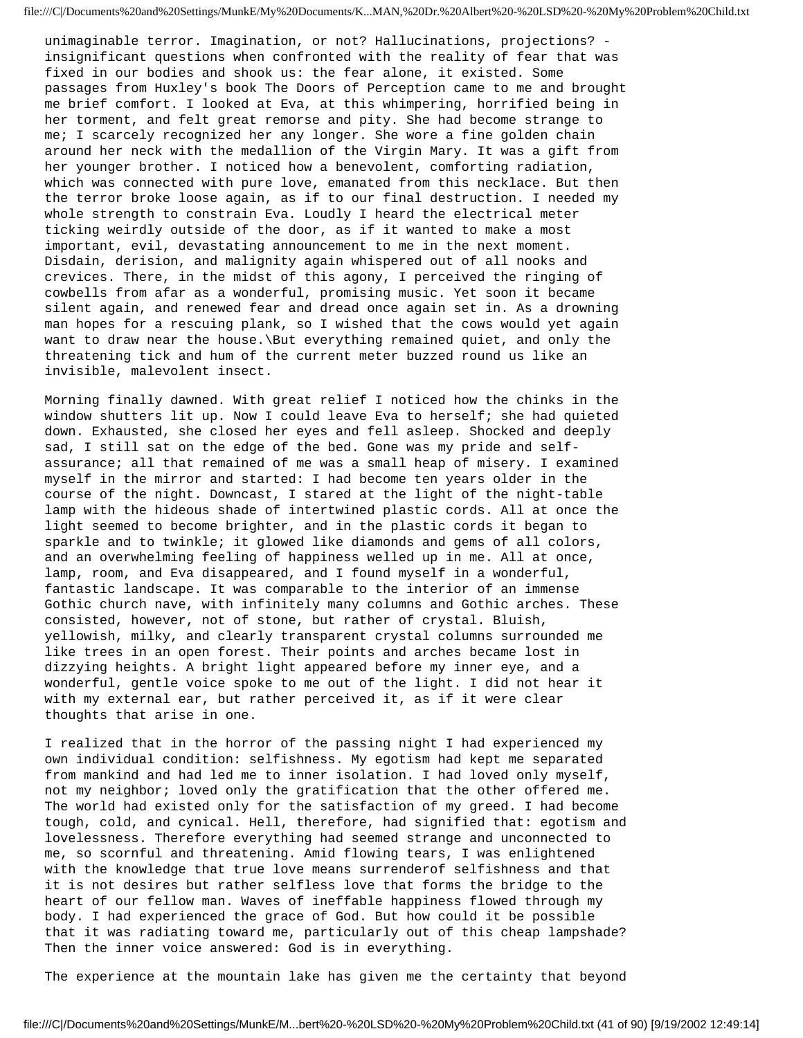unimaginable terror. Imagination, or not? Hallucinations, projections? insignificant questions when confronted with the reality of fear that was fixed in our bodies and shook us: the fear alone, it existed. Some passages from Huxley's book The Doors of Perception came to me and brought me brief comfort. I looked at Eva, at this whimpering, horrified being in her torment, and felt great remorse and pity. She had become strange to me; I scarcely recognized her any longer. She wore a fine golden chain around her neck with the medallion of the Virgin Mary. It was a gift from her younger brother. I noticed how a benevolent, comforting radiation, which was connected with pure love, emanated from this necklace. But then the terror broke loose again, as if to our final destruction. I needed my whole strength to constrain Eva. Loudly I heard the electrical meter ticking weirdly outside of the door, as if it wanted to make a most important, evil, devastating announcement to me in the next moment. Disdain, derision, and malignity again whispered out of all nooks and crevices. There, in the midst of this agony, I perceived the ringing of cowbells from afar as a wonderful, promising music. Yet soon it became silent again, and renewed fear and dread once again set in. As a drowning man hopes for a rescuing plank, so I wished that the cows would yet again want to draw near the house.\But everything remained quiet, and only the threatening tick and hum of the current meter buzzed round us like an invisible, malevolent insect.

 Morning finally dawned. With great relief I noticed how the chinks in the window shutters lit up. Now I could leave Eva to herself; she had quieted down. Exhausted, she closed her eyes and fell asleep. Shocked and deeply sad, I still sat on the edge of the bed. Gone was my pride and self assurance; all that remained of me was a small heap of misery. I examined myself in the mirror and started: I had become ten years older in the course of the night. Downcast, I stared at the light of the night-table lamp with the hideous shade of intertwined plastic cords. All at once the light seemed to become brighter, and in the plastic cords it began to sparkle and to twinkle; it glowed like diamonds and gems of all colors, and an overwhelming feeling of happiness welled up in me. All at once, lamp, room, and Eva disappeared, and I found myself in a wonderful, fantastic landscape. It was comparable to the interior of an immense Gothic church nave, with infinitely many columns and Gothic arches. These consisted, however, not of stone, but rather of crystal. Bluish, yellowish, milky, and clearly transparent crystal columns surrounded me like trees in an open forest. Their points and arches became lost in dizzying heights. A bright light appeared before my inner eye, and a wonderful, gentle voice spoke to me out of the light. I did not hear it with my external ear, but rather perceived it, as if it were clear thoughts that arise in one.

 I realized that in the horror of the passing night I had experienced my own individual condition: selfishness. My egotism had kept me separated from mankind and had led me to inner isolation. I had loved only myself, not my neighbor; loved only the gratification that the other offered me. The world had existed only for the satisfaction of my greed. I had become tough, cold, and cynical. Hell, therefore, had signified that: egotism and lovelessness. Therefore everything had seemed strange and unconnected to me, so scornful and threatening. Amid flowing tears, I was enlightened with the knowledge that true love means surrenderof selfishness and that it is not desires but rather selfless love that forms the bridge to the heart of our fellow man. Waves of ineffable happiness flowed through my body. I had experienced the grace of God. But how could it be possible that it was radiating toward me, particularly out of this cheap lampshade? Then the inner voice answered: God is in everything.

The experience at the mountain lake has given me the certainty that beyond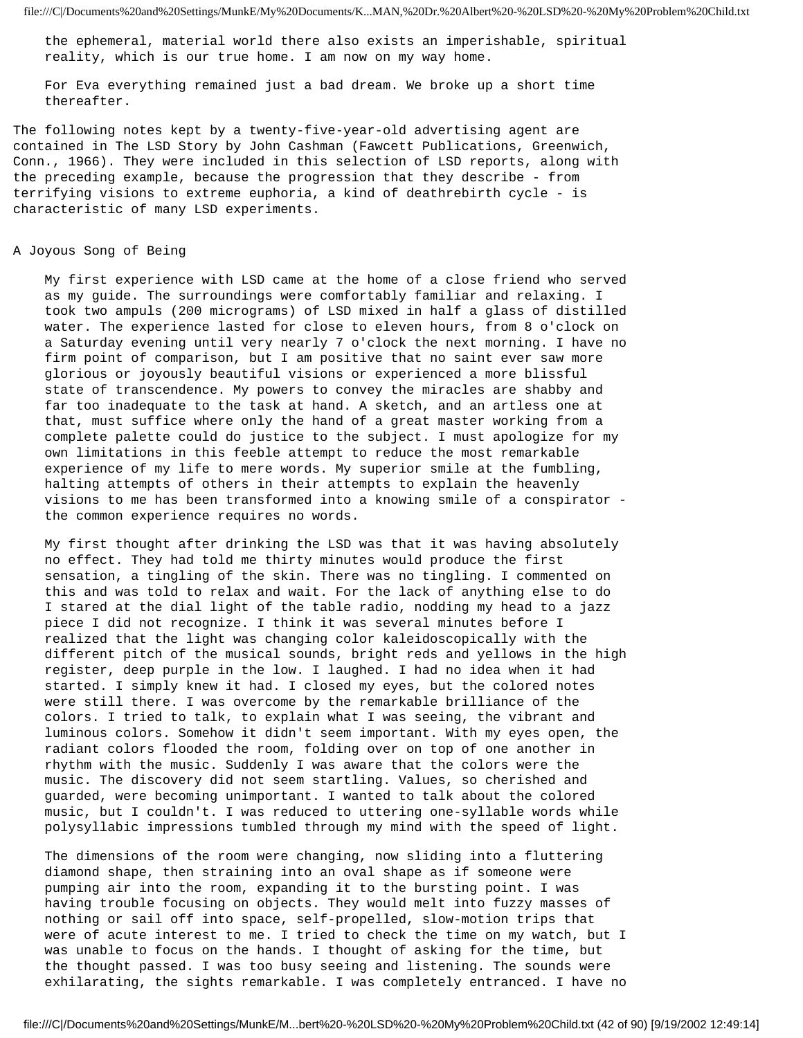the ephemeral, material world there also exists an imperishable, spiritual reality, which is our true home. I am now on my way home.

 For Eva everything remained just a bad dream. We broke up a short time thereafter.

The following notes kept by a twenty-five-year-old advertising agent are contained in The LSD Story by John Cashman (Fawcett Publications, Greenwich, Conn., 1966). They were included in this selection of LSD reports, along with the preceding example, because the progression that they describe - from terrifying visions to extreme euphoria, a kind of deathrebirth cycle - is characteristic of many LSD experiments.

## A Joyous Song of Being

 My first experience with LSD came at the home of a close friend who served as my guide. The surroundings were comfortably familiar and relaxing. I took two ampuls (200 micrograms) of LSD mixed in half a glass of distilled water. The experience lasted for close to eleven hours, from 8 o'clock on a Saturday evening until very nearly 7 o'clock the next morning. I have no firm point of comparison, but I am positive that no saint ever saw more glorious or joyously beautiful visions or experienced a more blissful state of transcendence. My powers to convey the miracles are shabby and far too inadequate to the task at hand. A sketch, and an artless one at that, must suffice where only the hand of a great master working from a complete palette could do justice to the subject. I must apologize for my own limitations in this feeble attempt to reduce the most remarkable experience of my life to mere words. My superior smile at the fumbling, halting attempts of others in their attempts to explain the heavenly visions to me has been transformed into a knowing smile of a conspirator the common experience requires no words.

 My first thought after drinking the LSD was that it was having absolutely no effect. They had told me thirty minutes would produce the first sensation, a tingling of the skin. There was no tingling. I commented on this and was told to relax and wait. For the lack of anything else to do I stared at the dial light of the table radio, nodding my head to a jazz piece I did not recognize. I think it was several minutes before I realized that the light was changing color kaleidoscopically with the different pitch of the musical sounds, bright reds and yellows in the high register, deep purple in the low. I laughed. I had no idea when it had started. I simply knew it had. I closed my eyes, but the colored notes were still there. I was overcome by the remarkable brilliance of the colors. I tried to talk, to explain what I was seeing, the vibrant and luminous colors. Somehow it didn't seem important. With my eyes open, the radiant colors flooded the room, folding over on top of one another in rhythm with the music. Suddenly I was aware that the colors were the music. The discovery did not seem startling. Values, so cherished and guarded, were becoming unimportant. I wanted to talk about the colored music, but I couldn't. I was reduced to uttering one-syllable words while polysyllabic impressions tumbled through my mind with the speed of light.

 The dimensions of the room were changing, now sliding into a fluttering diamond shape, then straining into an oval shape as if someone were pumping air into the room, expanding it to the bursting point. I was having trouble focusing on objects. They would melt into fuzzy masses of nothing or sail off into space, self-propelled, slow-motion trips that were of acute interest to me. I tried to check the time on my watch, but I was unable to focus on the hands. I thought of asking for the time, but the thought passed. I was too busy seeing and listening. The sounds were exhilarating, the sights remarkable. I was completely entranced. I have no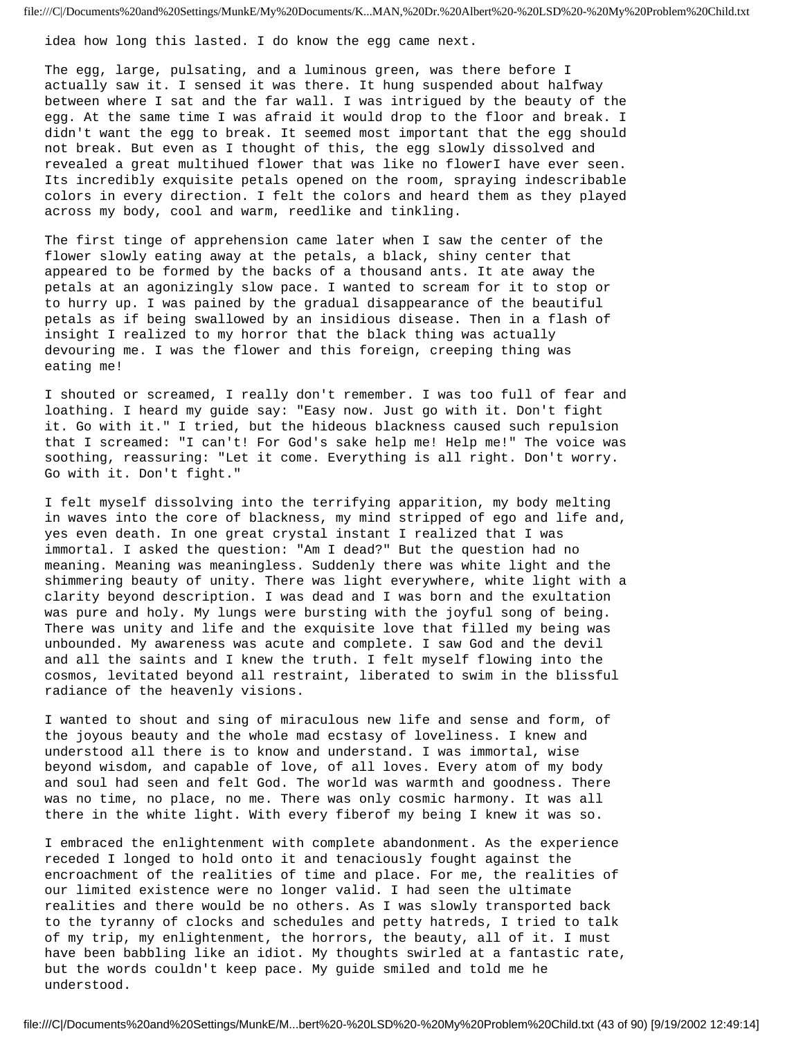idea how long this lasted. I do know the egg came next.

 The egg, large, pulsating, and a luminous green, was there before I actually saw it. I sensed it was there. It hung suspended about halfway between where I sat and the far wall. I was intrigued by the beauty of the egg. At the same time I was afraid it would drop to the floor and break. I didn't want the egg to break. It seemed most important that the egg should not break. But even as I thought of this, the egg slowly dissolved and revealed a great multihued flower that was like no flowerI have ever seen. Its incredibly exquisite petals opened on the room, spraying indescribable colors in every direction. I felt the colors and heard them as they played across my body, cool and warm, reedlike and tinkling.

 The first tinge of apprehension came later when I saw the center of the flower slowly eating away at the petals, a black, shiny center that appeared to be formed by the backs of a thousand ants. It ate away the petals at an agonizingly slow pace. I wanted to scream for it to stop or to hurry up. I was pained by the gradual disappearance of the beautiful petals as if being swallowed by an insidious disease. Then in a flash of insight I realized to my horror that the black thing was actually devouring me. I was the flower and this foreign, creeping thing was eating me!

 I shouted or screamed, I really don't remember. I was too full of fear and loathing. I heard my guide say: "Easy now. Just go with it. Don't fight it. Go with it." I tried, but the hideous blackness caused such repulsion that I screamed: "I can't! For God's sake help me! Help me!" The voice was soothing, reassuring: "Let it come. Everything is all right. Don't worry. Go with it. Don't fight."

 I felt myself dissolving into the terrifying apparition, my body melting in waves into the core of blackness, my mind stripped of ego and life and, yes even death. In one great crystal instant I realized that I was immortal. I asked the question: "Am I dead?" But the question had no meaning. Meaning was meaningless. Suddenly there was white light and the shimmering beauty of unity. There was light everywhere, white light with a clarity beyond description. I was dead and I was born and the exultation was pure and holy. My lungs were bursting with the joyful song of being. There was unity and life and the exquisite love that filled my being was unbounded. My awareness was acute and complete. I saw God and the devil and all the saints and I knew the truth. I felt myself flowing into the cosmos, levitated beyond all restraint, liberated to swim in the blissful radiance of the heavenly visions.

 I wanted to shout and sing of miraculous new life and sense and form, of the joyous beauty and the whole mad ecstasy of loveliness. I knew and understood all there is to know and understand. I was immortal, wise beyond wisdom, and capable of love, of all loves. Every atom of my body and soul had seen and felt God. The world was warmth and goodness. There was no time, no place, no me. There was only cosmic harmony. It was all there in the white light. With every fiberof my being I knew it was so.

 I embraced the enlightenment with complete abandonment. As the experience receded I longed to hold onto it and tenaciously fought against the encroachment of the realities of time and place. For me, the realities of our limited existence were no longer valid. I had seen the ultimate realities and there would be no others. As I was slowly transported back to the tyranny of clocks and schedules and petty hatreds, I tried to talk of my trip, my enlightenment, the horrors, the beauty, all of it. I must have been babbling like an idiot. My thoughts swirled at a fantastic rate, but the words couldn't keep pace. My guide smiled and told me he understood.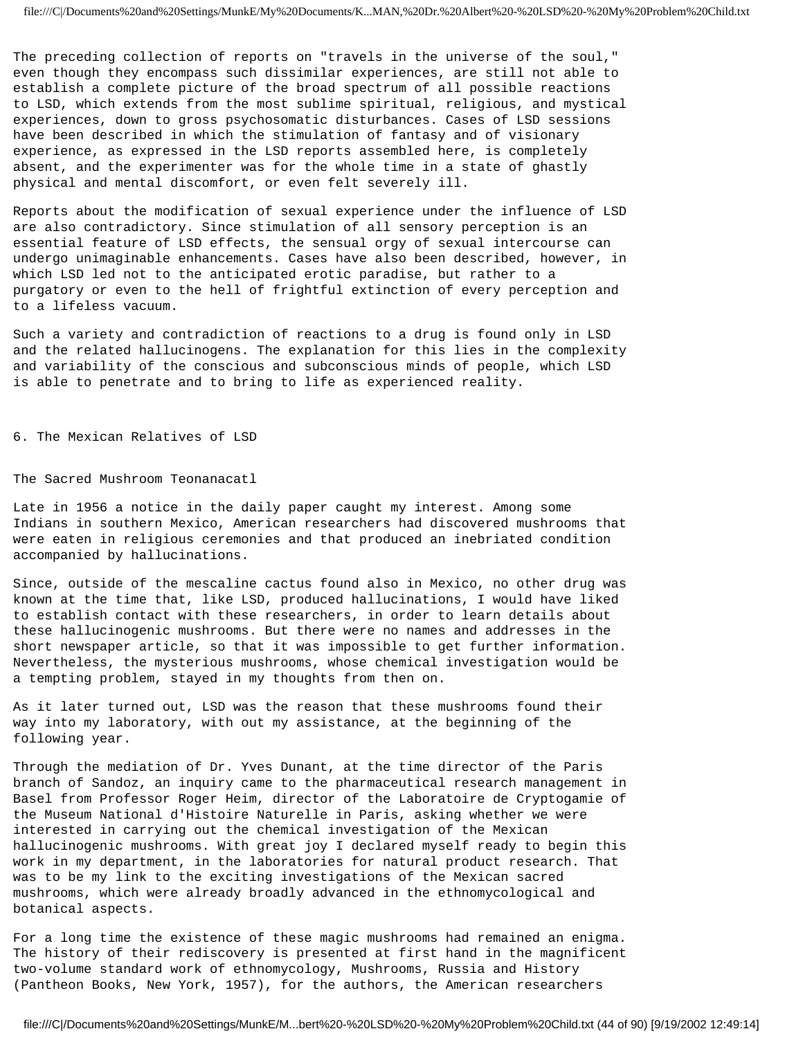The preceding collection of reports on "travels in the universe of the soul," even though they encompass such dissimilar experiences, are still not able to establish a complete picture of the broad spectrum of all possible reactions to LSD, which extends from the most sublime spiritual, religious, and mystical experiences, down to gross psychosomatic disturbances. Cases of LSD sessions have been described in which the stimulation of fantasy and of visionary experience, as expressed in the LSD reports assembled here, is completely absent, and the experimenter was for the whole time in a state of ghastly physical and mental discomfort, or even felt severely ill.

Reports about the modification of sexual experience under the influence of LSD are also contradictory. Since stimulation of all sensory perception is an essential feature of LSD effects, the sensual orgy of sexual intercourse can undergo unimaginable enhancements. Cases have also been described, however, in which LSD led not to the anticipated erotic paradise, but rather to a purgatory or even to the hell of frightful extinction of every perception and to a lifeless vacuum.

Such a variety and contradiction of reactions to a drug is found only in LSD and the related hallucinogens. The explanation for this lies in the complexity and variability of the conscious and subconscious minds of people, which LSD is able to penetrate and to bring to life as experienced reality.

6. The Mexican Relatives of LSD

### The Sacred Mushroom Teonanacatl

Late in 1956 a notice in the daily paper caught my interest. Among some Indians in southern Mexico, American researchers had discovered mushrooms that were eaten in religious ceremonies and that produced an inebriated condition accompanied by hallucinations.

Since, outside of the mescaline cactus found also in Mexico, no other drug was known at the time that, like LSD, produced hallucinations, I would have liked to establish contact with these researchers, in order to learn details about these hallucinogenic mushrooms. But there were no names and addresses in the short newspaper article, so that it was impossible to get further information. Nevertheless, the mysterious mushrooms, whose chemical investigation would be a tempting problem, stayed in my thoughts from then on.

As it later turned out, LSD was the reason that these mushrooms found their way into my laboratory, with out my assistance, at the beginning of the following year.

Through the mediation of Dr. Yves Dunant, at the time director of the Paris branch of Sandoz, an inquiry came to the pharmaceutical research management in Basel from Professor Roger Heim, director of the Laboratoire de Cryptogamie of the Museum National d'Histoire Naturelle in Paris, asking whether we were interested in carrying out the chemical investigation of the Mexican hallucinogenic mushrooms. With great joy I declared myself ready to begin this work in my department, in the laboratories for natural product research. That was to be my link to the exciting investigations of the Mexican sacred mushrooms, which were already broadly advanced in the ethnomycological and botanical aspects.

For a long time the existence of these magic mushrooms had remained an enigma. The history of their rediscovery is presented at first hand in the magnificent two-volume standard work of ethnomycology, Mushrooms, Russia and History (Pantheon Books, New York, 1957), for the authors, the American researchers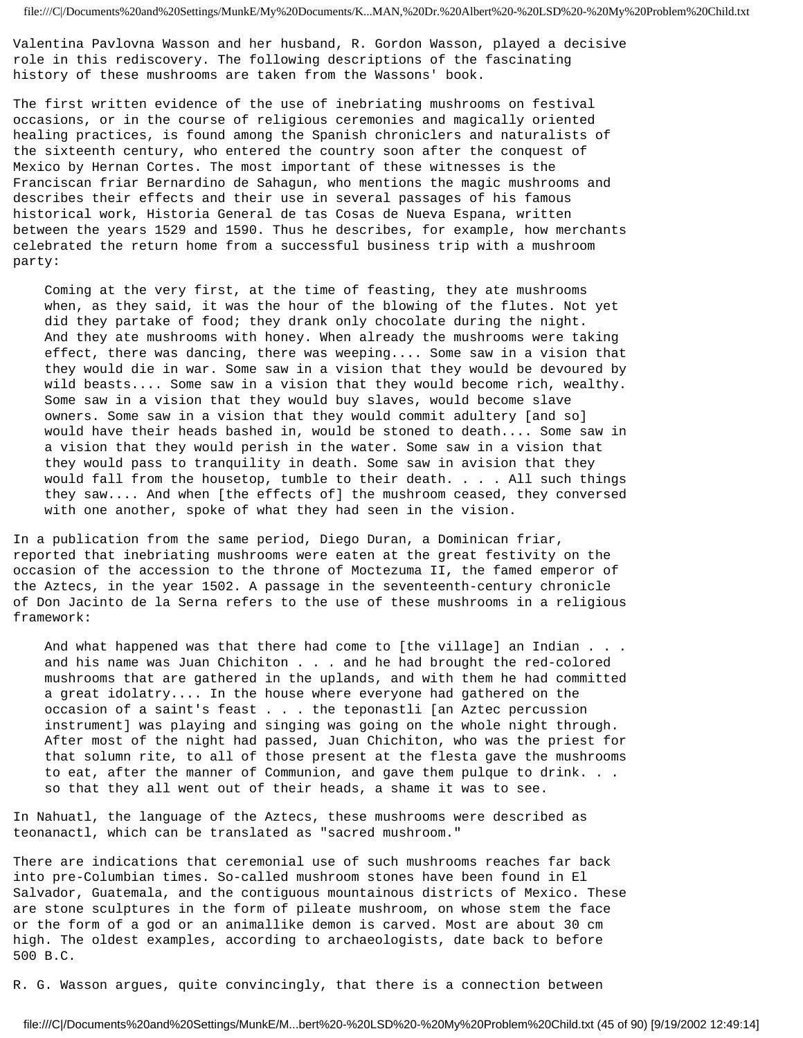Valentina Pavlovna Wasson and her husband, R. Gordon Wasson, played a decisive role in this rediscovery. The following descriptions of the fascinating history of these mushrooms are taken from the Wassons' book.

The first written evidence of the use of inebriating mushrooms on festival occasions, or in the course of religious ceremonies and magically oriented healing practices, is found among the Spanish chroniclers and naturalists of the sixteenth century, who entered the country soon after the conquest of Mexico by Hernan Cortes. The most important of these witnesses is the Franciscan friar Bernardino de Sahagun, who mentions the magic mushrooms and describes their effects and their use in several passages of his famous historical work, Historia General de tas Cosas de Nueva Espana, written between the years 1529 and 1590. Thus he describes, for example, how merchants celebrated the return home from a successful business trip with a mushroom party:

 Coming at the very first, at the time of feasting, they ate mushrooms when, as they said, it was the hour of the blowing of the flutes. Not yet did they partake of food; they drank only chocolate during the night. And they ate mushrooms with honey. When already the mushrooms were taking effect, there was dancing, there was weeping.... Some saw in a vision that they would die in war. Some saw in a vision that they would be devoured by wild beasts.... Some saw in a vision that they would become rich, wealthy. Some saw in a vision that they would buy slaves, would become slave owners. Some saw in a vision that they would commit adultery [and so] would have their heads bashed in, would be stoned to death.... Some saw in a vision that they would perish in the water. Some saw in a vision that they would pass to tranquility in death. Some saw in avision that they would fall from the housetop, tumble to their death. . . . All such things they saw.... And when [the effects of] the mushroom ceased, they conversed with one another, spoke of what they had seen in the vision.

In a publication from the same period, Diego Duran, a Dominican friar, reported that inebriating mushrooms were eaten at the great festivity on the occasion of the accession to the throne of Moctezuma II, the famed emperor of the Aztecs, in the year 1502. A passage in the seventeenth-century chronicle of Don Jacinto de la Serna refers to the use of these mushrooms in a religious framework:

And what happened was that there had come to [the village] an Indian . . . and his name was Juan Chichiton . . . and he had brought the red-colored mushrooms that are gathered in the uplands, and with them he had committed a great idolatry.... In the house where everyone had gathered on the occasion of a saint's feast . . . the teponastli [an Aztec percussion instrument] was playing and singing was going on the whole night through. After most of the night had passed, Juan Chichiton, who was the priest for that solumn rite, to all of those present at the flesta gave the mushrooms to eat, after the manner of Communion, and gave them pulque to drink. . . so that they all went out of their heads, a shame it was to see.

In Nahuatl, the language of the Aztecs, these mushrooms were described as teonanactl, which can be translated as "sacred mushroom."

There are indications that ceremonial use of such mushrooms reaches far back into pre-Columbian times. So-called mushroom stones have been found in El Salvador, Guatemala, and the contiguous mountainous districts of Mexico. These are stone sculptures in the form of pileate mushroom, on whose stem the face or the form of a god or an animallike demon is carved. Most are about 30 cm high. The oldest examples, according to archaeologists, date back to before 500 B.C.

R. G. Wasson argues, quite convincingly, that there is a connection between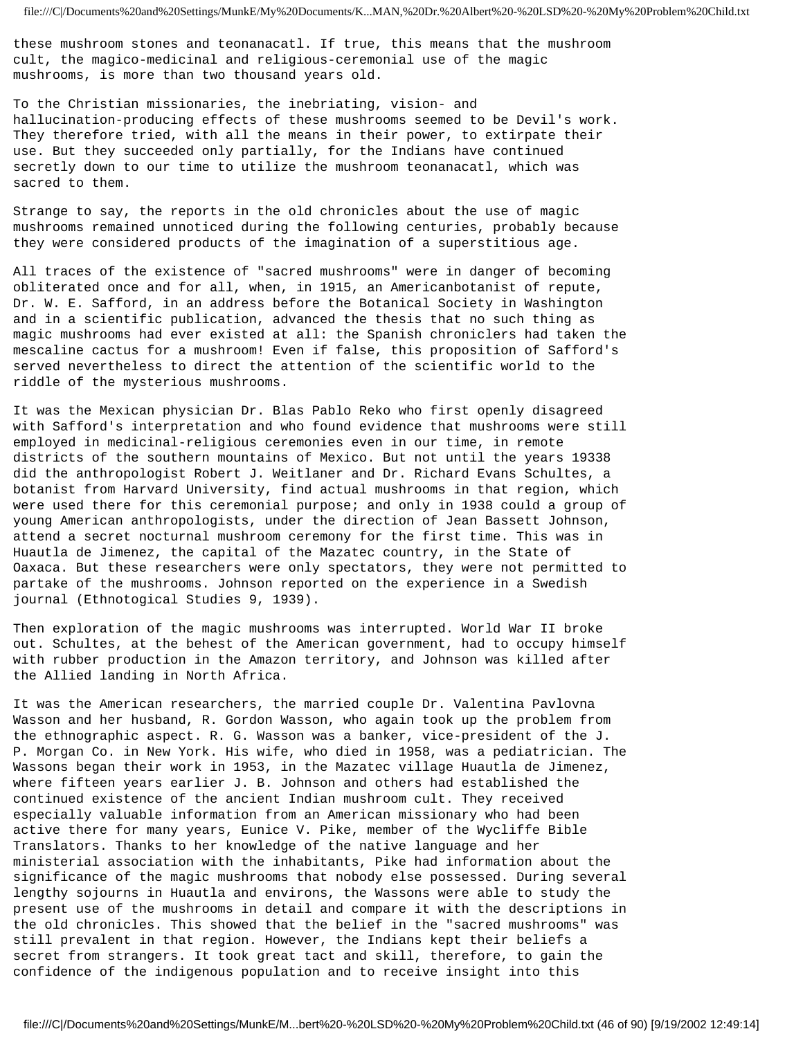these mushroom stones and teonanacatl. If true, this means that the mushroom cult, the magico-medicinal and religious-ceremonial use of the magic mushrooms, is more than two thousand years old.

To the Christian missionaries, the inebriating, vision- and hallucination-producing effects of these mushrooms seemed to be Devil's work. They therefore tried, with all the means in their power, to extirpate their use. But they succeeded only partially, for the Indians have continued secretly down to our time to utilize the mushroom teonanacatl, which was sacred to them.

Strange to say, the reports in the old chronicles about the use of magic mushrooms remained unnoticed during the following centuries, probably because they were considered products of the imagination of a superstitious age.

All traces of the existence of "sacred mushrooms" were in danger of becoming obliterated once and for all, when, in 1915, an Americanbotanist of repute, Dr. W. E. Safford, in an address before the Botanical Society in Washington and in a scientific publication, advanced the thesis that no such thing as magic mushrooms had ever existed at all: the Spanish chroniclers had taken the mescaline cactus for a mushroom! Even if false, this proposition of Safford's served nevertheless to direct the attention of the scientific world to the riddle of the mysterious mushrooms.

It was the Mexican physician Dr. Blas Pablo Reko who first openly disagreed with Safford's interpretation and who found evidence that mushrooms were still employed in medicinal-religious ceremonies even in our time, in remote districts of the southern mountains of Mexico. But not until the years 19338 did the anthropologist Robert J. Weitlaner and Dr. Richard Evans Schultes, a botanist from Harvard University, find actual mushrooms in that region, which were used there for this ceremonial purpose; and only in 1938 could a group of young American anthropologists, under the direction of Jean Bassett Johnson, attend a secret nocturnal mushroom ceremony for the first time. This was in Huautla de Jimenez, the capital of the Mazatec country, in the State of Oaxaca. But these researchers were only spectators, they were not permitted to partake of the mushrooms. Johnson reported on the experience in a Swedish journal (Ethnotogical Studies 9, 1939).

Then exploration of the magic mushrooms was interrupted. World War II broke out. Schultes, at the behest of the American government, had to occupy himself with rubber production in the Amazon territory, and Johnson was killed after the Allied landing in North Africa.

It was the American researchers, the married couple Dr. Valentina Pavlovna Wasson and her husband, R. Gordon Wasson, who again took up the problem from the ethnographic aspect. R. G. Wasson was a banker, vice-president of the J. P. Morgan Co. in New York. His wife, who died in 1958, was a pediatrician. The Wassons began their work in 1953, in the Mazatec village Huautla de Jimenez, where fifteen years earlier J. B. Johnson and others had established the continued existence of the ancient Indian mushroom cult. They received especially valuable information from an American missionary who had been active there for many years, Eunice V. Pike, member of the Wycliffe Bible Translators. Thanks to her knowledge of the native language and her ministerial association with the inhabitants, Pike had information about the significance of the magic mushrooms that nobody else possessed. During several lengthy sojourns in Huautla and environs, the Wassons were able to study the present use of the mushrooms in detail and compare it with the descriptions in the old chronicles. This showed that the belief in the "sacred mushrooms" was still prevalent in that region. However, the Indians kept their beliefs a secret from strangers. It took great tact and skill, therefore, to gain the confidence of the indigenous population and to receive insight into this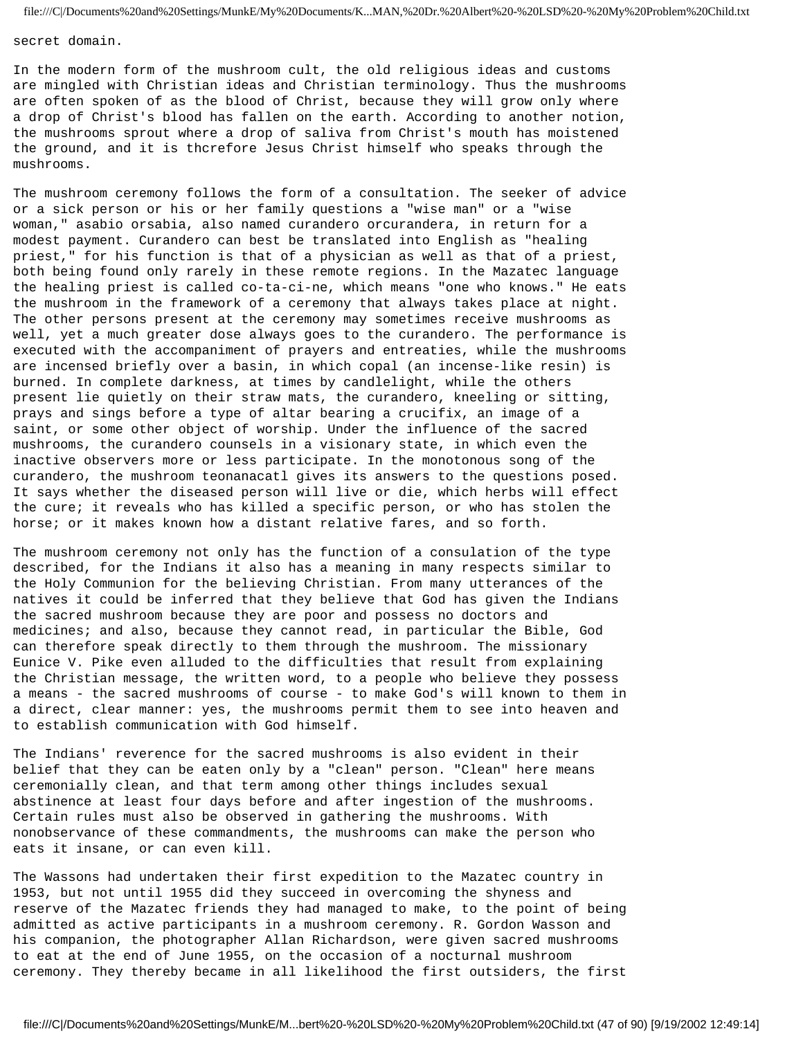### secret domain.

In the modern form of the mushroom cult, the old religious ideas and customs are mingled with Christian ideas and Christian terminology. Thus the mushrooms are often spoken of as the blood of Christ, because they will grow only where a drop of Christ's blood has fallen on the earth. According to another notion, the mushrooms sprout where a drop of saliva from Christ's mouth has moistened the ground, and it is thcrefore Jesus Christ himself who speaks through the mushrooms.

The mushroom ceremony follows the form of a consultation. The seeker of advice or a sick person or his or her family questions a "wise man" or a "wise woman," asabio orsabia, also named curandero orcurandera, in return for a modest payment. Curandero can best be translated into English as "healing priest," for his function is that of a physician as well as that of a priest, both being found only rarely in these remote regions. In the Mazatec language the healing priest is called co-ta-ci-ne, which means "one who knows." He eats the mushroom in the framework of a ceremony that always takes place at night. The other persons present at the ceremony may sometimes receive mushrooms as well, yet a much greater dose always goes to the curandero. The performance is executed with the accompaniment of prayers and entreaties, while the mushrooms are incensed briefly over a basin, in which copal (an incense-like resin) is burned. In complete darkness, at times by candlelight, while the others present lie quietly on their straw mats, the curandero, kneeling or sitting, prays and sings before a type of altar bearing a crucifix, an image of a saint, or some other object of worship. Under the influence of the sacred mushrooms, the curandero counsels in a visionary state, in which even the inactive observers more or less participate. In the monotonous song of the curandero, the mushroom teonanacatl gives its answers to the questions posed. It says whether the diseased person will live or die, which herbs will effect the cure; it reveals who has killed a specific person, or who has stolen the horse; or it makes known how a distant relative fares, and so forth.

The mushroom ceremony not only has the function of a consulation of the type described, for the Indians it also has a meaning in many respects similar to the Holy Communion for the believing Christian. From many utterances of the natives it could be inferred that they believe that God has given the Indians the sacred mushroom because they are poor and possess no doctors and medicines; and also, because they cannot read, in particular the Bible, God can therefore speak directly to them through the mushroom. The missionary Eunice V. Pike even alluded to the difficulties that result from explaining the Christian message, the written word, to a people who believe they possess a means - the sacred mushrooms of course - to make God's will known to them in a direct, clear manner: yes, the mushrooms permit them to see into heaven and to establish communication with God himself.

The Indians' reverence for the sacred mushrooms is also evident in their belief that they can be eaten only by a "clean" person. "Clean" here means ceremonially clean, and that term among other things includes sexual abstinence at least four days before and after ingestion of the mushrooms. Certain rules must also be observed in gathering the mushrooms. With nonobservance of these commandments, the mushrooms can make the person who eats it insane, or can even kill.

The Wassons had undertaken their first expedition to the Mazatec country in 1953, but not until 1955 did they succeed in overcoming the shyness and reserve of the Mazatec friends they had managed to make, to the point of being admitted as active participants in a mushroom ceremony. R. Gordon Wasson and his companion, the photographer Allan Richardson, were given sacred mushrooms to eat at the end of June 1955, on the occasion of a nocturnal mushroom ceremony. They thereby became in all likelihood the first outsiders, the first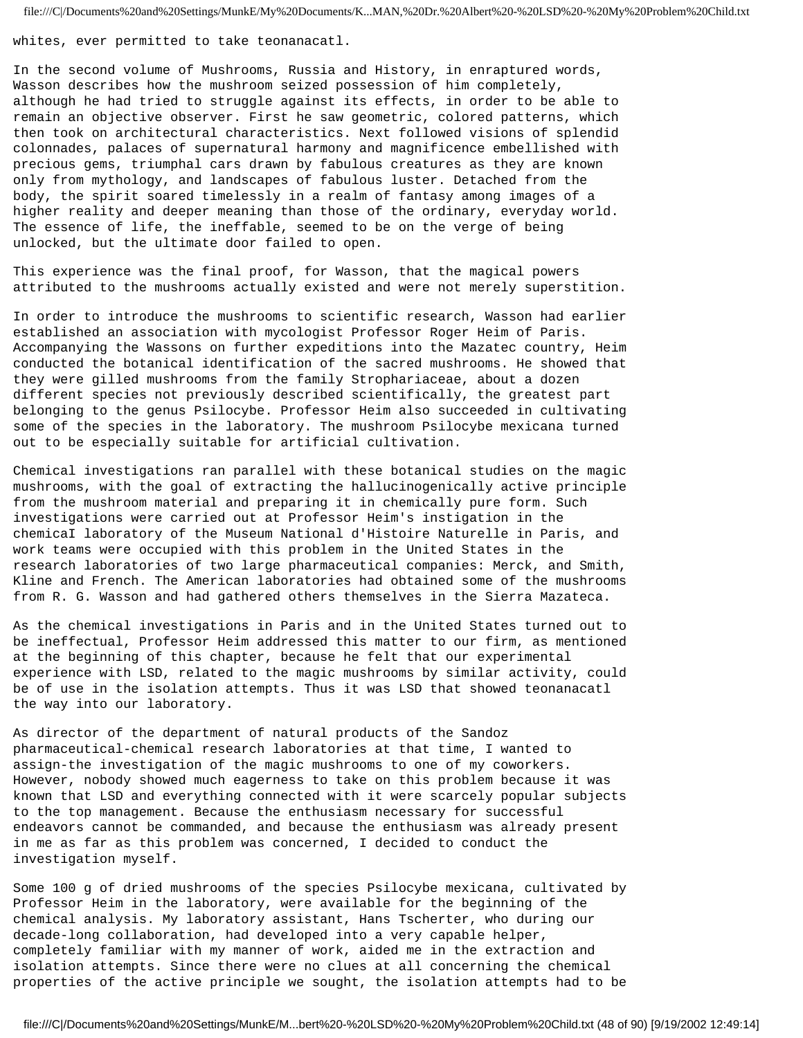whites, ever permitted to take teonanacatl.

In the second volume of Mushrooms, Russia and History, in enraptured words, Wasson describes how the mushroom seized possession of him completely, although he had tried to struggle against its effects, in order to be able to remain an objective observer. First he saw geometric, colored patterns, which then took on architectural characteristics. Next followed visions of splendid colonnades, palaces of supernatural harmony and magnificence embellished with precious gems, triumphal cars drawn by fabulous creatures as they are known only from mythology, and landscapes of fabulous luster. Detached from the body, the spirit soared timelessly in a realm of fantasy among images of a higher reality and deeper meaning than those of the ordinary, everyday world. The essence of life, the ineffable, seemed to be on the verge of being unlocked, but the ultimate door failed to open.

This experience was the final proof, for Wasson, that the magical powers attributed to the mushrooms actually existed and were not merely superstition.

In order to introduce the mushrooms to scientific research, Wasson had earlier established an association with mycologist Professor Roger Heim of Paris. Accompanying the Wassons on further expeditions into the Mazatec country, Heim conducted the botanical identification of the sacred mushrooms. He showed that they were gilled mushrooms from the family Strophariaceae, about a dozen different species not previously described scientifically, the greatest part belonging to the genus Psilocybe. Professor Heim also succeeded in cultivating some of the species in the laboratory. The mushroom Psilocybe mexicana turned out to be especially suitable for artificial cultivation.

Chemical investigations ran parallel with these botanical studies on the magic mushrooms, with the goal of extracting the hallucinogenically active principle from the mushroom material and preparing it in chemically pure form. Such investigations were carried out at Professor Heim's instigation in the chemicaI laboratory of the Museum National d'Histoire Naturelle in Paris, and work teams were occupied with this problem in the United States in the research laboratories of two large pharmaceutical companies: Merck, and Smith, Kline and French. The American laboratories had obtained some of the mushrooms from R. G. Wasson and had gathered others themselves in the Sierra Mazateca.

As the chemical investigations in Paris and in the United States turned out to be ineffectual, Professor Heim addressed this matter to our firm, as mentioned at the beginning of this chapter, because he felt that our experimental experience with LSD, related to the magic mushrooms by similar activity, could be of use in the isolation attempts. Thus it was LSD that showed teonanacatl the way into our laboratory.

As director of the department of natural products of the Sandoz pharmaceutical-chemical research laboratories at that time, I wanted to assign-the investigation of the magic mushrooms to one of my coworkers. However, nobody showed much eagerness to take on this problem because it was known that LSD and everything connected with it were scarcely popular subjects to the top management. Because the enthusiasm necessary for successful endeavors cannot be commanded, and because the enthusiasm was already present in me as far as this problem was concerned, I decided to conduct the investigation myself.

Some 100 g of dried mushrooms of the species Psilocybe mexicana, cultivated by Professor Heim in the laboratory, were available for the beginning of the chemical analysis. My laboratory assistant, Hans Tscherter, who during our decade-long collaboration, had developed into a very capable helper, completely familiar with my manner of work, aided me in the extraction and isolation attempts. Since there were no clues at all concerning the chemical properties of the active principle we sought, the isolation attempts had to be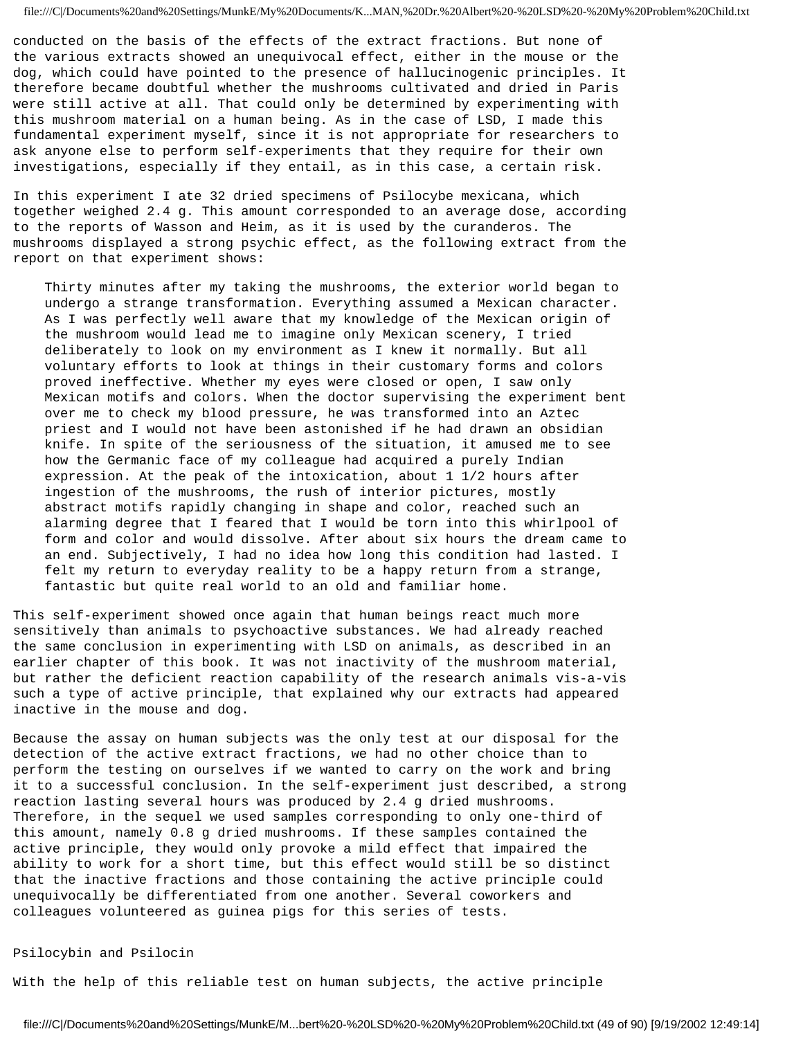conducted on the basis of the effects of the extract fractions. But none of the various extracts showed an unequivocal effect, either in the mouse or the dog, which could have pointed to the presence of hallucinogenic principles. It therefore became doubtful whether the mushrooms cultivated and dried in Paris were still active at all. That could only be determined by experimenting with this mushroom material on a human being. As in the case of LSD, I made this fundamental experiment myself, since it is not appropriate for researchers to ask anyone else to perform self-experiments that they require for their own investigations, especially if they entail, as in this case, a certain risk.

In this experiment I ate 32 dried specimens of Psilocybe mexicana, which together weighed 2.4 g. This amount corresponded to an average dose, according to the reports of Wasson and Heim, as it is used by the curanderos. The mushrooms displayed a strong psychic effect, as the following extract from the report on that experiment shows:

 Thirty minutes after my taking the mushrooms, the exterior world began to undergo a strange transformation. Everything assumed a Mexican character. As I was perfectly well aware that my knowledge of the Mexican origin of the mushroom would lead me to imagine only Mexican scenery, I tried deliberately to look on my environment as I knew it normally. But all voluntary efforts to look at things in their customary forms and colors proved ineffective. Whether my eyes were closed or open, I saw only Mexican motifs and colors. When the doctor supervising the experiment bent over me to check my blood pressure, he was transformed into an Aztec priest and I would not have been astonished if he had drawn an obsidian knife. In spite of the seriousness of the situation, it amused me to see how the Germanic face of my colleague had acquired a purely Indian expression. At the peak of the intoxication, about 1 1/2 hours after ingestion of the mushrooms, the rush of interior pictures, mostly abstract motifs rapidly changing in shape and color, reached such an alarming degree that I feared that I would be torn into this whirlpool of form and color and would dissolve. After about six hours the dream came to an end. Subjectively, I had no idea how long this condition had lasted. I felt my return to everyday reality to be a happy return from a strange, fantastic but quite real world to an old and familiar home.

This self-experiment showed once again that human beings react much more sensitively than animals to psychoactive substances. We had already reached the same conclusion in experimenting with LSD on animals, as described in an earlier chapter of this book. It was not inactivity of the mushroom material, but rather the deficient reaction capability of the research animals vis-a-vis such a type of active principle, that explained why our extracts had appeared inactive in the mouse and dog.

Because the assay on human subjects was the only test at our disposal for the detection of the active extract fractions, we had no other choice than to perform the testing on ourselves if we wanted to carry on the work and bring it to a successful conclusion. In the self-experiment just described, a strong reaction lasting several hours was produced by 2.4 g dried mushrooms. Therefore, in the sequel we used samples corresponding to only one-third of this amount, namely 0.8 g dried mushrooms. If these samples contained the active principle, they would only provoke a mild effect that impaired the ability to work for a short time, but this effect would still be so distinct that the inactive fractions and those containing the active principle could unequivocally be differentiated from one another. Several coworkers and colleagues volunteered as guinea pigs for this series of tests.

# Psilocybin and Psilocin

With the help of this reliable test on human subjects, the active principle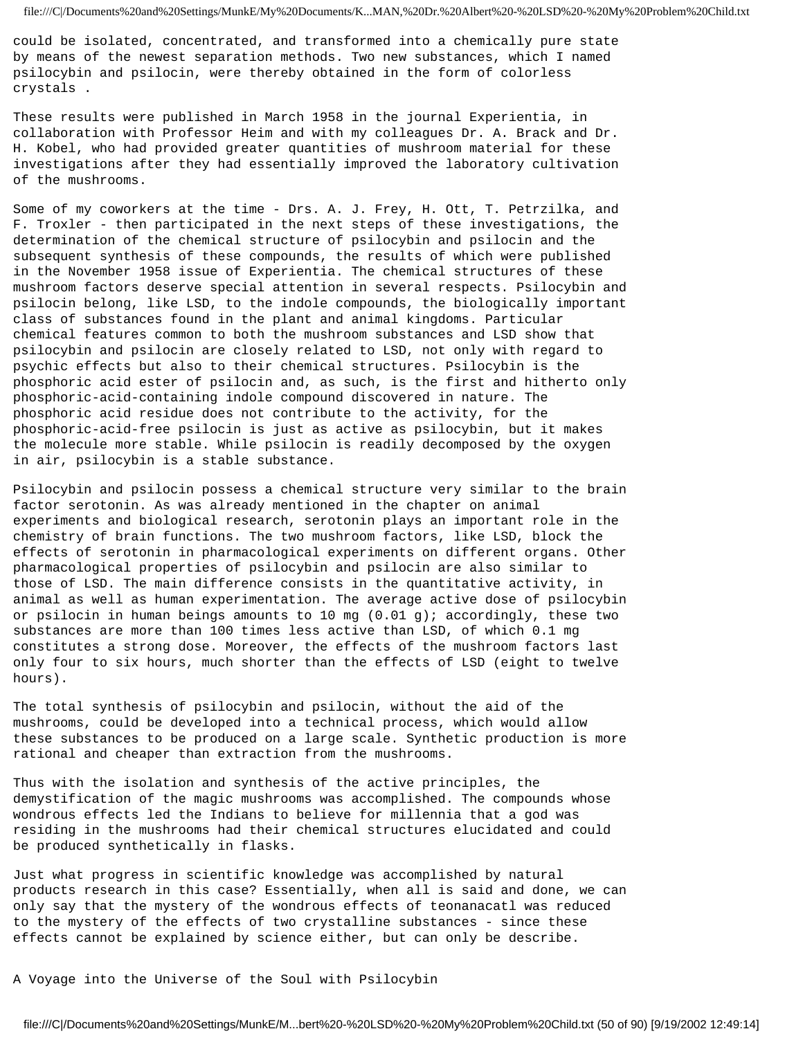could be isolated, concentrated, and transformed into a chemically pure state by means of the newest separation methods. Two new substances, which I named psilocybin and psilocin, were thereby obtained in the form of colorless crystals .

These results were published in March 1958 in the journal Experientia, in collaboration with Professor Heim and with my colleagues Dr. A. Brack and Dr. H. Kobel, who had provided greater quantities of mushroom material for these investigations after they had essentially improved the laboratory cultivation of the mushrooms.

Some of my coworkers at the time - Drs. A. J. Frey, H. Ott, T. Petrzilka, and F. Troxler - then participated in the next steps of these investigations, the determination of the chemical structure of psilocybin and psilocin and the subsequent synthesis of these compounds, the results of which were published in the November 1958 issue of Experientia. The chemical structures of these mushroom factors deserve special attention in several respects. Psilocybin and psilocin belong, like LSD, to the indole compounds, the biologically important class of substances found in the plant and animal kingdoms. Particular chemical features common to both the mushroom substances and LSD show that psilocybin and psilocin are closely related to LSD, not only with regard to psychic effects but also to their chemical structures. Psilocybin is the phosphoric acid ester of psilocin and, as such, is the first and hitherto only phosphoric-acid-containing indole compound discovered in nature. The phosphoric acid residue does not contribute to the activity, for the phosphoric-acid-free psilocin is just as active as psilocybin, but it makes the molecule more stable. While psilocin is readily decomposed by the oxygen in air, psilocybin is a stable substance.

Psilocybin and psilocin possess a chemical structure very similar to the brain factor serotonin. As was already mentioned in the chapter on animal experiments and biological research, serotonin plays an important role in the chemistry of brain functions. The two mushroom factors, like LSD, block the effects of serotonin in pharmacological experiments on different organs. Other pharmacological properties of psilocybin and psilocin are also similar to those of LSD. The main difference consists in the quantitative activity, in animal as well as human experimentation. The average active dose of psilocybin or psilocin in human beings amounts to 10 mg  $(0.01 \text{ q})$ ; accordingly, these two substances are more than 100 times less active than LSD, of which 0.1 mg constitutes a strong dose. Moreover, the effects of the mushroom factors last only four to six hours, much shorter than the effects of LSD (eight to twelve hours).

The total synthesis of psilocybin and psilocin, without the aid of the mushrooms, could be developed into a technical process, which would allow these substances to be produced on a large scale. Synthetic production is more rational and cheaper than extraction from the mushrooms.

Thus with the isolation and synthesis of the active principles, the demystification of the magic mushrooms was accomplished. The compounds whose wondrous effects led the Indians to believe for millennia that a god was residing in the mushrooms had their chemical structures elucidated and could be produced synthetically in flasks.

Just what progress in scientific knowledge was accomplished by natural products research in this case? Essentially, when all is said and done, we can only say that the mystery of the wondrous effects of teonanacatl was reduced to the mystery of the effects of two crystalline substances - since these effects cannot be explained by science either, but can only be describe.

A Voyage into the Universe of the Soul with Psilocybin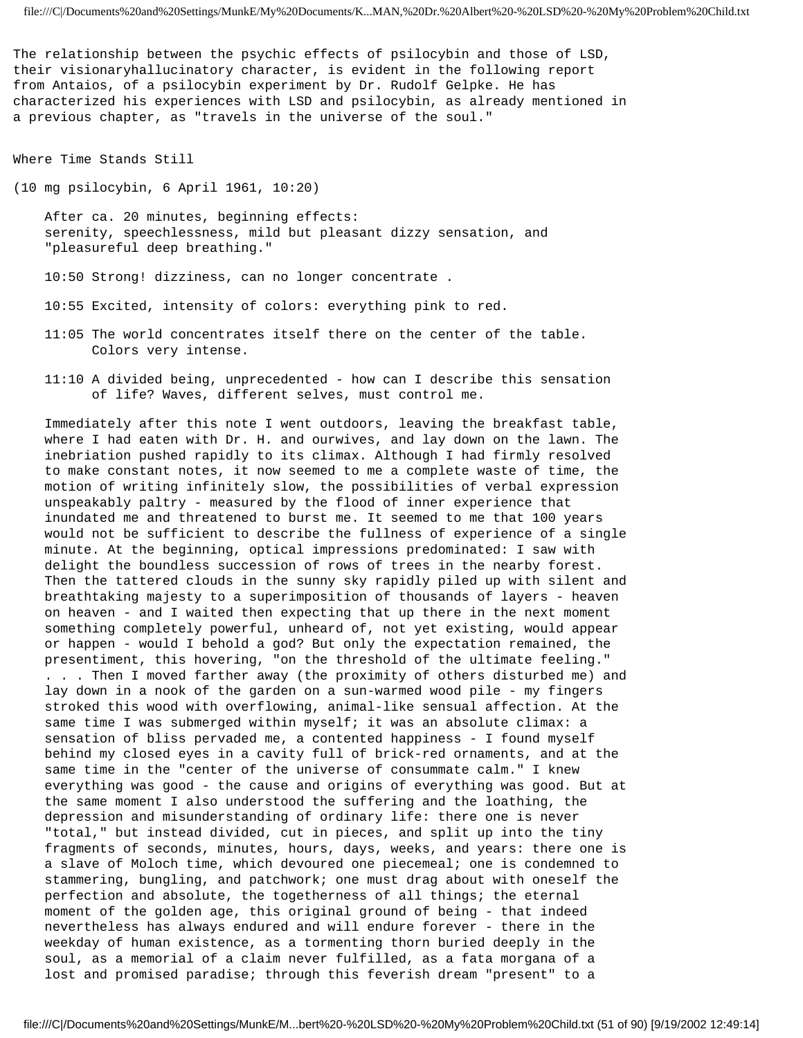The relationship between the psychic effects of psilocybin and those of LSD, their visionaryhallucinatory character, is evident in the following report from Antaios, of a psilocybin experiment by Dr. Rudolf Gelpke. He has characterized his experiences with LSD and psilocybin, as already mentioned in a previous chapter, as "travels in the universe of the soul."

Where Time Stands Still

(10 mg psilocybin, 6 April 1961, 10:20)

 After ca. 20 minutes, beginning effects: serenity, speechlessness, mild but pleasant dizzy sensation, and "pleasureful deep breathing."

10:50 Strong! dizziness, can no longer concentrate .

10:55 Excited, intensity of colors: everything pink to red.

- 11:05 The world concentrates itself there on the center of the table. Colors very intense.
- 11:10 A divided being, unprecedented how can I describe this sensation of life? Waves, different selves, must control me.

 Immediately after this note I went outdoors, leaving the breakfast table, where I had eaten with Dr. H. and ourwives, and lay down on the lawn. The inebriation pushed rapidly to its climax. Although I had firmly resolved to make constant notes, it now seemed to me a complete waste of time, the motion of writing infinitely slow, the possibilities of verbal expression unspeakably paltry - measured by the flood of inner experience that inundated me and threatened to burst me. It seemed to me that 100 years would not be sufficient to describe the fullness of experience of a single minute. At the beginning, optical impressions predominated: I saw with delight the boundless succession of rows of trees in the nearby forest. Then the tattered clouds in the sunny sky rapidly piled up with silent and breathtaking majesty to a superimposition of thousands of layers - heaven on heaven - and I waited then expecting that up there in the next moment something completely powerful, unheard of, not yet existing, would appear or happen - would I behold a god? But only the expectation remained, the presentiment, this hovering, "on the threshold of the ultimate feeling." . . . Then I moved farther away (the proximity of others disturbed me) and lay down in a nook of the garden on a sun-warmed wood pile - my fingers stroked this wood with overflowing, animal-like sensual affection. At the same time I was submerged within myself; it was an absolute climax: a sensation of bliss pervaded me, a contented happiness - I found myself behind my closed eyes in a cavity full of brick-red ornaments, and at the same time in the "center of the universe of consummate calm." I knew everything was good - the cause and origins of everything was good. But at the same moment I also understood the suffering and the loathing, the depression and misunderstanding of ordinary life: there one is never "total," but instead divided, cut in pieces, and split up into the tiny fragments of seconds, minutes, hours, days, weeks, and years: there one is a slave of Moloch time, which devoured one piecemeal; one is condemned to stammering, bungling, and patchwork; one must drag about with oneself the perfection and absolute, the togetherness of all things; the eternal moment of the golden age, this original ground of being - that indeed nevertheless has always endured and will endure forever - there in the weekday of human existence, as a tormenting thorn buried deeply in the soul, as a memorial of a claim never fulfilled, as a fata morgana of a lost and promised paradise; through this feverish dream "present" to a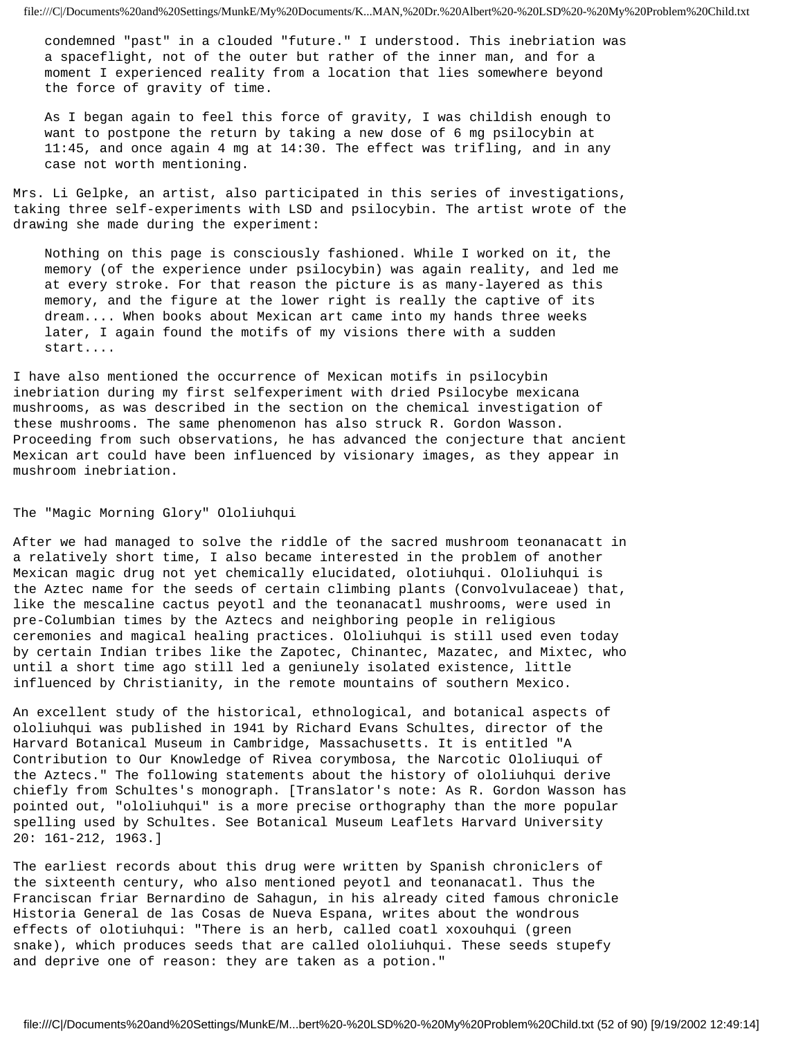condemned "past" in a clouded "future." I understood. This inebriation was a spaceflight, not of the outer but rather of the inner man, and for a moment I experienced reality from a location that lies somewhere beyond the force of gravity of time.

 As I began again to feel this force of gravity, I was childish enough to want to postpone the return by taking a new dose of 6 mg psilocybin at 11:45, and once again 4 mg at 14:30. The effect was trifling, and in any case not worth mentioning.

Mrs. Li Gelpke, an artist, also participated in this series of investigations, taking three self-experiments with LSD and psilocybin. The artist wrote of the drawing she made during the experiment:

 Nothing on this page is consciously fashioned. While I worked on it, the memory (of the experience under psilocybin) was again reality, and led me at every stroke. For that reason the picture is as many-layered as this memory, and the figure at the lower right is really the captive of its dream.... When books about Mexican art came into my hands three weeks later, I again found the motifs of my visions there with a sudden start....

I have also mentioned the occurrence of Mexican motifs in psilocybin inebriation during my first selfexperiment with dried Psilocybe mexicana mushrooms, as was described in the section on the chemical investigation of these mushrooms. The same phenomenon has also struck R. Gordon Wasson. Proceeding from such observations, he has advanced the conjecture that ancient Mexican art could have been influenced by visionary images, as they appear in mushroom inebriation.

### The "Magic Morning Glory" Ololiuhqui

After we had managed to solve the riddle of the sacred mushroom teonanacatt in a relatively short time, I also became interested in the problem of another Mexican magic drug not yet chemically elucidated, olotiuhqui. Ololiuhqui is the Aztec name for the seeds of certain climbing plants (Convolvulaceae) that, like the mescaline cactus peyotl and the teonanacatl mushrooms, were used in pre-Columbian times by the Aztecs and neighboring people in religious ceremonies and magical healing practices. Ololiuhqui is still used even today by certain Indian tribes like the Zapotec, Chinantec, Mazatec, and Mixtec, who until a short time ago still led a geniunely isolated existence, little influenced by Christianity, in the remote mountains of southern Mexico.

An excellent study of the historical, ethnological, and botanical aspects of ololiuhqui was published in 1941 by Richard Evans Schultes, director of the Harvard Botanical Museum in Cambridge, Massachusetts. It is entitled "A Contribution to Our Knowledge of Rivea corymbosa, the Narcotic Ololiuqui of the Aztecs." The following statements about the history of ololiuhqui derive chiefly from Schultes's monograph. [Translator's note: As R. Gordon Wasson has pointed out, "ololiuhqui" is a more precise orthography than the more popular spelling used by Schultes. See Botanical Museum Leaflets Harvard University 20: 161-212, 1963.]

The earliest records about this drug were written by Spanish chroniclers of the sixteenth century, who also mentioned peyotl and teonanacatl. Thus the Franciscan friar Bernardino de Sahagun, in his already cited famous chronicle Historia General de las Cosas de Nueva Espana, writes about the wondrous effects of olotiuhqui: "There is an herb, called coatl xoxouhqui (green snake), which produces seeds that are called ololiuhqui. These seeds stupefy and deprive one of reason: they are taken as a potion."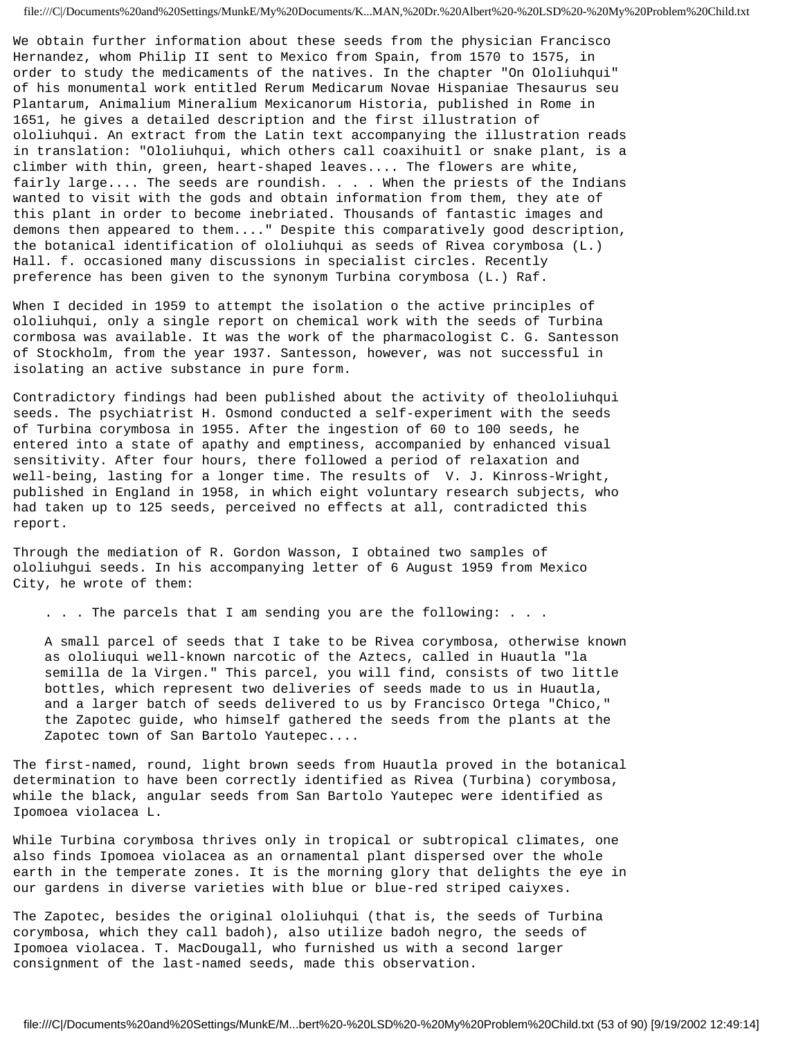We obtain further information about these seeds from the physician Francisco Hernandez, whom Philip II sent to Mexico from Spain, from 1570 to 1575, in order to study the medicaments of the natives. In the chapter "On Ololiuhqui" of his monumental work entitled Rerum Medicarum Novae Hispaniae Thesaurus seu Plantarum, Animalium Mineralium Mexicanorum Historia, published in Rome in 1651, he gives a detailed description and the first illustration of ololiuhqui. An extract from the Latin text accompanying the illustration reads in translation: "Ololiuhqui, which others call coaxihuitl or snake plant, is a climber with thin, green, heart-shaped leaves.... The flowers are white, fairly large.... The seeds are roundish. . . . When the priests of the Indians wanted to visit with the gods and obtain information from them, they ate of this plant in order to become inebriated. Thousands of fantastic images and demons then appeared to them...." Despite this comparatively good description, the botanical identification of ololiuhqui as seeds of Rivea corymbosa (L.) Hall. f. occasioned many discussions in specialist circles. Recently preference has been given to the synonym Turbina corymbosa (L.) Raf.

When I decided in 1959 to attempt the isolation o the active principles of ololiuhqui, only a single report on chemical work with the seeds of Turbina cormbosa was available. It was the work of the pharmacologist C. G. Santesson of Stockholm, from the year 1937. Santesson, however, was not successful in isolating an active substance in pure form.

Contradictory findings had been published about the activity of theololiuhqui seeds. The psychiatrist H. Osmond conducted a self-experiment with the seeds of Turbina corymbosa in 1955. After the ingestion of 60 to 100 seeds, he entered into a state of apathy and emptiness, accompanied by enhanced visual sensitivity. After four hours, there followed a period of relaxation and well-being, lasting for a longer time. The results of V. J. Kinross-Wright, published in England in 1958, in which eight voluntary research subjects, who had taken up to 125 seeds, perceived no effects at all, contradicted this report.

Through the mediation of R. Gordon Wasson, I obtained two samples of ololiuhgui seeds. In his accompanying letter of 6 August 1959 from Mexico City, he wrote of them:

. . . The parcels that I am sending you are the following: . . .

 A small parcel of seeds that I take to be Rivea corymbosa, otherwise known as ololiuqui well-known narcotic of the Aztecs, called in Huautla "la semilla de la Virgen." This parcel, you will find, consists of two little bottles, which represent two deliveries of seeds made to us in Huautla, and a larger batch of seeds delivered to us by Francisco Ortega "Chico," the Zapotec guide, who himself gathered the seeds from the plants at the Zapotec town of San Bartolo Yautepec....

The first-named, round, light brown seeds from Huautla proved in the botanical determination to have been correctly identified as Rivea (Turbina) corymbosa, while the black, angular seeds from San Bartolo Yautepec were identified as Ipomoea violacea L.

While Turbina corymbosa thrives only in tropical or subtropical climates, one also finds Ipomoea violacea as an ornamental plant dispersed over the whole earth in the temperate zones. It is the morning glory that delights the eye in our gardens in diverse varieties with blue or blue-red striped caiyxes.

The Zapotec, besides the original ololiuhqui (that is, the seeds of Turbina corymbosa, which they call badoh), also utilize badoh negro, the seeds of Ipomoea violacea. T. MacDougall, who furnished us with a second larger consignment of the last-named seeds, made this observation.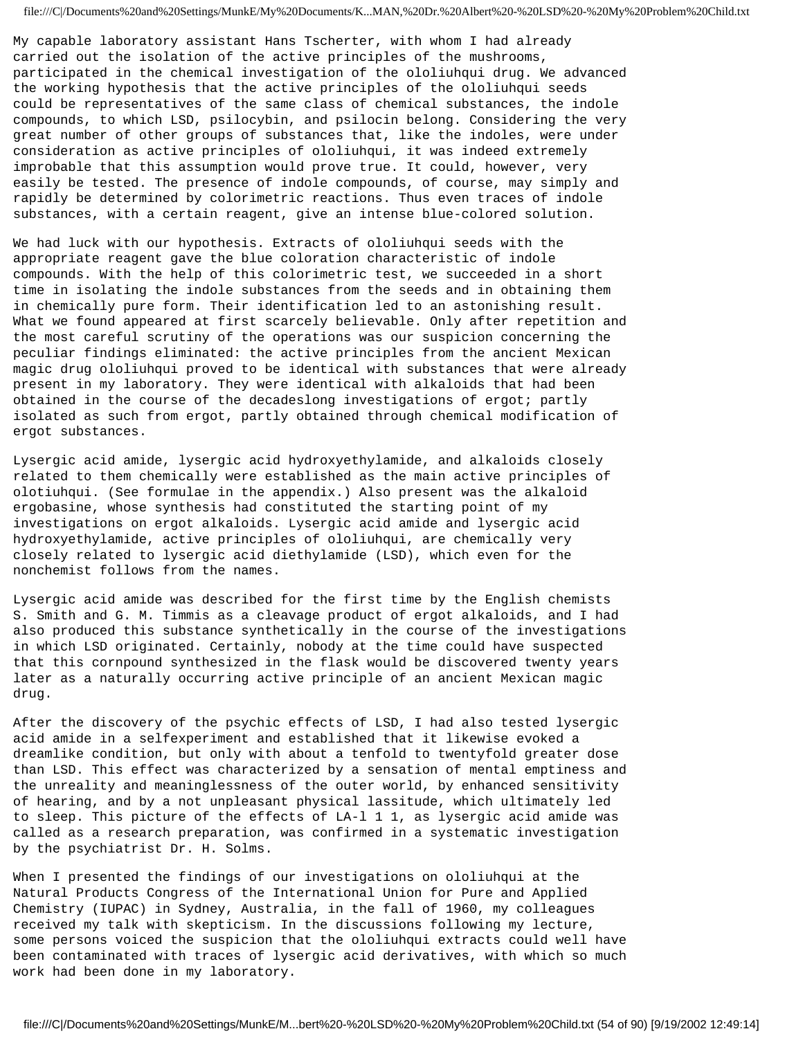My capable laboratory assistant Hans Tscherter, with whom I had already carried out the isolation of the active principles of the mushrooms, participated in the chemical investigation of the ololiuhqui drug. We advanced the working hypothesis that the active principles of the ololiuhqui seeds could be representatives of the same class of chemical substances, the indole compounds, to which LSD, psilocybin, and psilocin belong. Considering the very great number of other groups of substances that, like the indoles, were under consideration as active principles of ololiuhqui, it was indeed extremely improbable that this assumption would prove true. It could, however, very easily be tested. The presence of indole compounds, of course, may simply and rapidly be determined by colorimetric reactions. Thus even traces of indole substances, with a certain reagent, give an intense blue-colored solution.

We had luck with our hypothesis. Extracts of ololiuhqui seeds with the appropriate reagent gave the blue coloration characteristic of indole compounds. With the help of this colorimetric test, we succeeded in a short time in isolating the indole substances from the seeds and in obtaining them in chemically pure form. Their identification led to an astonishing result. What we found appeared at first scarcely believable. Only after repetition and the most careful scrutiny of the operations was our suspicion concerning the peculiar findings eliminated: the active principles from the ancient Mexican magic drug ololiuhqui proved to be identical with substances that were already present in my laboratory. They were identical with alkaloids that had been obtained in the course of the decadeslong investigations of ergot; partly isolated as such from ergot, partly obtained through chemical modification of ergot substances.

Lysergic acid amide, lysergic acid hydroxyethylamide, and alkaloids closely related to them chemically were established as the main active principles of olotiuhqui. (See formulae in the appendix.) Also present was the alkaloid ergobasine, whose synthesis had constituted the starting point of my investigations on ergot alkaloids. Lysergic acid amide and lysergic acid hydroxyethylamide, active principles of ololiuhqui, are chemically very closely related to lysergic acid diethylamide (LSD), which even for the nonchemist follows from the names.

Lysergic acid amide was described for the first time by the English chemists S. Smith and G. M. Timmis as a cleavage product of ergot alkaloids, and I had also produced this substance synthetically in the course of the investigations in which LSD originated. Certainly, nobody at the time could have suspected that this cornpound synthesized in the flask would be discovered twenty years later as a naturally occurring active principle of an ancient Mexican magic drug.

After the discovery of the psychic effects of LSD, I had also tested lysergic acid amide in a selfexperiment and established that it likewise evoked a dreamlike condition, but only with about a tenfold to twentyfold greater dose than LSD. This effect was characterized by a sensation of mental emptiness and the unreality and meaninglessness of the outer world, by enhanced sensitivity of hearing, and by a not unpleasant physical lassitude, which ultimately led to sleep. This picture of the effects of LA-l 1 1, as lysergic acid amide was called as a research preparation, was confirmed in a systematic investigation by the psychiatrist Dr. H. Solms.

When I presented the findings of our investigations on ololiuhqui at the Natural Products Congress of the International Union for Pure and Applied Chemistry (IUPAC) in Sydney, Australia, in the fall of 1960, my colleagues received my talk with skepticism. In the discussions following my lecture, some persons voiced the suspicion that the ololiuhqui extracts could well have been contaminated with traces of lysergic acid derivatives, with which so much work had been done in my laboratory.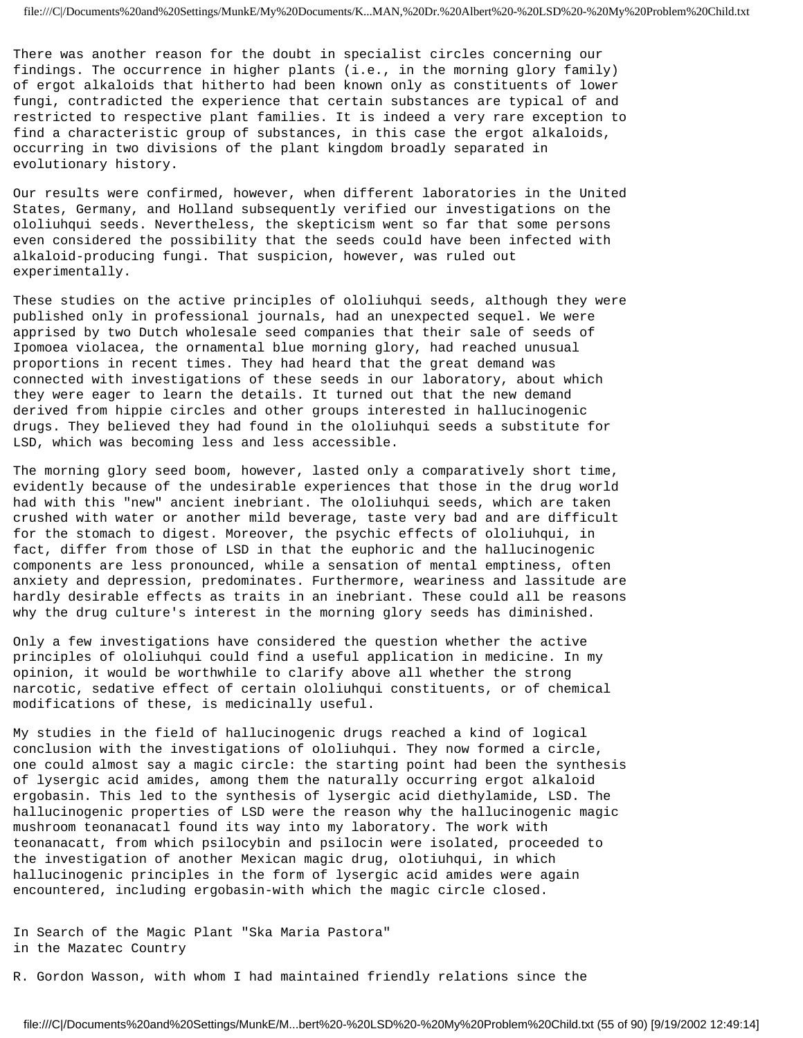There was another reason for the doubt in specialist circles concerning our findings. The occurrence in higher plants (i.e., in the morning glory family) of ergot alkaloids that hitherto had been known only as constituents of lower fungi, contradicted the experience that certain substances are typical of and restricted to respective plant families. It is indeed a very rare exception to find a characteristic group of substances, in this case the ergot alkaloids, occurring in two divisions of the plant kingdom broadly separated in evolutionary history.

Our results were confirmed, however, when different laboratories in the United States, Germany, and Holland subsequently verified our investigations on the ololiuhqui seeds. Nevertheless, the skepticism went so far that some persons even considered the possibility that the seeds could have been infected with alkaloid-producing fungi. That suspicion, however, was ruled out experimentally.

These studies on the active principles of ololiuhqui seeds, although they were published only in professional journals, had an unexpected sequel. We were apprised by two Dutch wholesale seed companies that their sale of seeds of Ipomoea violacea, the ornamental blue morning glory, had reached unusual proportions in recent times. They had heard that the great demand was connected with investigations of these seeds in our laboratory, about which they were eager to learn the details. It turned out that the new demand derived from hippie circles and other groups interested in hallucinogenic drugs. They believed they had found in the ololiuhqui seeds a substitute for LSD, which was becoming less and less accessible.

The morning glory seed boom, however, lasted only a comparatively short time, evidently because of the undesirable experiences that those in the drug world had with this "new" ancient inebriant. The ololiuhqui seeds, which are taken crushed with water or another mild beverage, taste very bad and are difficult for the stomach to digest. Moreover, the psychic effects of ololiuhqui, in fact, differ from those of LSD in that the euphoric and the hallucinogenic components are less pronounced, while a sensation of mental emptiness, often anxiety and depression, predominates. Furthermore, weariness and lassitude are hardly desirable effects as traits in an inebriant. These could all be reasons why the drug culture's interest in the morning glory seeds has diminished.

Only a few investigations have considered the question whether the active principles of ololiuhqui could find a useful application in medicine. In my opinion, it would be worthwhile to clarify above all whether the strong narcotic, sedative effect of certain ololiuhqui constituents, or of chemical modifications of these, is medicinally useful.

My studies in the field of hallucinogenic drugs reached a kind of logical conclusion with the investigations of ololiuhqui. They now formed a circle, one could almost say a magic circle: the starting point had been the synthesis of lysergic acid amides, among them the naturally occurring ergot alkaloid ergobasin. This led to the synthesis of lysergic acid diethylamide, LSD. The hallucinogenic properties of LSD were the reason why the hallucinogenic magic mushroom teonanacatl found its way into my laboratory. The work with teonanacatt, from which psilocybin and psilocin were isolated, proceeded to the investigation of another Mexican magic drug, olotiuhqui, in which hallucinogenic principles in the form of lysergic acid amides were again encountered, including ergobasin-with which the magic circle closed.

In Search of the Magic Plant "Ska Maria Pastora" in the Mazatec Country

R. Gordon Wasson, with whom I had maintained friendly relations since the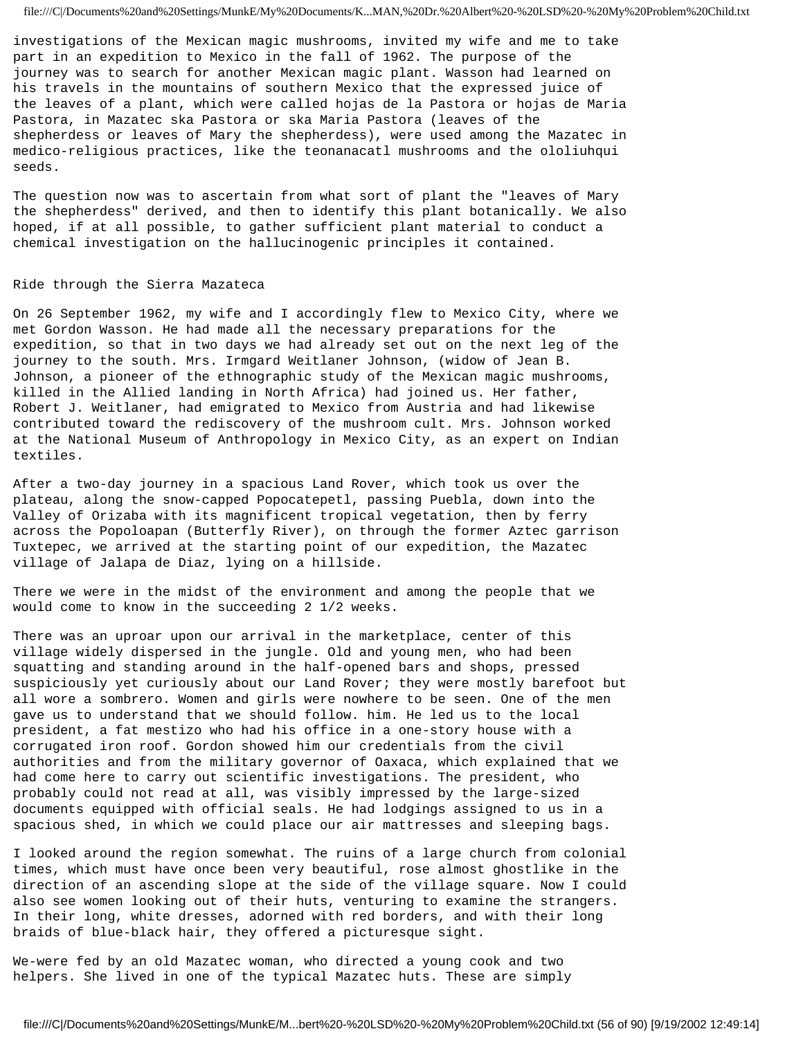investigations of the Mexican magic mushrooms, invited my wife and me to take part in an expedition to Mexico in the fall of 1962. The purpose of the journey was to search for another Mexican magic plant. Wasson had learned on his travels in the mountains of southern Mexico that the expressed juice of the leaves of a plant, which were called hojas de la Pastora or hojas de Maria Pastora, in Mazatec ska Pastora or ska Maria Pastora (leaves of the shepherdess or leaves of Mary the shepherdess), were used among the Mazatec in medico-religious practices, like the teonanacatl mushrooms and the ololiuhqui seeds.

The question now was to ascertain from what sort of plant the "leaves of Mary the shepherdess" derived, and then to identify this plant botanically. We also hoped, if at all possible, to gather sufficient plant material to conduct a chemical investigation on the hallucinogenic principles it contained.

#### Ride through the Sierra Mazateca

On 26 September 1962, my wife and I accordingly flew to Mexico City, where we met Gordon Wasson. He had made all the necessary preparations for the expedition, so that in two days we had already set out on the next leg of the journey to the south. Mrs. Irmgard Weitlaner Johnson, (widow of Jean B. Johnson, a pioneer of the ethnographic study of the Mexican magic mushrooms, killed in the Allied landing in North Africa) had joined us. Her father, Robert J. Weitlaner, had emigrated to Mexico from Austria and had likewise contributed toward the rediscovery of the mushroom cult. Mrs. Johnson worked at the National Museum of Anthropology in Mexico City, as an expert on Indian textiles.

After a two-day journey in a spacious Land Rover, which took us over the plateau, along the snow-capped Popocatepetl, passing Puebla, down into the Valley of Orizaba with its magnificent tropical vegetation, then by ferry across the Popoloapan (Butterfly River), on through the former Aztec garrison Tuxtepec, we arrived at the starting point of our expedition, the Mazatec village of Jalapa de Diaz, lying on a hillside.

There we were in the midst of the environment and among the people that we would come to know in the succeeding 2 1/2 weeks.

There was an uproar upon our arrival in the marketplace, center of this village widely dispersed in the jungle. Old and young men, who had been squatting and standing around in the half-opened bars and shops, pressed suspiciously yet curiously about our Land Rover; they were mostly barefoot but all wore a sombrero. Women and girls were nowhere to be seen. One of the men gave us to understand that we should follow. him. He led us to the local president, a fat mestizo who had his office in a one-story house with a corrugated iron roof. Gordon showed him our credentials from the civil authorities and from the military governor of Oaxaca, which explained that we had come here to carry out scientific investigations. The president, who probably could not read at all, was visibly impressed by the large-sized documents equipped with official seals. He had lodgings assigned to us in a spacious shed, in which we could place our air mattresses and sleeping bags.

I looked around the region somewhat. The ruins of a large church from colonial times, which must have once been very beautiful, rose almost ghostlike in the direction of an ascending slope at the side of the village square. Now I could also see women looking out of their huts, venturing to examine the strangers. In their long, white dresses, adorned with red borders, and with their long braids of blue-black hair, they offered a picturesque sight.

We-were fed by an old Mazatec woman, who directed a young cook and two helpers. She lived in one of the typical Mazatec huts. These are simply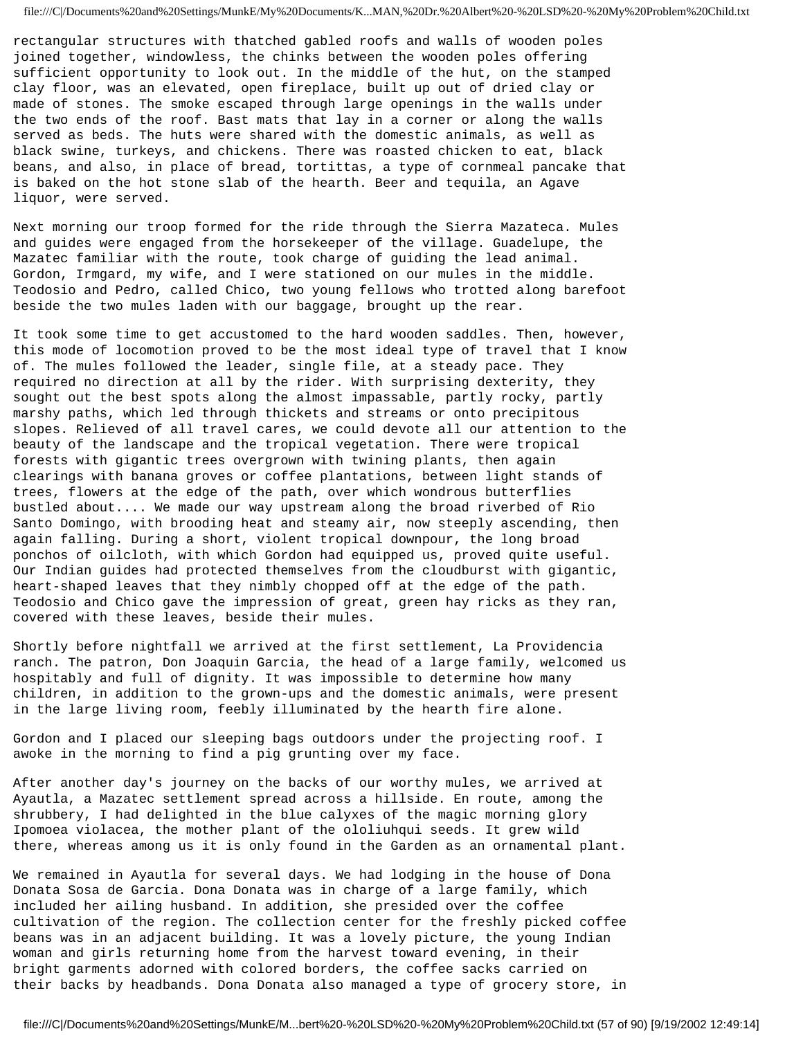rectangular structures with thatched gabled roofs and walls of wooden poles joined together, windowless, the chinks between the wooden poles offering sufficient opportunity to look out. In the middle of the hut, on the stamped clay floor, was an elevated, open fireplace, built up out of dried clay or made of stones. The smoke escaped through large openings in the walls under the two ends of the roof. Bast mats that lay in a corner or along the walls served as beds. The huts were shared with the domestic animals, as well as black swine, turkeys, and chickens. There was roasted chicken to eat, black beans, and also, in place of bread, tortittas, a type of cornmeal pancake that is baked on the hot stone slab of the hearth. Beer and tequila, an Agave liquor, were served.

Next morning our troop formed for the ride through the Sierra Mazateca. Mules and guides were engaged from the horsekeeper of the village. Guadelupe, the Mazatec familiar with the route, took charge of guiding the lead animal. Gordon, Irmgard, my wife, and I were stationed on our mules in the middle. Teodosio and Pedro, called Chico, two young fellows who trotted along barefoot beside the two mules laden with our baggage, brought up the rear.

It took some time to get accustomed to the hard wooden saddles. Then, however, this mode of locomotion proved to be the most ideal type of travel that I know of. The mules followed the leader, single file, at a steady pace. They required no direction at all by the rider. With surprising dexterity, they sought out the best spots along the almost impassable, partly rocky, partly marshy paths, which led through thickets and streams or onto precipitous slopes. Relieved of all travel cares, we could devote all our attention to the beauty of the landscape and the tropical vegetation. There were tropical forests with gigantic trees overgrown with twining plants, then again clearings with banana groves or coffee plantations, between light stands of trees, flowers at the edge of the path, over which wondrous butterflies bustled about.... We made our way upstream along the broad riverbed of Rio Santo Domingo, with brooding heat and steamy air, now steeply ascending, then again falling. During a short, violent tropical downpour, the long broad ponchos of oilcloth, with which Gordon had equipped us, proved quite useful. Our Indian guides had protected themselves from the cloudburst with gigantic, heart-shaped leaves that they nimbly chopped off at the edge of the path. Teodosio and Chico gave the impression of great, green hay ricks as they ran, covered with these leaves, beside their mules.

Shortly before nightfall we arrived at the first settlement, La Providencia ranch. The patron, Don Joaquin Garcia, the head of a large family, welcomed us hospitably and full of dignity. It was impossible to determine how many children, in addition to the grown-ups and the domestic animals, were present in the large living room, feebly illuminated by the hearth fire alone.

Gordon and I placed our sleeping bags outdoors under the projecting roof. I awoke in the morning to find a pig grunting over my face.

After another day's journey on the backs of our worthy mules, we arrived at Ayautla, a Mazatec settlement spread across a hillside. En route, among the shrubbery, I had delighted in the blue calyxes of the magic morning glory Ipomoea violacea, the mother plant of the ololiuhqui seeds. It grew wild there, whereas among us it is only found in the Garden as an ornamental plant.

We remained in Ayautla for several days. We had lodging in the house of Dona Donata Sosa de Garcia. Dona Donata was in charge of a large family, which included her ailing husband. In addition, she presided over the coffee cultivation of the region. The collection center for the freshly picked coffee beans was in an adjacent building. It was a lovely picture, the young Indian woman and girls returning home from the harvest toward evening, in their bright garments adorned with colored borders, the coffee sacks carried on their backs by headbands. Dona Donata also managed a type of grocery store, in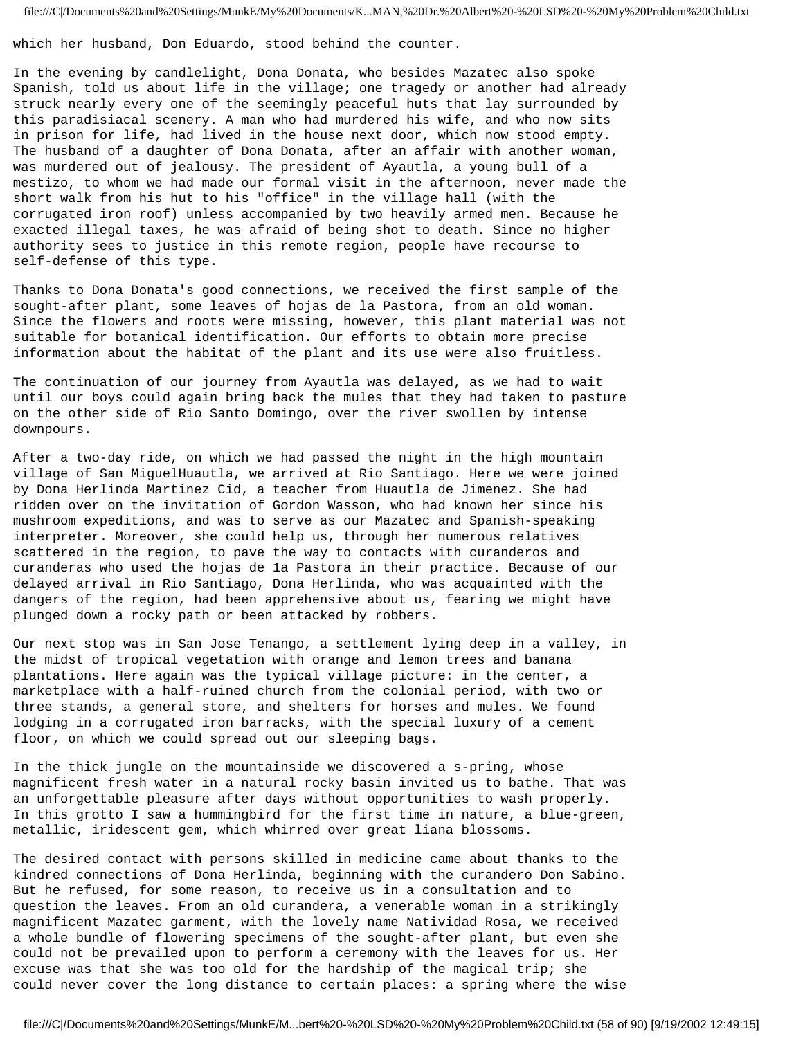which her husband, Don Eduardo, stood behind the counter.

In the evening by candlelight, Dona Donata, who besides Mazatec also spoke Spanish, told us about life in the village; one tragedy or another had already struck nearly every one of the seemingly peaceful huts that lay surrounded by this paradisiacal scenery. A man who had murdered his wife, and who now sits in prison for life, had lived in the house next door, which now stood empty. The husband of a daughter of Dona Donata, after an affair with another woman, was murdered out of jealousy. The president of Ayautla, a young bull of a mestizo, to whom we had made our formal visit in the afternoon, never made the short walk from his hut to his "office" in the village hall (with the corrugated iron roof) unless accompanied by two heavily armed men. Because he exacted illegal taxes, he was afraid of being shot to death. Since no higher authority sees to justice in this remote region, people have recourse to self-defense of this type.

Thanks to Dona Donata's good connections, we received the first sample of the sought-after plant, some leaves of hojas de la Pastora, from an old woman. Since the flowers and roots were missing, however, this plant material was not suitable for botanical identification. Our efforts to obtain more precise information about the habitat of the plant and its use were also fruitless.

The continuation of our journey from Ayautla was delayed, as we had to wait until our boys could again bring back the mules that they had taken to pasture on the other side of Rio Santo Domingo, over the river swollen by intense downpours.

After a two-day ride, on which we had passed the night in the high mountain village of San MiguelHuautla, we arrived at Rio Santiago. Here we were joined by Dona Herlinda Martinez Cid, a teacher from Huautla de Jimenez. She had ridden over on the invitation of Gordon Wasson, who had known her since his mushroom expeditions, and was to serve as our Mazatec and Spanish-speaking interpreter. Moreover, she could help us, through her numerous relatives scattered in the region, to pave the way to contacts with curanderos and curanderas who used the hojas de 1a Pastora in their practice. Because of our delayed arrival in Rio Santiago, Dona Herlinda, who was acquainted with the dangers of the region, had been apprehensive about us, fearing we might have plunged down a rocky path or been attacked by robbers.

Our next stop was in San Jose Tenango, a settlement lying deep in a valley, in the midst of tropical vegetation with orange and lemon trees and banana plantations. Here again was the typical village picture: in the center, a marketplace with a half-ruined church from the colonial period, with two or three stands, a general store, and shelters for horses and mules. We found lodging in a corrugated iron barracks, with the special luxury of a cement floor, on which we could spread out our sleeping bags.

In the thick jungle on the mountainside we discovered a s-pring, whose magnificent fresh water in a natural rocky basin invited us to bathe. That was an unforgettable pleasure after days without opportunities to wash properly. In this grotto I saw a hummingbird for the first time in nature, a blue-green, metallic, iridescent gem, which whirred over great liana blossoms.

The desired contact with persons skilled in medicine came about thanks to the kindred connections of Dona Herlinda, beginning with the curandero Don Sabino. But he refused, for some reason, to receive us in a consultation and to question the leaves. From an old curandera, a venerable woman in a strikingly magnificent Mazatec garment, with the lovely name Natividad Rosa, we received a whole bundle of flowering specimens of the sought-after plant, but even she could not be prevailed upon to perform a ceremony with the leaves for us. Her excuse was that she was too old for the hardship of the magical trip; she could never cover the long distance to certain places: a spring where the wise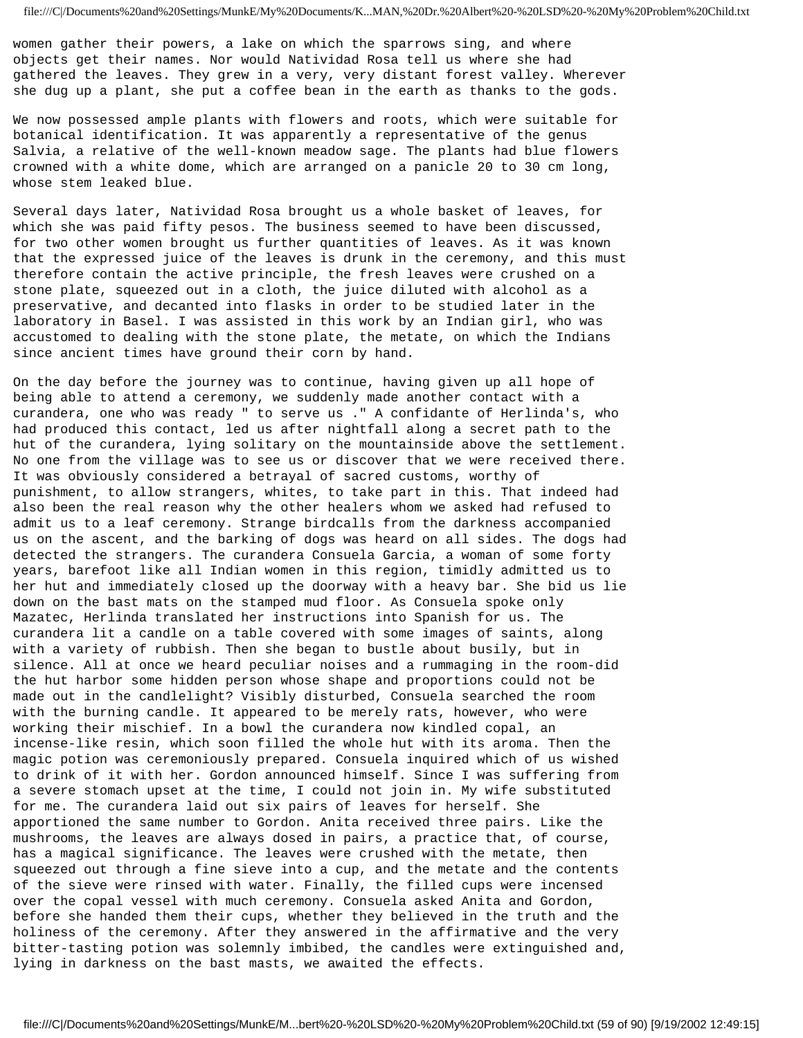women gather their powers, a lake on which the sparrows sing, and where objects get their names. Nor would Natividad Rosa tell us where she had gathered the leaves. They grew in a very, very distant forest valley. Wherever she dug up a plant, she put a coffee bean in the earth as thanks to the gods.

We now possessed ample plants with flowers and roots, which were suitable for botanical identification. It was apparently a representative of the genus Salvia, a relative of the well-known meadow sage. The plants had blue flowers crowned with a white dome, which are arranged on a panicle 20 to 30 cm long, whose stem leaked blue.

Several days later, Natividad Rosa brought us a whole basket of leaves, for which she was paid fifty pesos. The business seemed to have been discussed, for two other women brought us further quantities of leaves. As it was known that the expressed juice of the leaves is drunk in the ceremony, and this must therefore contain the active principle, the fresh leaves were crushed on a stone plate, squeezed out in a cloth, the juice diluted with alcohol as a preservative, and decanted into flasks in order to be studied later in the laboratory in Basel. I was assisted in this work by an Indian girl, who was accustomed to dealing with the stone plate, the metate, on which the Indians since ancient times have ground their corn by hand.

On the day before the journey was to continue, having given up all hope of being able to attend a ceremony, we suddenly made another contact with a curandera, one who was ready " to serve us ." A confidante of Herlinda's, who had produced this contact, led us after nightfall along a secret path to the hut of the curandera, lying solitary on the mountainside above the settlement. No one from the village was to see us or discover that we were received there. It was obviously considered a betrayal of sacred customs, worthy of punishment, to allow strangers, whites, to take part in this. That indeed had also been the real reason why the other healers whom we asked had refused to admit us to a leaf ceremony. Strange birdcalls from the darkness accompanied us on the ascent, and the barking of dogs was heard on all sides. The dogs had detected the strangers. The curandera Consuela Garcia, a woman of some forty years, barefoot like all Indian women in this region, timidly admitted us to her hut and immediately closed up the doorway with a heavy bar. She bid us lie down on the bast mats on the stamped mud floor. As Consuela spoke only Mazatec, Herlinda translated her instructions into Spanish for us. The curandera lit a candle on a table covered with some images of saints, along with a variety of rubbish. Then she began to bustle about busily, but in silence. All at once we heard peculiar noises and a rummaging in the room-did the hut harbor some hidden person whose shape and proportions could not be made out in the candlelight? Visibly disturbed, Consuela searched the room with the burning candle. It appeared to be merely rats, however, who were working their mischief. In a bowl the curandera now kindled copal, an incense-like resin, which soon filled the whole hut with its aroma. Then the magic potion was ceremoniously prepared. Consuela inquired which of us wished to drink of it with her. Gordon announced himself. Since I was suffering from a severe stomach upset at the time, I could not join in. My wife substituted for me. The curandera laid out six pairs of leaves for herself. She apportioned the same number to Gordon. Anita received three pairs. Like the mushrooms, the leaves are always dosed in pairs, a practice that, of course, has a magical significance. The leaves were crushed with the metate, then squeezed out through a fine sieve into a cup, and the metate and the contents of the sieve were rinsed with water. Finally, the filled cups were incensed over the copal vessel with much ceremony. Consuela asked Anita and Gordon, before she handed them their cups, whether they believed in the truth and the holiness of the ceremony. After they answered in the affirmative and the very bitter-tasting potion was solemnly imbibed, the candles were extinguished and, lying in darkness on the bast masts, we awaited the effects.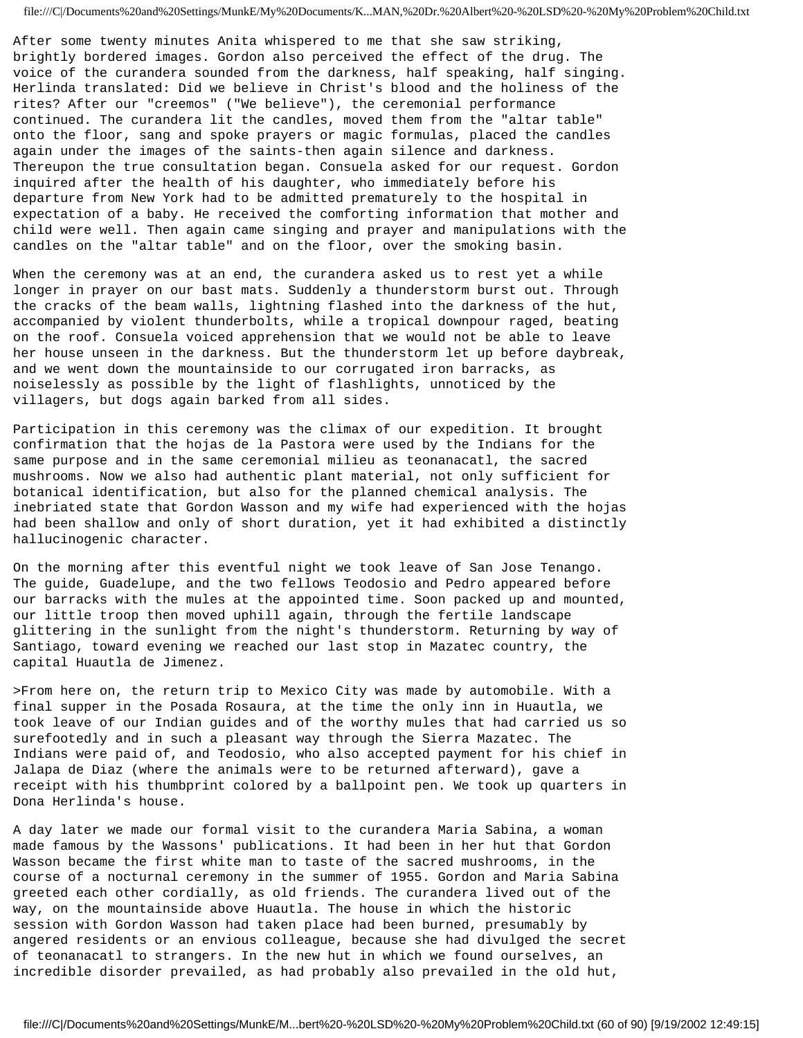After some twenty minutes Anita whispered to me that she saw striking, brightly bordered images. Gordon also perceived the effect of the drug. The voice of the curandera sounded from the darkness, half speaking, half singing. Herlinda translated: Did we believe in Christ's blood and the holiness of the rites? After our "creemos" ("We believe"), the ceremonial performance continued. The curandera lit the candles, moved them from the "altar table" onto the floor, sang and spoke prayers or magic formulas, placed the candles again under the images of the saints-then again silence and darkness. Thereupon the true consultation began. Consuela asked for our request. Gordon inquired after the health of his daughter, who immediately before his departure from New York had to be admitted prematurely to the hospital in expectation of a baby. He received the comforting information that mother and child were well. Then again came singing and prayer and manipulations with the candles on the "altar table" and on the floor, over the smoking basin.

When the ceremony was at an end, the curandera asked us to rest yet a while longer in prayer on our bast mats. Suddenly a thunderstorm burst out. Through the cracks of the beam walls, lightning flashed into the darkness of the hut, accompanied by violent thunderbolts, while a tropical downpour raged, beating on the roof. Consuela voiced apprehension that we would not be able to leave her house unseen in the darkness. But the thunderstorm let up before daybreak, and we went down the mountainside to our corrugated iron barracks, as noiselessly as possible by the light of flashlights, unnoticed by the villagers, but dogs again barked from all sides.

Participation in this ceremony was the climax of our expedition. It brought confirmation that the hojas de la Pastora were used by the Indians for the same purpose and in the same ceremonial milieu as teonanacatl, the sacred mushrooms. Now we also had authentic plant material, not only sufficient for botanical identification, but also for the planned chemical analysis. The inebriated state that Gordon Wasson and my wife had experienced with the hojas had been shallow and only of short duration, yet it had exhibited a distinctly hallucinogenic character.

On the morning after this eventful night we took leave of San Jose Tenango. The guide, Guadelupe, and the two fellows Teodosio and Pedro appeared before our barracks with the mules at the appointed time. Soon packed up and mounted, our little troop then moved uphill again, through the fertile landscape glittering in the sunlight from the night's thunderstorm. Returning by way of Santiago, toward evening we reached our last stop in Mazatec country, the capital Huautla de Jimenez.

>From here on, the return trip to Mexico City was made by automobile. With a final supper in the Posada Rosaura, at the time the only inn in Huautla, we took leave of our Indian guides and of the worthy mules that had carried us so surefootedly and in such a pleasant way through the Sierra Mazatec. The Indians were paid of, and Teodosio, who also accepted payment for his chief in Jalapa de Diaz (where the animals were to be returned afterward), gave a receipt with his thumbprint colored by a ballpoint pen. We took up quarters in Dona Herlinda's house.

A day later we made our formal visit to the curandera Maria Sabina, a woman made famous by the Wassons' publications. It had been in her hut that Gordon Wasson became the first white man to taste of the sacred mushrooms, in the course of a nocturnal ceremony in the summer of 1955. Gordon and Maria Sabina greeted each other cordially, as old friends. The curandera lived out of the way, on the mountainside above Huautla. The house in which the historic session with Gordon Wasson had taken place had been burned, presumably by angered residents or an envious colleague, because she had divulged the secret of teonanacatl to strangers. In the new hut in which we found ourselves, an incredible disorder prevailed, as had probably also prevailed in the old hut,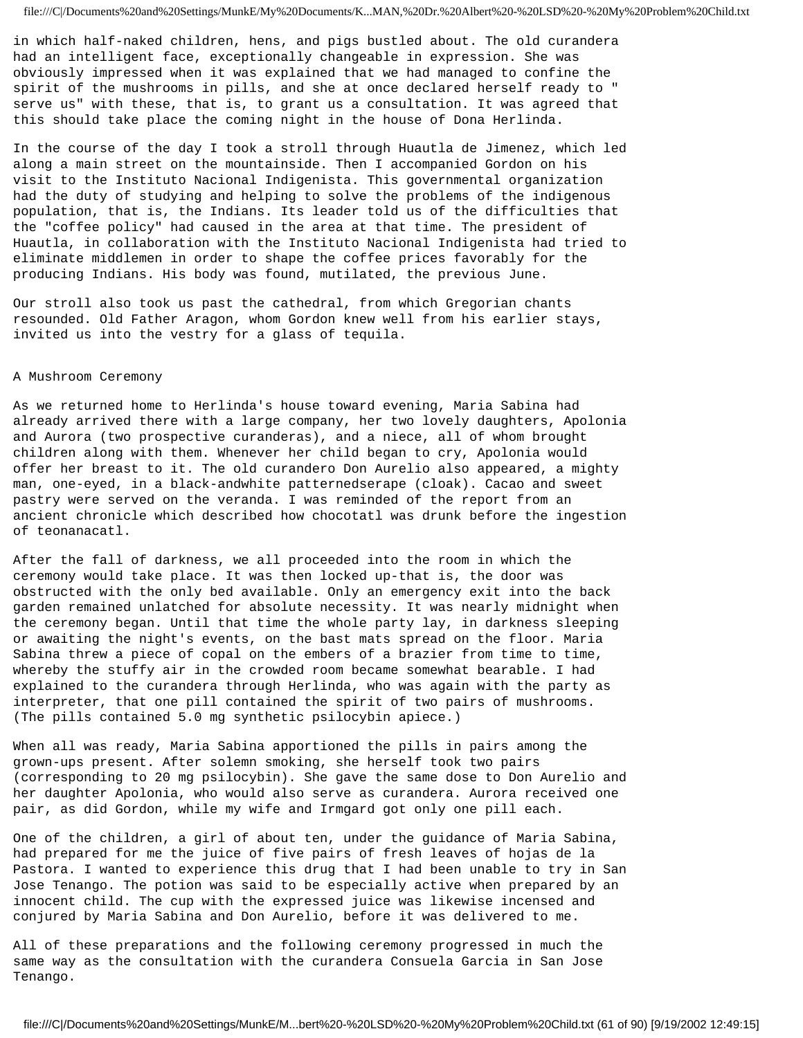in which half-naked children, hens, and pigs bustled about. The old curandera had an intelligent face, exceptionally changeable in expression. She was obviously impressed when it was explained that we had managed to confine the spirit of the mushrooms in pills, and she at once declared herself ready to " serve us" with these, that is, to grant us a consultation. It was agreed that this should take place the coming night in the house of Dona Herlinda.

In the course of the day I took a stroll through Huautla de Jimenez, which led along a main street on the mountainside. Then I accompanied Gordon on his visit to the Instituto Nacional Indigenista. This governmental organization had the duty of studying and helping to solve the problems of the indigenous population, that is, the Indians. Its leader told us of the difficulties that the "coffee policy" had caused in the area at that time. The president of Huautla, in collaboration with the Instituto Nacional Indigenista had tried to eliminate middlemen in order to shape the coffee prices favorably for the producing Indians. His body was found, mutilated, the previous June.

Our stroll also took us past the cathedral, from which Gregorian chants resounded. Old Father Aragon, whom Gordon knew well from his earlier stays, invited us into the vestry for a glass of tequila.

### A Mushroom Ceremony

As we returned home to Herlinda's house toward evening, Maria Sabina had already arrived there with a large company, her two lovely daughters, Apolonia and Aurora (two prospective curanderas), and a niece, all of whom brought children along with them. Whenever her child began to cry, Apolonia would offer her breast to it. The old curandero Don Aurelio also appeared, a mighty man, one-eyed, in a black-andwhite patternedserape (cloak). Cacao and sweet pastry were served on the veranda. I was reminded of the report from an ancient chronicle which described how chocotatl was drunk before the ingestion of teonanacatl.

After the fall of darkness, we all proceeded into the room in which the ceremony would take place. It was then locked up-that is, the door was obstructed with the only bed available. Only an emergency exit into the back garden remained unlatched for absolute necessity. It was nearly midnight when the ceremony began. Until that time the whole party lay, in darkness sleeping or awaiting the night's events, on the bast mats spread on the floor. Maria Sabina threw a piece of copal on the embers of a brazier from time to time, whereby the stuffy air in the crowded room became somewhat bearable. I had explained to the curandera through Herlinda, who was again with the party as interpreter, that one pill contained the spirit of two pairs of mushrooms. (The pills contained 5.0 mg synthetic psilocybin apiece.)

When all was ready, Maria Sabina apportioned the pills in pairs among the grown-ups present. After solemn smoking, she herself took two pairs (corresponding to 20 mg psilocybin). She gave the same dose to Don Aurelio and her daughter Apolonia, who would also serve as curandera. Aurora received one pair, as did Gordon, while my wife and Irmgard got only one pill each.

One of the children, a girl of about ten, under the guidance of Maria Sabina, had prepared for me the juice of five pairs of fresh leaves of hojas de la Pastora. I wanted to experience this drug that I had been unable to try in San Jose Tenango. The potion was said to be especially active when prepared by an innocent child. The cup with the expressed juice was likewise incensed and conjured by Maria Sabina and Don Aurelio, before it was delivered to me.

All of these preparations and the following ceremony progressed in much the same way as the consultation with the curandera Consuela Garcia in San Jose Tenango.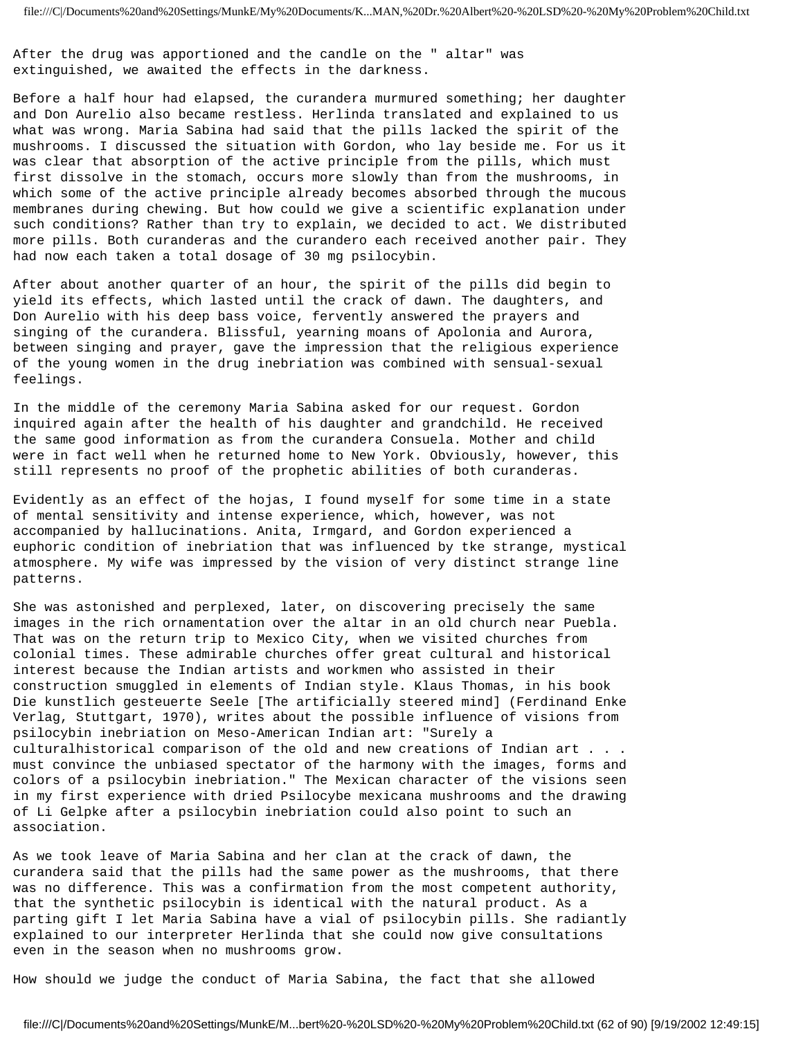After the drug was apportioned and the candle on the " altar" was extinguished, we awaited the effects in the darkness.

Before a half hour had elapsed, the curandera murmured something; her daughter and Don Aurelio also became restless. Herlinda translated and explained to us what was wrong. Maria Sabina had said that the pills lacked the spirit of the mushrooms. I discussed the situation with Gordon, who lay beside me. For us it was clear that absorption of the active principle from the pills, which must first dissolve in the stomach, occurs more slowly than from the mushrooms, in which some of the active principle already becomes absorbed through the mucous membranes during chewing. But how could we give a scientific explanation under such conditions? Rather than try to explain, we decided to act. We distributed more pills. Both curanderas and the curandero each received another pair. They had now each taken a total dosage of 30 mg psilocybin.

After about another quarter of an hour, the spirit of the pills did begin to yield its effects, which lasted until the crack of dawn. The daughters, and Don Aurelio with his deep bass voice, fervently answered the prayers and singing of the curandera. Blissful, yearning moans of Apolonia and Aurora, between singing and prayer, gave the impression that the religious experience of the young women in the drug inebriation was combined with sensual-sexual feelings.

In the middle of the ceremony Maria Sabina asked for our request. Gordon inquired again after the health of his daughter and grandchild. He received the same good information as from the curandera Consuela. Mother and child were in fact well when he returned home to New York. Obviously, however, this still represents no proof of the prophetic abilities of both curanderas.

Evidently as an effect of the hojas, I found myself for some time in a state of mental sensitivity and intense experience, which, however, was not accompanied by hallucinations. Anita, Irmgard, and Gordon experienced a euphoric condition of inebriation that was influenced by tke strange, mystical atmosphere. My wife was impressed by the vision of very distinct strange line patterns.

She was astonished and perplexed, later, on discovering precisely the same images in the rich ornamentation over the altar in an old church near Puebla. That was on the return trip to Mexico City, when we visited churches from colonial times. These admirable churches offer great cultural and historical interest because the Indian artists and workmen who assisted in their construction smuggled in elements of Indian style. Klaus Thomas, in his book Die kunstlich gesteuerte Seele [The artificially steered mind] (Ferdinand Enke Verlag, Stuttgart, 1970), writes about the possible influence of visions from psilocybin inebriation on Meso-American Indian art: "Surely a culturalhistorical comparison of the old and new creations of Indian art . . . must convince the unbiased spectator of the harmony with the images, forms and colors of a psilocybin inebriation." The Mexican character of the visions seen in my first experience with dried Psilocybe mexicana mushrooms and the drawing of Li Gelpke after a psilocybin inebriation could also point to such an association.

As we took leave of Maria Sabina and her clan at the crack of dawn, the curandera said that the pills had the same power as the mushrooms, that there was no difference. This was a confirmation from the most competent authority, that the synthetic psilocybin is identical with the natural product. As a parting gift I let Maria Sabina have a vial of psilocybin pills. She radiantly explained to our interpreter Herlinda that she could now give consultations even in the season when no mushrooms grow.

How should we judge the conduct of Maria Sabina, the fact that she allowed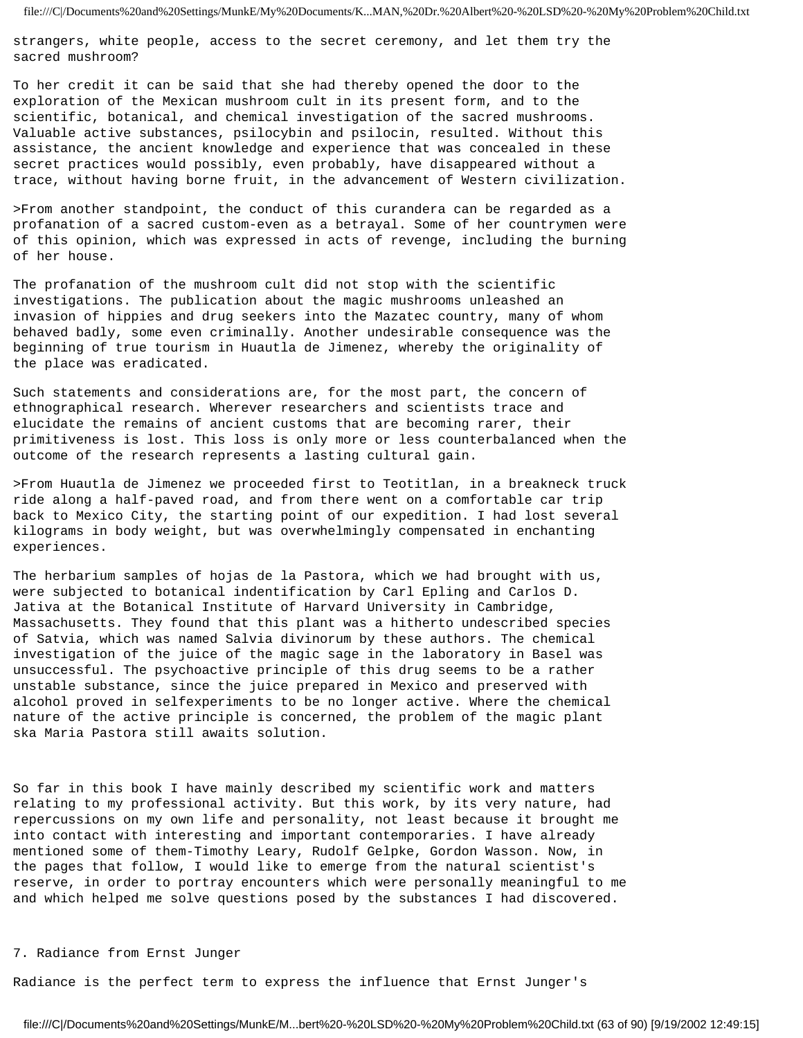strangers, white people, access to the secret ceremony, and let them try the sacred mushroom?

To her credit it can be said that she had thereby opened the door to the exploration of the Mexican mushroom cult in its present form, and to the scientific, botanical, and chemical investigation of the sacred mushrooms. Valuable active substances, psilocybin and psilocin, resulted. Without this assistance, the ancient knowledge and experience that was concealed in these secret practices would possibly, even probably, have disappeared without a trace, without having borne fruit, in the advancement of Western civilization.

>From another standpoint, the conduct of this curandera can be regarded as a profanation of a sacred custom-even as a betrayal. Some of her countrymen were of this opinion, which was expressed in acts of revenge, including the burning of her house.

The profanation of the mushroom cult did not stop with the scientific investigations. The publication about the magic mushrooms unleashed an invasion of hippies and drug seekers into the Mazatec country, many of whom behaved badly, some even criminally. Another undesirable consequence was the beginning of true tourism in Huautla de Jimenez, whereby the originality of the place was eradicated.

Such statements and considerations are, for the most part, the concern of ethnographical research. Wherever researchers and scientists trace and elucidate the remains of ancient customs that are becoming rarer, their primitiveness is lost. This loss is only more or less counterbalanced when the outcome of the research represents a lasting cultural gain.

>From Huautla de Jimenez we proceeded first to Teotitlan, in a breakneck truck ride along a half-paved road, and from there went on a comfortable car trip back to Mexico City, the starting point of our expedition. I had lost several kilograms in body weight, but was overwhelmingly compensated in enchanting experiences.

The herbarium samples of hojas de la Pastora, which we had brought with us, were subjected to botanical indentification by Carl Epling and Carlos D. Jativa at the Botanical Institute of Harvard University in Cambridge, Massachusetts. They found that this plant was a hitherto undescribed species of Satvia, which was named Salvia divinorum by these authors. The chemical investigation of the juice of the magic sage in the laboratory in Basel was unsuccessful. The psychoactive principle of this drug seems to be a rather unstable substance, since the juice prepared in Mexico and preserved with alcohol proved in selfexperiments to be no longer active. Where the chemical nature of the active principle is concerned, the problem of the magic plant ska Maria Pastora still awaits solution.

So far in this book I have mainly described my scientific work and matters relating to my professional activity. But this work, by its very nature, had repercussions on my own life and personality, not least because it brought me into contact with interesting and important contemporaries. I have already mentioned some of them-Timothy Leary, Rudolf Gelpke, Gordon Wasson. Now, in the pages that follow, I would like to emerge from the natural scientist's reserve, in order to portray encounters which were personally meaningful to me and which helped me solve questions posed by the substances I had discovered.

### 7. Radiance from Ernst Junger

Radiance is the perfect term to express the influence that Ernst Junger's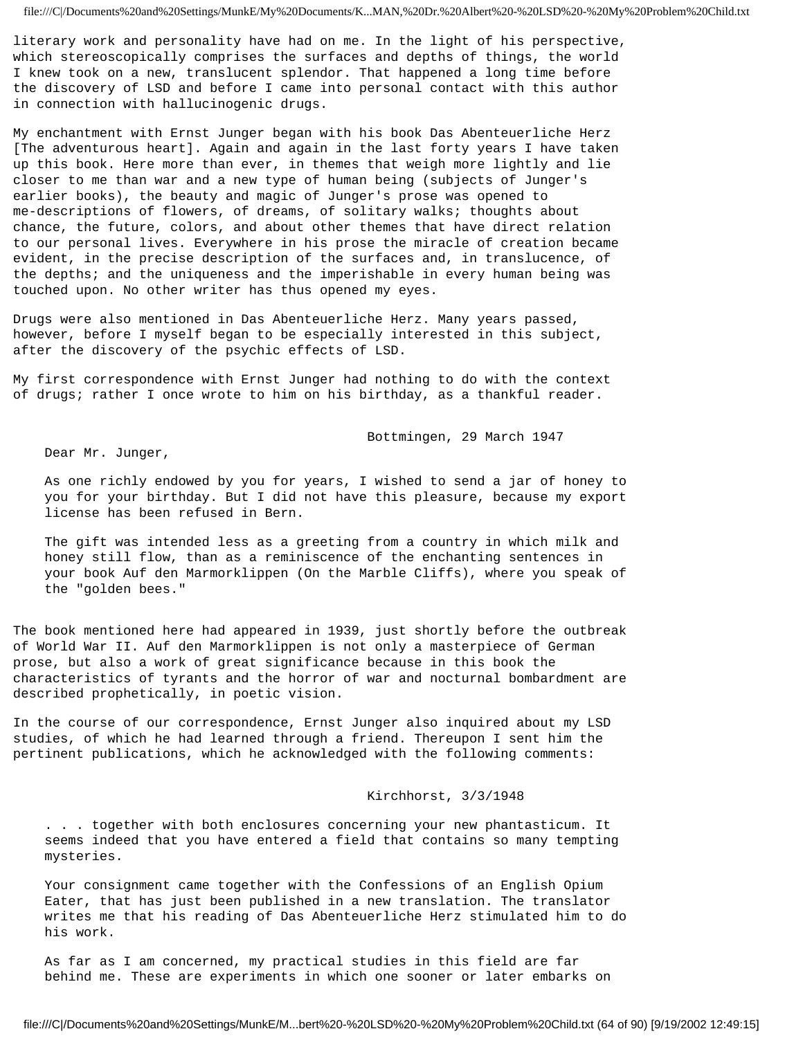literary work and personality have had on me. In the light of his perspective, which stereoscopically comprises the surfaces and depths of things, the world I knew took on a new, translucent splendor. That happened a long time before the discovery of LSD and before I came into personal contact with this author in connection with hallucinogenic drugs.

My enchantment with Ernst Junger began with his book Das Abenteuerliche Herz [The adventurous heart]. Again and again in the last forty years I have taken up this book. Here more than ever, in themes that weigh more lightly and lie closer to me than war and a new type of human being (subjects of Junger's earlier books), the beauty and magic of Junger's prose was opened to me-descriptions of flowers, of dreams, of solitary walks; thoughts about chance, the future, colors, and about other themes that have direct relation to our personal lives. Everywhere in his prose the miracle of creation became evident, in the precise description of the surfaces and, in translucence, of the depths; and the uniqueness and the imperishable in every human being was touched upon. No other writer has thus opened my eyes.

Drugs were also mentioned in Das Abenteuerliche Herz. Many years passed, however, before I myself began to be especially interested in this subject, after the discovery of the psychic effects of LSD.

My first correspondence with Ernst Junger had nothing to do with the context of drugs; rather I once wrote to him on his birthday, as a thankful reader.

Bottmingen, 29 March 1947

Dear Mr. Junger,

 As one richly endowed by you for years, I wished to send a jar of honey to you for your birthday. But I did not have this pleasure, because my export license has been refused in Bern.

 The gift was intended less as a greeting from a country in which milk and honey still flow, than as a reminiscence of the enchanting sentences in your book Auf den Marmorklippen (On the Marble Cliffs), where you speak of the "golden bees."

The book mentioned here had appeared in 1939, just shortly before the outbreak of World War II. Auf den Marmorklippen is not only a masterpiece of German prose, but also a work of great significance because in this book the characteristics of tyrants and the horror of war and nocturnal bombardment are described prophetically, in poetic vision.

In the course of our correspondence, Ernst Junger also inquired about my LSD studies, of which he had learned through a friend. Thereupon I sent him the pertinent publications, which he acknowledged with the following comments:

Kirchhorst, 3/3/1948

 . . . together with both enclosures concerning your new phantasticum. It seems indeed that you have entered a field that contains so many tempting mysteries.

 Your consignment came together with the Confessions of an English Opium Eater, that has just been published in a new translation. The translator writes me that his reading of Das Abenteuerliche Herz stimulated him to do his work.

 As far as I am concerned, my practical studies in this field are far behind me. These are experiments in which one sooner or later embarks on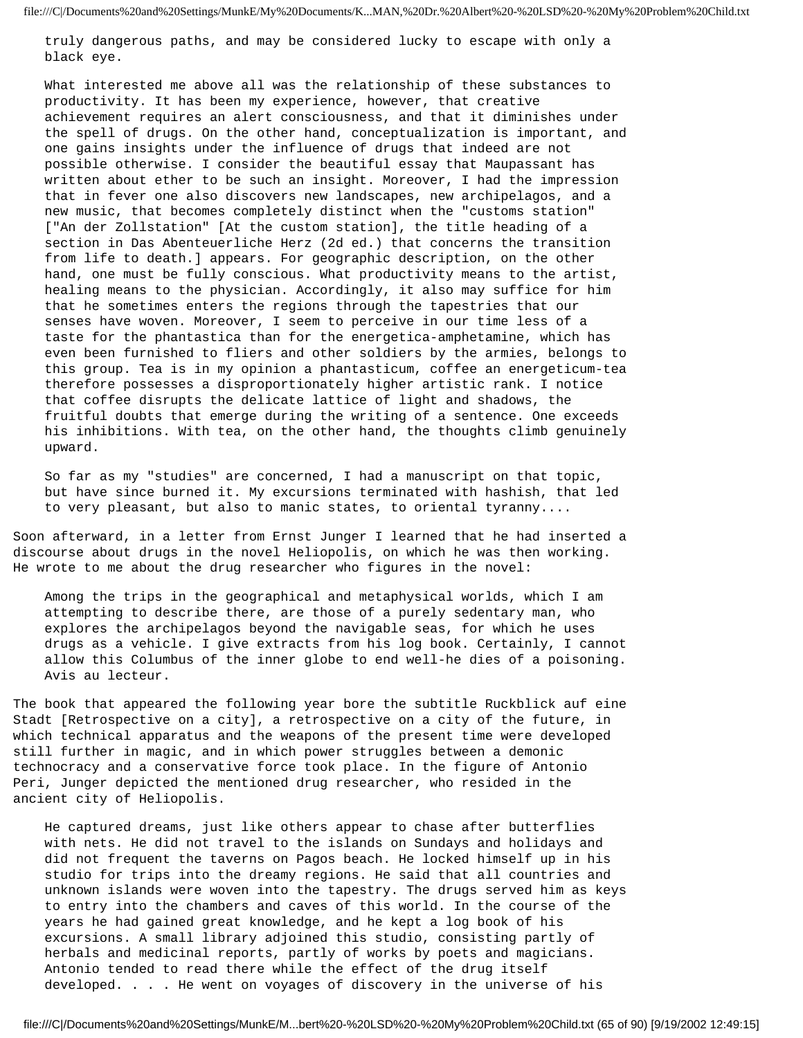truly dangerous paths, and may be considered lucky to escape with only a black eye.

 What interested me above all was the relationship of these substances to productivity. It has been my experience, however, that creative achievement requires an alert consciousness, and that it diminishes under the spell of drugs. On the other hand, conceptualization is important, and one gains insights under the influence of drugs that indeed are not possible otherwise. I consider the beautiful essay that Maupassant has written about ether to be such an insight. Moreover, I had the impression that in fever one also discovers new landscapes, new archipelagos, and a new music, that becomes completely distinct when the "customs station" ["An der Zollstation" [At the custom station], the title heading of a section in Das Abenteuerliche Herz (2d ed.) that concerns the transition from life to death.] appears. For geographic description, on the other hand, one must be fully conscious. What productivity means to the artist, healing means to the physician. Accordingly, it also may suffice for him that he sometimes enters the regions through the tapestries that our senses have woven. Moreover, I seem to perceive in our time less of a taste for the phantastica than for the energetica-amphetamine, which has even been furnished to fliers and other soldiers by the armies, belongs to this group. Tea is in my opinion a phantasticum, coffee an energeticum-tea therefore possesses a disproportionately higher artistic rank. I notice that coffee disrupts the delicate lattice of light and shadows, the fruitful doubts that emerge during the writing of a sentence. One exceeds his inhibitions. With tea, on the other hand, the thoughts climb genuinely upward.

 So far as my "studies" are concerned, I had a manuscript on that topic, but have since burned it. My excursions terminated with hashish, that led to very pleasant, but also to manic states, to oriental tyranny....

Soon afterward, in a letter from Ernst Junger I learned that he had inserted a discourse about drugs in the novel Heliopolis, on which he was then working. He wrote to me about the drug researcher who figures in the novel:

 Among the trips in the geographical and metaphysical worlds, which I am attempting to describe there, are those of a purely sedentary man, who explores the archipelagos beyond the navigable seas, for which he uses drugs as a vehicle. I give extracts from his log book. Certainly, I cannot allow this Columbus of the inner globe to end well-he dies of a poisoning. Avis au lecteur.

The book that appeared the following year bore the subtitle Ruckblick auf eine Stadt [Retrospective on a city], a retrospective on a city of the future, in which technical apparatus and the weapons of the present time were developed still further in magic, and in which power struggles between a demonic technocracy and a conservative force took place. In the figure of Antonio Peri, Junger depicted the mentioned drug researcher, who resided in the ancient city of Heliopolis.

 He captured dreams, just like others appear to chase after butterflies with nets. He did not travel to the islands on Sundays and holidays and did not frequent the taverns on Pagos beach. He locked himself up in his studio for trips into the dreamy regions. He said that all countries and unknown islands were woven into the tapestry. The drugs served him as keys to entry into the chambers and caves of this world. In the course of the years he had gained great knowledge, and he kept a log book of his excursions. A small library adjoined this studio, consisting partly of herbals and medicinal reports, partly of works by poets and magicians. Antonio tended to read there while the effect of the drug itself developed. . . . He went on voyages of discovery in the universe of his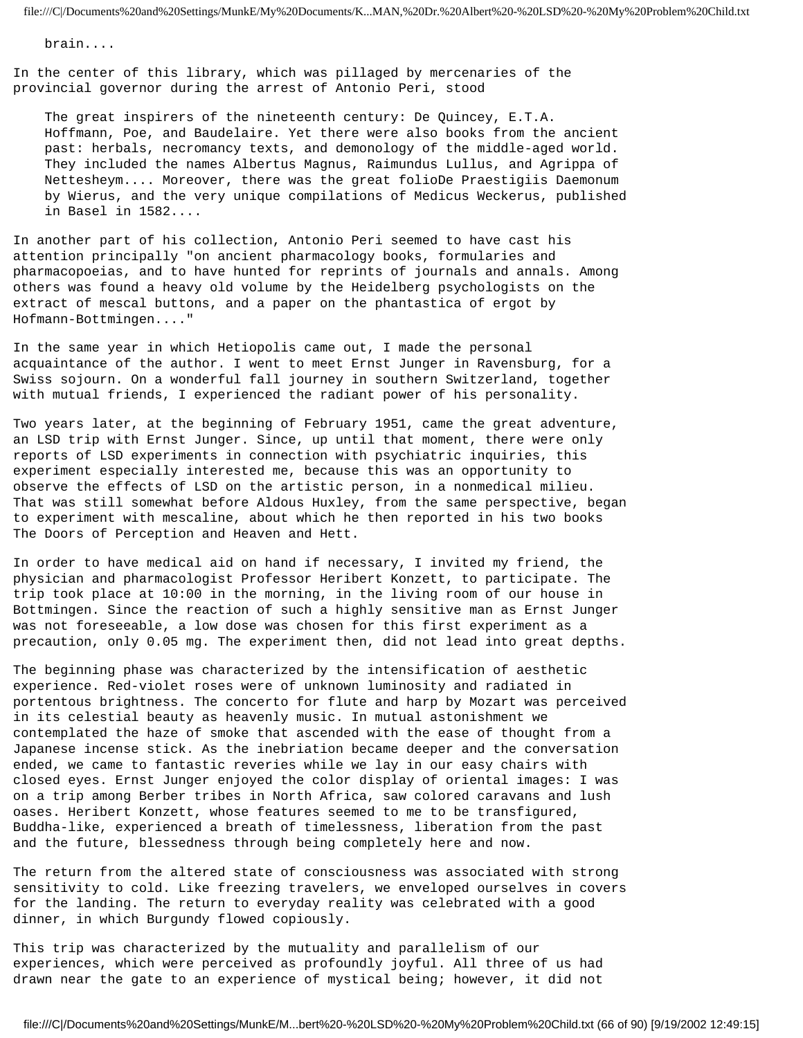brain....

In the center of this library, which was pillaged by mercenaries of the provincial governor during the arrest of Antonio Peri, stood

 The great inspirers of the nineteenth century: De Quincey, E.T.A. Hoffmann, Poe, and Baudelaire. Yet there were also books from the ancient past: herbals, necromancy texts, and demonology of the middle-aged world. They included the names Albertus Magnus, Raimundus Lullus, and Agrippa of Nettesheym.... Moreover, there was the great folioDe Praestigiis Daemonum by Wierus, and the very unique compilations of Medicus Weckerus, published in Basel in 1582....

In another part of his collection, Antonio Peri seemed to have cast his attention principally "on ancient pharmacology books, formularies and pharmacopoeias, and to have hunted for reprints of journals and annals. Among others was found a heavy old volume by the Heidelberg psychologists on the extract of mescal buttons, and a paper on the phantastica of ergot by Hofmann-Bottmingen...."

In the same year in which Hetiopolis came out, I made the personal acquaintance of the author. I went to meet Ernst Junger in Ravensburg, for a Swiss sojourn. On a wonderful fall journey in southern Switzerland, together with mutual friends, I experienced the radiant power of his personality.

Two years later, at the beginning of February 1951, came the great adventure, an LSD trip with Ernst Junger. Since, up until that moment, there were only reports of LSD experiments in connection with psychiatric inquiries, this experiment especially interested me, because this was an opportunity to observe the effects of LSD on the artistic person, in a nonmedical milieu. That was still somewhat before Aldous Huxley, from the same perspective, began to experiment with mescaline, about which he then reported in his two books The Doors of Perception and Heaven and Hett.

In order to have medical aid on hand if necessary, I invited my friend, the physician and pharmacologist Professor Heribert Konzett, to participate. The trip took place at 10:00 in the morning, in the living room of our house in Bottmingen. Since the reaction of such a highly sensitive man as Ernst Junger was not foreseeable, a low dose was chosen for this first experiment as a precaution, only 0.05 mg. The experiment then, did not lead into great depths.

The beginning phase was characterized by the intensification of aesthetic experience. Red-violet roses were of unknown luminosity and radiated in portentous brightness. The concerto for flute and harp by Mozart was perceived in its celestial beauty as heavenly music. In mutual astonishment we contemplated the haze of smoke that ascended with the ease of thought from a Japanese incense stick. As the inebriation became deeper and the conversation ended, we came to fantastic reveries while we lay in our easy chairs with closed eyes. Ernst Junger enjoyed the color display of oriental images: I was on a trip among Berber tribes in North Africa, saw colored caravans and lush oases. Heribert Konzett, whose features seemed to me to be transfigured, Buddha-like, experienced a breath of timelessness, liberation from the past and the future, blessedness through being completely here and now.

The return from the altered state of consciousness was associated with strong sensitivity to cold. Like freezing travelers, we enveloped ourselves in covers for the landing. The return to everyday reality was celebrated with a good dinner, in which Burgundy flowed copiously.

This trip was characterized by the mutuality and parallelism of our experiences, which were perceived as profoundly joyful. All three of us had drawn near the gate to an experience of mystical being; however, it did not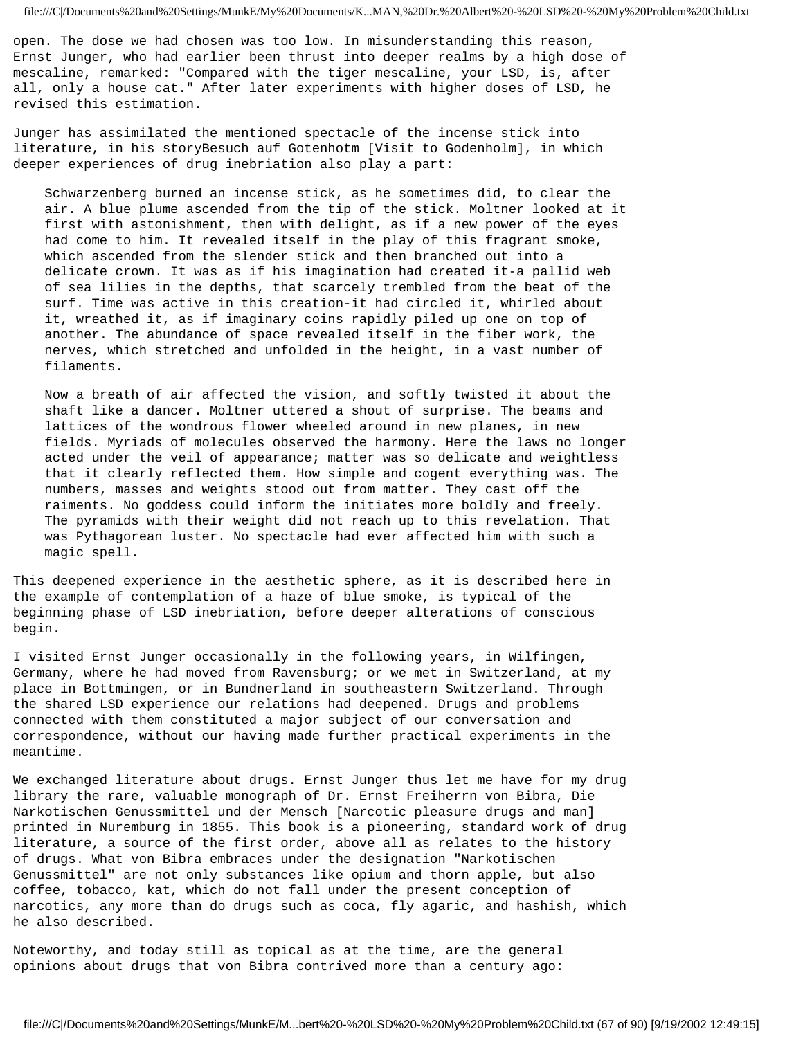open. The dose we had chosen was too low. In misunderstanding this reason, Ernst Junger, who had earlier been thrust into deeper realms by a high dose of mescaline, remarked: "Compared with the tiger mescaline, your LSD, is, after all, only a house cat." After later experiments with higher doses of LSD, he revised this estimation.

Junger has assimilated the mentioned spectacle of the incense stick into literature, in his storyBesuch auf Gotenhotm [Visit to Godenholm], in which deeper experiences of drug inebriation also play a part:

 Schwarzenberg burned an incense stick, as he sometimes did, to clear the air. A blue plume ascended from the tip of the stick. Moltner looked at it first with astonishment, then with delight, as if a new power of the eyes had come to him. It revealed itself in the play of this fragrant smoke, which ascended from the slender stick and then branched out into a delicate crown. It was as if his imagination had created it-a pallid web of sea lilies in the depths, that scarcely trembled from the beat of the surf. Time was active in this creation-it had circled it, whirled about it, wreathed it, as if imaginary coins rapidly piled up one on top of another. The abundance of space revealed itself in the fiber work, the nerves, which stretched and unfolded in the height, in a vast number of filaments.

 Now a breath of air affected the vision, and softly twisted it about the shaft like a dancer. Moltner uttered a shout of surprise. The beams and lattices of the wondrous flower wheeled around in new planes, in new fields. Myriads of molecules observed the harmony. Here the laws no longer acted under the veil of appearance; matter was so delicate and weightless that it clearly reflected them. How simple and cogent everything was. The numbers, masses and weights stood out from matter. They cast off the raiments. No goddess could inform the initiates more boldly and freely. The pyramids with their weight did not reach up to this revelation. That was Pythagorean luster. No spectacle had ever affected him with such a magic spell.

This deepened experience in the aesthetic sphere, as it is described here in the example of contemplation of a haze of blue smoke, is typical of the beginning phase of LSD inebriation, before deeper alterations of conscious begin.

I visited Ernst Junger occasionally in the following years, in Wilfingen, Germany, where he had moved from Ravensburg; or we met in Switzerland, at my place in Bottmingen, or in Bundnerland in southeastern Switzerland. Through the shared LSD experience our relations had deepened. Drugs and problems connected with them constituted a major subject of our conversation and correspondence, without our having made further practical experiments in the meantime.

We exchanged literature about drugs. Ernst Junger thus let me have for my drug library the rare, valuable monograph of Dr. Ernst Freiherrn von Bibra, Die Narkotischen Genussmittel und der Mensch [Narcotic pleasure drugs and man] printed in Nuremburg in 1855. This book is a pioneering, standard work of drug literature, a source of the first order, above all as relates to the history of drugs. What von Bibra embraces under the designation "Narkotischen Genussmittel" are not only substances like opium and thorn apple, but also coffee, tobacco, kat, which do not fall under the present conception of narcotics, any more than do drugs such as coca, fly agaric, and hashish, which he also described.

Noteworthy, and today still as topical as at the time, are the general opinions about drugs that von Bibra contrived more than a century ago: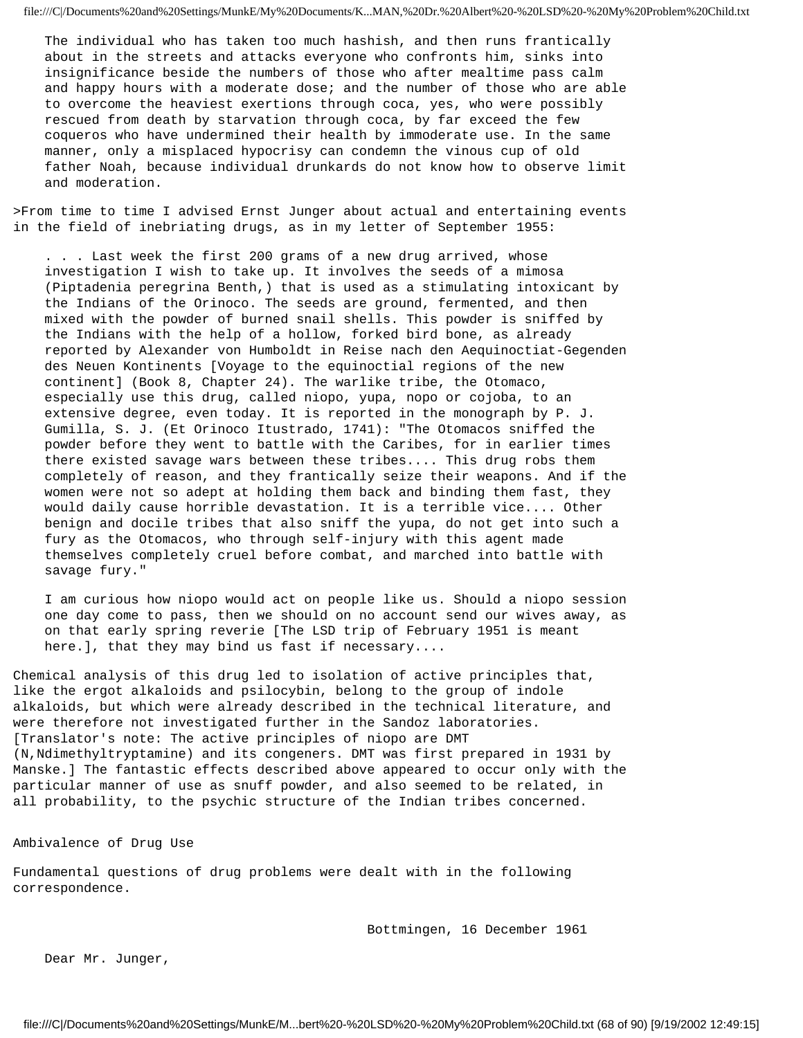The individual who has taken too much hashish, and then runs frantically about in the streets and attacks everyone who confronts him, sinks into insignificance beside the numbers of those who after mealtime pass calm and happy hours with a moderate dose; and the number of those who are able to overcome the heaviest exertions through coca, yes, who were possibly rescued from death by starvation through coca, by far exceed the few coqueros who have undermined their health by immoderate use. In the same manner, only a misplaced hypocrisy can condemn the vinous cup of old father Noah, because individual drunkards do not know how to observe limit and moderation.

>From time to time I advised Ernst Junger about actual and entertaining events in the field of inebriating drugs, as in my letter of September 1955:

 . . . Last week the first 200 grams of a new drug arrived, whose investigation I wish to take up. It involves the seeds of a mimosa (Piptadenia peregrina Benth,) that is used as a stimulating intoxicant by the Indians of the Orinoco. The seeds are ground, fermented, and then mixed with the powder of burned snail shells. This powder is sniffed by the Indians with the help of a hollow, forked bird bone, as already reported by Alexander von Humboldt in Reise nach den Aequinoctiat-Gegenden des Neuen Kontinents [Voyage to the equinoctial regions of the new continent] (Book 8, Chapter 24). The warlike tribe, the Otomaco, especially use this drug, called niopo, yupa, nopo or cojoba, to an extensive degree, even today. It is reported in the monograph by P. J. Gumilla, S. J. (Et Orinoco Itustrado, 1741): "The Otomacos sniffed the powder before they went to battle with the Caribes, for in earlier times there existed savage wars between these tribes.... This drug robs them completely of reason, and they frantically seize their weapons. And if the women were not so adept at holding them back and binding them fast, they would daily cause horrible devastation. It is a terrible vice.... Other benign and docile tribes that also sniff the yupa, do not get into such a fury as the Otomacos, who through self-injury with this agent made themselves completely cruel before combat, and marched into battle with savage fury."

 I am curious how niopo would act on people like us. Should a niopo session one day come to pass, then we should on no account send our wives away, as on that early spring reverie [The LSD trip of February 1951 is meant here.], that they may bind us fast if necessary....

Chemical analysis of this drug led to isolation of active principles that, like the ergot alkaloids and psilocybin, belong to the group of indole alkaloids, but which were already described in the technical literature, and were therefore not investigated further in the Sandoz laboratories. [Translator's note: The active principles of niopo are DMT (N,Ndimethyltryptamine) and its congeners. DMT was first prepared in 1931 by Manske.] The fantastic effects described above appeared to occur only with the particular manner of use as snuff powder, and also seemed to be related, in all probability, to the psychic structure of the Indian tribes concerned.

Ambivalence of Drug Use

Fundamental questions of drug problems were dealt with in the following correspondence.

Bottmingen, 16 December 1961

Dear Mr. Junger,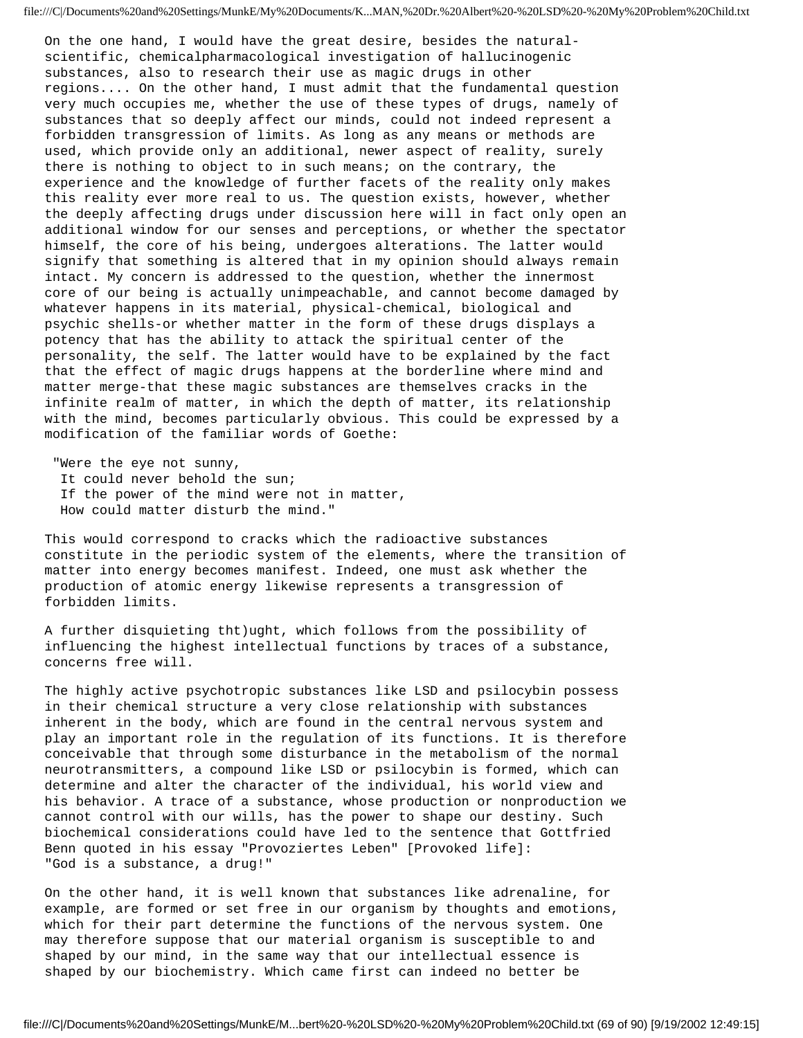On the one hand, I would have the great desire, besides the natural scientific, chemicalpharmacological investigation of hallucinogenic substances, also to research their use as magic drugs in other regions.... On the other hand, I must admit that the fundamental question very much occupies me, whether the use of these types of drugs, namely of substances that so deeply affect our minds, could not indeed represent a forbidden transgression of limits. As long as any means or methods are used, which provide only an additional, newer aspect of reality, surely there is nothing to object to in such means; on the contrary, the experience and the knowledge of further facets of the reality only makes this reality ever more real to us. The question exists, however, whether the deeply affecting drugs under discussion here will in fact only open an additional window for our senses and perceptions, or whether the spectator himself, the core of his being, undergoes alterations. The latter would signify that something is altered that in my opinion should always remain intact. My concern is addressed to the question, whether the innermost core of our being is actually unimpeachable, and cannot become damaged by whatever happens in its material, physical-chemical, biological and psychic shells-or whether matter in the form of these drugs displays a potency that has the ability to attack the spiritual center of the personality, the self. The latter would have to be explained by the fact that the effect of magic drugs happens at the borderline where mind and matter merge-that these magic substances are themselves cracks in the infinite realm of matter, in which the depth of matter, its relationship with the mind, becomes particularly obvious. This could be expressed by a modification of the familiar words of Goethe:

 "Were the eye not sunny, It could never behold the sun; If the power of the mind were not in matter, How could matter disturb the mind."

 This would correspond to cracks which the radioactive substances constitute in the periodic system of the elements, where the transition of matter into energy becomes manifest. Indeed, one must ask whether the production of atomic energy likewise represents a transgression of forbidden limits.

 A further disquieting tht)ught, which follows from the possibility of influencing the highest intellectual functions by traces of a substance, concerns free will.

 The highly active psychotropic substances like LSD and psilocybin possess in their chemical structure a very close relationship with substances inherent in the body, which are found in the central nervous system and play an important role in the regulation of its functions. It is therefore conceivable that through some disturbance in the metabolism of the normal neurotransmitters, a compound like LSD or psilocybin is formed, which can determine and alter the character of the individual, his world view and his behavior. A trace of a substance, whose production or nonproduction we cannot control with our wills, has the power to shape our destiny. Such biochemical considerations could have led to the sentence that Gottfried Benn quoted in his essay "Provoziertes Leben" [Provoked life]: "God is a substance, a drug!"

 On the other hand, it is well known that substances like adrenaline, for example, are formed or set free in our organism by thoughts and emotions, which for their part determine the functions of the nervous system. One may therefore suppose that our material organism is susceptible to and shaped by our mind, in the same way that our intellectual essence is shaped by our biochemistry. Which came first can indeed no better be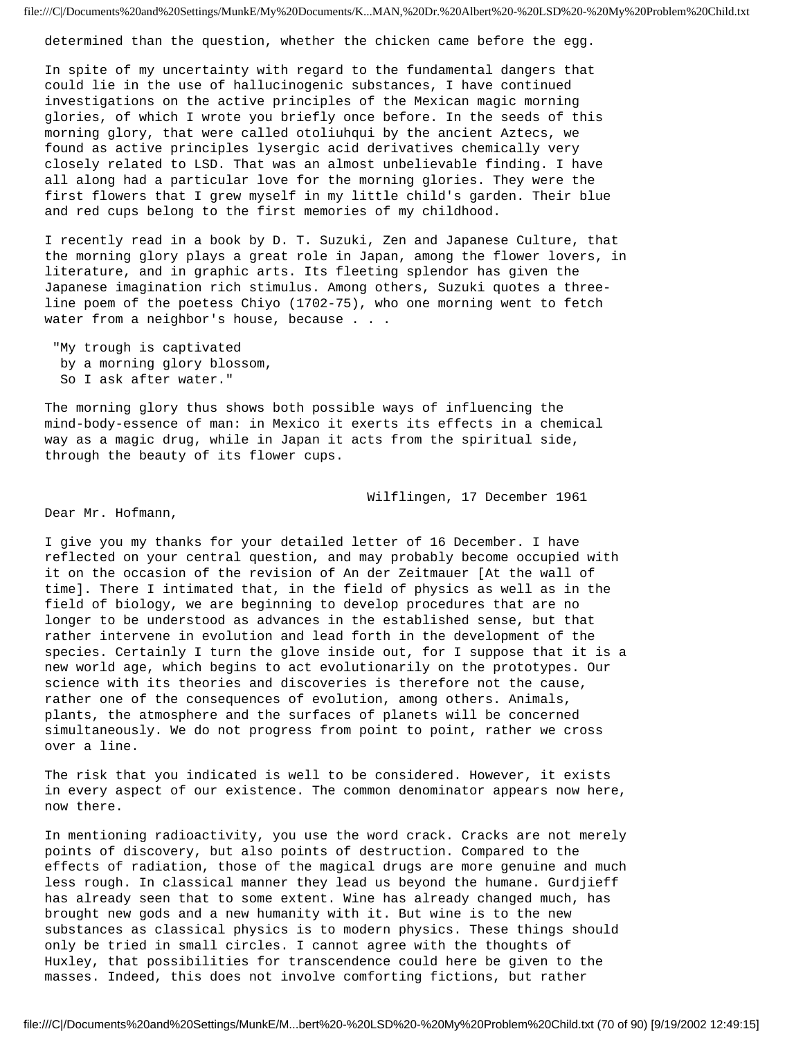determined than the question, whether the chicken came before the egg.

 In spite of my uncertainty with regard to the fundamental dangers that could lie in the use of hallucinogenic substances, I have continued investigations on the active principles of the Mexican magic morning glories, of which I wrote you briefly once before. In the seeds of this morning glory, that were called otoliuhqui by the ancient Aztecs, we found as active principles lysergic acid derivatives chemically very closely related to LSD. That was an almost unbelievable finding. I have all along had a particular love for the morning glories. They were the first flowers that I grew myself in my little child's garden. Their blue and red cups belong to the first memories of my childhood.

 I recently read in a book by D. T. Suzuki, Zen and Japanese Culture, that the morning glory plays a great role in Japan, among the flower lovers, in literature, and in graphic arts. Its fleeting splendor has given the Japanese imagination rich stimulus. Among others, Suzuki quotes a three line poem of the poetess Chiyo (1702-75), who one morning went to fetch water from a neighbor's house, because . . .

 "My trough is captivated by a morning glory blossom, So I ask after water."

 The morning glory thus shows both possible ways of influencing the mind-body-essence of man: in Mexico it exerts its effects in a chemical way as a magic drug, while in Japan it acts from the spiritual side, through the beauty of its flower cups.

Wilflingen, 17 December 1961

Dear Mr. Hofmann,

 I give you my thanks for your detailed letter of 16 December. I have reflected on your central question, and may probably become occupied with it on the occasion of the revision of An der Zeitmauer [At the wall of time]. There I intimated that, in the field of physics as well as in the field of biology, we are beginning to develop procedures that are no longer to be understood as advances in the established sense, but that rather intervene in evolution and lead forth in the development of the species. Certainly I turn the glove inside out, for I suppose that it is a new world age, which begins to act evolutionarily on the prototypes. Our science with its theories and discoveries is therefore not the cause, rather one of the consequences of evolution, among others. Animals, plants, the atmosphere and the surfaces of planets will be concerned simultaneously. We do not progress from point to point, rather we cross over a line.

 The risk that you indicated is well to be considered. However, it exists in every aspect of our existence. The common denominator appears now here, now there.

 In mentioning radioactivity, you use the word crack. Cracks are not merely points of discovery, but also points of destruction. Compared to the effects of radiation, those of the magical drugs are more genuine and much less rough. In classical manner they lead us beyond the humane. Gurdjieff has already seen that to some extent. Wine has already changed much, has brought new gods and a new humanity with it. But wine is to the new substances as classical physics is to modern physics. These things should only be tried in small circles. I cannot agree with the thoughts of Huxley, that possibilities for transcendence could here be given to the masses. Indeed, this does not involve comforting fictions, but rather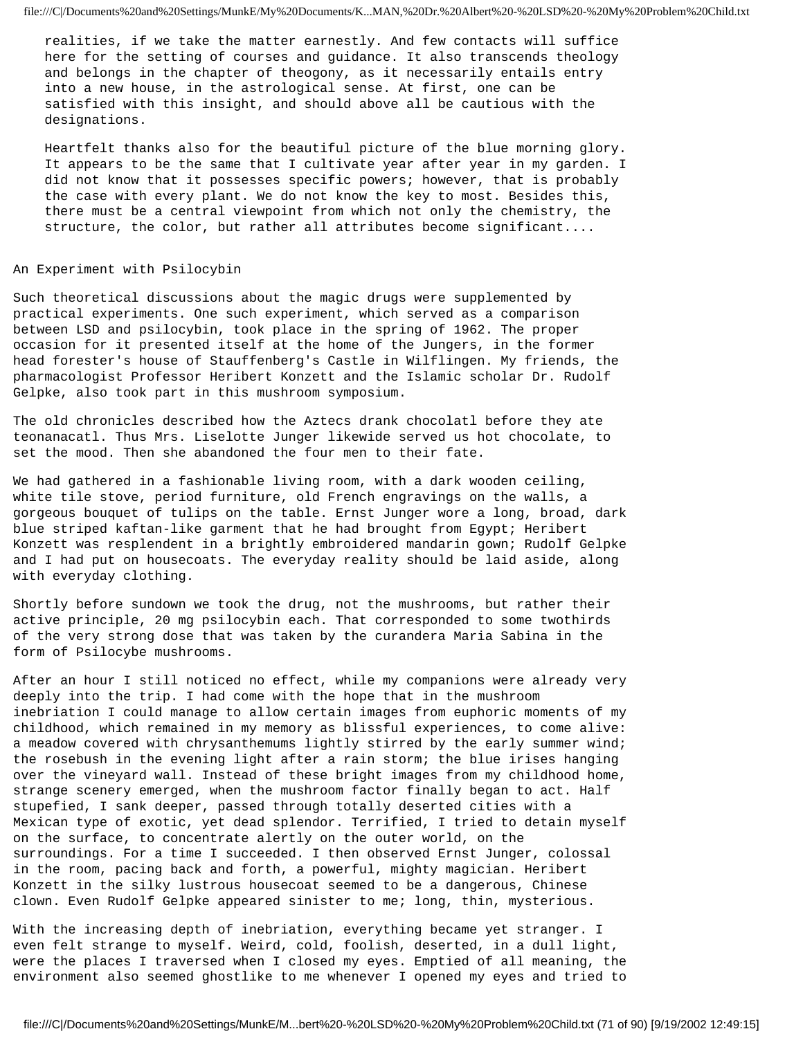realities, if we take the matter earnestly. And few contacts will suffice here for the setting of courses and guidance. It also transcends theology and belongs in the chapter of theogony, as it necessarily entails entry into a new house, in the astrological sense. At first, one can be satisfied with this insight, and should above all be cautious with the designations.

 Heartfelt thanks also for the beautiful picture of the blue morning glory. It appears to be the same that I cultivate year after year in my garden. I did not know that it possesses specific powers; however, that is probably the case with every plant. We do not know the key to most. Besides this, there must be a central viewpoint from which not only the chemistry, the structure, the color, but rather all attributes become significant....

#### An Experiment with Psilocybin

Such theoretical discussions about the magic drugs were supplemented by practical experiments. One such experiment, which served as a comparison between LSD and psilocybin, took place in the spring of 1962. The proper occasion for it presented itself at the home of the Jungers, in the former head forester's house of Stauffenberg's Castle in Wilflingen. My friends, the pharmacologist Professor Heribert Konzett and the Islamic scholar Dr. Rudolf Gelpke, also took part in this mushroom symposium.

The old chronicles described how the Aztecs drank chocolatl before they ate teonanacatl. Thus Mrs. Liselotte Junger likewide served us hot chocolate, to set the mood. Then she abandoned the four men to their fate.

We had gathered in a fashionable living room, with a dark wooden ceiling, white tile stove, period furniture, old French engravings on the walls, a gorgeous bouquet of tulips on the table. Ernst Junger wore a long, broad, dark blue striped kaftan-like garment that he had brought from Egypt; Heribert Konzett was resplendent in a brightly embroidered mandarin gown; Rudolf Gelpke and I had put on housecoats. The everyday reality should be laid aside, along with everyday clothing.

Shortly before sundown we took the drug, not the mushrooms, but rather their active principle, 20 mg psilocybin each. That corresponded to some twothirds of the very strong dose that was taken by the curandera Maria Sabina in the form of Psilocybe mushrooms.

After an hour I still noticed no effect, while my companions were already very deeply into the trip. I had come with the hope that in the mushroom inebriation I could manage to allow certain images from euphoric moments of my childhood, which remained in my memory as blissful experiences, to come alive: a meadow covered with chrysanthemums lightly stirred by the early summer wind; the rosebush in the evening light after a rain storm; the blue irises hanging over the vineyard wall. Instead of these bright images from my childhood home, strange scenery emerged, when the mushroom factor finally began to act. Half stupefied, I sank deeper, passed through totally deserted cities with a Mexican type of exotic, yet dead splendor. Terrified, I tried to detain myself on the surface, to concentrate alertly on the outer world, on the surroundings. For a time I succeeded. I then observed Ernst Junger, colossal in the room, pacing back and forth, a powerful, mighty magician. Heribert Konzett in the silky lustrous housecoat seemed to be a dangerous, Chinese clown. Even Rudolf Gelpke appeared sinister to me; long, thin, mysterious.

With the increasing depth of inebriation, everything became yet stranger. I even felt strange to myself. Weird, cold, foolish, deserted, in a dull light, were the places I traversed when I closed my eyes. Emptied of all meaning, the environment also seemed ghostlike to me whenever I opened my eyes and tried to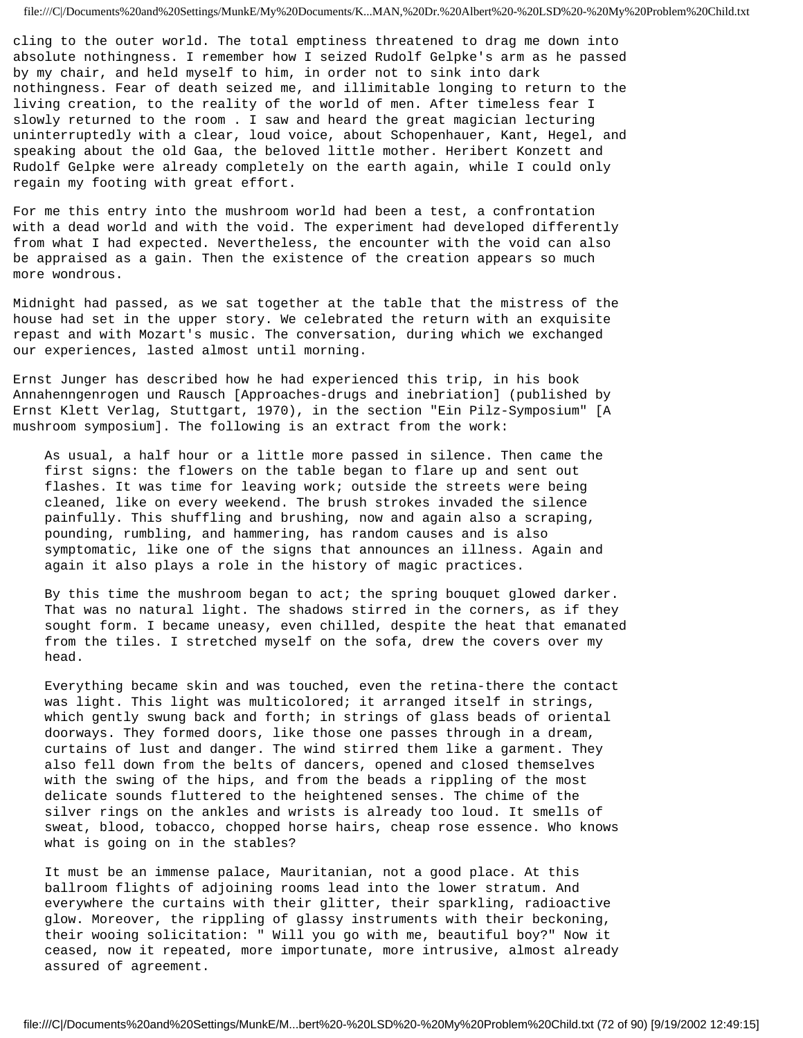cling to the outer world. The total emptiness threatened to drag me down into absolute nothingness. I remember how I seized Rudolf Gelpke's arm as he passed by my chair, and held myself to him, in order not to sink into dark nothingness. Fear of death seized me, and illimitable longing to return to the living creation, to the reality of the world of men. After timeless fear I slowly returned to the room . I saw and heard the great magician lecturing uninterruptedly with a clear, loud voice, about Schopenhauer, Kant, Hegel, and speaking about the old Gaa, the beloved little mother. Heribert Konzett and Rudolf Gelpke were already completely on the earth again, while I could only regain my footing with great effort.

For me this entry into the mushroom world had been a test, a confrontation with a dead world and with the void. The experiment had developed differently from what I had expected. Nevertheless, the encounter with the void can also be appraised as a gain. Then the existence of the creation appears so much more wondrous.

Midnight had passed, as we sat together at the table that the mistress of the house had set in the upper story. We celebrated the return with an exquisite repast and with Mozart's music. The conversation, during which we exchanged our experiences, lasted almost until morning.

Ernst Junger has described how he had experienced this trip, in his book Annahenngenrogen und Rausch [Approaches-drugs and inebriation] (published by Ernst Klett Verlag, Stuttgart, 1970), in the section "Ein Pilz-Symposium" [A mushroom symposium]. The following is an extract from the work:

 As usual, a half hour or a little more passed in silence. Then came the first signs: the flowers on the table began to flare up and sent out flashes. It was time for leaving work; outside the streets were being cleaned, like on every weekend. The brush strokes invaded the silence painfully. This shuffling and brushing, now and again also a scraping, pounding, rumbling, and hammering, has random causes and is also symptomatic, like one of the signs that announces an illness. Again and again it also plays a role in the history of magic practices.

By this time the mushroom began to act; the spring bouquet glowed darker. That was no natural light. The shadows stirred in the corners, as if they sought form. I became uneasy, even chilled, despite the heat that emanated from the tiles. I stretched myself on the sofa, drew the covers over my head.

 Everything became skin and was touched, even the retina-there the contact was light. This light was multicolored; it arranged itself in strings, which gently swung back and forth; in strings of glass beads of oriental doorways. They formed doors, like those one passes through in a dream, curtains of lust and danger. The wind stirred them like a garment. They also fell down from the belts of dancers, opened and closed themselves with the swing of the hips, and from the beads a rippling of the most delicate sounds fluttered to the heightened senses. The chime of the silver rings on the ankles and wrists is already too loud. It smells of sweat, blood, tobacco, chopped horse hairs, cheap rose essence. Who knows what is going on in the stables?

 It must be an immense palace, Mauritanian, not a good place. At this ballroom flights of adjoining rooms lead into the lower stratum. And everywhere the curtains with their glitter, their sparkling, radioactive glow. Moreover, the rippling of glassy instruments with their beckoning, their wooing solicitation: " Will you go with me, beautiful boy?" Now it ceased, now it repeated, more importunate, more intrusive, almost already assured of agreement.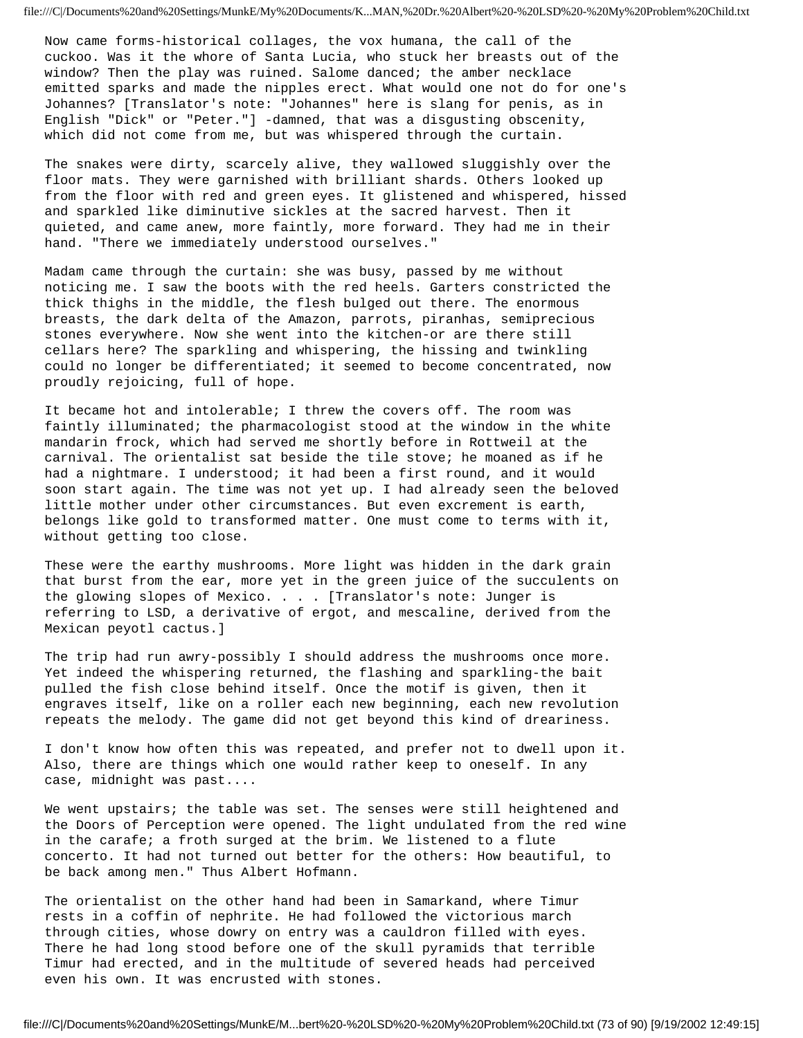Now came forms-historical collages, the vox humana, the call of the cuckoo. Was it the whore of Santa Lucia, who stuck her breasts out of the window? Then the play was ruined. Salome danced; the amber necklace emitted sparks and made the nipples erect. What would one not do for one's Johannes? [Translator's note: "Johannes" here is slang for penis, as in English "Dick" or "Peter."] -damned, that was a disgusting obscenity, which did not come from me, but was whispered through the curtain.

 The snakes were dirty, scarcely alive, they wallowed sluggishly over the floor mats. They were garnished with brilliant shards. Others looked up from the floor with red and green eyes. It glistened and whispered, hissed and sparkled like diminutive sickles at the sacred harvest. Then it quieted, and came anew, more faintly, more forward. They had me in their hand. "There we immediately understood ourselves."

 Madam came through the curtain: she was busy, passed by me without noticing me. I saw the boots with the red heels. Garters constricted the thick thighs in the middle, the flesh bulged out there. The enormous breasts, the dark delta of the Amazon, parrots, piranhas, semiprecious stones everywhere. Now she went into the kitchen-or are there still cellars here? The sparkling and whispering, the hissing and twinkling could no longer be differentiated; it seemed to become concentrated, now proudly rejoicing, full of hope.

 It became hot and intolerable; I threw the covers off. The room was faintly illuminated; the pharmacologist stood at the window in the white mandarin frock, which had served me shortly before in Rottweil at the carnival. The orientalist sat beside the tile stove; he moaned as if he had a nightmare. I understood; it had been a first round, and it would soon start again. The time was not yet up. I had already seen the beloved little mother under other circumstances. But even excrement is earth, belongs like gold to transformed matter. One must come to terms with it, without getting too close.

 These were the earthy mushrooms. More light was hidden in the dark grain that burst from the ear, more yet in the green juice of the succulents on the glowing slopes of Mexico. . . . [Translator's note: Junger is referring to LSD, a derivative of ergot, and mescaline, derived from the Mexican peyotl cactus.]

 The trip had run awry-possibly I should address the mushrooms once more. Yet indeed the whispering returned, the flashing and sparkling-the bait pulled the fish close behind itself. Once the motif is given, then it engraves itself, like on a roller each new beginning, each new revolution repeats the melody. The game did not get beyond this kind of dreariness.

 I don't know how often this was repeated, and prefer not to dwell upon it. Also, there are things which one would rather keep to oneself. In any case, midnight was past....

We went upstairs; the table was set. The senses were still heightened and the Doors of Perception were opened. The light undulated from the red wine in the carafe; a froth surged at the brim. We listened to a flute concerto. It had not turned out better for the others: How beautiful, to be back among men." Thus Albert Hofmann.

 The orientalist on the other hand had been in Samarkand, where Timur rests in a coffin of nephrite. He had followed the victorious march through cities, whose dowry on entry was a cauldron filled with eyes. There he had long stood before one of the skull pyramids that terrible Timur had erected, and in the multitude of severed heads had perceived even his own. It was encrusted with stones.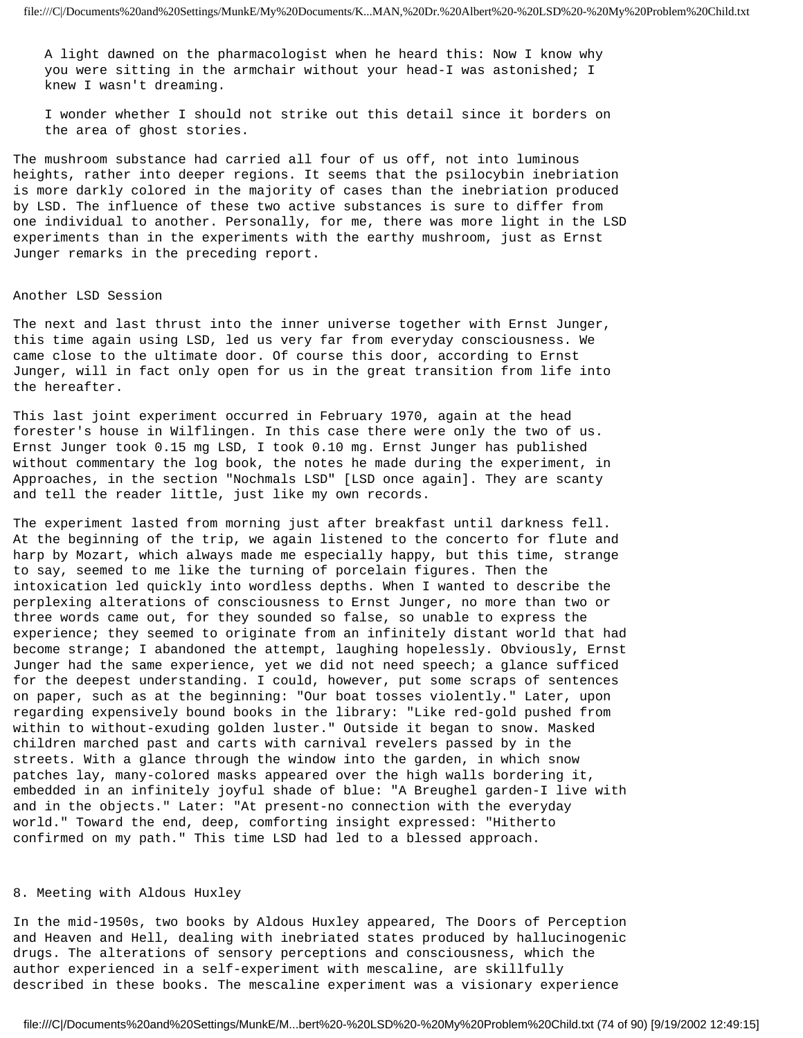A light dawned on the pharmacologist when he heard this: Now I know why you were sitting in the armchair without your head-I was astonished; I knew I wasn't dreaming.

 I wonder whether I should not strike out this detail since it borders on the area of ghost stories.

The mushroom substance had carried all four of us off, not into luminous heights, rather into deeper regions. It seems that the psilocybin inebriation is more darkly colored in the majority of cases than the inebriation produced by LSD. The influence of these two active substances is sure to differ from one individual to another. Personally, for me, there was more light in the LSD experiments than in the experiments with the earthy mushroom, just as Ernst Junger remarks in the preceding report.

# Another LSD Session

The next and last thrust into the inner universe together with Ernst Junger, this time again using LSD, led us very far from everyday consciousness. We came close to the ultimate door. Of course this door, according to Ernst Junger, will in fact only open for us in the great transition from life into the hereafter.

This last joint experiment occurred in February 1970, again at the head forester's house in Wilflingen. In this case there were only the two of us. Ernst Junger took 0.15 mg LSD, I took 0.10 mg. Ernst Junger has published without commentary the log book, the notes he made during the experiment, in Approaches, in the section "Nochmals LSD" [LSD once again]. They are scanty and tell the reader little, just like my own records.

The experiment lasted from morning just after breakfast until darkness fell. At the beginning of the trip, we again listened to the concerto for flute and harp by Mozart, which always made me especially happy, but this time, strange to say, seemed to me like the turning of porcelain figures. Then the intoxication led quickly into wordless depths. When I wanted to describe the perplexing alterations of consciousness to Ernst Junger, no more than two or three words came out, for they sounded so false, so unable to express the experience; they seemed to originate from an infinitely distant world that had become strange; I abandoned the attempt, laughing hopelessly. Obviously, Ernst Junger had the same experience, yet we did not need speech; a glance sufficed for the deepest understanding. I could, however, put some scraps of sentences on paper, such as at the beginning: "Our boat tosses violently." Later, upon regarding expensively bound books in the library: "Like red-gold pushed from within to without-exuding golden luster." Outside it began to snow. Masked children marched past and carts with carnival revelers passed by in the streets. With a glance through the window into the garden, in which snow patches lay, many-colored masks appeared over the high walls bordering it, embedded in an infinitely joyful shade of blue: "A Breughel garden-I live with and in the objects." Later: "At present-no connection with the everyday world." Toward the end, deep, comforting insight expressed: "Hitherto confirmed on my path." This time LSD had led to a blessed approach.

### 8. Meeting with Aldous Huxley

In the mid-1950s, two books by Aldous Huxley appeared, The Doors of Perception and Heaven and Hell, dealing with inebriated states produced by hallucinogenic drugs. The alterations of sensory perceptions and consciousness, which the author experienced in a self-experiment with mescaline, are skillfully described in these books. The mescaline experiment was a visionary experience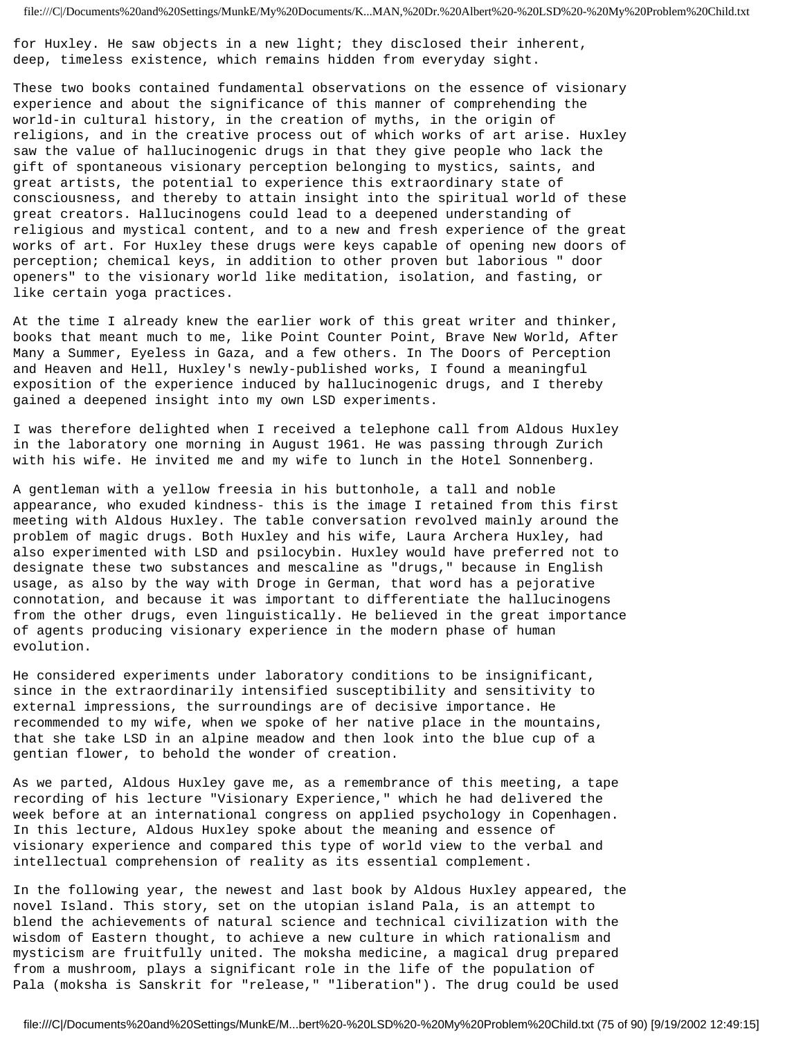for Huxley. He saw objects in a new light; they disclosed their inherent, deep, timeless existence, which remains hidden from everyday sight.

These two books contained fundamental observations on the essence of visionary experience and about the significance of this manner of comprehending the world-in cultural history, in the creation of myths, in the origin of religions, and in the creative process out of which works of art arise. Huxley saw the value of hallucinogenic drugs in that they give people who lack the gift of spontaneous visionary perception belonging to mystics, saints, and great artists, the potential to experience this extraordinary state of consciousness, and thereby to attain insight into the spiritual world of these great creators. Hallucinogens could lead to a deepened understanding of religious and mystical content, and to a new and fresh experience of the great works of art. For Huxley these drugs were keys capable of opening new doors of perception; chemical keys, in addition to other proven but laborious " door openers" to the visionary world like meditation, isolation, and fasting, or like certain yoga practices.

At the time I already knew the earlier work of this great writer and thinker, books that meant much to me, like Point Counter Point, Brave New World, After Many a Summer, Eyeless in Gaza, and a few others. In The Doors of Perception and Heaven and Hell, Huxley's newly-published works, I found a meaningful exposition of the experience induced by hallucinogenic drugs, and I thereby gained a deepened insight into my own LSD experiments.

I was therefore delighted when I received a telephone call from Aldous Huxley in the laboratory one morning in August 1961. He was passing through Zurich with his wife. He invited me and my wife to lunch in the Hotel Sonnenberg.

A gentleman with a yellow freesia in his buttonhole, a tall and noble appearance, who exuded kindness- this is the image I retained from this first meeting with Aldous Huxley. The table conversation revolved mainly around the problem of magic drugs. Both Huxley and his wife, Laura Archera Huxley, had also experimented with LSD and psilocybin. Huxley would have preferred not to designate these two substances and mescaline as "drugs," because in English usage, as also by the way with Droge in German, that word has a pejorative connotation, and because it was important to differentiate the hallucinogens from the other drugs, even linguistically. He believed in the great importance of agents producing visionary experience in the modern phase of human evolution.

He considered experiments under laboratory conditions to be insignificant, since in the extraordinarily intensified susceptibility and sensitivity to external impressions, the surroundings are of decisive importance. He recommended to my wife, when we spoke of her native place in the mountains, that she take LSD in an alpine meadow and then look into the blue cup of a gentian flower, to behold the wonder of creation.

As we parted, Aldous Huxley gave me, as a remembrance of this meeting, a tape recording of his lecture "Visionary Experience," which he had delivered the week before at an international congress on applied psychology in Copenhagen. In this lecture, Aldous Huxley spoke about the meaning and essence of visionary experience and compared this type of world view to the verbal and intellectual comprehension of reality as its essential complement.

In the following year, the newest and last book by Aldous Huxley appeared, the novel Island. This story, set on the utopian island Pala, is an attempt to blend the achievements of natural science and technical civilization with the wisdom of Eastern thought, to achieve a new culture in which rationalism and mysticism are fruitfully united. The moksha medicine, a magical drug prepared from a mushroom, plays a significant role in the life of the population of Pala (moksha is Sanskrit for "release," "liberation"). The drug could be used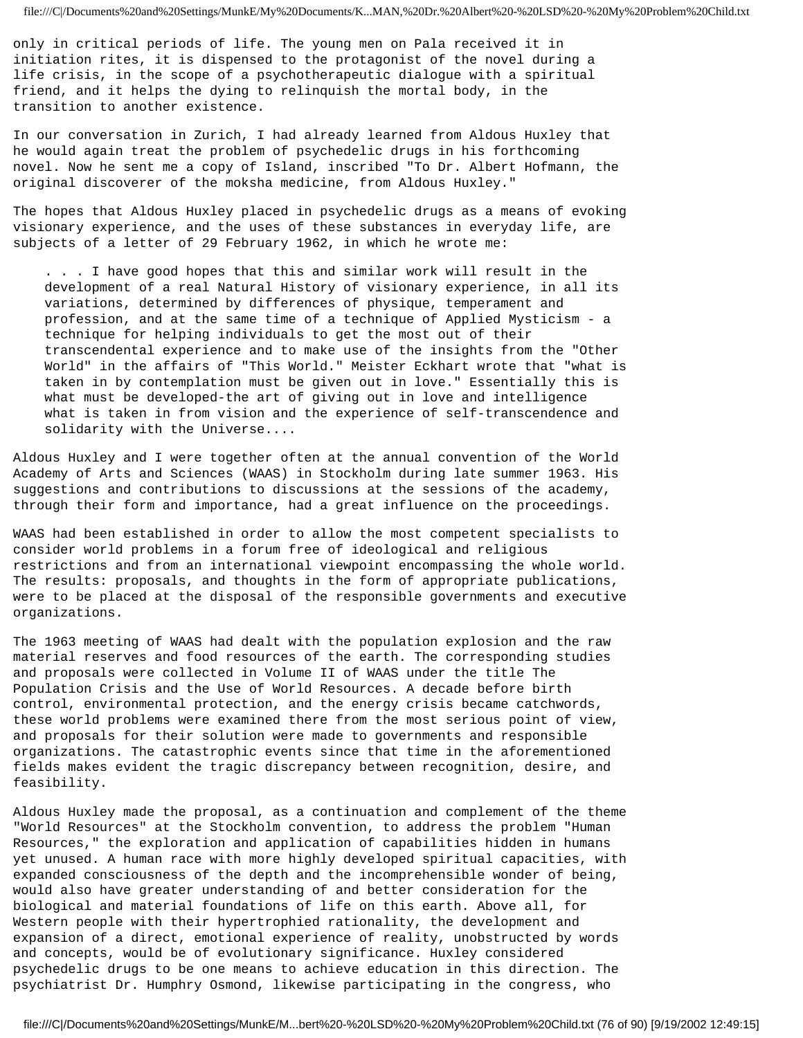only in critical periods of life. The young men on Pala received it in initiation rites, it is dispensed to the protagonist of the novel during a life crisis, in the scope of a psychotherapeutic dialogue with a spiritual friend, and it helps the dying to relinquish the mortal body, in the transition to another existence.

In our conversation in Zurich, I had already learned from Aldous Huxley that he would again treat the problem of psychedelic drugs in his forthcoming novel. Now he sent me a copy of Island, inscribed "To Dr. Albert Hofmann, the original discoverer of the moksha medicine, from Aldous Huxley."

The hopes that Aldous Huxley placed in psychedelic drugs as a means of evoking visionary experience, and the uses of these substances in everyday life, are subjects of a letter of 29 February 1962, in which he wrote me:

 . . . I have good hopes that this and similar work will result in the development of a real Natural History of visionary experience, in all its variations, determined by differences of physique, temperament and profession, and at the same time of a technique of Applied Mysticism - a technique for helping individuals to get the most out of their transcendental experience and to make use of the insights from the "Other World" in the affairs of "This World." Meister Eckhart wrote that "what is taken in by contemplation must be given out in love." Essentially this is what must be developed-the art of giving out in love and intelligence what is taken in from vision and the experience of self-transcendence and solidarity with the Universe....

Aldous Huxley and I were together often at the annual convention of the World Academy of Arts and Sciences (WAAS) in Stockholm during late summer 1963. His suggestions and contributions to discussions at the sessions of the academy, through their form and importance, had a great influence on the proceedings.

WAAS had been established in order to allow the most competent specialists to consider world problems in a forum free of ideological and religious restrictions and from an international viewpoint encompassing the whole world. The results: proposals, and thoughts in the form of appropriate publications, were to be placed at the disposal of the responsible governments and executive organizations.

The 1963 meeting of WAAS had dealt with the population explosion and the raw material reserves and food resources of the earth. The corresponding studies and proposals were collected in Volume II of WAAS under the title The Population Crisis and the Use of World Resources. A decade before birth control, environmental protection, and the energy crisis became catchwords, these world problems were examined there from the most serious point of view, and proposals for their solution were made to governments and responsible organizations. The catastrophic events since that time in the aforementioned fields makes evident the tragic discrepancy between recognition, desire, and feasibility.

Aldous Huxley made the proposal, as a continuation and complement of the theme "World Resources" at the Stockholm convention, to address the problem "Human Resources," the exploration and application of capabilities hidden in humans yet unused. A human race with more highly developed spiritual capacities, with expanded consciousness of the depth and the incomprehensible wonder of being, would also have greater understanding of and better consideration for the biological and material foundations of life on this earth. Above all, for Western people with their hypertrophied rationality, the development and expansion of a direct, emotional experience of reality, unobstructed by words and concepts, would be of evolutionary significance. Huxley considered psychedelic drugs to be one means to achieve education in this direction. The psychiatrist Dr. Humphry Osmond, likewise participating in the congress, who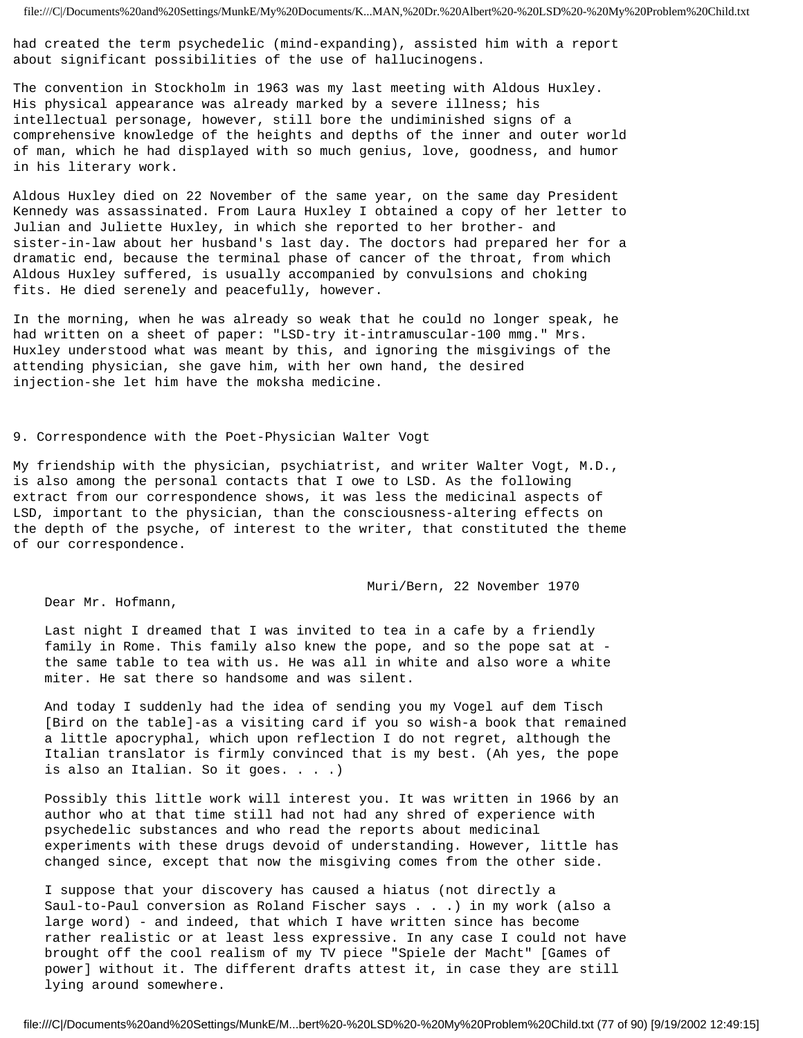had created the term psychedelic (mind-expanding), assisted him with a report about significant possibilities of the use of hallucinogens.

The convention in Stockholm in 1963 was my last meeting with Aldous Huxley. His physical appearance was already marked by a severe illness; his intellectual personage, however, still bore the undiminished signs of a comprehensive knowledge of the heights and depths of the inner and outer world of man, which he had displayed with so much genius, love, goodness, and humor in his literary work.

Aldous Huxley died on 22 November of the same year, on the same day President Kennedy was assassinated. From Laura Huxley I obtained a copy of her letter to Julian and Juliette Huxley, in which she reported to her brother- and sister-in-law about her husband's last day. The doctors had prepared her for a dramatic end, because the terminal phase of cancer of the throat, from which Aldous Huxley suffered, is usually accompanied by convulsions and choking fits. He died serenely and peacefully, however.

In the morning, when he was already so weak that he could no longer speak, he had written on a sheet of paper: "LSD-try it-intramuscular-100 mmg." Mrs. Huxley understood what was meant by this, and ignoring the misgivings of the attending physician, she gave him, with her own hand, the desired injection-she let him have the moksha medicine.

# 9. Correspondence with the Poet-Physician Walter Vogt

My friendship with the physician, psychiatrist, and writer Walter Vogt, M.D., is also among the personal contacts that I owe to LSD. As the following extract from our correspondence shows, it was less the medicinal aspects of LSD, important to the physician, than the consciousness-altering effects on the depth of the psyche, of interest to the writer, that constituted the theme of our correspondence.

Muri/Bern, 22 November 1970

Dear Mr. Hofmann,

 Last night I dreamed that I was invited to tea in a cafe by a friendly family in Rome. This family also knew the pope, and so the pope sat at the same table to tea with us. He was all in white and also wore a white miter. He sat there so handsome and was silent.

 And today I suddenly had the idea of sending you my Vogel auf dem Tisch [Bird on the table]-as a visiting card if you so wish-a book that remained a little apocryphal, which upon reflection I do not regret, although the Italian translator is firmly convinced that is my best. (Ah yes, the pope is also an Italian. So it goes. . . .)

 Possibly this little work will interest you. It was written in 1966 by an author who at that time still had not had any shred of experience with psychedelic substances and who read the reports about medicinal experiments with these drugs devoid of understanding. However, little has changed since, except that now the misgiving comes from the other side.

 I suppose that your discovery has caused a hiatus (not directly a Saul-to-Paul conversion as Roland Fischer says . . .) in my work (also a large word) - and indeed, that which I have written since has become rather realistic or at least less expressive. In any case I could not have brought off the cool realism of my TV piece "Spiele der Macht" [Games of power] without it. The different drafts attest it, in case they are still lying around somewhere.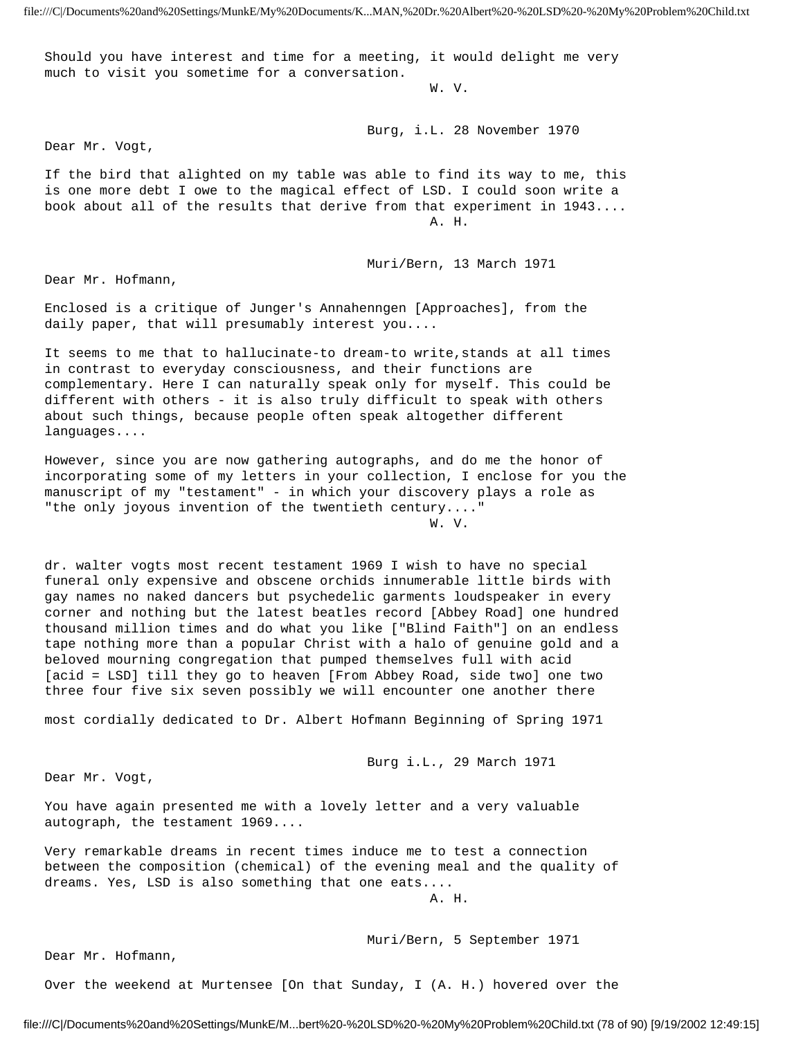Should you have interest and time for a meeting, it would delight me very much to visit you sometime for a conversation.

W. V.

Burg, i.L. 28 November 1970

Dear Mr. Vogt,

 If the bird that alighted on my table was able to find its way to me, this is one more debt I owe to the magical effect of LSD. I could soon write a book about all of the results that derive from that experiment in 1943.... A. H.

Muri/Bern, 13 March 1971

Dear Mr. Hofmann,

 Enclosed is a critique of Junger's Annahenngen [Approaches], from the daily paper, that will presumably interest you....

It seems to me that to hallucinate-to dream-to write, stands at all times in contrast to everyday consciousness, and their functions are complementary. Here I can naturally speak only for myself. This could be different with others - it is also truly difficult to speak with others about such things, because people often speak altogether different languages....

 However, since you are now gathering autographs, and do me the honor of incorporating some of my letters in your collection, I enclose for you the manuscript of my "testament" - in which your discovery plays a role as "the only joyous invention of the twentieth century...."

W. V.

 dr. walter vogts most recent testament 1969 I wish to have no special funeral only expensive and obscene orchids innumerable little birds with gay names no naked dancers but psychedelic garments loudspeaker in every corner and nothing but the latest beatles record [Abbey Road] one hundred thousand million times and do what you like ["Blind Faith"] on an endless tape nothing more than a popular Christ with a halo of genuine gold and a beloved mourning congregation that pumped themselves full with acid [acid = LSD] till they go to heaven [From Abbey Road, side two] one two three four five six seven possibly we will encounter one another there

most cordially dedicated to Dr. Albert Hofmann Beginning of Spring 1971

Burg i.L., 29 March 1971

Dear Mr. Vogt,

 You have again presented me with a lovely letter and a very valuable autograph, the testament 1969....

 Very remarkable dreams in recent times induce me to test a connection between the composition (chemical) of the evening meal and the quality of dreams. Yes, LSD is also something that one eats....

A. H.

Muri/Bern, 5 September 1971

Dear Mr. Hofmann,

Over the weekend at Murtensee [On that Sunday, I (A. H.) hovered over the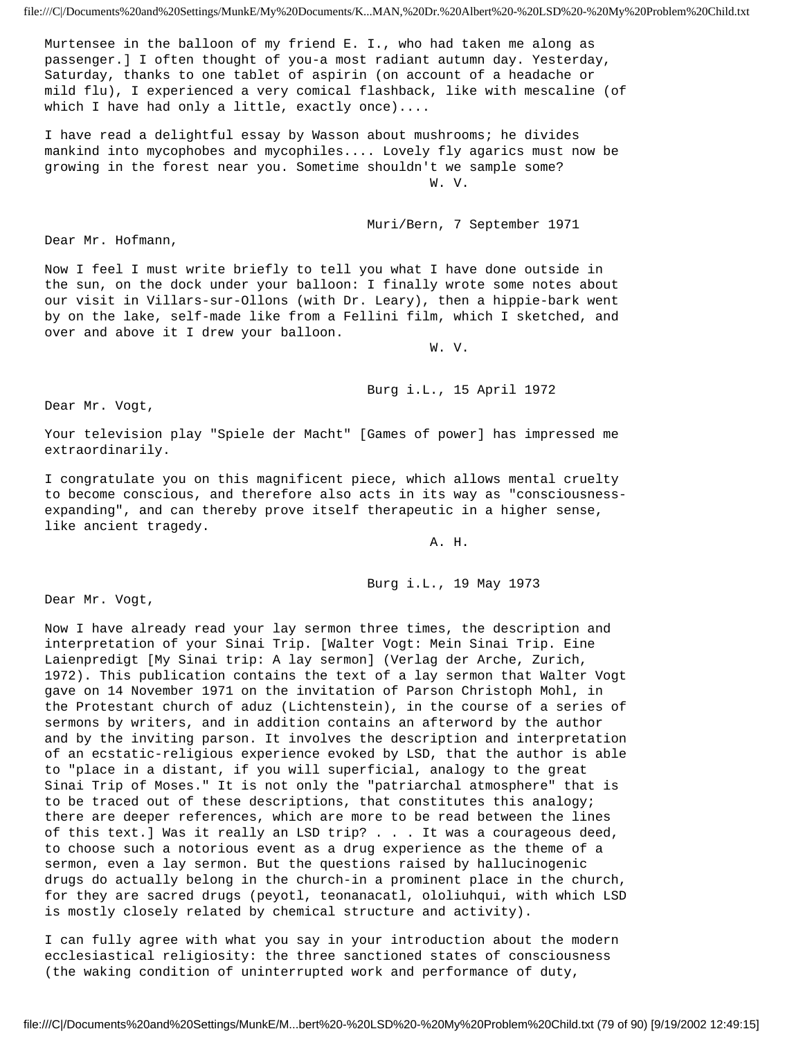Murtensee in the balloon of my friend E. I., who had taken me along as passenger.] I often thought of you-a most radiant autumn day. Yesterday, Saturday, thanks to one tablet of aspirin (on account of a headache or mild flu), I experienced a very comical flashback, like with mescaline (of which I have had only a little, exactly once)....

 I have read a delightful essay by Wasson about mushrooms; he divides mankind into mycophobes and mycophiles.... Lovely fly agarics must now be growing in the forest near you. Sometime shouldn't we sample some? W. V.

Muri/Bern, 7 September 1971

Dear Mr. Hofmann,

 Now I feel I must write briefly to tell you what I have done outside in the sun, on the dock under your balloon: I finally wrote some notes about our visit in Villars-sur-Ollons (with Dr. Leary), then a hippie-bark went by on the lake, self-made like from a Fellini film, which I sketched, and over and above it I drew your balloon.

W. V.

Burg i.L., 15 April 1972

Dear Mr. Vogt,

 Your television play "Spiele der Macht" [Games of power] has impressed me extraordinarily.

 I congratulate you on this magnificent piece, which allows mental cruelty to become conscious, and therefore also acts in its way as "consciousness expanding", and can thereby prove itself therapeutic in a higher sense, like ancient tragedy.

A. H.

Burg i.L., 19 May 1973

Dear Mr. Vogt,

 Now I have already read your lay sermon three times, the description and interpretation of your Sinai Trip. [Walter Vogt: Mein Sinai Trip. Eine Laienpredigt [My Sinai trip: A lay sermon] (Verlag der Arche, Zurich, 1972). This publication contains the text of a lay sermon that Walter Vogt gave on 14 November 1971 on the invitation of Parson Christoph Mohl, in the Protestant church of aduz (Lichtenstein), in the course of a series of sermons by writers, and in addition contains an afterword by the author and by the inviting parson. It involves the description and interpretation of an ecstatic-religious experience evoked by LSD, that the author is able to "place in a distant, if you will superficial, analogy to the great Sinai Trip of Moses." It is not only the "patriarchal atmosphere" that is to be traced out of these descriptions, that constitutes this analogy; there are deeper references, which are more to be read between the lines of this text.] Was it really an LSD trip? . . . It was a courageous deed, to choose such a notorious event as a drug experience as the theme of a sermon, even a lay sermon. But the questions raised by hallucinogenic drugs do actually belong in the church-in a prominent place in the church, for they are sacred drugs (peyotl, teonanacatl, ololiuhqui, with which LSD is mostly closely related by chemical structure and activity).

 I can fully agree with what you say in your introduction about the modern ecclesiastical religiosity: the three sanctioned states of consciousness (the waking condition of uninterrupted work and performance of duty,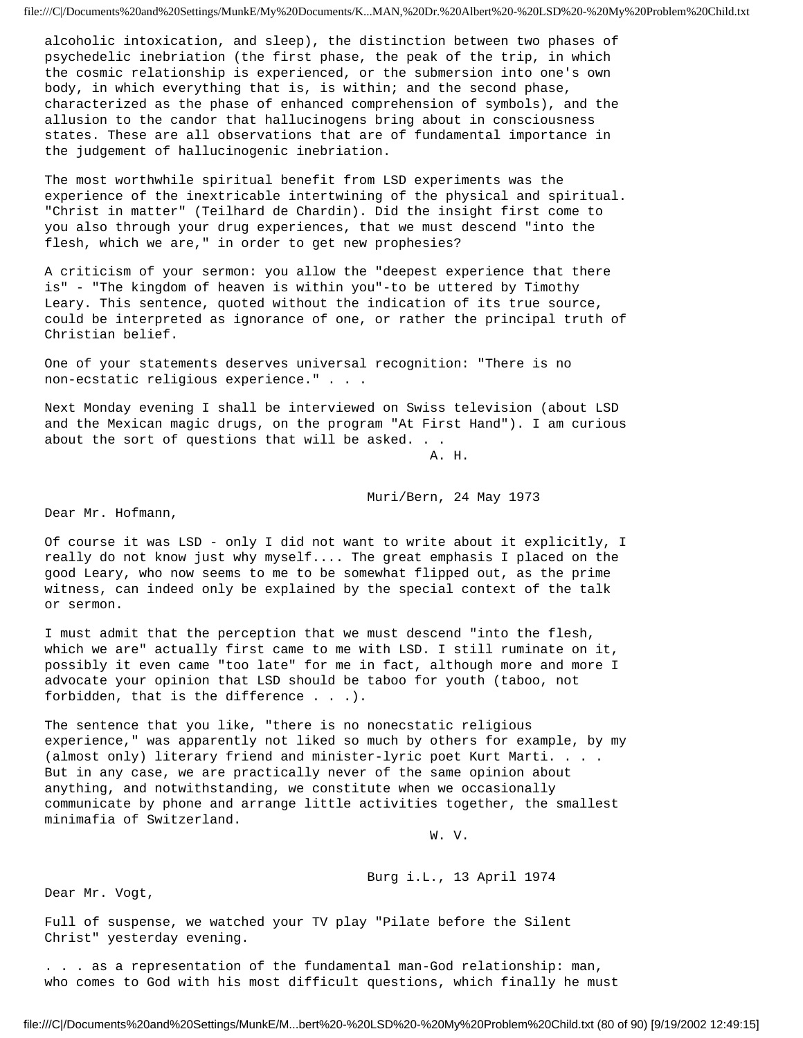alcoholic intoxication, and sleep), the distinction between two phases of psychedelic inebriation (the first phase, the peak of the trip, in which the cosmic relationship is experienced, or the submersion into one's own body, in which everything that is, is within; and the second phase, characterized as the phase of enhanced comprehension of symbols), and the allusion to the candor that hallucinogens bring about in consciousness states. These are all observations that are of fundamental importance in the judgement of hallucinogenic inebriation.

 The most worthwhile spiritual benefit from LSD experiments was the experience of the inextricable intertwining of the physical and spiritual. "Christ in matter" (Teilhard de Chardin). Did the insight first come to you also through your drug experiences, that we must descend "into the flesh, which we are," in order to get new prophesies?

 A criticism of your sermon: you allow the "deepest experience that there is" - "The kingdom of heaven is within you"-to be uttered by Timothy Leary. This sentence, quoted without the indication of its true source, could be interpreted as ignorance of one, or rather the principal truth of Christian belief.

 One of your statements deserves universal recognition: "There is no non-ecstatic religious experience." . . .

 Next Monday evening I shall be interviewed on Swiss television (about LSD and the Mexican magic drugs, on the program "At First Hand"). I am curious about the sort of questions that will be asked. . .

A. H.

Muri/Bern, 24 May 1973

Dear Mr. Hofmann,

 Of course it was LSD - only I did not want to write about it explicitly, I really do not know just why myself.... The great emphasis I placed on the good Leary, who now seems to me to be somewhat flipped out, as the prime witness, can indeed only be explained by the special context of the talk or sermon.

 I must admit that the perception that we must descend "into the flesh, which we are" actually first came to me with LSD. I still ruminate on it, possibly it even came "too late" for me in fact, although more and more I advocate your opinion that LSD should be taboo for youth (taboo, not forbidden, that is the difference . . .).

 The sentence that you like, "there is no nonecstatic religious experience," was apparently not liked so much by others for example, by my (almost only) literary friend and minister-lyric poet Kurt Marti. . . . But in any case, we are practically never of the same opinion about anything, and notwithstanding, we constitute when we occasionally communicate by phone and arrange little activities together, the smallest minimafia of Switzerland.

W. V.

Burg i.L., 13 April 1974

Dear Mr. Vogt,

 Full of suspense, we watched your TV play "Pilate before the Silent Christ" yesterday evening.

 . . . as a representation of the fundamental man-God relationship: man, who comes to God with his most difficult questions, which finally he must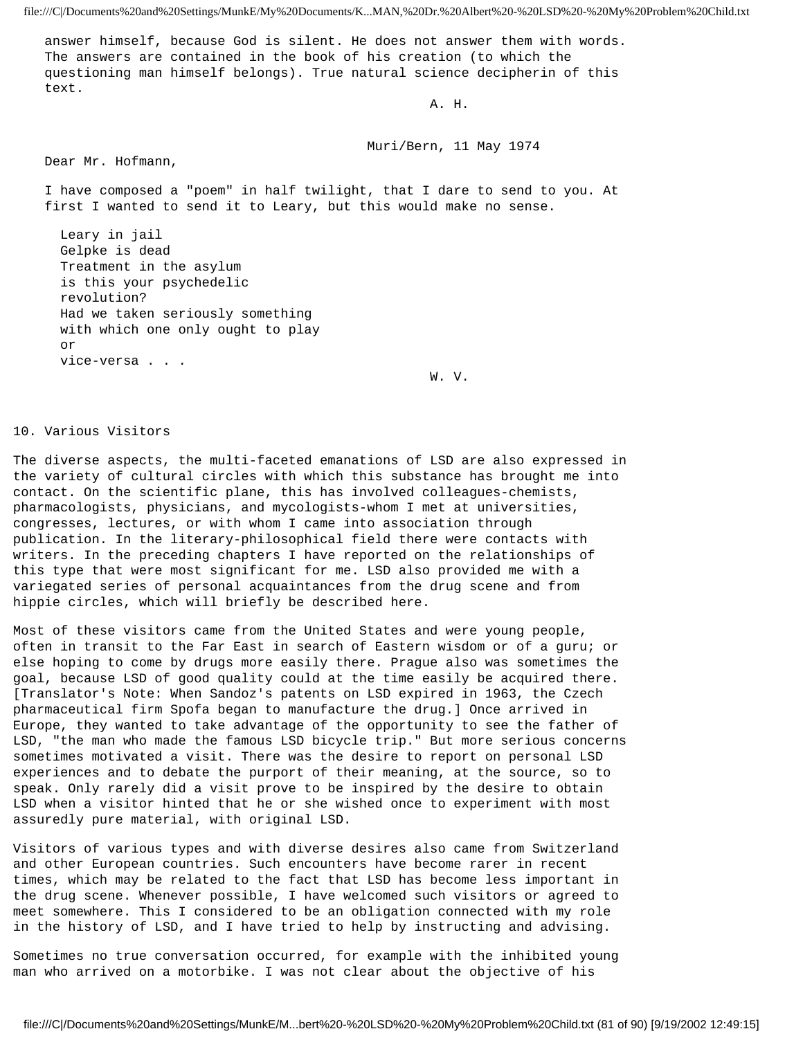answer himself, because God is silent. He does not answer them with words. The answers are contained in the book of his creation (to which the questioning man himself belongs). True natural science decipherin of this text.

## A. H.

#### Muri/Bern, 11 May 1974

Dear Mr. Hofmann,

 I have composed a "poem" in half twilight, that I dare to send to you. At first I wanted to send it to Leary, but this would make no sense.

 Leary in jail Gelpke is dead Treatment in the asylum is this your psychedelic revolution? Had we taken seriously something with which one only ought to play or vice-versa . . .

W. V.

## 10. Various Visitors

The diverse aspects, the multi-faceted emanations of LSD are also expressed in the variety of cultural circles with which this substance has brought me into contact. On the scientific plane, this has involved colleagues-chemists, pharmacologists, physicians, and mycologists-whom I met at universities, congresses, lectures, or with whom I came into association through publication. In the literary-philosophical field there were contacts with writers. In the preceding chapters I have reported on the relationships of this type that were most significant for me. LSD also provided me with a variegated series of personal acquaintances from the drug scene and from hippie circles, which will briefly be described here.

Most of these visitors came from the United States and were young people, often in transit to the Far East in search of Eastern wisdom or of a guru; or else hoping to come by drugs more easily there. Prague also was sometimes the goal, because LSD of good quality could at the time easily be acquired there. [Translator's Note: When Sandoz's patents on LSD expired in 1963, the Czech pharmaceutical firm Spofa began to manufacture the drug.] Once arrived in Europe, they wanted to take advantage of the opportunity to see the father of LSD, "the man who made the famous LSD bicycle trip." But more serious concerns sometimes motivated a visit. There was the desire to report on personal LSD experiences and to debate the purport of their meaning, at the source, so to speak. Only rarely did a visit prove to be inspired by the desire to obtain LSD when a visitor hinted that he or she wished once to experiment with most assuredly pure material, with original LSD.

Visitors of various types and with diverse desires also came from Switzerland and other European countries. Such encounters have become rarer in recent times, which may be related to the fact that LSD has become less important in the drug scene. Whenever possible, I have welcomed such visitors or agreed to meet somewhere. This I considered to be an obligation connected with my role in the history of LSD, and I have tried to help by instructing and advising.

Sometimes no true conversation occurred, for example with the inhibited young man who arrived on a motorbike. I was not clear about the objective of his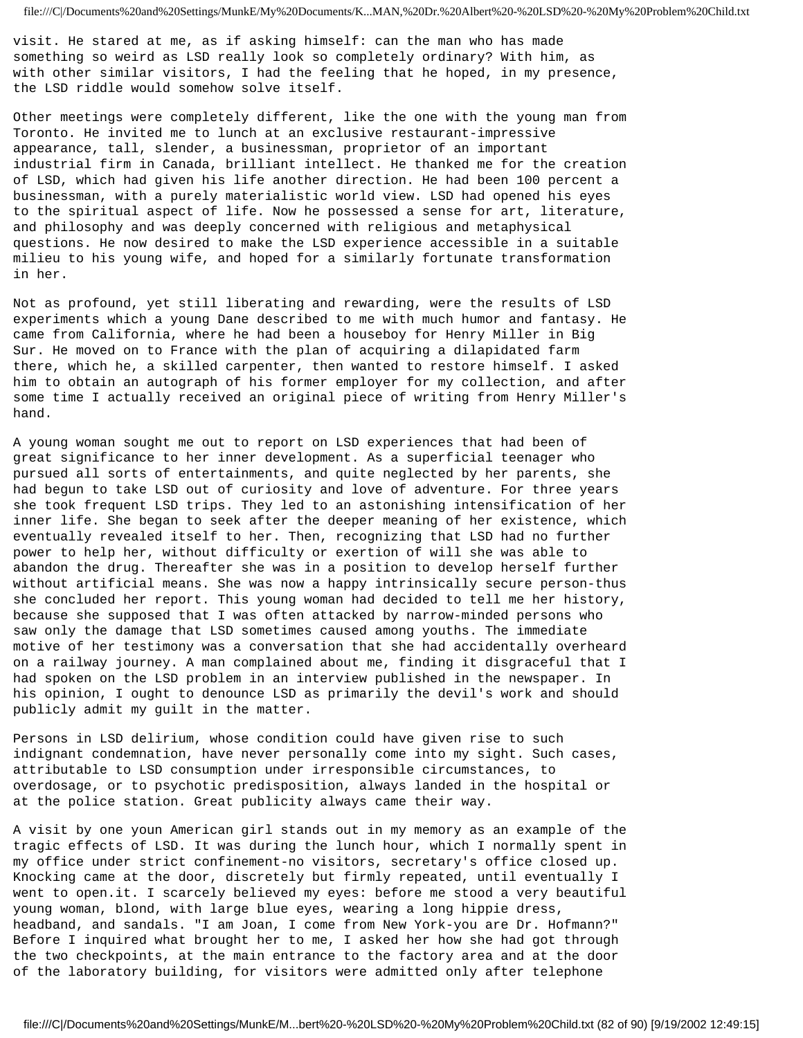visit. He stared at me, as if asking himself: can the man who has made something so weird as LSD really look so completely ordinary? With him, as with other similar visitors, I had the feeling that he hoped, in my presence, the LSD riddle would somehow solve itself.

Other meetings were completely different, like the one with the young man from Toronto. He invited me to lunch at an exclusive restaurant-impressive appearance, tall, slender, a businessman, proprietor of an important industrial firm in Canada, brilliant intellect. He thanked me for the creation of LSD, which had given his life another direction. He had been 100 percent a businessman, with a purely materialistic world view. LSD had opened his eyes to the spiritual aspect of life. Now he possessed a sense for art, literature, and philosophy and was deeply concerned with religious and metaphysical questions. He now desired to make the LSD experience accessible in a suitable milieu to his young wife, and hoped for a similarly fortunate transformation in her.

Not as profound, yet still liberating and rewarding, were the results of LSD experiments which a young Dane described to me with much humor and fantasy. He came from California, where he had been a houseboy for Henry Miller in Big Sur. He moved on to France with the plan of acquiring a dilapidated farm there, which he, a skilled carpenter, then wanted to restore himself. I asked him to obtain an autograph of his former employer for my collection, and after some time I actually received an original piece of writing from Henry Miller's hand.

A young woman sought me out to report on LSD experiences that had been of great significance to her inner development. As a superficial teenager who pursued all sorts of entertainments, and quite neglected by her parents, she had begun to take LSD out of curiosity and love of adventure. For three years she took frequent LSD trips. They led to an astonishing intensification of her inner life. She began to seek after the deeper meaning of her existence, which eventually revealed itself to her. Then, recognizing that LSD had no further power to help her, without difficulty or exertion of will she was able to abandon the drug. Thereafter she was in a position to develop herself further without artificial means. She was now a happy intrinsically secure person-thus she concluded her report. This young woman had decided to tell me her history, because she supposed that I was often attacked by narrow-minded persons who saw only the damage that LSD sometimes caused among youths. The immediate motive of her testimony was a conversation that she had accidentally overheard on a railway journey. A man complained about me, finding it disgraceful that I had spoken on the LSD problem in an interview published in the newspaper. In his opinion, I ought to denounce LSD as primarily the devil's work and should publicly admit my guilt in the matter.

Persons in LSD delirium, whose condition could have given rise to such indignant condemnation, have never personally come into my sight. Such cases, attributable to LSD consumption under irresponsible circumstances, to overdosage, or to psychotic predisposition, always landed in the hospital or at the police station. Great publicity always came their way.

A visit by one youn American girl stands out in my memory as an example of the tragic effects of LSD. It was during the lunch hour, which I normally spent in my office under strict confinement-no visitors, secretary's office closed up. Knocking came at the door, discretely but firmly repeated, until eventually I went to open.it. I scarcely believed my eyes: before me stood a very beautiful young woman, blond, with large blue eyes, wearing a long hippie dress, headband, and sandals. "I am Joan, I come from New York-you are Dr. Hofmann?" Before I inquired what brought her to me, I asked her how she had got through the two checkpoints, at the main entrance to the factory area and at the door of the laboratory building, for visitors were admitted only after telephone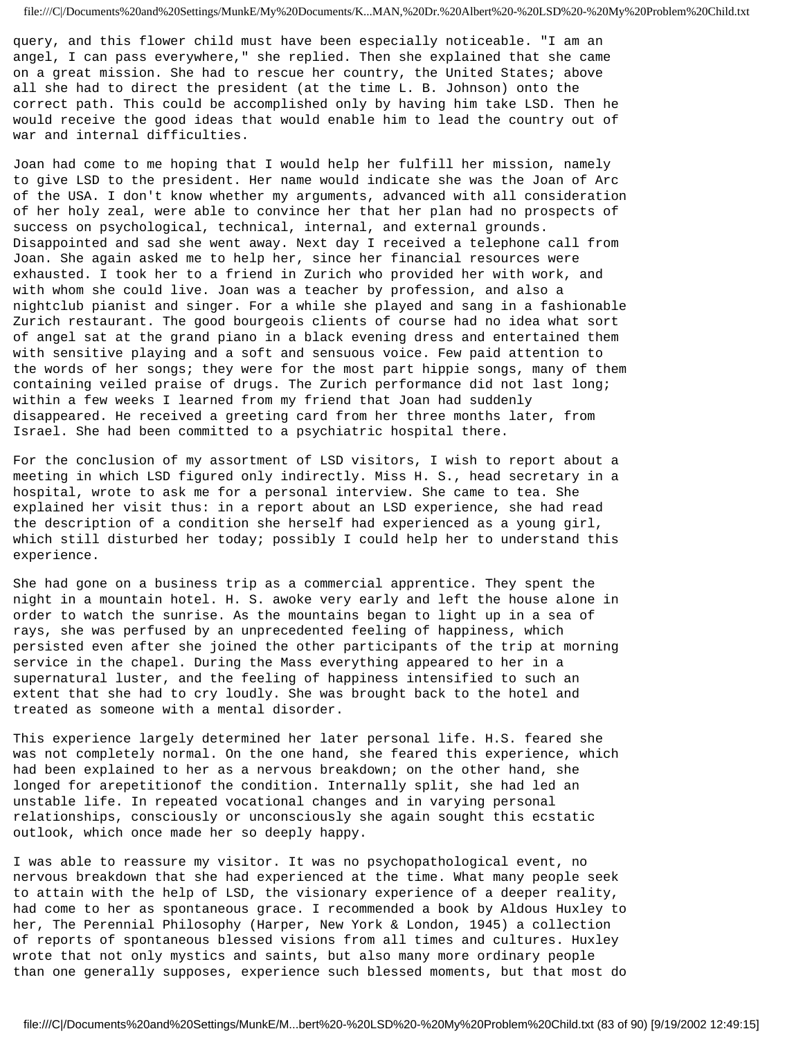query, and this flower child must have been especially noticeable. "I am an angel, I can pass everywhere," she replied. Then she explained that she came on a great mission. She had to rescue her country, the United States; above all she had to direct the president (at the time L. B. Johnson) onto the correct path. This could be accomplished only by having him take LSD. Then he would receive the good ideas that would enable him to lead the country out of war and internal difficulties.

Joan had come to me hoping that I would help her fulfill her mission, namely to give LSD to the president. Her name would indicate she was the Joan of Arc of the USA. I don't know whether my arguments, advanced with all consideration of her holy zeal, were able to convince her that her plan had no prospects of success on psychological, technical, internal, and external grounds. Disappointed and sad she went away. Next day I received a telephone call from Joan. She again asked me to help her, since her financial resources were exhausted. I took her to a friend in Zurich who provided her with work, and with whom she could live. Joan was a teacher by profession, and also a nightclub pianist and singer. For a while she played and sang in a fashionable Zurich restaurant. The good bourgeois clients of course had no idea what sort of angel sat at the grand piano in a black evening dress and entertained them with sensitive playing and a soft and sensuous voice. Few paid attention to the words of her songs; they were for the most part hippie songs, many of them containing veiled praise of drugs. The Zurich performance did not last long; within a few weeks I learned from my friend that Joan had suddenly disappeared. He received a greeting card from her three months later, from Israel. She had been committed to a psychiatric hospital there.

For the conclusion of my assortment of LSD visitors, I wish to report about a meeting in which LSD figured only indirectly. Miss H. S., head secretary in a hospital, wrote to ask me for a personal interview. She came to tea. She explained her visit thus: in a report about an LSD experience, she had read the description of a condition she herself had experienced as a young girl, which still disturbed her today; possibly I could help her to understand this experience.

She had gone on a business trip as a commercial apprentice. They spent the night in a mountain hotel. H. S. awoke very early and left the house alone in order to watch the sunrise. As the mountains began to light up in a sea of rays, she was perfused by an unprecedented feeling of happiness, which persisted even after she joined the other participants of the trip at morning service in the chapel. During the Mass everything appeared to her in a supernatural luster, and the feeling of happiness intensified to such an extent that she had to cry loudly. She was brought back to the hotel and treated as someone with a mental disorder.

This experience largely determined her later personal life. H.S. feared she was not completely normal. On the one hand, she feared this experience, which had been explained to her as a nervous breakdown; on the other hand, she longed for arepetitionof the condition. Internally split, she had led an unstable life. In repeated vocational changes and in varying personal relationships, consciously or unconsciously she again sought this ecstatic outlook, which once made her so deeply happy.

I was able to reassure my visitor. It was no psychopathological event, no nervous breakdown that she had experienced at the time. What many people seek to attain with the help of LSD, the visionary experience of a deeper reality, had come to her as spontaneous grace. I recommended a book by Aldous Huxley to her, The Perennial Philosophy (Harper, New York & London, 1945) a collection of reports of spontaneous blessed visions from all times and cultures. Huxley wrote that not only mystics and saints, but also many more ordinary people than one generally supposes, experience such blessed moments, but that most do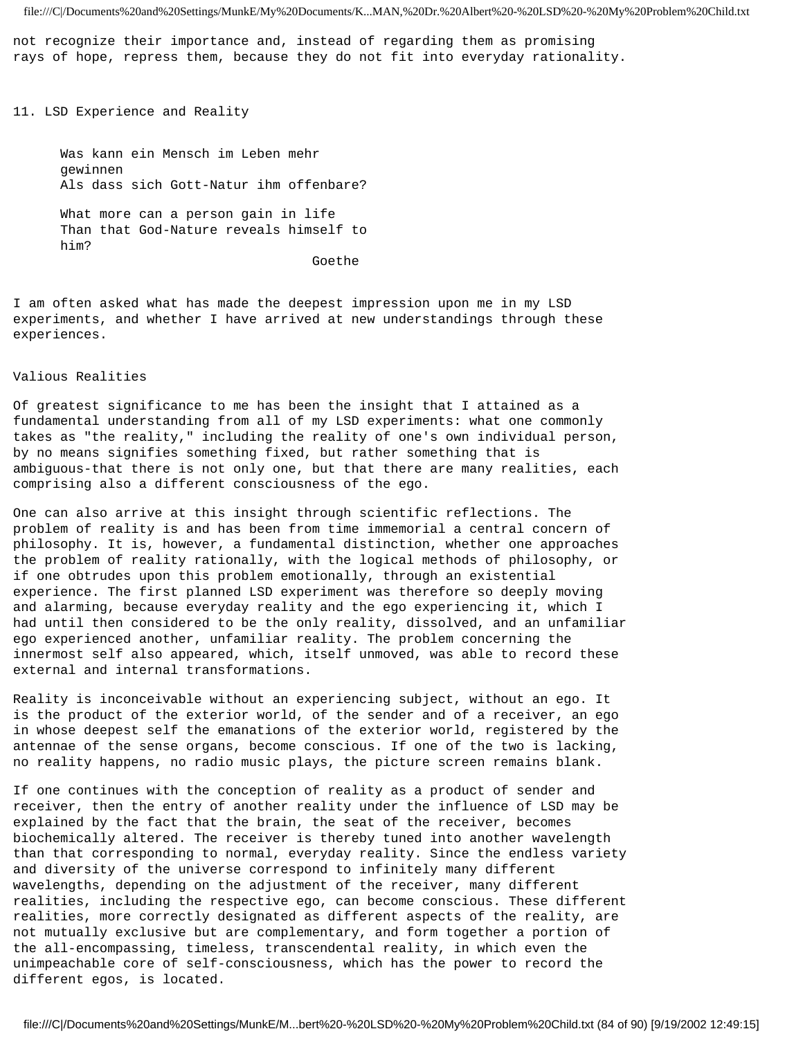not recognize their importance and, instead of regarding them as promising rays of hope, repress them, because they do not fit into everyday rationality.

11. LSD Experience and Reality

 Was kann ein Mensch im Leben mehr gewinnen Als dass sich Gott-Natur ihm offenbare?

 What more can a person gain in life Than that God-Nature reveals himself to him?

Goethe

I am often asked what has made the deepest impression upon me in my LSD experiments, and whether I have arrived at new understandings through these experiences.

### Valious Realities

Of greatest significance to me has been the insight that I attained as a fundamental understanding from all of my LSD experiments: what one commonly takes as "the reality," including the reality of one's own individual person, by no means signifies something fixed, but rather something that is ambiguous-that there is not only one, but that there are many realities, each comprising also a different consciousness of the ego.

One can also arrive at this insight through scientific reflections. The problem of reality is and has been from time immemorial a central concern of philosophy. It is, however, a fundamental distinction, whether one approaches the problem of reality rationally, with the logical methods of philosophy, or if one obtrudes upon this problem emotionally, through an existential experience. The first planned LSD experiment was therefore so deeply moving and alarming, because everyday reality and the ego experiencing it, which I had until then considered to be the only reality, dissolved, and an unfamiliar ego experienced another, unfamiliar reality. The problem concerning the innermost self also appeared, which, itself unmoved, was able to record these external and internal transformations.

Reality is inconceivable without an experiencing subject, without an ego. It is the product of the exterior world, of the sender and of a receiver, an ego in whose deepest self the emanations of the exterior world, registered by the antennae of the sense organs, become conscious. If one of the two is lacking, no reality happens, no radio music plays, the picture screen remains blank.

If one continues with the conception of reality as a product of sender and receiver, then the entry of another reality under the influence of LSD may be explained by the fact that the brain, the seat of the receiver, becomes biochemically altered. The receiver is thereby tuned into another wavelength than that corresponding to normal, everyday reality. Since the endless variety and diversity of the universe correspond to infinitely many different wavelengths, depending on the adjustment of the receiver, many different realities, including the respective ego, can become conscious. These different realities, more correctly designated as different aspects of the reality, are not mutually exclusive but are complementary, and form together a portion of the all-encompassing, timeless, transcendental reality, in which even the unimpeachable core of self-consciousness, which has the power to record the different egos, is located.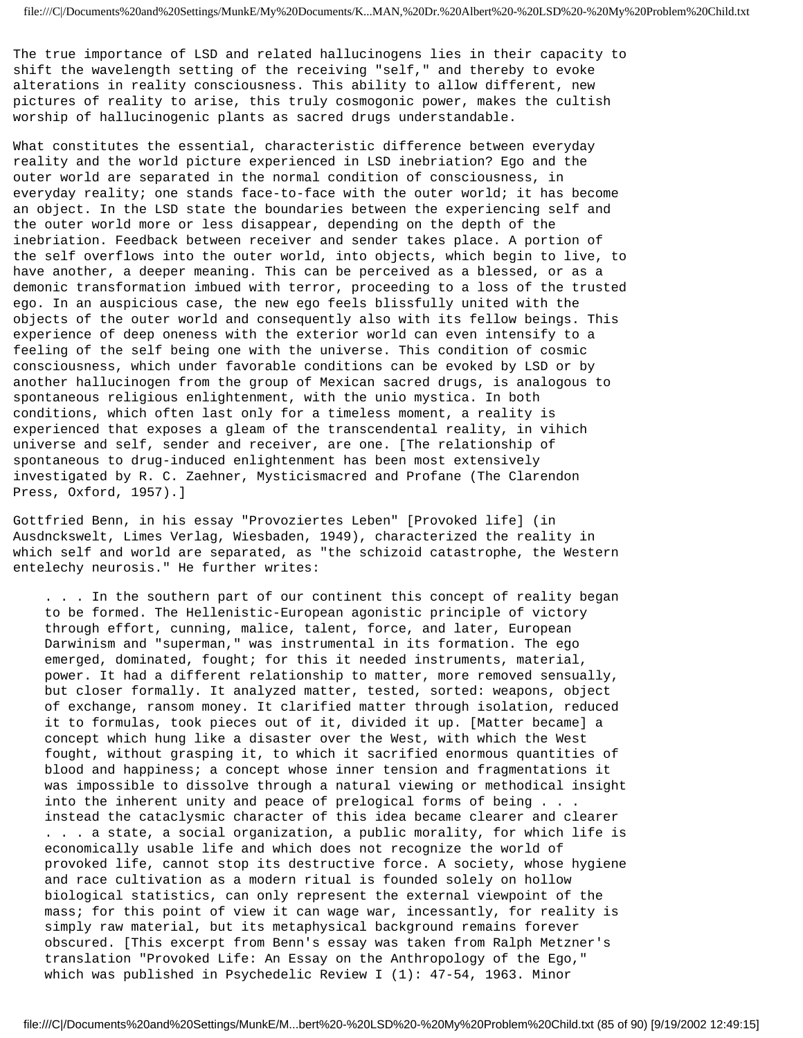The true importance of LSD and related hallucinogens lies in their capacity to shift the wavelength setting of the receiving "self," and thereby to evoke alterations in reality consciousness. This ability to allow different, new pictures of reality to arise, this truly cosmogonic power, makes the cultish worship of hallucinogenic plants as sacred drugs understandable.

What constitutes the essential, characteristic difference between everyday reality and the world picture experienced in LSD inebriation? Ego and the outer world are separated in the normal condition of consciousness, in everyday reality; one stands face-to-face with the outer world; it has become an object. In the LSD state the boundaries between the experiencing self and the outer world more or less disappear, depending on the depth of the inebriation. Feedback between receiver and sender takes place. A portion of the self overflows into the outer world, into objects, which begin to live, to have another, a deeper meaning. This can be perceived as a blessed, or as a demonic transformation imbued with terror, proceeding to a loss of the trusted ego. In an auspicious case, the new ego feels blissfully united with the objects of the outer world and consequently also with its fellow beings. This experience of deep oneness with the exterior world can even intensify to a feeling of the self being one with the universe. This condition of cosmic consciousness, which under favorable conditions can be evoked by LSD or by another hallucinogen from the group of Mexican sacred drugs, is analogous to spontaneous religious enlightenment, with the unio mystica. In both conditions, which often last only for a timeless moment, a reality is experienced that exposes a gleam of the transcendental reality, in vihich universe and self, sender and receiver, are one. [The relationship of spontaneous to drug-induced enlightenment has been most extensively investigated by R. C. Zaehner, Mysticismacred and Profane (The Clarendon Press, Oxford, 1957).]

Gottfried Benn, in his essay "Provoziertes Leben" [Provoked life] (in Ausdnckswelt, Limes Verlag, Wiesbaden, 1949), characterized the reality in which self and world are separated, as "the schizoid catastrophe, the Western entelechy neurosis." He further writes:

 . . . In the southern part of our continent this concept of reality began to be formed. The Hellenistic-European agonistic principle of victory through effort, cunning, malice, talent, force, and later, European Darwinism and "superman," was instrumental in its formation. The ego emerged, dominated, fought; for this it needed instruments, material, power. It had a different relationship to matter, more removed sensually, but closer formally. It analyzed matter, tested, sorted: weapons, object of exchange, ransom money. It clarified matter through isolation, reduced it to formulas, took pieces out of it, divided it up. [Matter became] a concept which hung like a disaster over the West, with which the West fought, without grasping it, to which it sacrified enormous quantities of blood and happiness; a concept whose inner tension and fragmentations it was impossible to dissolve through a natural viewing or methodical insight into the inherent unity and peace of prelogical forms of being . . . instead the cataclysmic character of this idea became clearer and clearer . . . a state, a social organization, a public morality, for which life is economically usable life and which does not recognize the world of provoked life, cannot stop its destructive force. A society, whose hygiene and race cultivation as a modern ritual is founded solely on hollow biological statistics, can only represent the external viewpoint of the mass; for this point of view it can wage war, incessantly, for reality is simply raw material, but its metaphysical background remains forever obscured. [This excerpt from Benn's essay was taken from Ralph Metzner's translation "Provoked Life: An Essay on the Anthropology of the Ego," which was published in Psychedelic Review I (1): 47-54, 1963. Minor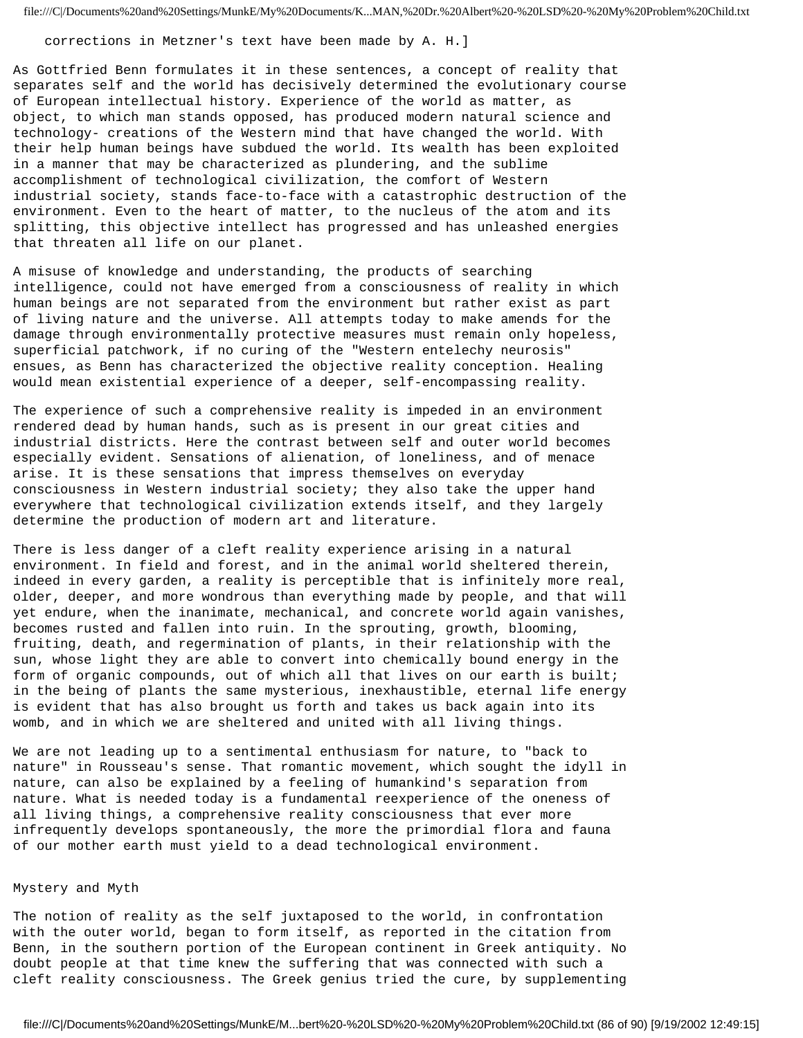corrections in Metzner's text have been made by A. H.]

As Gottfried Benn formulates it in these sentences, a concept of reality that separates self and the world has decisively determined the evolutionary course of European intellectual history. Experience of the world as matter, as object, to which man stands opposed, has produced modern natural science and technology- creations of the Western mind that have changed the world. With their help human beings have subdued the world. Its wealth has been exploited in a manner that may be characterized as plundering, and the sublime accomplishment of technological civilization, the comfort of Western industrial society, stands face-to-face with a catastrophic destruction of the environment. Even to the heart of matter, to the nucleus of the atom and its splitting, this objective intellect has progressed and has unleashed energies that threaten all life on our planet.

A misuse of knowledge and understanding, the products of searching intelligence, could not have emerged from a consciousness of reality in which human beings are not separated from the environment but rather exist as part of living nature and the universe. All attempts today to make amends for the damage through environmentally protective measures must remain only hopeless, superficial patchwork, if no curing of the "Western entelechy neurosis" ensues, as Benn has characterized the objective reality conception. Healing would mean existential experience of a deeper, self-encompassing reality.

The experience of such a comprehensive reality is impeded in an environment rendered dead by human hands, such as is present in our great cities and industrial districts. Here the contrast between self and outer world becomes especially evident. Sensations of alienation, of loneliness, and of menace arise. It is these sensations that impress themselves on everyday consciousness in Western industrial society; they also take the upper hand everywhere that technological civilization extends itself, and they largely determine the production of modern art and literature.

There is less danger of a cleft reality experience arising in a natural environment. In field and forest, and in the animal world sheltered therein, indeed in every garden, a reality is perceptible that is infinitely more real, older, deeper, and more wondrous than everything made by people, and that will yet endure, when the inanimate, mechanical, and concrete world again vanishes, becomes rusted and fallen into ruin. In the sprouting, growth, blooming, fruiting, death, and regermination of plants, in their relationship with the sun, whose light they are able to convert into chemically bound energy in the form of organic compounds, out of which all that lives on our earth is built; in the being of plants the same mysterious, inexhaustible, eternal life energy is evident that has also brought us forth and takes us back again into its womb, and in which we are sheltered and united with all living things.

We are not leading up to a sentimental enthusiasm for nature, to "back to nature" in Rousseau's sense. That romantic movement, which sought the idyll in nature, can also be explained by a feeling of humankind's separation from nature. What is needed today is a fundamental reexperience of the oneness of all living things, a comprehensive reality consciousness that ever more infrequently develops spontaneously, the more the primordial flora and fauna of our mother earth must yield to a dead technological environment.

### Mystery and Myth

The notion of reality as the self juxtaposed to the world, in confrontation with the outer world, began to form itself, as reported in the citation from Benn, in the southern portion of the European continent in Greek antiquity. No doubt people at that time knew the suffering that was connected with such a cleft reality consciousness. The Greek genius tried the cure, by supplementing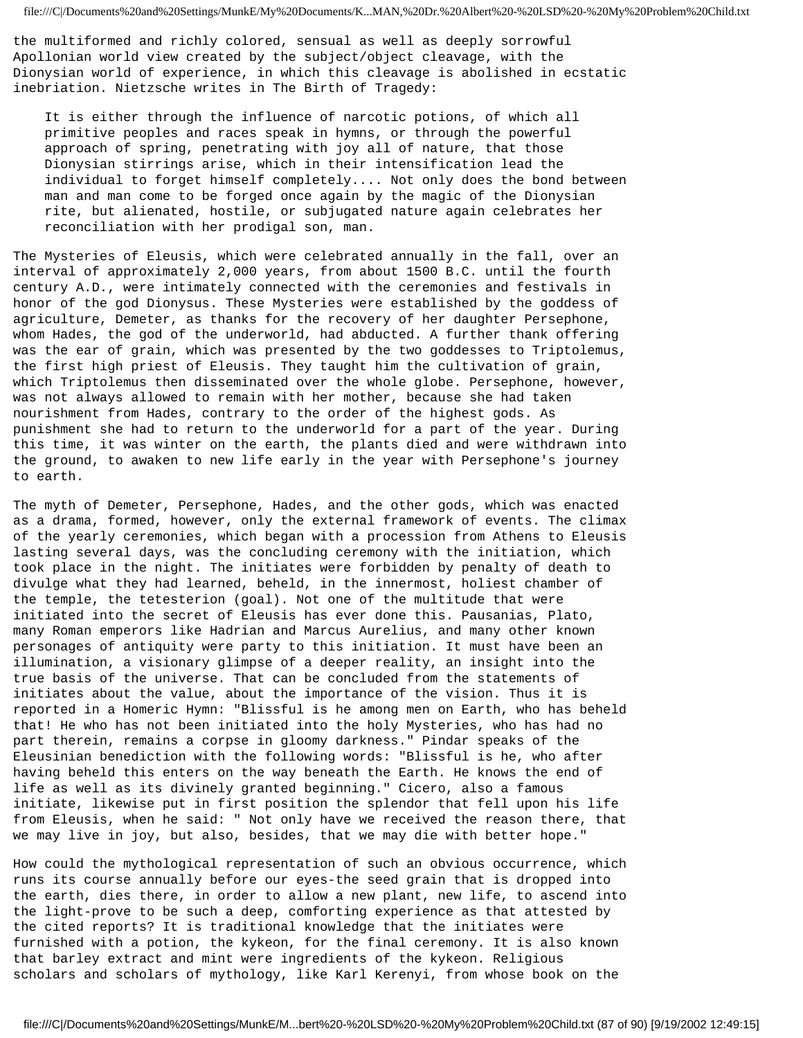the multiformed and richly colored, sensual as well as deeply sorrowful Apollonian world view created by the subject/object cleavage, with the Dionysian world of experience, in which this cleavage is abolished in ecstatic inebriation. Nietzsche writes in The Birth of Tragedy:

 It is either through the influence of narcotic potions, of which all primitive peoples and races speak in hymns, or through the powerful approach of spring, penetrating with joy all of nature, that those Dionysian stirrings arise, which in their intensification lead the individual to forget himself completely.... Not only does the bond between man and man come to be forged once again by the magic of the Dionysian rite, but alienated, hostile, or subjugated nature again celebrates her reconciliation with her prodigal son, man.

The Mysteries of Eleusis, which were celebrated annually in the fall, over an interval of approximately 2,000 years, from about 1500 B.C. until the fourth century A.D., were intimately connected with the ceremonies and festivals in honor of the god Dionysus. These Mysteries were established by the goddess of agriculture, Demeter, as thanks for the recovery of her daughter Persephone, whom Hades, the god of the underworld, had abducted. A further thank offering was the ear of grain, which was presented by the two goddesses to Triptolemus, the first high priest of Eleusis. They taught him the cultivation of grain, which Triptolemus then disseminated over the whole globe. Persephone, however, was not always allowed to remain with her mother, because she had taken nourishment from Hades, contrary to the order of the highest gods. As punishment she had to return to the underworld for a part of the year. During this time, it was winter on the earth, the plants died and were withdrawn into the ground, to awaken to new life early in the year with Persephone's journey to earth.

The myth of Demeter, Persephone, Hades, and the other gods, which was enacted as a drama, formed, however, only the external framework of events. The climax of the yearly ceremonies, which began with a procession from Athens to Eleusis lasting several days, was the concluding ceremony with the initiation, which took place in the night. The initiates were forbidden by penalty of death to divulge what they had learned, beheld, in the innermost, holiest chamber of the temple, the tetesterion (goal). Not one of the multitude that were initiated into the secret of Eleusis has ever done this. Pausanias, Plato, many Roman emperors like Hadrian and Marcus Aurelius, and many other known personages of antiquity were party to this initiation. It must have been an illumination, a visionary glimpse of a deeper reality, an insight into the true basis of the universe. That can be concluded from the statements of initiates about the value, about the importance of the vision. Thus it is reported in a Homeric Hymn: "Blissful is he among men on Earth, who has beheld that! He who has not been initiated into the holy Mysteries, who has had no part therein, remains a corpse in gloomy darkness." Pindar speaks of the Eleusinian benediction with the following words: "Blissful is he, who after having beheld this enters on the way beneath the Earth. He knows the end of life as well as its divinely granted beginning." Cicero, also a famous initiate, likewise put in first position the splendor that fell upon his life from Eleusis, when he said: " Not only have we received the reason there, that we may live in joy, but also, besides, that we may die with better hope."

How could the mythological representation of such an obvious occurrence, which runs its course annually before our eyes-the seed grain that is dropped into the earth, dies there, in order to allow a new plant, new life, to ascend into the light-prove to be such a deep, comforting experience as that attested by the cited reports? It is traditional knowledge that the initiates were furnished with a potion, the kykeon, for the final ceremony. It is also known that barley extract and mint were ingredients of the kykeon. Religious scholars and scholars of mythology, like Karl Kerenyi, from whose book on the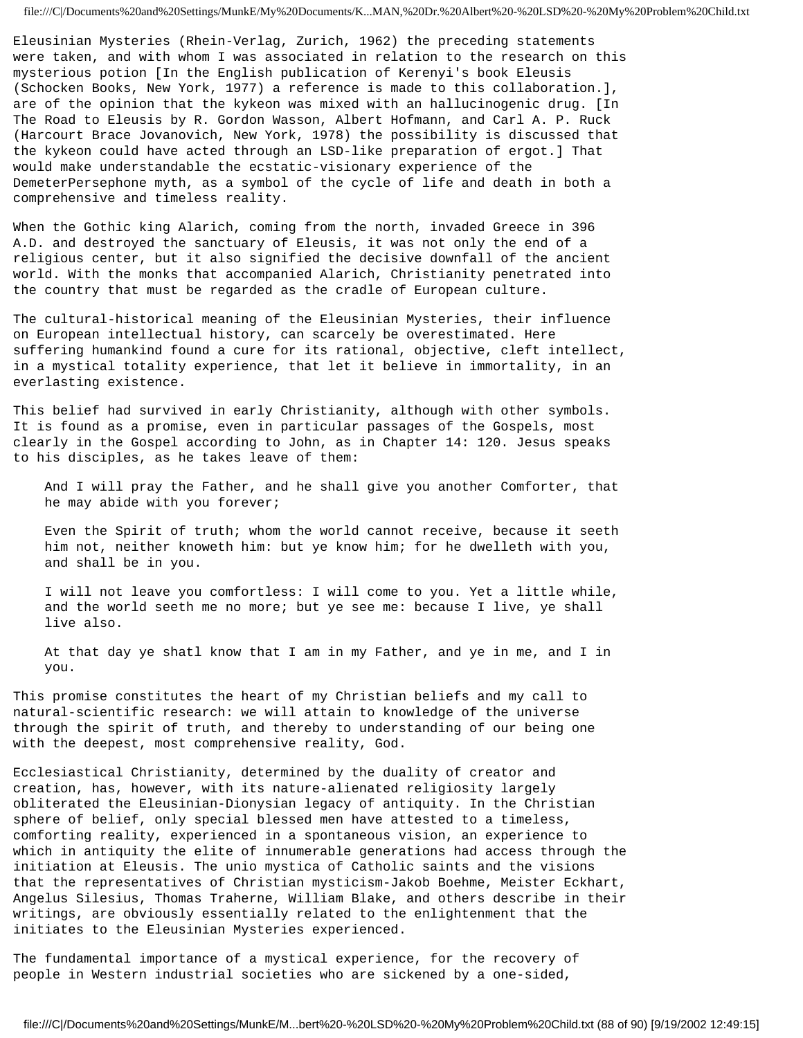Eleusinian Mysteries (Rhein-Verlag, Zurich, 1962) the preceding statements were taken, and with whom I was associated in relation to the research on this mysterious potion [In the English publication of Kerenyi's book Eleusis (Schocken Books, New York, 1977) a reference is made to this collaboration.], are of the opinion that the kykeon was mixed with an hallucinogenic drug. [In The Road to Eleusis by R. Gordon Wasson, Albert Hofmann, and Carl A. P. Ruck (Harcourt Brace Jovanovich, New York, 1978) the possibility is discussed that the kykeon could have acted through an LSD-like preparation of ergot.] That would make understandable the ecstatic-visionary experience of the DemeterPersephone myth, as a symbol of the cycle of life and death in both a comprehensive and timeless reality.

When the Gothic king Alarich, coming from the north, invaded Greece in 396 A.D. and destroyed the sanctuary of Eleusis, it was not only the end of a religious center, but it also signified the decisive downfall of the ancient world. With the monks that accompanied Alarich, Christianity penetrated into the country that must be regarded as the cradle of European culture.

The cultural-historical meaning of the Eleusinian Mysteries, their influence on European intellectual history, can scarcely be overestimated. Here suffering humankind found a cure for its rational, objective, cleft intellect, in a mystical totality experience, that let it believe in immortality, in an everlasting existence.

This belief had survived in early Christianity, although with other symbols. It is found as a promise, even in particular passages of the Gospels, most clearly in the Gospel according to John, as in Chapter 14: 120. Jesus speaks to his disciples, as he takes leave of them:

 And I will pray the Father, and he shall give you another Comforter, that he may abide with you forever;

 Even the Spirit of truth; whom the world cannot receive, because it seeth him not, neither knoweth him: but ye know him; for he dwelleth with you, and shall be in you.

 I will not leave you comfortless: I will come to you. Yet a little while, and the world seeth me no more; but ye see me: because I live, ye shall live also.

 At that day ye shatl know that I am in my Father, and ye in me, and I in you.

This promise constitutes the heart of my Christian beliefs and my call to natural-scientific research: we will attain to knowledge of the universe through the spirit of truth, and thereby to understanding of our being one with the deepest, most comprehensive reality, God.

Ecclesiastical Christianity, determined by the duality of creator and creation, has, however, with its nature-alienated religiosity largely obliterated the Eleusinian-Dionysian legacy of antiquity. In the Christian sphere of belief, only special blessed men have attested to a timeless, comforting reality, experienced in a spontaneous vision, an experience to which in antiquity the elite of innumerable generations had access through the initiation at Eleusis. The unio mystica of Catholic saints and the visions that the representatives of Christian mysticism-Jakob Boehme, Meister Eckhart, Angelus Silesius, Thomas Traherne, William Blake, and others describe in their writings, are obviously essentially related to the enlightenment that the initiates to the Eleusinian Mysteries experienced.

The fundamental importance of a mystical experience, for the recovery of people in Western industrial societies who are sickened by a one-sided,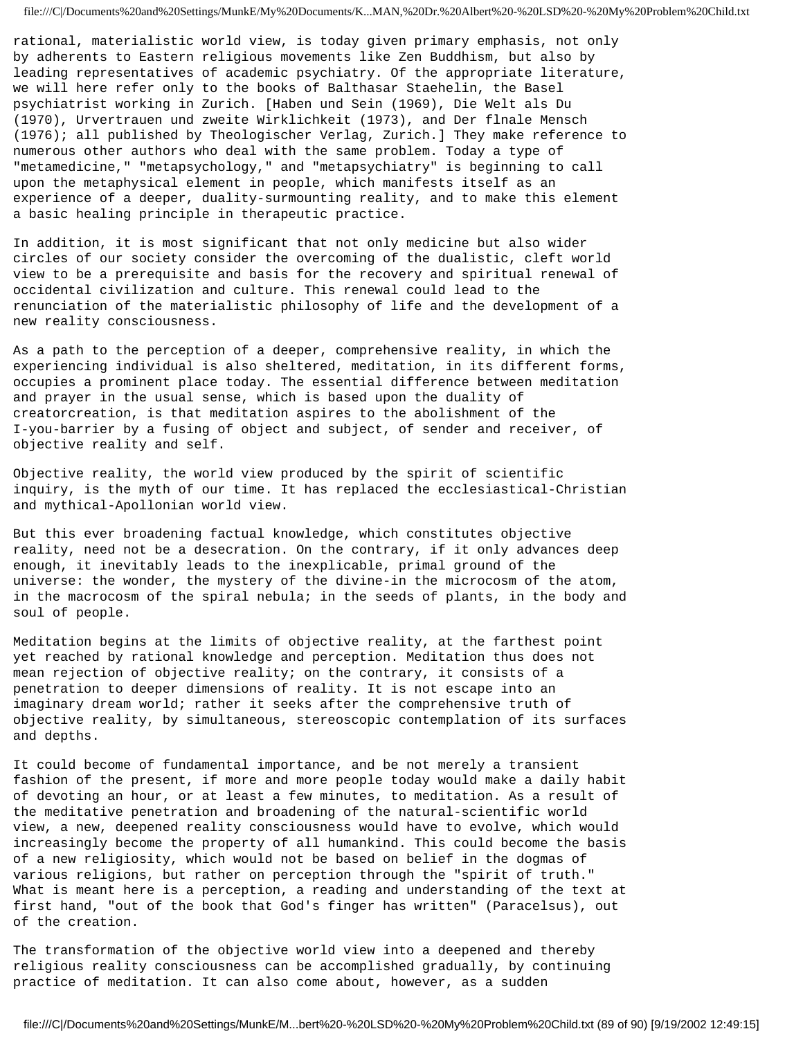rational, materialistic world view, is today given primary emphasis, not only by adherents to Eastern religious movements like Zen Buddhism, but also by leading representatives of academic psychiatry. Of the appropriate literature, we will here refer only to the books of Balthasar Staehelin, the Basel psychiatrist working in Zurich. [Haben und Sein (1969), Die Welt als Du (1970), Urvertrauen und zweite Wirklichkeit (1973), and Der flnale Mensch (1976); all published by Theologischer Verlag, Zurich.] They make reference to numerous other authors who deal with the same problem. Today a type of "metamedicine," "metapsychology," and "metapsychiatry" is beginning to call upon the metaphysical element in people, which manifests itself as an experience of a deeper, duality-surmounting reality, and to make this element a basic healing principle in therapeutic practice.

In addition, it is most significant that not only medicine but also wider circles of our society consider the overcoming of the dualistic, cleft world view to be a prerequisite and basis for the recovery and spiritual renewal of occidental civilization and culture. This renewal could lead to the renunciation of the materialistic philosophy of life and the development of a new reality consciousness.

As a path to the perception of a deeper, comprehensive reality, in which the experiencing individual is also sheltered, meditation, in its different forms, occupies a prominent place today. The essential difference between meditation and prayer in the usual sense, which is based upon the duality of creatorcreation, is that meditation aspires to the abolishment of the I-you-barrier by a fusing of object and subject, of sender and receiver, of objective reality and self.

Objective reality, the world view produced by the spirit of scientific inquiry, is the myth of our time. It has replaced the ecclesiastical-Christian and mythical-Apollonian world view.

But this ever broadening factual knowledge, which constitutes objective reality, need not be a desecration. On the contrary, if it only advances deep enough, it inevitably leads to the inexplicable, primal ground of the universe: the wonder, the mystery of the divine-in the microcosm of the atom, in the macrocosm of the spiral nebula; in the seeds of plants, in the body and soul of people.

Meditation begins at the limits of objective reality, at the farthest point yet reached by rational knowledge and perception. Meditation thus does not mean rejection of objective reality; on the contrary, it consists of a penetration to deeper dimensions of reality. It is not escape into an imaginary dream world; rather it seeks after the comprehensive truth of objective reality, by simultaneous, stereoscopic contemplation of its surfaces and depths.

It could become of fundamental importance, and be not merely a transient fashion of the present, if more and more people today would make a daily habit of devoting an hour, or at least a few minutes, to meditation. As a result of the meditative penetration and broadening of the natural-scientific world view, a new, deepened reality consciousness would have to evolve, which would increasingly become the property of all humankind. This could become the basis of a new religiosity, which would not be based on belief in the dogmas of various religions, but rather on perception through the "spirit of truth." What is meant here is a perception, a reading and understanding of the text at first hand, "out of the book that God's finger has written" (Paracelsus), out of the creation.

The transformation of the objective world view into a deepened and thereby religious reality consciousness can be accomplished gradually, by continuing practice of meditation. It can also come about, however, as a sudden